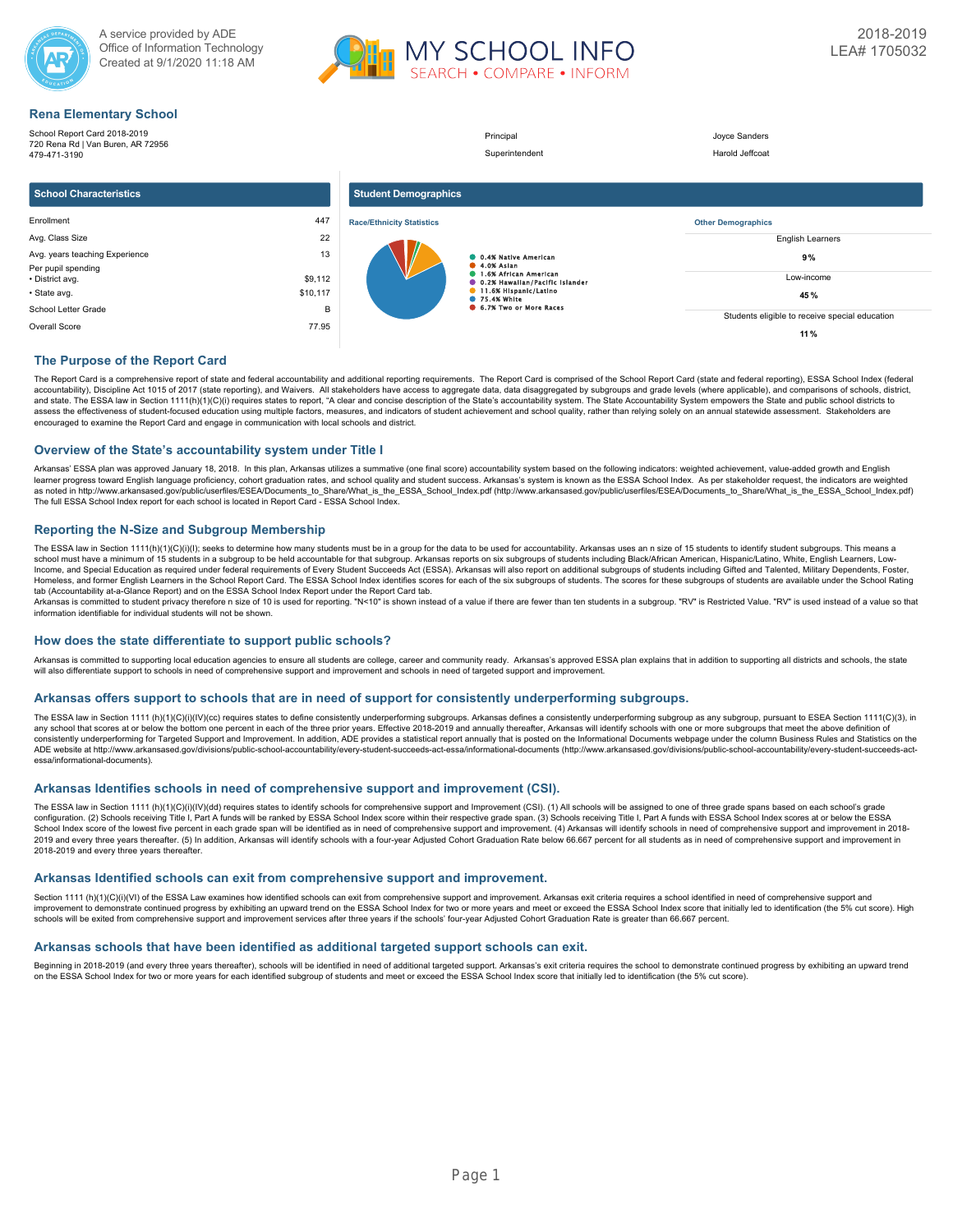



**11 %**

# **Rena Elementary School**

School Report Card 2018-2019 Principal **Discrete Sanders** Joyce Sanders 720 Rena Rd | Van Buren, AR 72956 Superintendent Harold Jeffcoat 479-471-3190 **School Characteristics Student Demographics Race/Ethnicity Statistics** Enrollment 447 **Other Demographics** Avg. Class Size 22 English Learners Avg. years teaching Experience 13 **0.4% Native American 9 %** 4.0% Asian 1.6% African American Per pupil spending ě • District avg. \$9,112 Low-income 0.2% Hawaiian/Pacific Islander 11.6% Hispanic/Latino • State avg. \$10,117 **45 %** 75.4% White 6.7% Two or More Races School Letter Grade B Students eligible to receive special education

# **The Purpose of the Report Card**

The Report Card is a comprehensive report of state and federal accountability and additional reporting requirements. The Report Card is comprised of the School Report Card (state and federal reporting), ESSA School Index ( accountability), Discipline Act 1015 of 2017 (state reporting), and Waivers. All stakeholders have access to aggregate data, data disaggregated by subgroups and grade levels (where applicable), and comparisons of schools, and state. The ESSA law in Section 1111(h)(1)(C)(i) requires states to report, "A clear and concise description of the State's accountability system. The State Accountability System empowers the State and public school dis assess the effectiveness of student-focused education using multiple factors, measures, and indicators of student achievement and school quality, rather than relying solely on an annual statewide assessment. Stakeholders a encouraged to examine the Report Card and engage in communication with local schools and district.

### **Overview of the State's accountability system under Title I**

Arkansas' ESSA plan was approved January 18, 2018. In this plan, Arkansas utilizes a summative (one final score) accountability system based on the following indicators: weighted achievement, value-added growth and English learner progress toward English language proficiency, cohort graduation rates, and school quality and student success. Arkansas's system is known as the ESSA School Index. As per stakeholder request, the indicators are wei as noted in http://www.arkansased.gov/public/userfiles/ESEA/Documents\_to\_Share/What\_is\_the\_ESSA\_School\_Index.pdf) (http://www.arkansased.gov/public/userfiles/ESEA/Documents\_to\_Share/What\_is\_the\_ESSA\_School\_Index.pdf) The full ESSA School Index report for each school is located in Report Card - ESSA School Index.

### **Reporting the N-Size and Subgroup Membership**

Overall Score 77.95

The ESSA law in Section 1111(h)(1)(C)(i)(l); seeks to determine how many students must be in a group for the data to be used for accountability. Arkansas uses an n size of 15 students to identify student subgroups. This me Income, and Special Education as required under federal requirements of Every Student Succeeds Act (ESSA). Arkansas will also report on additional subgroups of students including Gifted and Talented, Military Dependents, F Homeless, and former English Learners in the School Report Card. The ESSA School Index identifies scores for each of the six subgroups of students. The scores for these subgroups of students are available under the School tab (Accountability at-a-Glance Report) and on the ESSA School Index Report under the Report Card tab.

Arkansas is committed to student privacy therefore n size of 10 is used for reporting. "N<10" is shown instead of a value if there are fewer than ten students in a subgroup. "RV" is Restricted Value. "RV" is used instead

#### **How does the state differentiate to support public schools?**

Arkansas is committed to supporting local education agencies to ensure all students are college, career and community ready. Arkansas's approved ESSA plan explains that in addition to supporting all districts and schools, will also differentiate support to schools in need of comprehensive support and improvement and schools in need of targeted support and improvement.

#### **Arkansas offers support to schools that are in need of support for consistently underperforming subgroups.**

The ESSA law in Section 1111 (h)(1)(O)(i)(IV)(cc) requires states to define consistently underperforming subgroups. Arkansas defines a consistently underperforming subgroups as any subgroup, pursuant to ESEA Section 1111(C any school that scores at or below the bottom one percent in each of the three prior years. Effective 2018-2019 and annually thereafter. Arkansas will identify schools with one or more subgroups that meet the above definit consistently underperforming for Targeted Support and Improvement. In addition, ADE provides a statistical report annually that is posted on the Informational Documents webpage under the column Business Rules and Statistic ADE website at http://www.arkansased.gov/divisions/public-school-accountability/every-student-succeeds-act-essa/informational-documents (http://www.arkansased.gov/divisions/public-school-accountability/every-student-succee essa/informational-documents).

### **Arkansas Identifies schools in need of comprehensive support and improvement (CSI).**

The ESSA law in Section 1111 (h)(1)(C)(i)(IV)(dd) requires states to identify schools for comprehensive support and Improvement (CSI). (1) All schools will be assigned to one of three grade spans based on each school's gra School Index score of the lowest five percent in each grade span will be identified as in need of comprehensive support and improvement. (4) Arkansas will identify schools in need of comprehensive support and improvement 2019 and every three years thereafter. (5) In addition, Arkansas will identify schools with a four-year Adjusted Cohort Graduation Rate below 66.667 percent for all students as in need of comprehensive support and improvem 2018-2019 and every three years thereafter.

#### **Arkansas Identified schools can exit from comprehensive support and improvement.**

Section 1111 (h)(1)(C)(i)(VI) of the ESSA Law examines how identified schools can exit from comprehensive support and improvement. Arkansas exit criteria requires a school identified in need of comprehensive support and improvement to demonstrate continued progress by exhibiting an upward trend on the ESSA School Index for two or more years and meet or exceed the ESSA School Index score that initially led to identification (the 5% cut sco schools will be exited from comprehensive support and improvement services after three years if the schools' four-year Adjusted Cohort Graduation Rate is greater than 66.667 percent.

### **Arkansas schools that have been identified as additional targeted support schools can exit.**

Beginning in 2018-2019 (and every three years thereafter), schools will be identified in need of additional targeted support. Arkansas's exit criteria requires the school to demonstrate continued progress by exhibiting an on the ESSA School Index for two or more years for each identified subgroup of students and meet or exceed the ESSA School Index score that initially led to identification (the 5% cut score).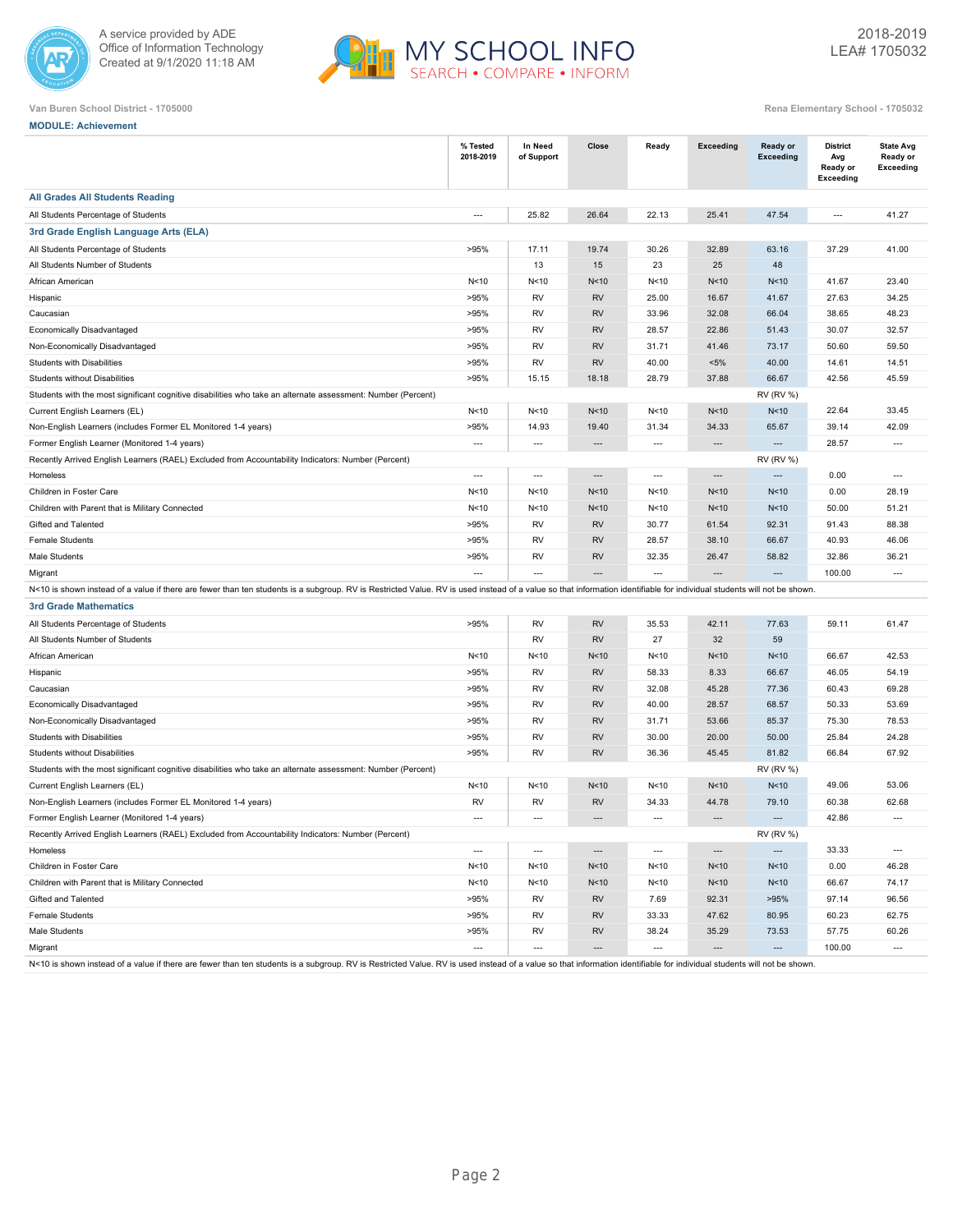



| Van Buren School District - 1705000 | Rena Elementary School - 1705032 |
|-------------------------------------|----------------------------------|
|-------------------------------------|----------------------------------|

| <b>MODULE: Achievement</b>                                                                                                                                                                                             |                          |                          |                               |                          |                          |                          |                                                        |                                                  |
|------------------------------------------------------------------------------------------------------------------------------------------------------------------------------------------------------------------------|--------------------------|--------------------------|-------------------------------|--------------------------|--------------------------|--------------------------|--------------------------------------------------------|--------------------------------------------------|
|                                                                                                                                                                                                                        | % Tested<br>2018-2019    | In Need<br>of Support    | Close                         | Ready                    | <b>Exceeding</b>         | Ready or<br>Exceeding    | <b>District</b><br>Avg<br>Ready or<br><b>Exceeding</b> | <b>State Avg</b><br>Ready or<br><b>Exceeding</b> |
| <b>All Grades All Students Reading</b>                                                                                                                                                                                 |                          |                          |                               |                          |                          |                          |                                                        |                                                  |
| All Students Percentage of Students                                                                                                                                                                                    | $\overline{a}$           | 25.82                    | 26.64                         | 22.13                    | 25.41                    | 47.54                    | $\overline{\phantom{a}}$                               | 41.27                                            |
| 3rd Grade English Language Arts (ELA)                                                                                                                                                                                  |                          |                          |                               |                          |                          |                          |                                                        |                                                  |
| All Students Percentage of Students                                                                                                                                                                                    | >95%                     | 17.11                    | 19.74                         | 30.26                    | 32.89                    | 63.16                    | 37.29                                                  | 41.00                                            |
| All Students Number of Students                                                                                                                                                                                        |                          | 13                       | 15                            | 23                       | 25                       | 48                       |                                                        |                                                  |
| African American                                                                                                                                                                                                       | N <sub>10</sub>          | N<10                     | N<10                          | N<10                     | N<10                     | N<10                     | 41.67                                                  | 23.40                                            |
| Hispanic                                                                                                                                                                                                               | >95%                     | <b>RV</b>                | <b>RV</b>                     | 25.00                    | 16.67                    | 41.67                    | 27.63                                                  | 34.25                                            |
| Caucasian                                                                                                                                                                                                              | >95%                     | RV                       | <b>RV</b>                     | 33.96                    | 32.08                    | 66.04                    | 38.65                                                  | 48.23                                            |
| Economically Disadvantaged                                                                                                                                                                                             | >95%                     | <b>RV</b>                | <b>RV</b>                     | 28.57                    | 22.86                    | 51.43                    | 30.07                                                  | 32.57                                            |
| Non-Economically Disadvantaged                                                                                                                                                                                         | >95%                     | <b>RV</b>                | <b>RV</b>                     | 31.71                    | 41.46                    | 73.17                    | 50.60                                                  | 59.50                                            |
| <b>Students with Disabilities</b>                                                                                                                                                                                      | >95%                     | RV                       | <b>RV</b>                     | 40.00                    | $< 5\%$                  | 40.00                    | 14.61                                                  | 14.51                                            |
| Students without Disabilities                                                                                                                                                                                          | >95%                     | 15.15                    | 18.18                         | 28.79                    | 37.88                    | 66.67                    | 42.56                                                  | 45.59                                            |
| Students with the most significant cognitive disabilities who take an alternate assessment: Number (Percent)                                                                                                           |                          |                          |                               |                          |                          | <b>RV (RV %)</b>         |                                                        |                                                  |
| Current English Learners (EL)                                                                                                                                                                                          | N < 10                   | N < 10                   | N<10                          | N<10                     | N<10                     | N<10                     | 22.64                                                  | 33.45                                            |
| Non-English Learners (includes Former EL Monitored 1-4 years)                                                                                                                                                          | >95%                     | 14.93                    | 19.40                         | 31.34                    | 34.33                    | 65.67                    | 39.14                                                  | 42.09                                            |
| Former English Learner (Monitored 1-4 years)                                                                                                                                                                           | $\hspace{0.05cm} \ldots$ | $\overline{\phantom{a}}$ | $\overline{\phantom{a}}$      | $\cdots$                 | $\hspace{0.05cm} \ldots$ | $\overline{\phantom{a}}$ | 28.57                                                  | $\overline{\phantom{a}}$                         |
| Recently Arrived English Learners (RAEL) Excluded from Accountability Indicators: Number (Percent)                                                                                                                     |                          |                          |                               |                          |                          | <b>RV (RV %)</b>         |                                                        |                                                  |
| Homeless                                                                                                                                                                                                               | $\cdots$                 | $\overline{\phantom{a}}$ | $\overline{\phantom{a}}$      | $\overline{\phantom{a}}$ | ---                      | $\overline{\phantom{a}}$ | 0.00                                                   | ---                                              |
| Children in Foster Care                                                                                                                                                                                                | N < 10                   | N<10                     | N<10                          | N<10                     | N<10                     | N<10                     | 0.00                                                   | 28.19                                            |
| Children with Parent that is Military Connected                                                                                                                                                                        | N < 10                   | N < 10                   | N<10                          | N<10                     | N<10                     | N<10                     | 50.00                                                  | 51.21                                            |
| Gifted and Talented                                                                                                                                                                                                    | >95%                     | <b>RV</b>                | <b>RV</b>                     | 30.77                    | 61.54                    | 92.31                    | 91.43                                                  | 88.38                                            |
| <b>Female Students</b>                                                                                                                                                                                                 | >95%                     | RV                       | <b>RV</b>                     | 28.57                    | 38.10                    | 66.67                    | 40.93                                                  | 46.06                                            |
| Male Students                                                                                                                                                                                                          | >95%                     | RV                       | <b>RV</b>                     | 32.35                    | 26.47                    | 58.82                    | 32.86                                                  | 36.21                                            |
| Migrant                                                                                                                                                                                                                | $\overline{a}$           | $\overline{a}$           | $\overline{a}$                | $\overline{a}$           | $\overline{a}$           | $\overline{a}$           | 100.00                                                 | $\overline{a}$                                   |
| N<10 is shown instead of a value if there are fewer than ten students is a subgroup. RV is Restricted Value. RV is used instead of a value so that information identifiable for individual students will not be shown. |                          |                          |                               |                          |                          |                          |                                                        |                                                  |
| <b>3rd Grade Mathematics</b>                                                                                                                                                                                           |                          |                          |                               |                          |                          |                          |                                                        |                                                  |
| All Students Percentage of Students                                                                                                                                                                                    | >95%                     | <b>RV</b>                | <b>RV</b>                     | 35.53                    | 42.11                    | 77.63                    | 59.11                                                  | 61.47                                            |
| All Students Number of Students                                                                                                                                                                                        |                          | RV                       | <b>RV</b>                     | 27                       | 32                       | 59                       |                                                        |                                                  |
| African American                                                                                                                                                                                                       | N < 10                   | N<10                     | N<10                          | N<10                     | N<10                     | N<10                     | 66.67                                                  | 42.53                                            |
| Hispanic                                                                                                                                                                                                               | >95%                     | RV                       | <b>RV</b>                     | 58.33                    | 8.33                     | 66.67                    | 46.05                                                  | 54.19                                            |
| Caucasian                                                                                                                                                                                                              | >95%                     | <b>RV</b>                | <b>RV</b>                     | 32.08                    | 45.28                    | 77.36                    | 60.43                                                  | 69.28                                            |
| Economically Disadvantaged                                                                                                                                                                                             | >95%                     | <b>RV</b>                | <b>RV</b>                     | 40.00                    | 28.57                    | 68.57                    | 50.33                                                  | 53.69                                            |
| Non-Economically Disadvantaged                                                                                                                                                                                         | >95%                     | RV                       | <b>RV</b>                     | 31.71                    | 53.66                    | 85.37                    | 75.30                                                  | 78.53                                            |
| Students with Disabilities                                                                                                                                                                                             | >95%                     | <b>RV</b>                | <b>RV</b>                     | 30.00                    | 20.00                    | 50.00                    | 25.84                                                  | 24.28                                            |
| Students without Disabilities                                                                                                                                                                                          | >95%                     | RV                       | <b>RV</b>                     | 36.36                    | 45.45                    | 81.82                    | 66.84                                                  | 67.92                                            |
| Students with the most significant cognitive disabilities who take an alternate assessment: Number (Percent)                                                                                                           |                          |                          |                               |                          |                          | <b>RV (RV %)</b>         |                                                        |                                                  |
| Current English Learners (EL)                                                                                                                                                                                          | N<10                     | N<10                     | N<10                          | N<10                     | N<10                     | N <sub>10</sub>          | 49.06                                                  | 53.06                                            |
| Non-English Learners (includes Former EL Monitored 1-4 years)                                                                                                                                                          | <b>RV</b>                | RV                       | <b>RV</b>                     | 34.33                    | 44.78                    | 79.10                    | 60.38                                                  | 62.68                                            |
| Former English Learner (Monitored 1-4 years)                                                                                                                                                                           | $\overline{a}$           | $---$                    | $\hspace{1.5cm} \textbf{---}$ | ---                      | $\hspace{0.05cm} \ldots$ | $\cdots$                 | 42.86                                                  | ---                                              |
| Recently Arrived English Learners (RAEL) Excluded from Accountability Indicators: Number (Percent)                                                                                                                     |                          |                          |                               |                          |                          | <b>RV (RV %)</b>         |                                                        |                                                  |
| Homeless                                                                                                                                                                                                               | $\overline{\phantom{a}}$ | $\cdots$                 | $\overline{\phantom{a}}$      | $\overline{\phantom{a}}$ | $\hspace{0.05cm} \ldots$ | $\cdots$                 | 33.33                                                  | $\overline{\phantom{a}}$                         |
| Children in Foster Care                                                                                                                                                                                                | N<10                     | N<10                     | N<10                          | N<10                     | N<10                     | N<10                     | 0.00                                                   | 46.28                                            |
| Children with Parent that is Military Connected                                                                                                                                                                        | N<10                     | N<10                     | N<10                          | N<10                     | N<10                     | N<10                     | 66.67                                                  | 74.17                                            |
| Gifted and Talented                                                                                                                                                                                                    | >95%                     | RV                       | <b>RV</b>                     | 7.69                     | 92.31                    | >95%                     | 97.14                                                  | 96.56                                            |
| <b>Female Students</b>                                                                                                                                                                                                 | >95%                     | <b>RV</b>                | <b>RV</b>                     | 33.33                    | 47.62                    | 80.95                    | 60.23                                                  | 62.75                                            |
| Male Students                                                                                                                                                                                                          | >95%                     | RV                       | <b>RV</b>                     | 38.24                    | 35.29                    | 73.53                    | 57.75                                                  | 60.26                                            |
| Migrant                                                                                                                                                                                                                | $\cdots$                 | $\overline{\phantom{a}}$ | $\hspace{1.5cm} \cdots$       | $\sim$                   | $\hspace{0.05cm} \cdots$ | $\hspace{0.05cm} \cdots$ | 100.00                                                 | $\hspace{0.05cm} \ldots$                         |

N<10 is shown instead of a value if there are fewer than ten students is a subgroup. RV is Restricted Value. RV is used instead of a value so that information identifiable for individual students will not be shown.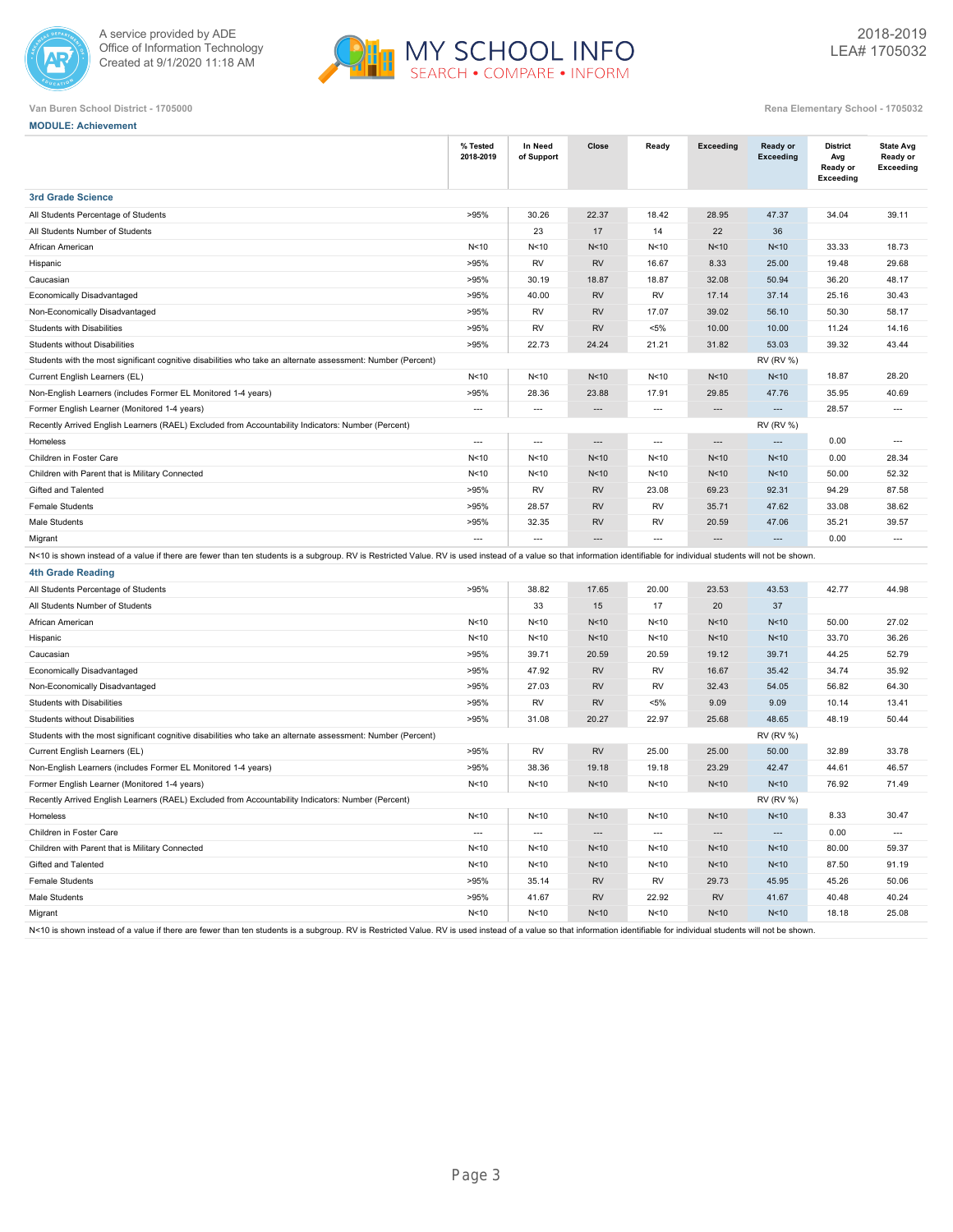



|  | Rena Elementary School - 1705032 |  |
|--|----------------------------------|--|

| <b>MODULE: Achievement</b>                                                                                                                                                                                             |                       |                          |                 |                                  |                          |                              |                                                        |                                                  |
|------------------------------------------------------------------------------------------------------------------------------------------------------------------------------------------------------------------------|-----------------------|--------------------------|-----------------|----------------------------------|--------------------------|------------------------------|--------------------------------------------------------|--------------------------------------------------|
|                                                                                                                                                                                                                        | % Tested<br>2018-2019 | In Need<br>of Support    | Close           | Ready                            | <b>Exceeding</b>         | <b>Ready or</b><br>Exceeding | <b>District</b><br>Avg<br>Ready or<br><b>Exceeding</b> | <b>State Avg</b><br>Ready or<br><b>Exceeding</b> |
| <b>3rd Grade Science</b>                                                                                                                                                                                               |                       |                          |                 |                                  |                          |                              |                                                        |                                                  |
| All Students Percentage of Students                                                                                                                                                                                    | >95%                  | 30.26                    | 22.37           | 18.42                            | 28.95                    | 47.37                        | 34.04                                                  | 39.11                                            |
| All Students Number of Students                                                                                                                                                                                        |                       | 23                       | 17              | 14                               | 22                       | 36                           |                                                        |                                                  |
| African American                                                                                                                                                                                                       | N < 10                | N <sub>10</sub>          | N <sub>10</sub> | N < 10                           | N<10                     | N <sub>10</sub>              | 33.33                                                  | 18.73                                            |
| Hispanic                                                                                                                                                                                                               | >95%                  | <b>RV</b>                | <b>RV</b>       | 16.67                            | 8.33                     | 25.00                        | 19.48                                                  | 29.68                                            |
| Caucasian                                                                                                                                                                                                              | >95%                  | 30.19                    | 18.87           | 18.87                            | 32.08                    | 50.94                        | 36.20                                                  | 48.17                                            |
| Economically Disadvantaged                                                                                                                                                                                             | >95%                  | 40.00                    | <b>RV</b>       | <b>RV</b>                        | 17.14                    | 37.14                        | 25.16                                                  | 30.43                                            |
| Non-Economically Disadvantaged                                                                                                                                                                                         | >95%                  | <b>RV</b>                | <b>RV</b>       | 17.07                            | 39.02                    | 56.10                        | 50.30                                                  | 58.17                                            |
| Students with Disabilities                                                                                                                                                                                             | >95%                  | <b>RV</b>                | <b>RV</b>       | $< 5\%$                          | 10.00                    | 10.00                        | 11.24                                                  | 14.16                                            |
| Students without Disabilities                                                                                                                                                                                          | >95%                  | 22.73                    | 24.24           | 21.21                            | 31.82                    | 53.03                        | 39.32                                                  | 43.44                                            |
| Students with the most significant cognitive disabilities who take an alternate assessment: Number (Percent)                                                                                                           |                       |                          |                 |                                  |                          | <b>RV (RV %)</b>             |                                                        |                                                  |
| Current English Learners (EL)                                                                                                                                                                                          | N<10                  | N<10                     | N <sub>10</sub> | N<10                             | N <sub>10</sub>          | N <sub>10</sub>              | 18.87                                                  | 28.20                                            |
| Non-English Learners (includes Former EL Monitored 1-4 years)                                                                                                                                                          | >95%                  | 28.36                    | 23.88           | 17.91                            | 29.85                    | 47.76                        | 35.95                                                  | 40.69                                            |
| Former English Learner (Monitored 1-4 years)                                                                                                                                                                           | $\overline{a}$        | $\overline{a}$           | $\overline{a}$  | $---$                            | $\overline{a}$           | $\overline{a}$               | 28.57                                                  | $\overline{a}$                                   |
| Recently Arrived English Learners (RAEL) Excluded from Accountability Indicators: Number (Percent)                                                                                                                     |                       |                          |                 |                                  |                          | <b>RV (RV %)</b>             |                                                        |                                                  |
| Homeless                                                                                                                                                                                                               | $\overline{a}$        | $\overline{\phantom{a}}$ | $\overline{a}$  | $\overline{\phantom{a}}$         | $\overline{\phantom{a}}$ | $\overline{a}$               | 0.00                                                   | $\overline{\phantom{a}}$                         |
| Children in Foster Care                                                                                                                                                                                                | N<10                  | N<10                     | N <sub>10</sub> | N<10                             | N<10                     | N<10                         | 0.00                                                   | 28.34                                            |
| Children with Parent that is Military Connected                                                                                                                                                                        | N<10                  | N<10                     | N<10            | N<10                             | N<10                     | N<10                         | 50.00                                                  | 52.32                                            |
| Gifted and Talented                                                                                                                                                                                                    | >95%                  | <b>RV</b>                | <b>RV</b>       | 23.08                            | 69.23                    | 92.31                        | 94.29                                                  | 87.58                                            |
| <b>Female Students</b>                                                                                                                                                                                                 | >95%                  | 28.57                    | <b>RV</b>       | <b>RV</b>                        | 35.71                    | 47.62                        | 33.08                                                  | 38.62                                            |
| Male Students                                                                                                                                                                                                          | >95%                  | 32.35                    | <b>RV</b>       | <b>RV</b>                        | 20.59                    | 47.06                        | 35.21                                                  | 39.57                                            |
| Migrant                                                                                                                                                                                                                | $\overline{a}$        | $\overline{a}$           |                 | $\overline{a}$                   |                          | $\overline{a}$               | 0.00                                                   | $\overline{\phantom{a}}$                         |
| N<10 is shown instead of a value if there are fewer than ten students is a subgroup. RV is Restricted Value. RV is used instead of a value so that information identifiable for individual students will not be shown. |                       |                          |                 |                                  |                          |                              |                                                        |                                                  |
| <b>4th Grade Reading</b>                                                                                                                                                                                               |                       |                          |                 |                                  |                          |                              |                                                        |                                                  |
| All Students Percentage of Students                                                                                                                                                                                    | >95%                  | 38.82                    | 17.65           | 20.00                            | 23.53                    | 43.53                        | 42.77                                                  | 44.98                                            |
| All Students Number of Students                                                                                                                                                                                        |                       | 33                       | 15              | 17                               | 20                       | 37                           |                                                        |                                                  |
| African American                                                                                                                                                                                                       | N<10                  | N<10                     | N <sub>10</sub> | N<10                             | N<10                     | N <sub>10</sub>              | 50.00                                                  | 27.02                                            |
| Hispanic                                                                                                                                                                                                               | N<10                  | N<10                     | N<10            | N<10                             | N<10                     | N<10                         | 33.70                                                  | 36.26                                            |
| Caucasian                                                                                                                                                                                                              | >95%                  | 39.71                    | 20.59           | 20.59                            | 19.12                    | 39.71                        | 44.25                                                  | 52.79                                            |
| Economically Disadvantaged                                                                                                                                                                                             | >95%                  | 47.92                    | <b>RV</b>       | RV                               | 16.67                    | 35.42                        | 34.74                                                  | 35.92                                            |
| Non-Economically Disadvantaged                                                                                                                                                                                         | >95%                  | 27.03                    | <b>RV</b>       | <b>RV</b>                        | 32.43                    | 54.05                        | 56.82                                                  | 64.30                                            |
| Students with Disabilities                                                                                                                                                                                             | >95%                  | RV                       | <b>RV</b>       | $< 5\%$                          | 9.09                     | 9.09                         | 10.14                                                  | 13.41                                            |
| Students without Disabilities                                                                                                                                                                                          | >95%                  | 31.08                    | 20.27           | 22.97                            | 25.68                    | 48.65                        | 48.19                                                  | 50.44                                            |
| Students with the most significant cognitive disabilities who take an alternate assessment: Number (Percent)                                                                                                           |                       |                          |                 |                                  |                          | <b>RV (RV %)</b>             |                                                        |                                                  |
| Current English Learners (EL)                                                                                                                                                                                          | >95%                  | <b>RV</b>                | <b>RV</b>       | 25.00                            | 25.00                    | 50.00                        | 32.89                                                  | 33.78                                            |
| Non-English Learners (includes Former EL Monitored 1-4 years)                                                                                                                                                          | >95%                  | 38.36                    | 19.18           | 19.18                            | 23.29                    | 42.47                        | 44.61                                                  | 46.57                                            |
| Former English Learner (Monitored 1-4 years)                                                                                                                                                                           | N<10                  | N<10                     | N<10            | N<10                             | N<10                     | N<10                         | 76.92                                                  | 71.49                                            |
| Recently Arrived English Learners (RAEL) Excluded from Accountability Indicators: Number (Percent)                                                                                                                     |                       |                          |                 |                                  |                          | <b>RV (RV %)</b>             |                                                        |                                                  |
| Homeless                                                                                                                                                                                                               | N <sub>10</sub>       | N<10                     | N <sub>10</sub> | N<10                             | N<10                     | N <sub>10</sub>              | 8.33                                                   | 30.47                                            |
| Children in Foster Care                                                                                                                                                                                                | $\overline{a}$        | $\overline{a}$           | $\overline{a}$  | $\overline{a}$                   | $\overline{a}$           | $\overline{a}$               | 0.00                                                   | $\overline{a}$                                   |
| Children with Parent that is Military Connected                                                                                                                                                                        | N < 10                | N < 10                   | N <sub>10</sub> | N < 10                           | N<10                     | N <sub>10</sub>              | 80.00                                                  | 59.37                                            |
| Gifted and Talented                                                                                                                                                                                                    | N <sub>10</sub>       | N < 10                   | N <sub>10</sub> | N < 10                           | N<10                     | N<10                         | 87.50                                                  | 91.19                                            |
| <b>Female Students</b>                                                                                                                                                                                                 | >95%                  | 35.14                    | <b>RV</b>       | <b>RV</b>                        | 29.73                    | 45.95                        | 45.26                                                  | 50.06                                            |
| Male Students                                                                                                                                                                                                          | >95%                  | 41.67                    | <b>RV</b>       | 22.92                            | <b>RV</b>                | 41.67                        | 40.48                                                  | 40.24                                            |
| Migrant                                                                                                                                                                                                                | N<10                  | N <sub>10</sub>          | N<10            | N<10                             | N<10                     | N <sub>10</sub>              | 18.18                                                  | 25.08                                            |
| N<10 is choun instead of a value if there are foure than top students is a subgroup. PV is Postrighted Value, PV is used instead of a value                                                                            |                       |                          | $that$ info     | a idontifiable for individual et |                          | nte will not h               |                                                        |                                                  |

N<10 is shown instead of a value if there are fewer than ten students is a subgroup. RV is Restricted Value. RV is used instead of a value so that information identifiable for individual students will not be shown.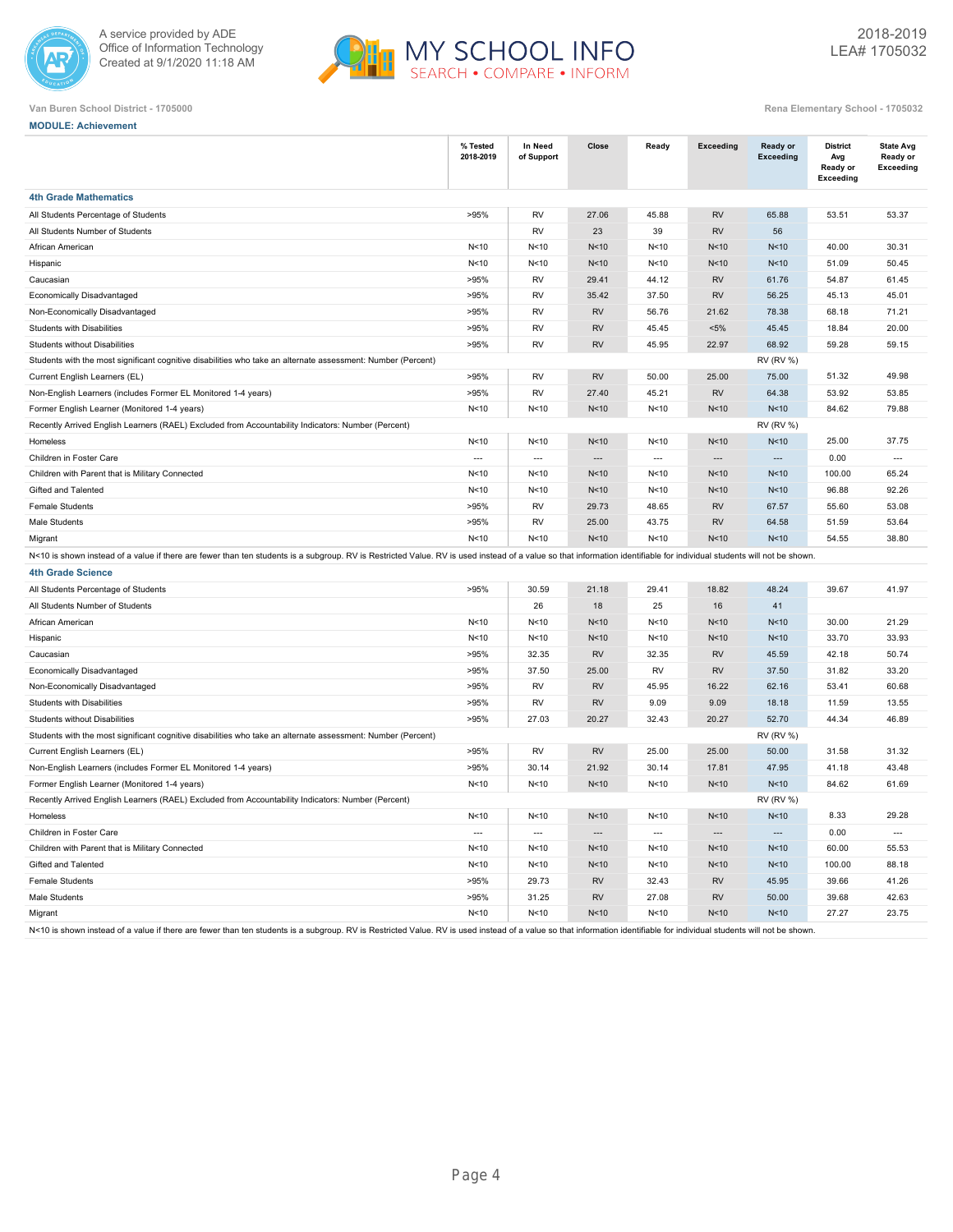



**MODULE: Achievement**

|  | Rena Elementary School - 1705032 |  |
|--|----------------------------------|--|

|                                                                                                                                                                                                                        | % Tested<br>2018-2019 | In Need<br>of Support | Close                    | Ready                    | <b>Exceeding</b>         | <b>Ready or</b><br>Exceeding | <b>District</b><br>Avg<br>Ready or | <b>State Avg</b><br>Ready or<br>Exceeding |
|------------------------------------------------------------------------------------------------------------------------------------------------------------------------------------------------------------------------|-----------------------|-----------------------|--------------------------|--------------------------|--------------------------|------------------------------|------------------------------------|-------------------------------------------|
|                                                                                                                                                                                                                        |                       |                       |                          |                          |                          |                              | Exceeding                          |                                           |
| <b>4th Grade Mathematics</b>                                                                                                                                                                                           |                       |                       |                          |                          |                          |                              |                                    |                                           |
| All Students Percentage of Students                                                                                                                                                                                    | >95%                  | <b>RV</b>             | 27.06                    | 45.88                    | <b>RV</b>                | 65.88                        | 53.51                              | 53.37                                     |
| All Students Number of Students                                                                                                                                                                                        |                       | <b>RV</b>             | 23                       | 39                       | <b>RV</b>                | 56                           |                                    |                                           |
| African American                                                                                                                                                                                                       | N<10                  | N<10                  | N<10                     | N<10                     | N<10                     | N<10                         | 40.00                              | 30.31                                     |
| Hispanic                                                                                                                                                                                                               | N<10                  | N < 10                | N <sub>10</sub>          | N < 10                   | N<10                     | N<10                         | 51.09                              | 50.45                                     |
| Caucasian                                                                                                                                                                                                              | >95%                  | <b>RV</b>             | 29.41                    | 44.12                    | <b>RV</b>                | 61.76                        | 54.87                              | 61.45                                     |
| Economically Disadvantaged                                                                                                                                                                                             | >95%                  | RV                    | 35.42                    | 37.50                    | <b>RV</b>                | 56.25                        | 45.13                              | 45.01                                     |
| Non-Economically Disadvantaged                                                                                                                                                                                         | >95%                  | <b>RV</b>             | <b>RV</b>                | 56.76                    | 21.62                    | 78.38                        | 68.18                              | 71.21                                     |
| <b>Students with Disabilities</b>                                                                                                                                                                                      | >95%                  | RV                    | <b>RV</b>                | 45.45                    | $< 5\%$                  | 45.45                        | 18.84                              | 20.00                                     |
| <b>Students without Disabilities</b>                                                                                                                                                                                   | >95%                  | <b>RV</b>             | <b>RV</b>                | 45.95                    | 22.97                    | 68.92                        | 59.28                              | 59.15                                     |
| Students with the most significant cognitive disabilities who take an alternate assessment: Number (Percent)                                                                                                           |                       |                       |                          |                          |                          | <b>RV (RV %)</b>             |                                    |                                           |
| Current English Learners (EL)                                                                                                                                                                                          | >95%                  | <b>RV</b>             | <b>RV</b>                | 50.00                    | 25.00                    | 75.00                        | 51.32                              | 49.98                                     |
| Non-English Learners (includes Former EL Monitored 1-4 years)                                                                                                                                                          | >95%                  | <b>RV</b>             | 27.40                    | 45.21                    | <b>RV</b>                | 64.38                        | 53.92                              | 53.85                                     |
| Former English Learner (Monitored 1-4 years)                                                                                                                                                                           | N<10                  | N<10                  | N<10                     | N<10                     | N<10                     | N <sub>10</sub>              | 84.62                              | 79.88                                     |
| Recently Arrived English Learners (RAEL) Excluded from Accountability Indicators: Number (Percent)                                                                                                                     |                       |                       |                          |                          |                          | <b>RV (RV %)</b>             |                                    |                                           |
| Homeless                                                                                                                                                                                                               | N<10                  | N<10                  | N<10                     | N<10                     | N<10                     | N<10                         | 25.00                              | 37.75                                     |
| Children in Foster Care                                                                                                                                                                                                | $\sim$                | $\sim$                | $\overline{\phantom{a}}$ | $\sim$                   | $\overline{\phantom{a}}$ | $\overline{\phantom{a}}$     | 0.00                               | $\overline{\phantom{a}}$                  |
| Children with Parent that is Military Connected                                                                                                                                                                        | N<10                  | N<10                  | N<10                     | N<10                     | N<10                     | N<10                         | 100.00                             | 65.24                                     |
| Gifted and Talented                                                                                                                                                                                                    | N<10                  | N<10                  | N<10                     | N<10                     | N<10                     | N<10                         | 96.88                              | 92.26                                     |
| Female Students                                                                                                                                                                                                        | >95%                  | <b>RV</b>             | 29.73                    | 48.65                    | <b>RV</b>                | 67.57                        | 55.60                              | 53.08                                     |
| Male Students                                                                                                                                                                                                          | >95%                  | <b>RV</b>             | 25.00                    | 43.75                    | <b>RV</b>                | 64.58                        | 51.59                              | 53.64                                     |
| Migrant                                                                                                                                                                                                                | N<10                  | N<10                  | N<10                     | N<10                     | N<10                     | N<10                         | 54.55                              | 38.80                                     |
| N<10 is shown instead of a value if there are fewer than ten students is a subgroup. RV is Restricted Value. RV is used instead of a value so that information identifiable for individual students will not be shown. |                       |                       |                          |                          |                          |                              |                                    |                                           |
| 4th Grade Science                                                                                                                                                                                                      |                       |                       |                          |                          |                          |                              |                                    |                                           |
| All Students Percentage of Students                                                                                                                                                                                    | >95%                  | 30.59                 | 21.18                    | 29.41                    | 18.82                    | 48.24                        | 39.67                              | 41.97                                     |
| All Students Number of Students                                                                                                                                                                                        |                       | 26                    | 18                       | 25                       | 16                       | 41                           |                                    |                                           |
| African American                                                                                                                                                                                                       | N<10                  | N<10                  | N<10                     | N<10                     | N<10                     | N<10                         | 30.00                              | 21.29                                     |
| Hispanic                                                                                                                                                                                                               | N<10                  | N < 10                | N<10                     | N < 10                   | N<10                     | N<10                         | 33.70                              | 33.93                                     |
| Caucasian                                                                                                                                                                                                              | >95%                  | 32.35                 | <b>RV</b>                | 32.35                    | <b>RV</b>                | 45.59                        | 42.18                              | 50.74                                     |
| Economically Disadvantaged                                                                                                                                                                                             | >95%                  | 37.50                 | 25.00                    | <b>RV</b>                | <b>RV</b>                | 37.50                        | 31.82                              | 33.20                                     |
| Non-Economically Disadvantaged                                                                                                                                                                                         | >95%                  | <b>RV</b>             | <b>RV</b>                | 45.95                    | 16.22                    | 62.16                        | 53.41                              | 60.68                                     |
| <b>Students with Disabilities</b>                                                                                                                                                                                      | >95%                  | <b>RV</b>             | <b>RV</b>                | 9.09                     | 9.09                     | 18.18                        | 11.59                              | 13.55                                     |
| <b>Students without Disabilities</b>                                                                                                                                                                                   | >95%                  | 27.03                 | 20.27                    | 32.43                    | 20.27                    | 52.70                        | 44.34                              | 46.89                                     |
| Students with the most significant cognitive disabilities who take an alternate assessment: Number (Percent)                                                                                                           |                       |                       |                          |                          |                          | <b>RV (RV %)</b>             |                                    |                                           |
| Current English Learners (EL)                                                                                                                                                                                          | >95%                  | <b>RV</b>             | <b>RV</b>                | 25.00                    | 25.00                    | 50.00                        | 31.58                              | 31.32                                     |
| Non-English Learners (includes Former EL Monitored 1-4 years)                                                                                                                                                          | >95%                  | 30.14                 | 21.92                    | 30.14                    | 17.81                    | 47.95                        | 41.18                              | 43.48                                     |
| Former English Learner (Monitored 1-4 years)                                                                                                                                                                           | N<10                  | N<10                  | N<10                     | N<10                     | N<10                     | N<10                         | 84.62                              | 61.69                                     |
| Recently Arrived English Learners (RAEL) Excluded from Accountability Indicators: Number (Percent)                                                                                                                     |                       |                       |                          |                          |                          | <b>RV (RV %)</b>             |                                    |                                           |
| Homeless                                                                                                                                                                                                               | N<10                  | N<10                  | N<10                     | N<10                     | N<10                     | N<10                         | 8.33                               | 29.28                                     |
| Children in Foster Care                                                                                                                                                                                                | $\sim$                | $\sim$                | $\overline{\phantom{a}}$ | $\overline{\phantom{a}}$ | $\hspace{0.05cm} \ldots$ | $\overline{\phantom{a}}$     | 0.00                               | $\overline{a}$                            |
| Children with Parent that is Military Connected                                                                                                                                                                        | N<10                  | N<10                  | N<10                     | N<10                     | N<10                     | N<10                         | 60.00                              | 55.53                                     |
| Gifted and Talented                                                                                                                                                                                                    | N<10                  | N < 10                | N<10                     | N < 10                   | N<10                     | N<10                         | 100.00                             | 88.18                                     |
| Female Students                                                                                                                                                                                                        | >95%                  | 29.73                 | <b>RV</b>                | 32.43                    | <b>RV</b>                | 45.95                        | 39.66                              | 41.26                                     |
| Male Students                                                                                                                                                                                                          | >95%                  | 31.25                 | <b>RV</b>                | 27.08                    | <b>RV</b>                | 50.00                        | 39.68                              | 42.63                                     |
| Migrant                                                                                                                                                                                                                | N<10                  | N<10                  | N<10                     | N<10                     | N<10                     | N<10                         | 27.27                              | 23.75                                     |
| N<10 is shown instead of a value if there are fewer than ten students is a subgroup. RV is Restricted Value. RV is used instead of a value so that information identifiable for individual students will not be shown. |                       |                       |                          |                          |                          |                              |                                    |                                           |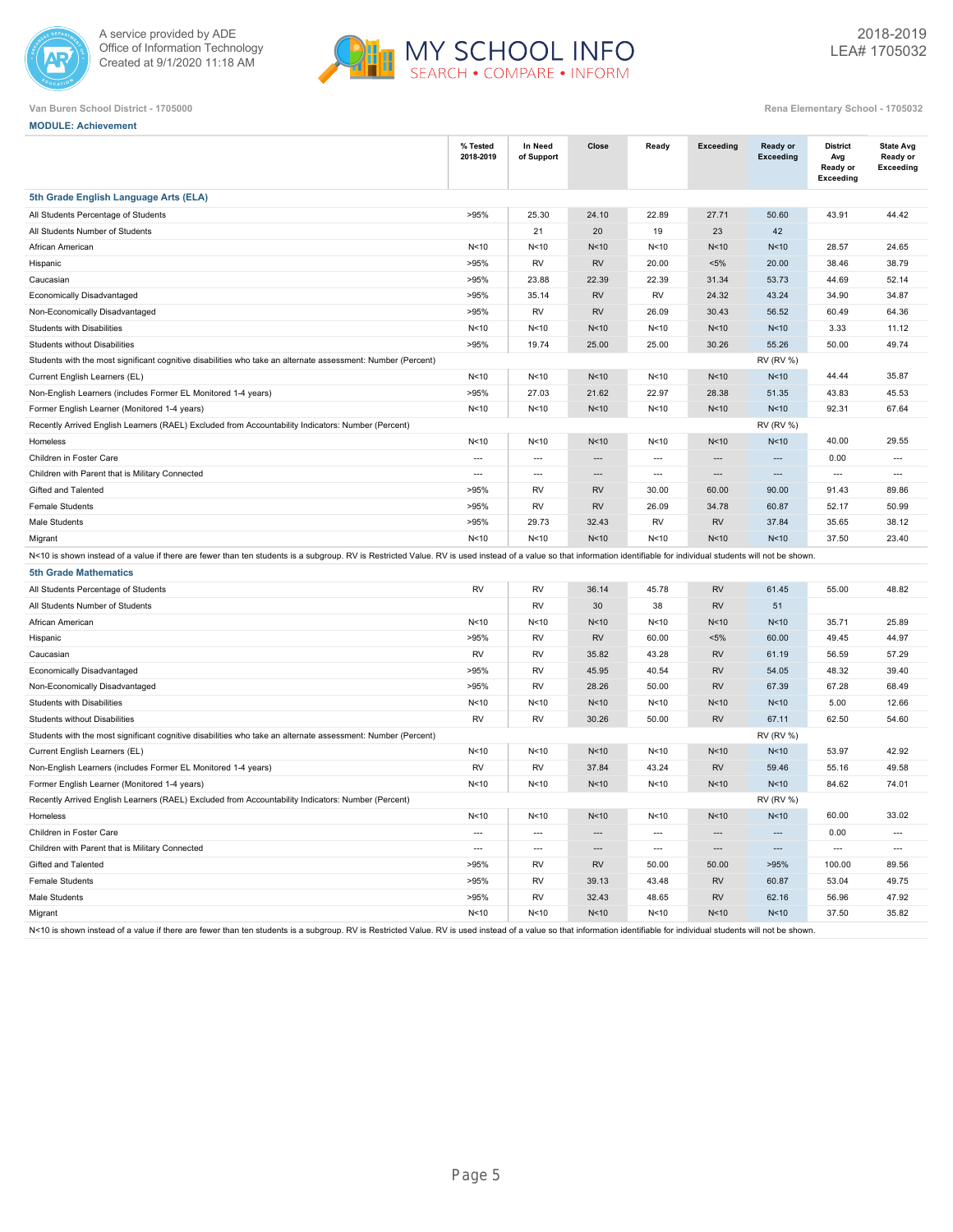



|  | <b>MODULE: Achievement</b> |
|--|----------------------------|

|                                                                                                                                                                                                                        | % Tested<br>2018-2019    | In Need<br>of Support    | Close                    | Ready                    | Exceeding                | Ready or<br><b>Exceeding</b> | <b>District</b><br>Avg<br>Ready or<br>Exceeding | <b>State Avg</b><br>Ready or<br>Exceeding |
|------------------------------------------------------------------------------------------------------------------------------------------------------------------------------------------------------------------------|--------------------------|--------------------------|--------------------------|--------------------------|--------------------------|------------------------------|-------------------------------------------------|-------------------------------------------|
| 5th Grade English Language Arts (ELA)                                                                                                                                                                                  |                          |                          |                          |                          |                          |                              |                                                 |                                           |
| All Students Percentage of Students                                                                                                                                                                                    | >95%                     | 25.30                    | 24.10                    | 22.89                    | 27.71                    | 50.60                        | 43.91                                           | 44.42                                     |
| All Students Number of Students                                                                                                                                                                                        |                          | 21                       | 20                       | 19                       | 23                       | 42                           |                                                 |                                           |
| African American                                                                                                                                                                                                       | N < 10                   | N<10                     | N<10                     | N<10                     | N<10                     | N<10                         | 28.57                                           | 24.65                                     |
| Hispanic                                                                                                                                                                                                               | >95%                     | RV                       | <b>RV</b>                | 20.00                    | $< 5\%$                  | 20.00                        | 38.46                                           | 38.79                                     |
| Caucasian                                                                                                                                                                                                              | >95%                     | 23.88                    | 22.39                    | 22.39                    | 31.34                    | 53.73                        | 44.69                                           | 52.14                                     |
| Economically Disadvantaged                                                                                                                                                                                             | >95%                     | 35.14                    | <b>RV</b>                | <b>RV</b>                | 24.32                    | 43.24                        | 34.90                                           | 34.87                                     |
| Non-Economically Disadvantaged                                                                                                                                                                                         | >95%                     | RV                       | <b>RV</b>                | 26.09                    | 30.43                    | 56.52                        | 60.49                                           | 64.36                                     |
| Students with Disabilities                                                                                                                                                                                             | N<10                     | N<10                     | N <sub>10</sub>          | N<10                     | N<10                     | N<10                         | 3.33                                            | 11.12                                     |
| <b>Students without Disabilities</b>                                                                                                                                                                                   | >95%                     | 19.74                    | 25.00                    | 25.00                    | 30.26                    | 55.26                        | 50.00                                           | 49.74                                     |
| Students with the most significant cognitive disabilities who take an alternate assessment: Number (Percent)                                                                                                           |                          |                          |                          |                          |                          | <b>RV (RV %)</b>             |                                                 |                                           |
| Current English Learners (EL)                                                                                                                                                                                          | N <sub>10</sub>          | N <sub>10</sub>          | N <sub>10</sub>          | N<10                     | N<10                     | N <sub>10</sub>              | 44.44                                           | 35.87                                     |
| Non-English Learners (includes Former EL Monitored 1-4 years)                                                                                                                                                          | >95%                     | 27.03                    | 21.62                    | 22.97                    | 28.38                    | 51.35                        | 43.83                                           | 45.53                                     |
| Former English Learner (Monitored 1-4 years)                                                                                                                                                                           | N<10                     | N<10                     | N <sub>10</sub>          | N<10                     | N<10                     | N<10                         | 92.31                                           | 67.64                                     |
| Recently Arrived English Learners (RAEL) Excluded from Accountability Indicators: Number (Percent)                                                                                                                     |                          |                          |                          |                          |                          | <b>RV (RV %)</b>             |                                                 |                                           |
| Homeless                                                                                                                                                                                                               | N<10                     | N<10                     | N<10                     | N<10                     | N<10                     | N<10                         | 40.00                                           | 29.55                                     |
| Children in Foster Care                                                                                                                                                                                                | $\overline{\phantom{a}}$ | $\overline{\phantom{a}}$ | $\overline{a}$           | $\overline{\phantom{a}}$ | $\overline{a}$           | $\overline{a}$               | 0.00                                            | $\overline{\phantom{a}}$                  |
| Children with Parent that is Military Connected                                                                                                                                                                        | $\overline{a}$           | $\overline{a}$           | $\overline{a}$           | $\overline{\phantom{a}}$ | $\overline{\phantom{a}}$ | $\overline{a}$               | $\overline{\phantom{a}}$                        | $\overline{a}$                            |
| Gifted and Talented                                                                                                                                                                                                    | >95%                     | RV                       | <b>RV</b>                | 30.00                    | 60.00                    | 90.00                        | 91.43                                           | 89.86                                     |
| <b>Female Students</b>                                                                                                                                                                                                 | >95%                     | <b>RV</b>                | <b>RV</b>                | 26.09                    | 34.78                    | 60.87                        | 52.17                                           | 50.99                                     |
| Male Students                                                                                                                                                                                                          | >95%                     | 29.73                    | 32.43                    | <b>RV</b>                | <b>RV</b>                | 37.84                        | 35.65                                           | 38.12                                     |
| Migrant                                                                                                                                                                                                                | N<10                     | N<10                     | N<10                     | N<10                     | N<10                     | N <sub>10</sub>              | 37.50                                           | 23.40                                     |
| N<10 is shown instead of a value if there are fewer than ten students is a subgroup. RV is Restricted Value. RV is used instead of a value so that information identifiable for individual students will not be shown. |                          |                          |                          |                          |                          |                              |                                                 |                                           |
| <b>5th Grade Mathematics</b>                                                                                                                                                                                           |                          |                          |                          |                          |                          |                              |                                                 |                                           |
| All Students Percentage of Students                                                                                                                                                                                    | <b>RV</b>                | RV                       | 36.14                    | 45.78                    | <b>RV</b>                | 61.45                        | 55.00                                           | 48.82                                     |
| All Students Number of Students                                                                                                                                                                                        |                          | <b>RV</b>                | 30                       | 38                       | <b>RV</b>                | 51                           |                                                 |                                           |
| African American                                                                                                                                                                                                       | N<10                     | N<10                     | N <sub>10</sub>          | N<10                     | N<10                     | N<10                         | 35.71                                           | 25.89                                     |
| Hispanic                                                                                                                                                                                                               | >95%                     | RV                       | RV                       | 60.00                    | $< 5\%$                  | 60.00                        | 49.45                                           | 44.97                                     |
| Caucasian                                                                                                                                                                                                              | <b>RV</b>                | <b>RV</b>                | 35.82                    | 43.28                    | <b>RV</b>                | 61.19                        | 56.59                                           | 57.29                                     |
| Economically Disadvantaged                                                                                                                                                                                             | >95%                     | RV                       | 45.95                    | 40.54                    | <b>RV</b>                | 54.05                        | 48.32                                           | 39.40                                     |
| Non-Economically Disadvantaged                                                                                                                                                                                         | >95%                     | RV                       | 28.26                    | 50.00                    | <b>RV</b>                | 67.39                        | 67.28                                           | 68.49                                     |
| Students with Disabilities                                                                                                                                                                                             | N<10                     | N<10                     | N <sub>10</sub>          | N<10                     | N<10                     | N<10                         | 5.00                                            | 12.66                                     |
| <b>Students without Disabilities</b>                                                                                                                                                                                   | <b>RV</b>                | RV                       | 30.26                    | 50.00                    | <b>RV</b>                | 67.11                        | 62.50                                           | 54.60                                     |
| Students with the most significant cognitive disabilities who take an alternate assessment: Number (Percent)                                                                                                           |                          |                          |                          |                          |                          | <b>RV (RV %)</b>             |                                                 |                                           |
| Current English Learners (EL)                                                                                                                                                                                          | N<10                     | N<10                     | N <sub>10</sub>          | N<10                     | N<10                     | N<10                         | 53.97                                           | 42.92                                     |
| Non-English Learners (includes Former EL Monitored 1-4 years)                                                                                                                                                          | <b>RV</b>                | <b>RV</b>                | 37.84                    | 43.24                    | <b>RV</b>                | 59.46                        | 55.16                                           | 49.58                                     |
| Former English Learner (Monitored 1-4 years)                                                                                                                                                                           | N<10                     | N<10                     | N <sub>10</sub>          | N<10                     | N<10                     | N <sub>10</sub>              | 84.62                                           | 74.01                                     |
| Recently Arrived English Learners (RAEL) Excluded from Accountability Indicators: Number (Percent)                                                                                                                     |                          |                          |                          |                          |                          | <b>RV (RV %)</b>             |                                                 |                                           |
| Homeless                                                                                                                                                                                                               | N<10                     | N < 10                   | N<10                     | N < 10                   | N<10                     | N <sub>10</sub>              | 60.00                                           | 33.02                                     |
| Children in Foster Care                                                                                                                                                                                                | $\overline{a}$           | $\overline{a}$           | $\overline{\phantom{a}}$ | $\overline{a}$           | $\overline{\phantom{a}}$ | $\overline{a}$               | 0.00                                            | $\overline{\phantom{a}}$                  |
| Children with Parent that is Military Connected                                                                                                                                                                        | $\overline{a}$           | $\overline{a}$           | $\overline{a}$           | $\overline{\phantom{a}}$ | ---                      | $\overline{a}$               | $\overline{\phantom{a}}$                        | $\overline{\phantom{a}}$                  |
| Gifted and Talented                                                                                                                                                                                                    | >95%                     | RV                       | <b>RV</b>                | 50.00                    | 50.00                    | >95%                         | 100.00                                          | 89.56                                     |
| <b>Female Students</b>                                                                                                                                                                                                 | >95%                     | RV                       | 39.13                    | 43.48                    | <b>RV</b>                | 60.87                        | 53.04                                           | 49.75                                     |
| Male Students                                                                                                                                                                                                          | >95%                     | RV                       | 32.43                    | 48.65                    | <b>RV</b>                | 62.16                        | 56.96                                           | 47.92                                     |
| Migrant                                                                                                                                                                                                                | N<10                     | N<10                     | N<10                     | N<10                     | N<10                     | N<10                         | 37.50                                           | 35.82                                     |
| N<10 is shown instead of a value if there are fewer than ten students is a subgroup. RV is Restricted Value. RV is used instead of a value so that information identifiable for individual students will not be shown. |                          |                          |                          |                          |                          |                              |                                                 |                                           |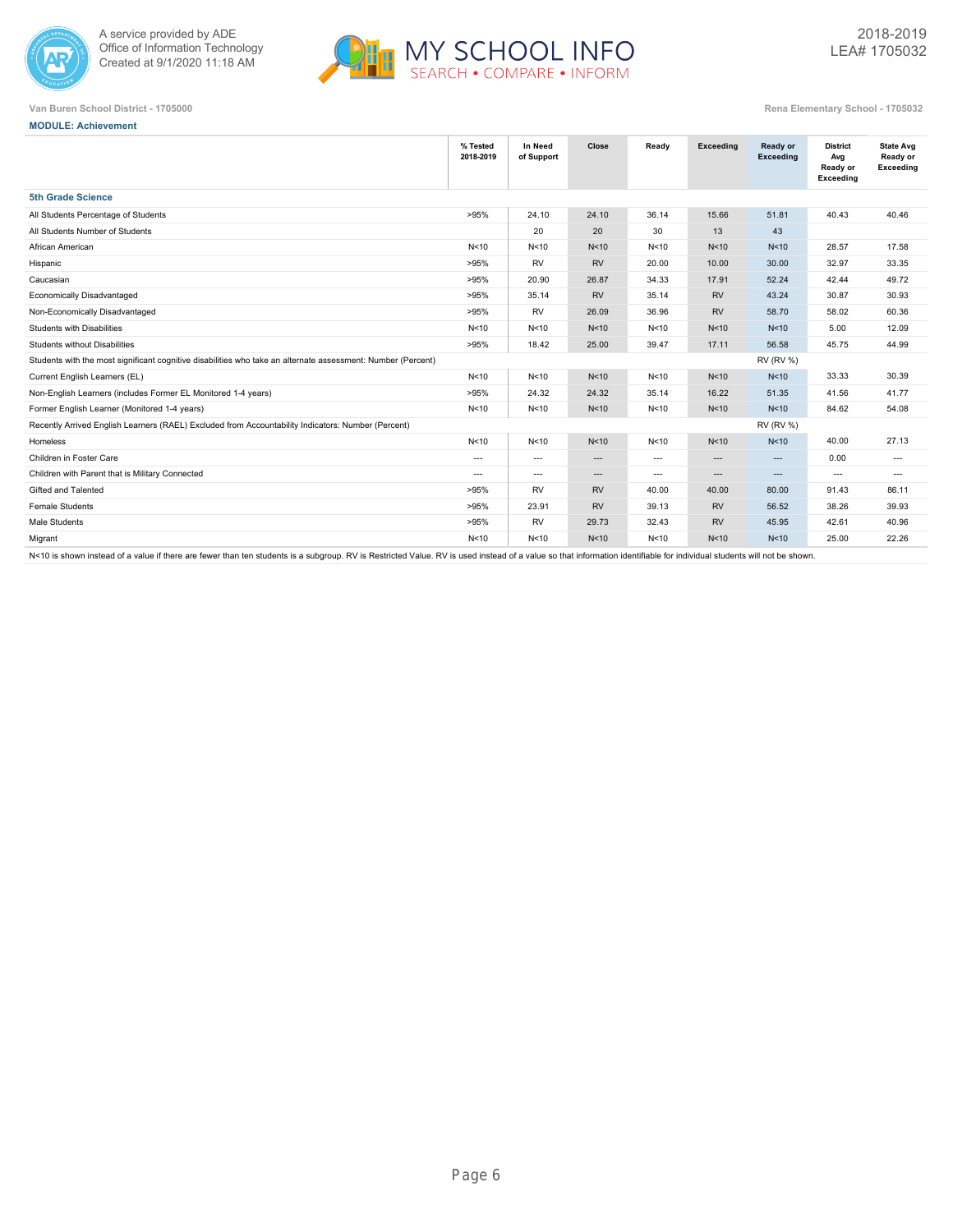



**MODULE: Achievement**

|                                                                                                              | % Tested<br>2018-2019 | In Need<br>of Support    | Close             | Ready | <b>Exceeding</b> | Ready or<br><b>Exceeding</b> | <b>District</b><br>Avg<br>Ready or<br>Exceeding | <b>State Avg</b><br>Ready or<br>Exceeding |
|--------------------------------------------------------------------------------------------------------------|-----------------------|--------------------------|-------------------|-------|------------------|------------------------------|-------------------------------------------------|-------------------------------------------|
| <b>5th Grade Science</b>                                                                                     |                       |                          |                   |       |                  |                              |                                                 |                                           |
| All Students Percentage of Students                                                                          | >95%                  | 24.10                    | 24.10             | 36.14 | 15.66            | 51.81                        | 40.43                                           | 40.46                                     |
| All Students Number of Students                                                                              |                       | 20                       | 20                | 30    | 13               | 43                           |                                                 |                                           |
| African American                                                                                             | N<10                  | N <sub>10</sub>          | N <sub>10</sub>   | N<10  | N<10             | N <sub>10</sub>              | 28.57                                           | 17.58                                     |
| Hispanic                                                                                                     | >95%                  | <b>RV</b>                | <b>RV</b>         | 20.00 | 10.00            | 30.00                        | 32.97                                           | 33.35                                     |
| Caucasian                                                                                                    | >95%                  | 20.90                    | 26.87             | 34.33 | 17.91            | 52.24                        | 42.44                                           | 49.72                                     |
| Economically Disadvantaged                                                                                   | >95%                  | 35.14                    | <b>RV</b>         | 35.14 | <b>RV</b>        | 43.24                        | 30.87                                           | 30.93                                     |
| Non-Economically Disadvantaged                                                                               | >95%                  | <b>RV</b>                | 26.09             | 36.96 | <b>RV</b>        | 58.70                        | 58.02                                           | 60.36                                     |
| <b>Students with Disabilities</b>                                                                            | N<10                  | N <sub>10</sub>          | N<10              | N<10  | N<10             | N <sub>10</sub>              | 5.00                                            | 12.09                                     |
| <b>Students without Disabilities</b>                                                                         | >95%                  | 18.42                    | 25.00             | 39.47 | 17.11            | 56.58                        | 45.75                                           | 44.99                                     |
| Students with the most significant cognitive disabilities who take an alternate assessment: Number (Percent) |                       |                          |                   |       |                  | <b>RV (RV %)</b>             |                                                 |                                           |
| Current English Learners (EL)                                                                                | N<10                  | N<10                     | N<10              | N<10  | N<10             | N <sub>10</sub>              | 33.33                                           | 30.39                                     |
| Non-English Learners (includes Former EL Monitored 1-4 years)                                                | >95%                  | 24.32                    | 24.32             | 35.14 | 16.22            | 51.35                        | 41.56                                           | 41.77                                     |
| Former English Learner (Monitored 1-4 years)                                                                 | N <sub>10</sub>       | N <sub>10</sub>          | N<10              | N<10  | N<10             | N <sub>10</sub>              | 84.62                                           | 54.08                                     |
| Recently Arrived English Learners (RAEL) Excluded from Accountability Indicators: Number (Percent)           |                       |                          |                   |       |                  | <b>RV (RV %)</b>             |                                                 |                                           |
| Homeless                                                                                                     | N<10                  | N <sub>10</sub>          | N <sub>10</sub>   | N<10  | N<10             | N <sub>10</sub>              | 40.00                                           | 27.13                                     |
| Children in Foster Care                                                                                      | $\overline{a}$        | $\hspace{0.05cm} \ldots$ | ---               | $---$ | $\cdots$         | $---$                        | 0.00                                            | $\overline{\phantom{a}}$                  |
| Children with Parent that is Military Connected                                                              | $\overline{a}$        | $\hspace{0.05cm} \ldots$ | $\qquad \qquad -$ | $---$ | $\cdots$         | $\cdots$                     | $\overline{a}$                                  | $\cdots$                                  |
| Gifted and Talented                                                                                          | >95%                  | <b>RV</b>                | <b>RV</b>         | 40.00 | 40.00            | 80.00                        | 91.43                                           | 86.11                                     |
| <b>Female Students</b>                                                                                       | >95%                  | 23.91                    | <b>RV</b>         | 39.13 | <b>RV</b>        | 56.52                        | 38.26                                           | 39.93                                     |
| Male Students                                                                                                | >95%                  | <b>RV</b>                | 29.73             | 32.43 | <b>RV</b>        | 45.95                        | 42.61                                           | 40.96                                     |
| Migrant                                                                                                      | N<10                  | N <sub>10</sub>          | N <sub>10</sub>   | N<10  | N<10             | N <sub>10</sub>              | 25.00                                           | 22.26                                     |
|                                                                                                              |                       |                          |                   |       |                  |                              |                                                 |                                           |

N<10 is shown instead of a value if there are fewer than ten students is a subgroup. RV is Restricted Value. RV is used instead of a value so that information identifiable for individual students will not be shown.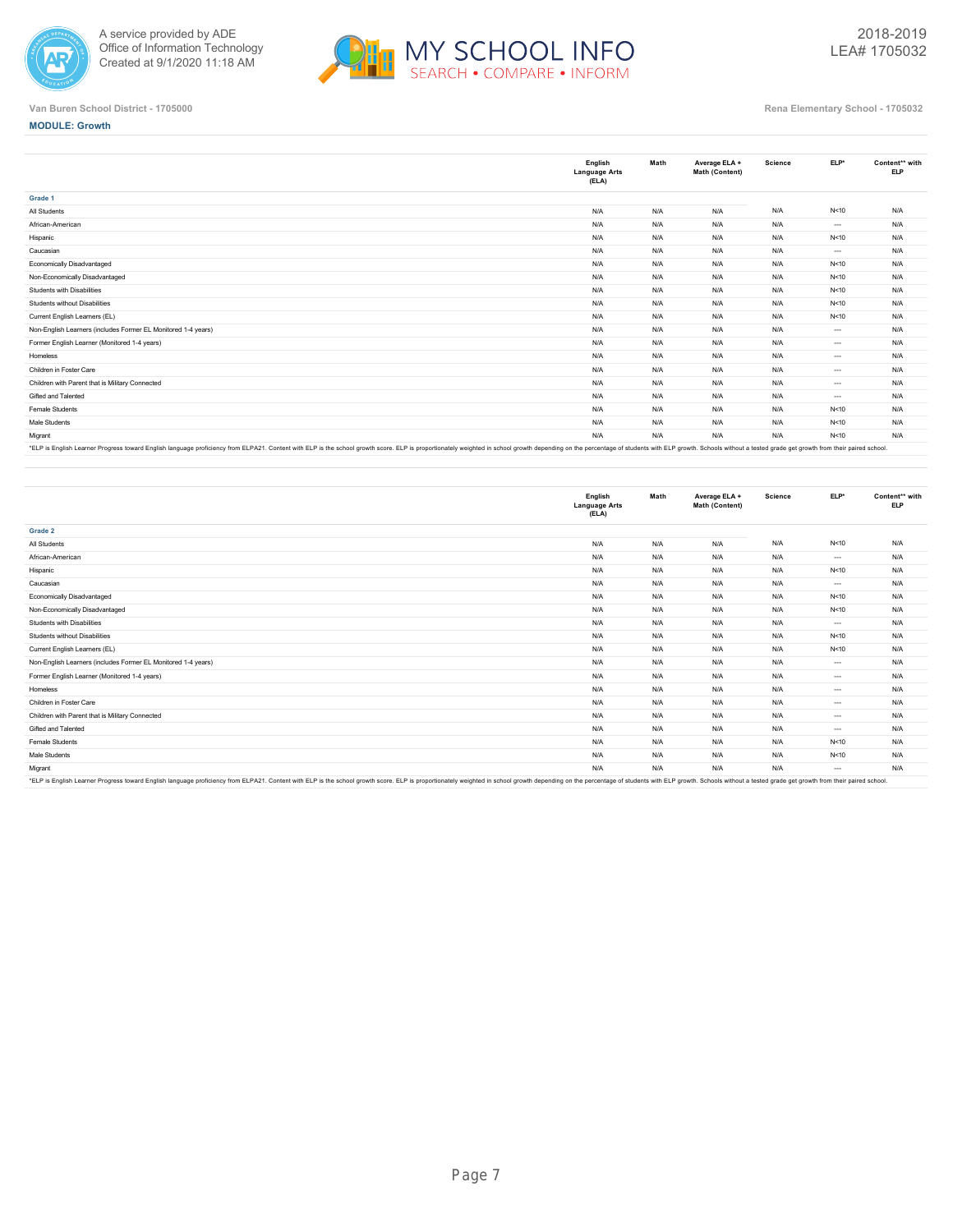



**MODULE: Growth**

|                                                                                                                                                                                                                                | English<br><b>Language Arts</b><br>(ELA) | Math | Average ELA +<br>Math (Content) | Science | ELP*     | Content** with<br><b>ELP</b> |
|--------------------------------------------------------------------------------------------------------------------------------------------------------------------------------------------------------------------------------|------------------------------------------|------|---------------------------------|---------|----------|------------------------------|
| Grade 1                                                                                                                                                                                                                        |                                          |      |                                 |         |          |                              |
| All Students                                                                                                                                                                                                                   | N/A                                      | N/A  | N/A                             | N/A     | N<10     | N/A                          |
| African-American                                                                                                                                                                                                               | N/A                                      | N/A  | N/A                             | N/A     | $\cdots$ | N/A                          |
| Hispanic                                                                                                                                                                                                                       | N/A                                      | N/A  | N/A                             | N/A     | N<10     | N/A                          |
| Caucasian                                                                                                                                                                                                                      | N/A                                      | N/A  | N/A                             | N/A     | $\cdots$ | N/A                          |
| Economically Disadvantaged                                                                                                                                                                                                     | N/A                                      | N/A  | N/A                             | N/A     | N<10     | N/A                          |
| Non-Economically Disadvantaged                                                                                                                                                                                                 | N/A                                      | N/A  | N/A                             | N/A     | N<10     | N/A                          |
| Students with Disabilities                                                                                                                                                                                                     | N/A                                      | N/A  | N/A                             | N/A     | N<10     | N/A                          |
| Students without Disabilities                                                                                                                                                                                                  | N/A                                      | N/A  | N/A                             | N/A     | N<10     | N/A                          |
| Current English Learners (EL)                                                                                                                                                                                                  | N/A                                      | N/A  | N/A                             | N/A     | N<10     | N/A                          |
| Non-English Learners (includes Former EL Monitored 1-4 years)                                                                                                                                                                  | N/A                                      | N/A  | N/A                             | N/A     | $---$    | N/A                          |
| Former English Learner (Monitored 1-4 years)                                                                                                                                                                                   | N/A                                      | N/A  | N/A                             | N/A     | $\cdots$ | N/A                          |
| Homeless                                                                                                                                                                                                                       | N/A                                      | N/A  | N/A                             | N/A     | $---$    | N/A                          |
| Children in Foster Care                                                                                                                                                                                                        | N/A                                      | N/A  | N/A                             | N/A     | $\cdots$ | N/A                          |
| Children with Parent that is Military Connected                                                                                                                                                                                | N/A                                      | N/A  | N/A                             | N/A     | $\cdots$ | N/A                          |
| Gifted and Talented                                                                                                                                                                                                            | N/A                                      | N/A  | N/A                             | N/A     | $\cdots$ | N/A                          |
| Female Students                                                                                                                                                                                                                | N/A                                      | N/A  | N/A                             | N/A     | N<10     | N/A                          |
| Male Students                                                                                                                                                                                                                  | N/A                                      | N/A  | N/A                             | N/A     | N<10     | N/A                          |
| Migrant                                                                                                                                                                                                                        | N/A                                      | N/A  | N/A                             | N/A     | N<10     | N/A                          |
| *FI P is English Learner Progress toward English language proficiency from ELP421. Content with ELP is the school growth score. ELP is thoused a proportionately weighted in school growth depending on the perceptage of stud |                                          |      |                                 |         |          |                              |

"ELP is English Learner Progress toward English language proficiency from ELPA21. Content with ELP is the school growth score. ELP is proportionately weighted in school growth depending on the percentage of students with E

|                                                                                                                                                                                                                                | English<br><b>Language Arts</b><br>(ELA) | Math | Average ELA +<br>Math (Content) | Science | ELP*     | Content** with<br><b>ELP</b> |
|--------------------------------------------------------------------------------------------------------------------------------------------------------------------------------------------------------------------------------|------------------------------------------|------|---------------------------------|---------|----------|------------------------------|
| Grade 2                                                                                                                                                                                                                        |                                          |      |                                 |         |          |                              |
| All Students                                                                                                                                                                                                                   | N/A                                      | N/A  | N/A                             | N/A     | N<10     | N/A                          |
| African-American                                                                                                                                                                                                               | N/A                                      | N/A  | N/A                             | N/A     | $\cdots$ | N/A                          |
| Hispanic                                                                                                                                                                                                                       | N/A                                      | N/A  | N/A                             | N/A     | N<10     | N/A                          |
| Caucasian                                                                                                                                                                                                                      | N/A                                      | N/A  | N/A                             | N/A     | $\cdots$ | N/A                          |
| Economically Disadvantaged                                                                                                                                                                                                     | N/A                                      | N/A  | N/A                             | N/A     | N < 10   | N/A                          |
| Non-Economically Disadvantaged                                                                                                                                                                                                 | N/A                                      | N/A  | N/A                             | N/A     | N<10     | N/A                          |
| Students with Disabilities                                                                                                                                                                                                     | N/A                                      | N/A  | N/A                             | N/A     | $\cdots$ | N/A                          |
| Students without Disabilities                                                                                                                                                                                                  | N/A                                      | N/A  | N/A                             | N/A     | N < 10   | N/A                          |
| Current English Learners (EL)                                                                                                                                                                                                  | N/A                                      | N/A  | N/A                             | N/A     | N < 10   | N/A                          |
| Non-English Learners (includes Former EL Monitored 1-4 years)                                                                                                                                                                  | N/A                                      | N/A  | N/A                             | N/A     | $---$    | N/A                          |
| Former English Learner (Monitored 1-4 years)                                                                                                                                                                                   | N/A                                      | N/A  | N/A                             | N/A     | $\cdots$ | N/A                          |
| Homeless                                                                                                                                                                                                                       | N/A                                      | N/A  | N/A                             | N/A     | $\cdots$ | N/A                          |
| Children in Foster Care                                                                                                                                                                                                        | N/A                                      | N/A  | N/A                             | N/A     | $---$    | N/A                          |
| Children with Parent that is Military Connected                                                                                                                                                                                | N/A                                      | N/A  | N/A                             | N/A     | $\cdots$ | N/A                          |
| Gifted and Talented                                                                                                                                                                                                            | N/A                                      | N/A  | N/A                             | N/A     | $\cdots$ | N/A                          |
| Female Students                                                                                                                                                                                                                | N/A                                      | N/A  | N/A                             | N/A     | N<10     | N/A                          |
| Male Students                                                                                                                                                                                                                  | N/A                                      | N/A  | N/A                             | N/A     | N < 10   | N/A                          |
| Migrant                                                                                                                                                                                                                        | N/A                                      | N/A  | N/A                             | N/A     | $\cdots$ | N/A                          |
| *ELP is English Learner Progress toward English language proficiency from ELPA21. Content with ELP is the school growth score. ELP is proportionately weighted in school growth depending on the percentage of students with E |                                          |      |                                 |         |          |                              |

\*ELP is English Learner Progress toward English language proficiency from ELPA21. Content with ELP is the school growth score. ELP is proportionately weighted in school growth depending on the percentage of students with E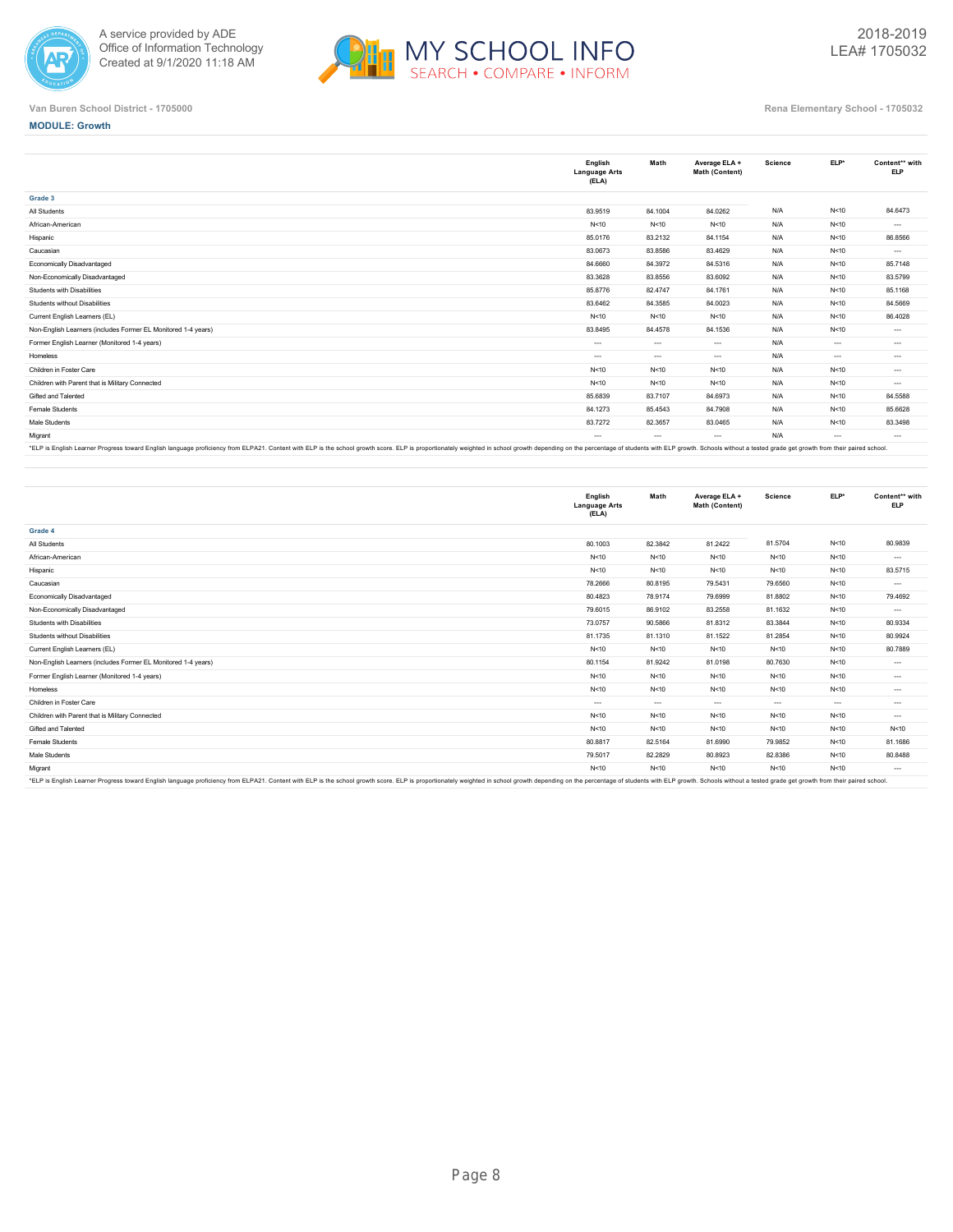



#### **MODULE: Growth**

|                                                               | English<br><b>Language Arts</b><br>(ELA) | Math     | Average ELA +<br>Math (Content) | Science | ELP*     | Content** with<br><b>ELP</b> |
|---------------------------------------------------------------|------------------------------------------|----------|---------------------------------|---------|----------|------------------------------|
| Grade 3                                                       |                                          |          |                                 |         |          |                              |
| All Students                                                  | 83.9519                                  | 84.1004  | 84.0262                         | N/A     | N<10     | 84.6473                      |
| African-American                                              | N < 10                                   | N<10     | N<10                            | N/A     | N<10     | $\cdots$                     |
| Hispanic                                                      | 85.0176                                  | 83.2132  | 84.1154                         | N/A     | N < 10   | 86.8566                      |
| Caucasian                                                     | 83.0673                                  | 83.8586  | 83.4629                         | N/A     | N<10     | $\cdots$                     |
| Economically Disadvantaged                                    | 84.6660                                  | 84.3972  | 84.5316                         | N/A     | N<10     | 85.7148                      |
| Non-Economically Disadvantaged                                | 83.3628                                  | 83.8556  | 83.6092                         | N/A     | N<10     | 83.5799                      |
| Students with Disabilities                                    | 85.8776                                  | 82.4747  | 84.1761                         | N/A     | N < 10   | 85.1168                      |
| Students without Disabilities                                 | 83.6462                                  | 84.3585  | 84.0023                         | N/A     | N<10     | 84.5669                      |
| Current English Learners (EL)                                 | N<10                                     | N < 10   | N<10                            | N/A     | N<10     | 86.4028                      |
| Non-English Learners (includes Former EL Monitored 1-4 years) | 83.8495                                  | 84.4578  | 84.1536                         | N/A     | N<10     | $\cdots$                     |
| Former English Learner (Monitored 1-4 years)                  | $\cdots$                                 | $\cdots$ | $\sim$                          | N/A     | $\cdots$ | $\cdots$                     |
| Homeless                                                      | $\cdots$                                 | $\cdots$ | $\sim$                          | N/A     | $\cdots$ | $\cdots$                     |
| Children in Foster Care                                       | N < 10                                   | N < 10   | N<10                            | N/A     | N<10     | $\cdots$                     |
| Children with Parent that is Military Connected               | N < 10                                   | N < 10   | N<10                            | N/A     | N<10     | $\cdots$                     |
| Gifted and Talented                                           | 85.6839                                  | 83.7107  | 84.6973                         | N/A     | N<10     | 84.5588                      |
| Female Students                                               | 84.1273                                  | 85.4543  | 84.7908                         | N/A     | N<10     | 85.6628                      |
| Male Students                                                 | 83.7272                                  | 82.3657  | 83.0465                         | N/A     | N<10     | 83.3498                      |
| Migrant                                                       | $\cdots$                                 | $\cdots$ | $\cdots$                        | N/A     | $\cdots$ | $\cdots$                     |

"ELP is English Learner Progress toward English language proficiency from ELPA21. Content with ELP is the school growth score. ELP is proportionately weighted in school growth depending on the percentage of students with E

|                                                                                                                                                                                                                                | English<br><b>Language Arts</b><br>(ELA) | Math     | Average ELA +<br>Math (Content) | <b>Science</b> | $ELP*$   | Content** with<br><b>ELP</b> |
|--------------------------------------------------------------------------------------------------------------------------------------------------------------------------------------------------------------------------------|------------------------------------------|----------|---------------------------------|----------------|----------|------------------------------|
| Grade 4                                                                                                                                                                                                                        |                                          |          |                                 |                |          |                              |
| All Students                                                                                                                                                                                                                   | 80.1003                                  | 82.3842  | 81.2422                         | 81.5704        | N<10     | 80.9839                      |
| African-American                                                                                                                                                                                                               | N < 10                                   | N<10     | N<10                            | N<10           | N<10     | $\cdots$                     |
| Hispanic                                                                                                                                                                                                                       | N < 10                                   | N<10     | N<10                            | N < 10         | N<10     | 83.5715                      |
| Caucasian                                                                                                                                                                                                                      | 78.2666                                  | 80.8195  | 79.5431                         | 79.6560        | N<10     | $\cdots$                     |
| Economically Disadvantaged                                                                                                                                                                                                     | 80.4823                                  | 78.9174  | 79.6999                         | 81.8802        | N<10     | 79.4692                      |
| Non-Economically Disadvantaged                                                                                                                                                                                                 | 79.6015                                  | 86.9102  | 83.2558                         | 81.1632        | N<10     | $\cdots$                     |
| Students with Disabilities                                                                                                                                                                                                     | 73.0757                                  | 90.5866  | 81.8312                         | 83.3844        | N < 10   | 80.9334                      |
| Students without Disabilities                                                                                                                                                                                                  | 81.1735                                  | 81.1310  | 81.1522                         | 81.2854        | N<10     | 80.9924                      |
| Current English Learners (EL)                                                                                                                                                                                                  | N < 10                                   | N < 10   | N<10                            | N < 10         | N<10     | 80.7889                      |
| Non-English Learners (includes Former EL Monitored 1-4 years)                                                                                                                                                                  | 80.1154                                  | 81.9242  | 81.0198                         | 80.7630        | N<10     | $\cdots$                     |
| Former English Learner (Monitored 1-4 years)                                                                                                                                                                                   | N < 10                                   | N < 10   | N<10                            | N < 10         | N<10     | $\cdots$                     |
| Homeless                                                                                                                                                                                                                       | N < 10                                   | N < 10   | N<10                            | N < 10         | N < 10   | $\cdots$                     |
| Children in Foster Care                                                                                                                                                                                                        | $---$                                    | $\cdots$ | $\sim$                          | $\cdots$       | $\cdots$ | $\cdots$                     |
| Children with Parent that is Military Connected                                                                                                                                                                                | N < 10                                   | N < 10   | N<10                            | N < 10         | N < 10   | $\cdots$                     |
| Gifted and Talented                                                                                                                                                                                                            | N < 10                                   | N<10     | N<10                            | N<10           | N<10     | N<10                         |
| Female Students                                                                                                                                                                                                                | 80.8817                                  | 82.5164  | 81.6990                         | 79.9852        | N<10     | 81.1686                      |
| Male Students                                                                                                                                                                                                                  | 79.5017                                  | 82.2829  | 80.8923                         | 82.8386        | N<10     | 80.8488                      |
| Migrant                                                                                                                                                                                                                        | N<10                                     | N < 10   | N<10                            | N<10           | N<10     | $\cdots$                     |
| *FI P is English Learner Progress toward English language proficiency from ELP421. Content with ELP is the school growth score. ELP is thoused a proportionately weighted in school growth depending on the perceptage of stud |                                          |          |                                 |                |          |                              |

\*ELP is English Learner Progress toward English language proficiency from ELPA21. Content with ELP is the school growth score. ELP is proportionately weighted in school growth depending on the percentage of students with E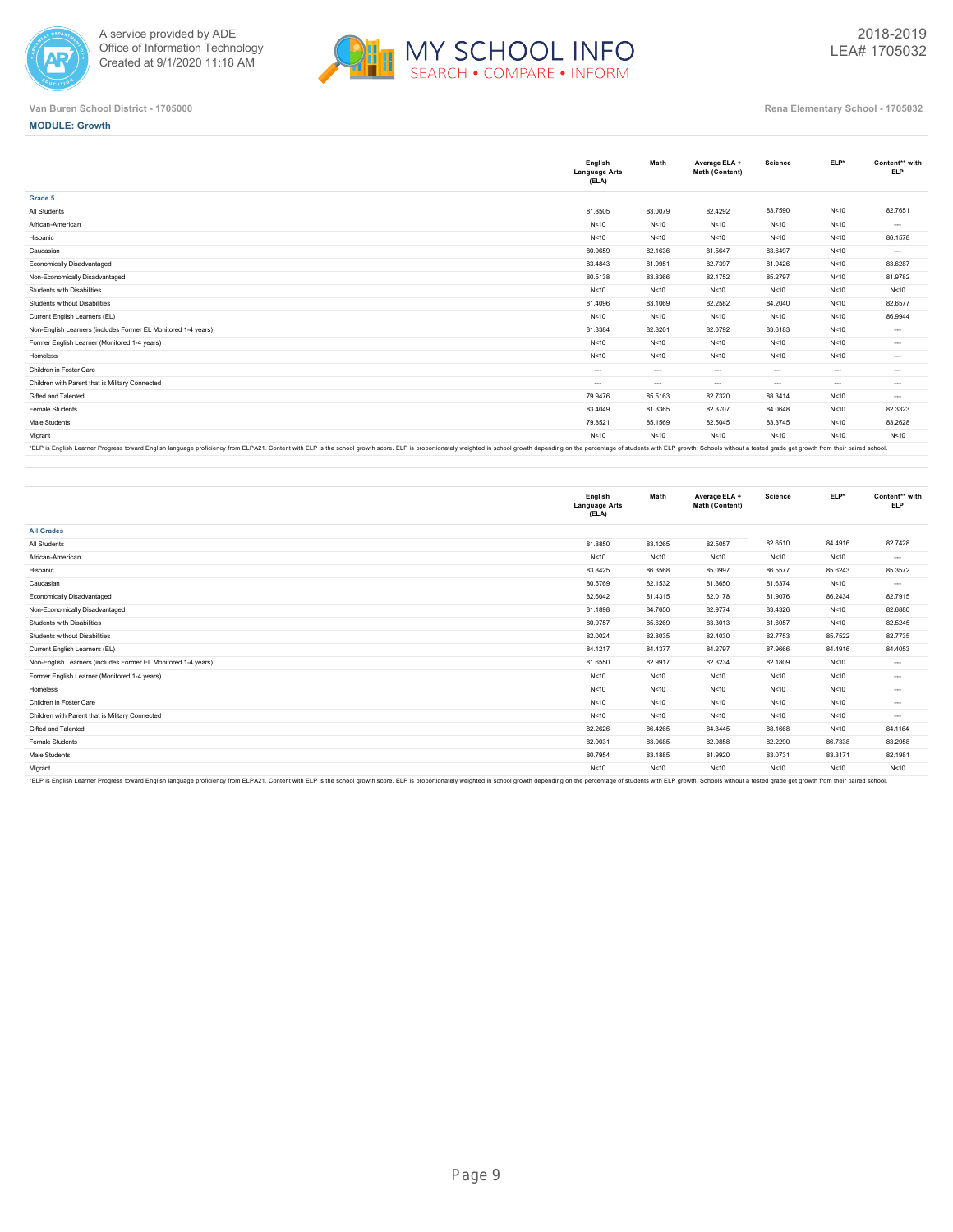



# **MODULE: Growth**

|                                                                                                                                                                                                                                | English<br><b>Language Arts</b><br>(ELA) | Math     | Average ELA +<br>Math (Content) | Science  | ELP*     | Content** with<br><b>ELP</b> |
|--------------------------------------------------------------------------------------------------------------------------------------------------------------------------------------------------------------------------------|------------------------------------------|----------|---------------------------------|----------|----------|------------------------------|
| Grade 5                                                                                                                                                                                                                        |                                          |          |                                 |          |          |                              |
| All Students                                                                                                                                                                                                                   | 81.8505                                  | 83.0079  | 82.4292                         | 83.7590  | N<10     | 82.7651                      |
| African-American                                                                                                                                                                                                               | N < 10                                   | N < 10   | N<10                            | N < 10   | N < 10   | $\cdots$                     |
| Hispanic                                                                                                                                                                                                                       | N < 10                                   | N<10     | N<10                            | N<10     | N<10     | 86.1578                      |
| Caucasian                                                                                                                                                                                                                      | 80.9659                                  | 82.1636  | 81.5647                         | 83.6497  | N<10     | $\cdots$                     |
| Economically Disadvantaged                                                                                                                                                                                                     | 83.4843                                  | 81.9951  | 82.7397                         | 81.9426  | N<10     | 83.6287                      |
| Non-Economically Disadvantaged                                                                                                                                                                                                 | 80.5138                                  | 83.8366  | 82.1752                         | 85.2797  | N < 10   | 81.9782                      |
| Students with Disabilities                                                                                                                                                                                                     | N < 10                                   | N<10     | N<10                            | N<10     | N<10     | N<10                         |
| Students without Disabilities                                                                                                                                                                                                  | 81,4096                                  | 83.1069  | 82.2582                         | 84.2040  | N<10     | 82.6577                      |
| Current English Learners (EL)                                                                                                                                                                                                  | N < 10                                   | N<10     | N<10                            | N < 10   | N<10     | 86.9944                      |
| Non-English Learners (includes Former EL Monitored 1-4 years)                                                                                                                                                                  | 81.3384                                  | 82.8201  | 82.0792                         | 83.6183  | N<10     | $\cdots$                     |
| Former English Learner (Monitored 1-4 years)                                                                                                                                                                                   | N < 10                                   | N<10     | N<10                            | N<10     | N<10     | $\cdots$                     |
| Homeless                                                                                                                                                                                                                       | N<10                                     | N < 10   | N<10                            | N<10     | N<10     | $\cdots$                     |
| Children in Foster Care                                                                                                                                                                                                        | $---$                                    | $-1$     | $\sim$                          | $-1$     | $\cdots$ | $\cdots$                     |
| Children with Parent that is Military Connected                                                                                                                                                                                | $\cdots$                                 | $\cdots$ | $\cdots$                        | $\cdots$ | $\cdots$ | $\cdots$                     |
| Gifted and Talented                                                                                                                                                                                                            | 79.9476                                  | 85.5163  | 82.7320                         | 88.3414  | N < 10   | $\cdots$                     |
| Female Students                                                                                                                                                                                                                | 83.4049                                  | 81.3365  | 82.3707                         | 84.0648  | N<10     | 82.3323                      |
| Male Students                                                                                                                                                                                                                  | 79.8521                                  | 85.1569  | 82.5045                         | 83.3745  | N<10     | 83.2628                      |
| Migrant                                                                                                                                                                                                                        | N < 10                                   | N<10     | N<10                            | N < 10   | N<10     | N < 10                       |
| FIRE FORET COLORED IN THE ROOM FOREST COLORED TRANSPORTER IN THE COLORED ON FIRE COLORED IN THE COLORED COLORED ON A COLORED IN THE PLANS OF PLANS IN THE PLANS OF THE PLANS OF THE PLANS OF THE PLANS OF THE PLANS OF THE PLA |                                          |          |                                 |          |          |                              |

"ELP is English Learner Progress toward English language proficiency from ELPA21. Content with ELP is the school growth score. ELP is proportionately weighted in school growth depending on the percentage of students with E

|                                                                                                                                                                                                                                | English<br><b>Language Arts</b><br>(ELA) | Math    | Average ELA +<br>Math (Content) | <b>Science</b> | ELP*    | Content** with<br><b>ELP</b> |
|--------------------------------------------------------------------------------------------------------------------------------------------------------------------------------------------------------------------------------|------------------------------------------|---------|---------------------------------|----------------|---------|------------------------------|
| <b>All Grades</b>                                                                                                                                                                                                              |                                          |         |                                 |                |         |                              |
| All Students                                                                                                                                                                                                                   | 81.8850                                  | 83.1265 | 82.5057                         | 82.6510        | 84.4916 | 82.7428                      |
| African-American                                                                                                                                                                                                               | N < 10                                   | N < 10  | N < 10                          | N < 10         | N<10    | $\cdots$                     |
| Hispanic                                                                                                                                                                                                                       | 83.8425                                  | 86.3568 | 85.0997                         | 86.5577        | 85.6243 | 85.3572                      |
| Caucasian                                                                                                                                                                                                                      | 80.5769                                  | 82.1532 | 81.3650                         | 81.6374        | N<10    | $\cdots$                     |
| Economically Disadvantaged                                                                                                                                                                                                     | 82.6042                                  | 81.4315 | 82.0178                         | 81.9076        | 86.2434 | 82.7915                      |
| Non-Economically Disadvantaged                                                                                                                                                                                                 | 81.1898                                  | 84.7650 | 82.9774                         | 83.4326        | N<10    | 82.6880                      |
| Students with Disabilities                                                                                                                                                                                                     | 80.9757                                  | 85.6269 | 83.3013                         | 81.6057        | N < 10  | 82.5245                      |
| Students without Disabilities                                                                                                                                                                                                  | 82.0024                                  | 82.8035 | 82.4030                         | 82.7753        | 85.7522 | 82.7735                      |
| Current English Learners (EL)                                                                                                                                                                                                  | 84.1217                                  | 84.4377 | 84.2797                         | 87,9666        | 84.4916 | 84.4053                      |
| Non-English Learners (includes Former EL Monitored 1-4 years)                                                                                                                                                                  | 81.6550                                  | 82.9917 | 82.3234                         | 82.1809        | N<10    | $\cdots$                     |
| Former English Learner (Monitored 1-4 years)                                                                                                                                                                                   | N < 10                                   | N < 10  | N<10                            | N < 10         | N<10    | $\cdots$                     |
| Homeless                                                                                                                                                                                                                       | N < 10                                   | N < 10  | N<10                            | N < 10         | N<10    | $\cdots$                     |
| Children in Foster Care                                                                                                                                                                                                        | N < 10                                   | N < 10  | N<10                            | N < 10         | N < 10  | $\cdots$                     |
| Children with Parent that is Military Connected                                                                                                                                                                                | N < 10                                   | N<10    | N<10                            | N < 10         | N<10    | $\cdots$                     |
| Gifted and Talented                                                                                                                                                                                                            | 82.2626                                  | 86.4265 | 84.3445                         | 88.1668        | N<10    | 84.1164                      |
| Female Students                                                                                                                                                                                                                | 82.9031                                  | 83.0685 | 82.9858                         | 82.2290        | 86.7338 | 83.2958                      |
| Male Students                                                                                                                                                                                                                  | 80.7954                                  | 83.1885 | 81.9920                         | 83.0731        | 83.3171 | 82.1981                      |
| Migrant                                                                                                                                                                                                                        | N < 10                                   | N<10    | N<10                            | N<10           | N<10    | N < 10                       |
| *FI P is English Learner Progress toward English language proficiency from ELP421. Content with ELP is the school growth score. ELP is thoused a proportionately weighted in school growth depending on the perceptage of stud |                                          |         |                                 |                |         |                              |

\*ELP is English Learner Progress toward English language proficiency from ELPA21. Content with ELP is the school growth score. ELP is proportionately weighted in school growth depending on the percentage of students with E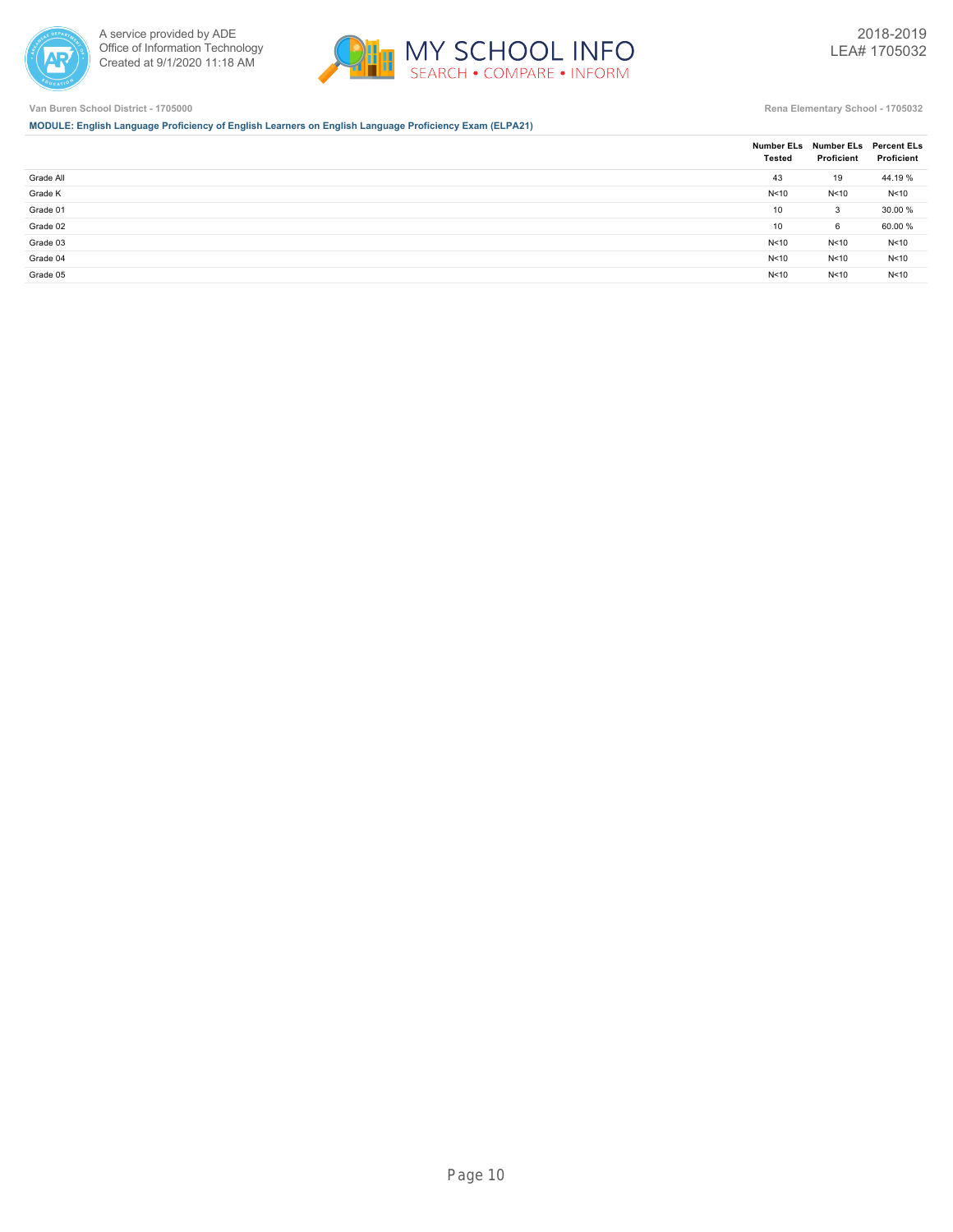



**MODULE: English Language Proficiency of English Learners on English Language Proficiency Exam (ELPA21)**

|           | <b>Tested</b> | Number ELs Number ELs Percent ELs<br>Proficient | Proficient |
|-----------|---------------|-------------------------------------------------|------------|
| Grade All | 43            | 19                                              | 44.19 %    |
| Grade K   | N<10          | N<10                                            | N<10       |
| Grade 01  | 10            | 3                                               | 30.00 %    |
| Grade 02  | 10            | 6                                               | 60.00 %    |
| Grade 03  | N < 10        | N<10                                            | N<10       |
| Grade 04  | N < 10        | N<10                                            | N<10       |
| Grade 05  | N<10          | N<10                                            | N<10       |
|           |               |                                                 |            |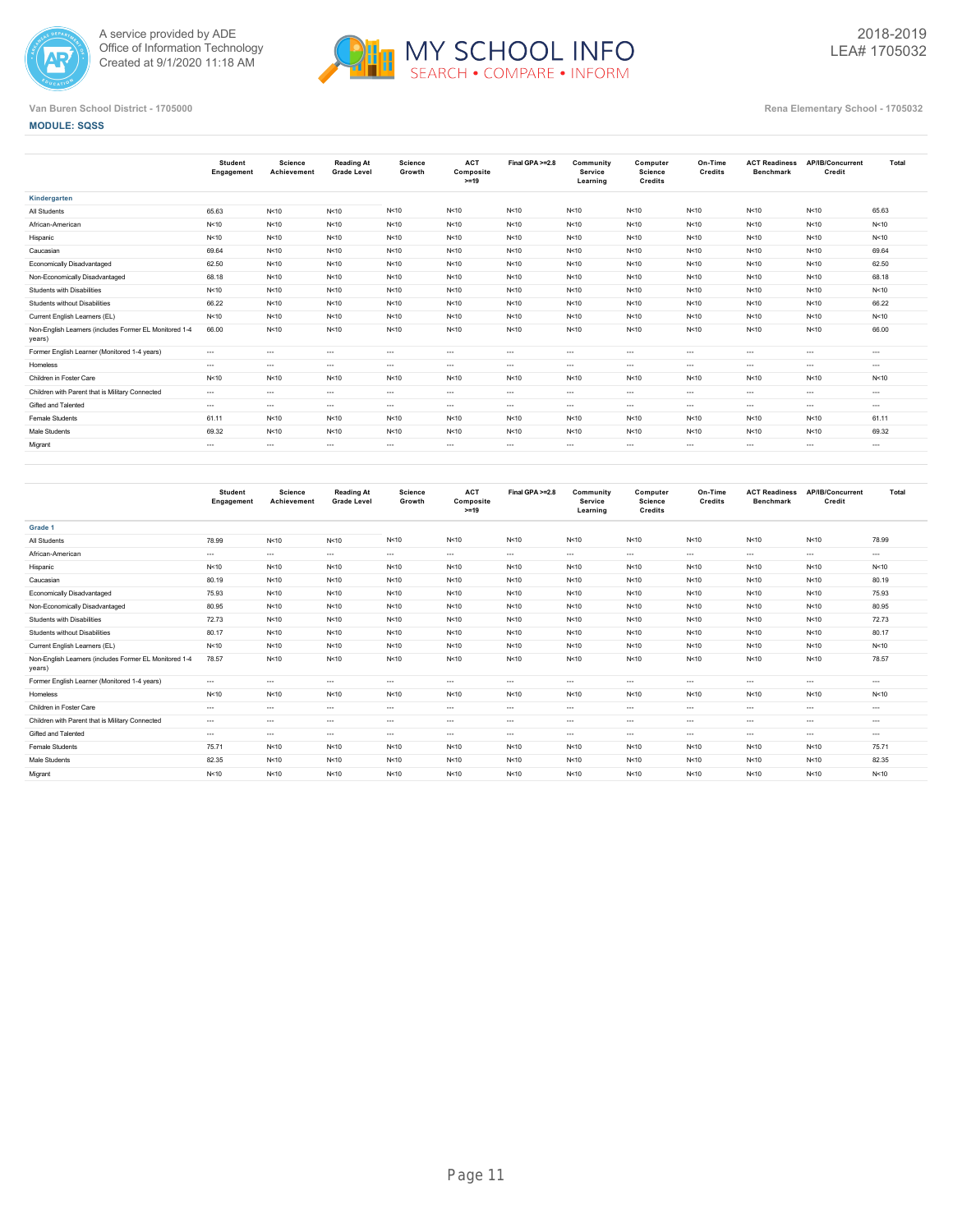



### **MODULE: SQSS**

|                                                                  | <b>Student</b><br>Engagement | Science<br>Achievement | <b>Reading At</b><br><b>Grade Level</b> | Science<br>Growth | <b>ACT</b><br>Composite<br>$>=19$ | Final GPA >=2.8 | Community<br>Service<br>Learning | Computer<br>Science<br><b>Credits</b> | On-Time<br>Credits | <b>ACT Readiness</b><br><b>Benchmark</b> | AP/IB/Concurrent<br>Credit | Total    |
|------------------------------------------------------------------|------------------------------|------------------------|-----------------------------------------|-------------------|-----------------------------------|-----------------|----------------------------------|---------------------------------------|--------------------|------------------------------------------|----------------------------|----------|
| Kindergarten                                                     |                              |                        |                                         |                   |                                   |                 |                                  |                                       |                    |                                          |                            |          |
| All Students                                                     | 65.63                        | N<10                   | N < 10                                  | N < 10            | N < 10                            | N < 10          | N < 10                           | N < 10                                | N<10               | N < 10                                   | N < 10                     | 65.63    |
| African-American                                                 | N<10                         | N<10                   | N < 10                                  | N < 10            | N<10                              | N<10            | N < 10                           | N < 10                                | N<10               | N<10                                     | N < 10                     | N < 10   |
| Hispanic                                                         | N<10                         | N<10                   | N < 10                                  | N < 10            | N<10                              | N<10            | N<10                             | N < 10                                | N<10               | N<10                                     | N < 10                     | N < 10   |
| Caucasian                                                        | 69.64                        | N<10                   | N < 10                                  | N < 10            | N<10                              | N<10            | N<10                             | N < 10                                | N<10               | N<10                                     | N < 10                     | 69.64    |
| <b>Economically Disadvantaged</b>                                | 62.50                        | N<10                   | N < 10                                  | N<10              | N<10                              | N<10            | N < 10                           | N < 10                                | N<10               | N<10                                     | N < 10                     | 62.50    |
| Non-Economically Disadvantaged                                   | 68.18                        | N<10                   | N < 10                                  | N < 10            | N<10                              | N<10            | N<10                             | N < 10                                | N<10               | N<10                                     | N < 10                     | 68.18    |
| <b>Students with Disabilities</b>                                | N<10                         | N<10                   | N<10                                    | N < 10            | N<10                              | N<10            | N<10                             | N < 10                                | N<10               | N<10                                     | N < 10                     | N<10     |
| <b>Students without Disabilities</b>                             | 66.22                        | N<10                   | N < 10                                  | N < 10            | N<10                              | N < 10          | N<10                             | N < 10                                | N<10               | N<10                                     | N < 10                     | 66.22    |
| Current English Learners (EL)                                    | N<10                         | N<10                   | N < 10                                  | N<10              | N<10                              | N < 10          | N < 10                           | N < 10                                | N<10               | N<10                                     | N < 10                     | N < 10   |
| Non-English Learners (includes Former EL Monitored 1-4<br>years) | 66.00                        | N<10                   | N < 10                                  | N<10              | N<10                              | N < 10          | N<10                             | N < 10                                | N<10               | N<10                                     | N < 10                     | 66.00    |
| Former English Learner (Monitored 1-4 years)                     | $---$                        | $\cdots$               | $\cdots$                                | $\cdots$          | $\cdots$                          | $\cdots$        | $\cdots$                         | $\cdots$                              | $\sim$             | $\cdots$                                 | $\cdots$                   | $\cdots$ |
| Homeless                                                         | $---$                        | $\cdots$               | $\sim$                                  | $\cdots$          | $\cdots$                          | $\cdots$        | $\sim$ $\sim$                    | $\cdots$                              | $\sim$             | $---$                                    | $\sim$                     | $\cdots$ |
| Children in Foster Care                                          | N<10                         | N<10                   | N <sub>10</sub>                         | N<10              | N<10                              | N < 10          | N < 10                           | N < 10                                | N<10               | N<10                                     | N < 10                     | N < 10   |
| Children with Parent that is Military Connected                  | $---$                        | $\cdots$               | $\cdots$                                | $\cdots$          | $\cdots$                          | $\cdots$        | $\cdots$                         | $\cdots$                              | $\sim$             | $\cdots$                                 | $- - -$                    | $- - -$  |
| Gifted and Talented                                              | $---$                        | $\cdots$               | $\cdots$                                | $\cdots$          | $\cdots$                          | $\cdots$        | $\cdots$                         | $\cdots$                              | $\sim$             | $\cdots$                                 | $\cdots$                   | $- - -$  |
| Female Students                                                  | 61.11                        | N < 10                 | N<10                                    | N<10              | N<10                              | N < 10          | N < 10                           | N < 10                                | N < 10             | N < 10                                   | N < 10                     | 61.11    |
| Male Students                                                    | 69.32                        | N<10                   | N < 10                                  | N<10              | N<10                              | N < 10          | N<10                             | N < 10                                | N<10               | N<10                                     | N < 10                     | 69.32    |
| Migrant                                                          | $\cdots$                     | $\cdots$               | $\cdots$                                | $\cdots$          | $\cdots$                          | $\cdots$        | $\cdots$                         | $\cdots$                              | $\cdots$           | $\cdots$                                 | $\cdots$                   | $- - -$  |
|                                                                  |                              |                        |                                         |                   |                                   |                 |                                  |                                       |                    |                                          |                            |          |

|                                                                  | <b>Student</b><br>Engagement | Science<br>Achievement | <b>Reading At</b><br><b>Grade Level</b> | Science<br>Growth | <b>ACT</b><br>Composite<br>$>=19$ | Final GPA >=2.8 | Community<br>Service<br>Learning | Computer<br>Science<br><b>Credits</b> | On-Time<br>Credits | <b>ACT Readiness</b><br><b>Benchmark</b> | AP/IB/Concurrent<br>Credit | Total    |
|------------------------------------------------------------------|------------------------------|------------------------|-----------------------------------------|-------------------|-----------------------------------|-----------------|----------------------------------|---------------------------------------|--------------------|------------------------------------------|----------------------------|----------|
| Grade 1                                                          |                              |                        |                                         |                   |                                   |                 |                                  |                                       |                    |                                          |                            |          |
| All Students                                                     | 78.99                        | N < 10                 | N < 10                                  | N<10              | N < 10                            | N<10            | N<10                             | N < 10                                | N<10               | N < 10                                   | N<10                       | 78.99    |
| African-American                                                 | $\cdots$                     | $\cdots$               | $\sim$ $\sim$                           | $\cdots$          | $---$                             | $---$           | $\cdots$                         | $\cdots$                              | $\sim$             | $\cdots$                                 | $\cdots$                   | $\cdots$ |
| Hispanic                                                         | N<10                         | N<10                   | N<10                                    | N<10              | N<10                              | N<10            | N<10                             | N < 10                                | N < 10             | N<10                                     | N<10                       | N<10     |
| Caucasian                                                        | 80.19                        | N < 10                 | N < 10                                  | N<10              | N<10                              | N<10            | N<10                             | N < 10                                | N < 10             | N < 10                                   | N<10                       | 80.19    |
| <b>Economically Disadvantaged</b>                                | 75.93                        | N < 10                 | N < 10                                  | N<10              | N<10                              | N<10            | N<10                             | N < 10                                | N<10               | N < 10                                   | N<10                       | 75.93    |
| Non-Economically Disadvantaged                                   | 80.95                        | N < 10                 | N<10                                    | N<10              | N<10                              | N<10            | N<10                             | N < 10                                | N < 10             | N<10                                     | N<10                       | 80.95    |
| Students with Disabilities                                       | 72.73                        | N < 10                 | N < 10                                  | N<10              | N<10                              | N<10            | N<10                             | N < 10                                | N < 10             | N < 10                                   | N<10                       | 72.73    |
| Students without Disabilities                                    | 80.17                        | N < 10                 | N<10                                    | N<10              | N<10                              | N<10            | N<10                             | N < 10                                | N<10               | N < 10                                   | N<10                       | 80.17    |
| Current English Learners (EL)                                    | N<10                         | N < 10                 | N < 10                                  | N<10              | N<10                              | N<10            | N<10                             | N < 10                                | N<10               | N < 10                                   | N<10                       | N < 10   |
| Non-English Learners (includes Former EL Monitored 1-4<br>years) | 78.57                        | N < 10                 | N < 10                                  | N<10              | N<10                              | N<10            | N<10                             | N < 10                                | N<10               | N<10                                     | N<10                       | 78.57    |
| Former English Learner (Monitored 1-4 years)                     | $---$                        | $\cdots$               | $\cdots$                                | $\cdots$          | $\cdots$                          | $---$           | $\cdots$                         | $- - -$                               | $\cdots$           | $\cdots$                                 | $\cdots$                   | $- - -$  |
| Homeless                                                         | N<10                         | N < 10                 | N<10                                    | N<10              | N<10                              | N<10            | N<10                             | N < 10                                | N<10               | N < 10                                   | N<10                       | N < 10   |
| Children in Foster Care                                          | $\cdots$                     | $\cdots$               | $\cdots$                                | $\cdots$          | $\cdots$                          | $\cdots$        | $- - -$                          | $\cdots$                              | $\sim$             | $\cdots$                                 | $- - -$                    | $\cdots$ |
| Children with Parent that is Military Connected                  | $\cdots$                     | $\cdots$               | $\sim$                                  | $\cdots$          | $\cdots$                          | $---$           | $\cdots$                         | $\cdots$                              | $\cdots$           | $\cdots$                                 | $\cdots$                   | $\cdots$ |
| Gifted and Talented                                              | $---$                        | $- - -$                | $\sim$ $\sim$                           | $\cdots$          | $---$                             | $---$           | $\cdots$                         | $- - -$                               | $\cdots$           | $\cdots$                                 | $- - -$                    | $- - -$  |
| <b>Female Students</b>                                           | 75.71                        | N < 10                 | N < 10                                  | N<10              | N<10                              | N<10            | N<10                             | N < 10                                | N<10               | N<10                                     | N < 10                     | 75.71    |
| Male Students                                                    | 82.35                        | N < 10                 | N<10                                    | N<10              | N<10                              | N<10            | N<10                             | N < 10                                | N<10               | N < 10                                   | N<10                       | 82.35    |
| Migrant                                                          | N<10                         | N < 10                 | N<10                                    | N<10              | N<10                              | N<10            | N < 10                           | N < 10                                | N<10               | N < 10                                   | N<10                       | N < 10   |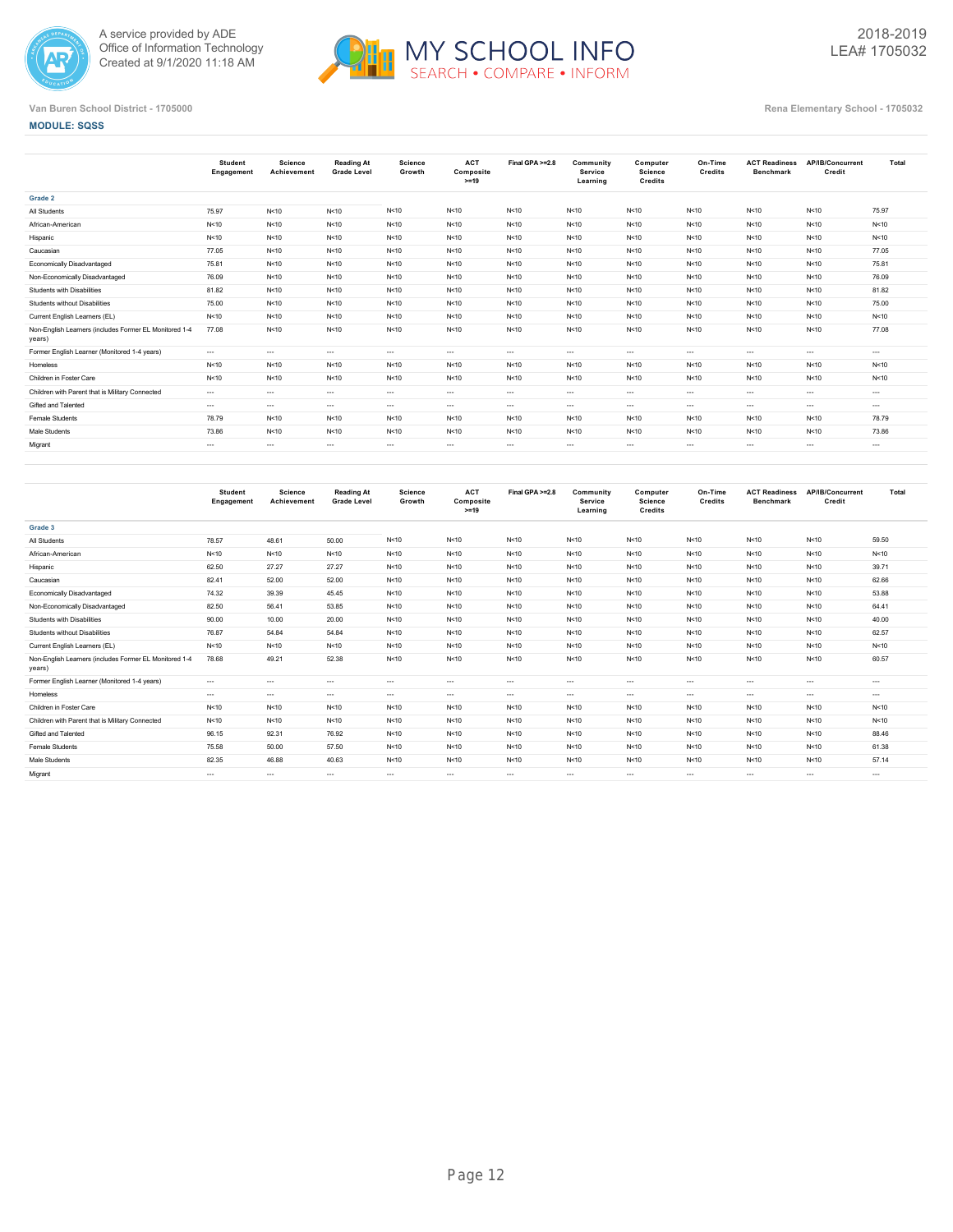



**MODULE: SQSS**

|                                                                  | <b>Student</b><br>Engagement | Science<br>Achievement | <b>Reading At</b><br><b>Grade Level</b> | <b>Science</b><br>Growth | <b>ACT</b><br>Composite<br>$>=19$ | Final GPA >=2.8 | Community<br>Service<br>Learning | Computer<br>Science<br>Credits | On-Time<br>Credits | <b>ACT Readiness</b><br><b>Benchmark</b> | AP/IB/Concurrent<br>Credit | Total           |
|------------------------------------------------------------------|------------------------------|------------------------|-----------------------------------------|--------------------------|-----------------------------------|-----------------|----------------------------------|--------------------------------|--------------------|------------------------------------------|----------------------------|-----------------|
| Grade 2                                                          |                              |                        |                                         |                          |                                   |                 |                                  |                                |                    |                                          |                            |                 |
| All Students                                                     | 75.97                        | N < 10                 | N<10                                    | N<10                     | N<10                              | N < 10          | N < 10                           | N<10                           | N<10               | N<10                                     | N < 10                     | 75.97           |
| African-American                                                 | N<10                         | N<10                   | N<10                                    | N<10                     | N<10                              | N<10            | N<10                             | N<10                           | N<10               | N<10                                     | N < 10                     | N < 10          |
| Hispanic                                                         | N<10                         | N<10                   | N<10                                    | N<10                     | N<10                              | N<10            | N<10                             | N<10                           | N<10               | N<10                                     | N<10                       | N < 10          |
| Caucasian                                                        | 77.05                        | N < 10                 | N<10                                    | N<10                     | N<10                              | N < 10          | N<10                             | N<10                           | N<10               | N<10                                     | N < 10                     | 77.05           |
| <b>Economically Disadvantaged</b>                                | 75.81                        | N < 10                 | N<10                                    | N < 10                   | N<10                              | N < 10          | N < 10                           | N<10                           | N<10               | N<10                                     | N < 10                     | 75.81           |
| Non-Economically Disadvantaged                                   | 76.09                        | N<10                   | N<10                                    | N < 10                   | N<10                              | N<10            | N<10                             | N<10                           | N<10               | N<10                                     | N < 10                     | 76.09           |
| <b>Students with Disabilities</b>                                | 81.82                        | N < 10                 | N<10                                    | N<10                     | N<10                              | N < 10          | N < 10                           | N < 10                         | N<10               | N<10                                     | N < 10                     | 81.82           |
| <b>Students without Disabilities</b>                             | 75.00                        | N < 10                 | N<10                                    | N < 10                   | N<10                              | N < 10          | N < 10                           | N < 10                         | N<10               | N<10                                     | N<10                       | 75.00           |
| Current English Learners (EL)                                    | N<10                         | N<10                   | N<10                                    | N < 10                   | N<10                              | N<10            | N<10                             | N < 10                         | N<10               | N<10                                     | N < 10                     | N < 10          |
| Non-English Learners (includes Former EL Monitored 1-4<br>years) | 77.08                        | N < 10                 | N<10                                    | N<10                     | N<10                              | N < 10          | N < 10                           | N < 10                         | N<10               | N<10                                     | N < 10                     | 77.08           |
| Former English Learner (Monitored 1-4 years)                     | $\cdots$                     | $\cdots$               | $\sim$                                  | $\cdots$                 | $\cdots$                          | $---$           | $\cdots$                         | $\sim$                         | $\cdots$           | $\cdots$                                 | $\cdots$                   | $\cdots$        |
| Homeless                                                         | N<10                         | N<10                   | N<10                                    | N<10                     | N<10                              | N<10            | N<10                             | N<10                           | N<10               | N<10                                     | N < 10                     | N <sub>10</sub> |
| Children in Foster Care                                          | N<10                         | N < 10                 | N < 10                                  | N<10                     | N<10                              | N < 10          | N<10                             | N<10                           | N<10               | N<10                                     | N<10                       | N < 10          |
| Children with Parent that is Military Connected                  | $\cdots$                     | $\cdots$               | $\sim$                                  | $\cdots$                 | $\cdots$                          | $---$           | $\cdots$                         | $\sim$                         | $\sim$             | $\cdots$                                 | $\cdots$                   | $\cdots$        |
| Gifted and Talented                                              | $\cdots$                     | $\cdots$               | $\sim$                                  | $\cdots$                 | $\cdots$                          | $---$           | $\cdots$                         | $\sim$                         | $\cdots$           | $\cdots$                                 | $\cdots$                   | $\cdots$        |
| Female Students                                                  | 78.79                        | N < 10                 | N < 10                                  | N<10                     | N < 10                            | N < 10          | N < 10                           | N < 10                         | N<10               | N<10                                     | N < 10                     | 78.79           |
| Male Students                                                    | 73.86                        | N < 10                 | N < 10                                  | N<10                     | N<10                              | N < 10          | N<10                             | N<10                           | N<10               | N<10                                     | N < 10                     | 73.86           |
| Migrant                                                          | $\cdots$                     | $\cdots$               | $\sim$                                  | $\cdots$                 | $\cdots$                          | $\cdots$        | $\cdots$                         | $\cdots$                       | $\sim$             | $\cdots$                                 | $\cdots$                   | $\cdots$        |
|                                                                  |                              |                        |                                         |                          |                                   |                 |                                  |                                |                    |                                          |                            |                 |

|                                                                  | <b>Student</b><br>Engagement | Science<br>Achievement | Reading At<br><b>Grade Level</b> | <b>Science</b><br>Growth | <b>ACT</b><br>Composite<br>$>=19$ | Final GPA >=2.8 | Community<br>Service<br>Learning | Computer<br><b>Science</b><br>Credits | On-Time<br>Credits | <b>ACT Readiness</b><br><b>Benchmark</b> | AP/IB/Concurrent<br>Credit | Total    |
|------------------------------------------------------------------|------------------------------|------------------------|----------------------------------|--------------------------|-----------------------------------|-----------------|----------------------------------|---------------------------------------|--------------------|------------------------------------------|----------------------------|----------|
| Grade 3                                                          |                              |                        |                                  |                          |                                   |                 |                                  |                                       |                    |                                          |                            |          |
| All Students                                                     | 78.57                        | 48.61                  | 50.00                            | N<10                     | N < 10                            | N<10            | N < 10                           | N < 10                                | N<10               | N<10                                     | N < 10                     | 59.50    |
| African-American                                                 | N<10                         | N<10                   | N<10                             | N<10                     | N < 10                            | N<10            | N<10                             | N<10                                  | N<10               | N<10                                     | N<10                       | N < 10   |
| Hispanic                                                         | 62.50                        | 27.27                  | 27.27                            | N<10                     | N < 10                            | N<10            | N<10                             | N < 10                                | N<10               | N<10                                     | N<10                       | 39.71    |
| Caucasian                                                        | 82.41                        | 52.00                  | 52.00                            | N<10                     | N<10                              | N < 10          | N<10                             | N < 10                                | N<10               | N<10                                     | N<10                       | 62.66    |
| Economically Disadvantaged                                       | 74.32                        | 39.39                  | 45.45                            | N<10                     | N < 10                            | N<10            | N<10                             | N<10                                  | N<10               | N<10                                     | N<10                       | 53.88    |
| Non-Economically Disadvantaged                                   | 82.50                        | 56.41                  | 53.85                            | N<10                     | N < 10                            | N<10            | N<10                             | N < 10                                | N<10               | N<10                                     | N<10                       | 64.41    |
| Students with Disabilities                                       | 90.00                        | 10.00                  | 20.00                            | N<10                     | N < 10                            | N < 10          | N<10                             | N < 10                                | N<10               | N<10                                     | N<10                       | 40.00    |
| Students without Disabilities                                    | 76.87                        | 54.84                  | 54.84                            | N<10                     | N < 10                            | N < 10          | N<10                             | N < 10                                | N<10               | N<10                                     | N<10                       | 62.57    |
| Current English Learners (EL)                                    | N<10                         | N<10                   | N<10                             | N<10                     | N<10                              | N<10            | N<10                             | N < 10                                | N<10               | N<10                                     | N<10                       | N < 10   |
| Non-English Learners (includes Former EL Monitored 1-4<br>years) | 78.68                        | 49.21                  | 52.38                            | N<10                     | N < 10                            | N<10            | N<10                             | N < 10                                | N<10               | N<10                                     | N<10                       | 60.57    |
| Former English Learner (Monitored 1-4 years)                     | $\cdots$                     | $\cdots$               | $\sim$                           | $\cdots$                 | $\cdots$                          | $\cdots$        | $---$                            | $\cdots$                              | $\sim$             | $\cdots$                                 | $\cdots$                   | $\cdots$ |
| Homeless                                                         | $\cdots$                     | $\sim$ $\sim$          | $\sim$                           | $\cdots$                 | $\cdots$                          | $---$           | $\cdots$                         | $\cdots$                              | $\cdots$           | $\cdots$                                 | $\cdots$                   | $\cdots$ |
| Children in Foster Care                                          | N<10                         | N<10                   | N<10                             | N<10                     | N<10                              | N<10            | N<10                             | N < 10                                | N < 10             | N<10                                     | N < 10                     | N < 10   |
| Children with Parent that is Military Connected                  | N<10                         | N<10                   | N<10                             | N<10                     | N<10                              | N < 10          | N<10                             | N<10                                  | N<10               | N<10                                     | N<10                       | N < 10   |
| Gifted and Talented                                              | 96.15                        | 92.31                  | 76.92                            | N<10                     | N<10                              | N < 10          | N<10                             | N < 10                                | N<10               | N<10                                     | N<10                       | 88.46    |
| Female Students                                                  | 75.58                        | 50.00                  | 57.50                            | N<10                     | N<10                              | N < 10          | N<10                             | N < 10                                | N<10               | N<10                                     | N < 10                     | 61.38    |
| Male Students                                                    | 82.35                        | 46.88                  | 40.63                            | N<10                     | N < 10                            | N<10            | N<10                             | N < 10                                | N<10               | N<10                                     | N<10                       | 57.14    |
| Migrant                                                          | $\cdots$                     | $\cdots$               | $\sim$                           | $\cdots$                 | $- - -$                           | $\cdots$        | ---                              | $- - -$                               | $\cdots$           | $\cdots$                                 | $\cdots$                   | $- - -$  |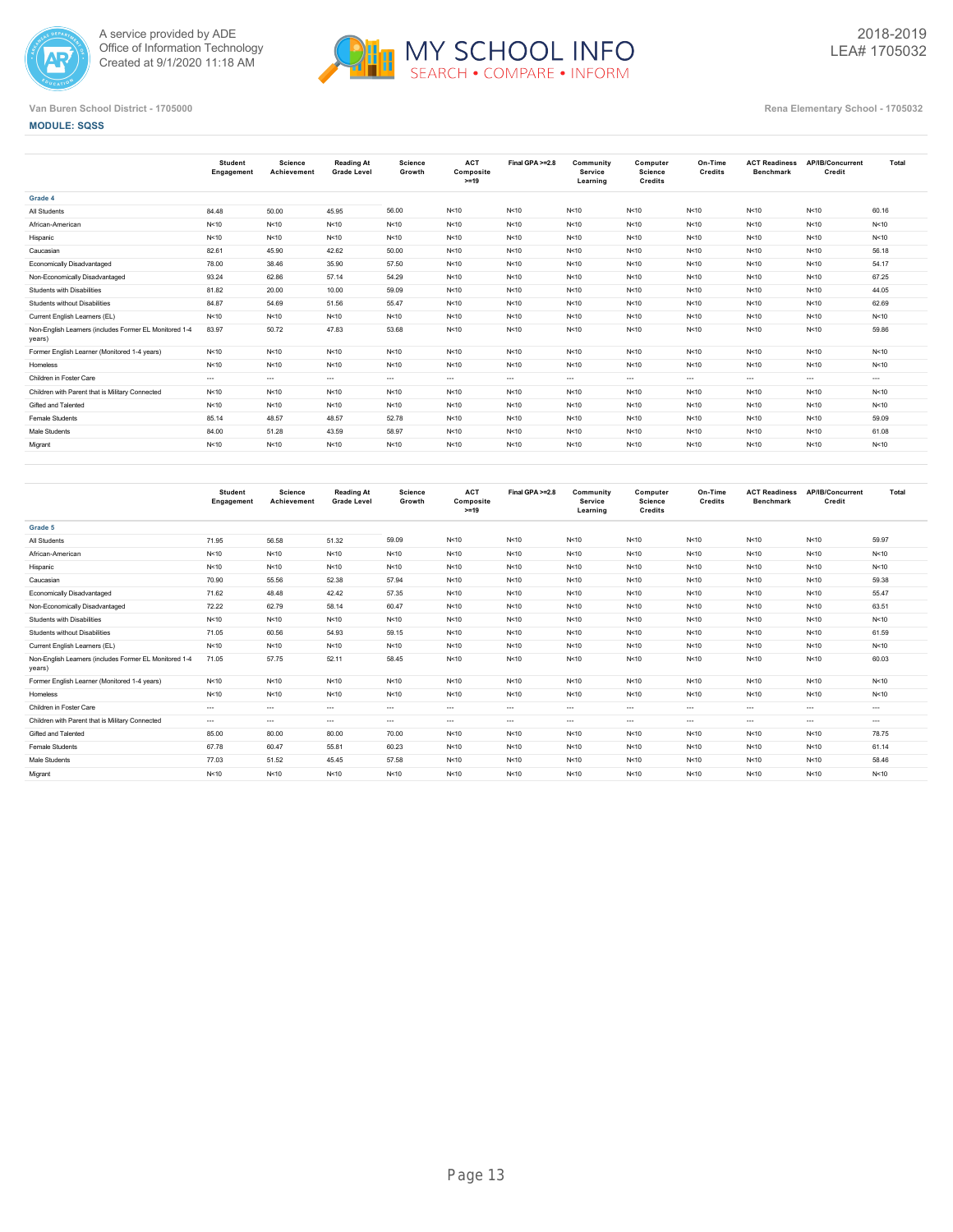



**MODULE: SQSS**

|                                                                  | <b>Student</b><br>Engagement | Science<br>Achievement | <b>Reading At</b><br><b>Grade Level</b> | <b>Science</b><br>Growth | <b>ACT</b><br>Composite<br>$>=19$ | Final GPA >=2.8 | Community<br>Service<br>Learning | Computer<br><b>Science</b><br>Credits | On-Time<br>Credits | <b>ACT Readiness</b><br><b>Benchmark</b> | AP/IB/Concurrent<br>Credit | Total    |
|------------------------------------------------------------------|------------------------------|------------------------|-----------------------------------------|--------------------------|-----------------------------------|-----------------|----------------------------------|---------------------------------------|--------------------|------------------------------------------|----------------------------|----------|
| Grade 4                                                          |                              |                        |                                         |                          |                                   |                 |                                  |                                       |                    |                                          |                            |          |
| All Students                                                     | 84.48                        | 50.00                  | 45.95                                   | 56.00                    | N < 10                            | N<10            | N<10                             | N < 10                                | N<10               | N<10                                     | N<10                       | 60.16    |
| African-American                                                 | N<10                         | N < 10                 | N<10                                    | N < 10                   | N<10                              | N<10            | N<10                             | N<10                                  | N<10               | N<10                                     | N<10                       | N < 10   |
| Hispanic                                                         | N<10                         | N<10                   | N<10                                    | N < 10                   | N<10                              | N<10            | N<10                             | N<10                                  | N<10               | N < 10                                   | N<10                       | N < 10   |
| Caucasian                                                        | 82.61                        | 45.90                  | 42.62                                   | 50.00                    | N<10                              | N<10            | N<10                             | N<10                                  | N<10               | N<10                                     | N<10                       | 56.18    |
| Economically Disadvantaged                                       | 78.00                        | 38.46                  | 35.90                                   | 57.50                    | N<10                              | N<10            | N<10                             | N<10                                  | N<10               | N<10                                     | N<10                       | 54.17    |
| Non-Economically Disadvantaged                                   | 93.24                        | 62.86                  | 57.14                                   | 54.29                    | N<10                              | N<10            | N<10                             | N<10                                  | N<10               | N<10                                     | N<10                       | 67.25    |
| Students with Disabilities                                       | 81.82                        | 20.00                  | 10.00                                   | 59.09                    | N<10                              | N<10            | N < 10                           | N<10                                  | N<10               | N<10                                     | N<10                       | 44.05    |
| Students without Disabilities                                    | 84.87                        | 54.69                  | 51.56                                   | 55.47                    | N<10                              | N<10            | N<10                             | N<10                                  | N<10               | N < 10                                   | N<10                       | 62.69    |
| Current English Learners (EL)                                    | N<10                         | N<10                   | N<10                                    | N < 10                   | N<10                              | N < 10          | N<10                             | N<10                                  | N<10               | N < 10                                   | N<10                       | N < 10   |
| Non-English Learners (includes Former EL Monitored 1-4<br>years) | 83.97                        | 50.72                  | 47.83                                   | 53.68                    | N<10                              | N < 10          | N<10                             | N < 10                                | N<10               | N < 10                                   | N<10                       | 59.86    |
| Former English Learner (Monitored 1-4 years)                     | N<10                         | N<10                   | N<10                                    | N < 10                   | N < 10                            | N < 10          | N<10                             | N<10                                  | N<10               | N < 10                                   | N<10                       | N < 10   |
| Homeless                                                         | N<10                         | N<10                   | N<10                                    | N < 10                   | N < 10                            | N < 10          | N<10                             | N<10                                  | N<10               | N < 10                                   | N<10                       | N < 10   |
| Children in Foster Care                                          | $---$                        | $\cdots$               | $\sim$                                  | $\cdots$                 | $---$                             | $\cdots$        | $\cdots$                         | $\cdots$                              | $\sim$             | $\cdots$                                 | $\cdots$                   | $\cdots$ |
| Children with Parent that is Military Connected                  | N<10                         | N<10                   | N<10                                    | N < 10                   | N < 10                            | N < 10          | N<10                             | N < 10                                | N<10               | N < 10                                   | N<10                       | N < 10   |
| Gifted and Talented                                              | N<10                         | N < 10                 | N<10                                    | N < 10                   | N<10                              | N < 10          | N<10                             | N<10                                  | N<10               | N < 10                                   | N<10                       | N < 10   |
| <b>Female Students</b>                                           | 85.14                        | 48.57                  | 48.57                                   | 52.78                    | N<10                              | N < 10          | N<10                             | N<10                                  | N<10               | N < 10                                   | N<10                       | 59.09    |
| Male Students                                                    | 84.00                        | 51.28                  | 43.59                                   | 58.97                    | N<10                              | N < 10          | N<10                             | N<10                                  | N<10               | N < 10                                   | N<10                       | 61.08    |
| Migrant                                                          | N<10                         | N<10                   | N<10                                    | N < 10                   | N < 10                            | N < 10          | N<10                             | N < 10                                | N<10               | N < 10                                   | N<10                       | N < 10   |
|                                                                  |                              |                        |                                         |                          |                                   |                 |                                  |                                       |                    |                                          |                            |          |

|                                                                  | Student<br>Engagement | Science<br>Achievement | <b>Reading At</b><br><b>Grade Level</b> | Science<br>Growth | <b>ACT</b><br>Composite<br>$>=19$ | Final GPA >=2.8 | Community<br>Service<br>Learning | Computer<br><b>Science</b><br>Credits | On-Time<br>Credits | <b>ACT Readiness</b><br><b>Benchmark</b> | AP/IB/Concurrent<br>Credit | Total    |
|------------------------------------------------------------------|-----------------------|------------------------|-----------------------------------------|-------------------|-----------------------------------|-----------------|----------------------------------|---------------------------------------|--------------------|------------------------------------------|----------------------------|----------|
| Grade 5                                                          |                       |                        |                                         |                   |                                   |                 |                                  |                                       |                    |                                          |                            |          |
| All Students                                                     | 71.95                 | 56.58                  | 51.32                                   | 59.09             | N<10                              | N<10            | N<10                             | N < 10                                | N < 10             | N<10                                     | N<10                       | 59.97    |
| African-American                                                 | N<10                  | N < 10                 | N<10                                    | N < 10            | N<10                              | N<10            | N<10                             | N < 10                                | N<10               | N<10                                     | N<10                       | N < 10   |
| Hispanic                                                         | N<10                  | N < 10                 | N<10                                    | N<10              | N<10                              | N<10            | N<10                             | N < 10                                | N<10               | N<10                                     | N<10                       | N < 10   |
| Caucasian                                                        | 70.90                 | 55.56                  | 52.38                                   | 57.94             | N<10                              | N<10            | N<10                             | N < 10                                | N<10               | N<10                                     | N<10                       | 59.38    |
| Economically Disadvantaged                                       | 71.62                 | 48.48                  | 42.42                                   | 57.35             | N<10                              | N<10            | N<10                             | N < 10                                | N<10               | N<10                                     | N<10                       | 55.47    |
| Non-Economically Disadvantaged                                   | 72.22                 | 62.79                  | 58.14                                   | 60.47             | N<10                              | N<10            | N<10                             | N < 10                                | N<10               | N<10                                     | N<10                       | 63.51    |
| Students with Disabilities                                       | N<10                  | N<10                   | N<10                                    | N < 10            | N<10                              | N<10            | N<10                             | N < 10                                | N < 10             | N<10                                     | N<10                       | N < 10   |
| Students without Disabilities                                    | 71.05                 | 60.56                  | 54.93                                   | 59.15             | N<10                              | N<10            | N<10                             | N < 10                                | N < 10             | N<10                                     | N<10                       | 61.59    |
| Current English Learners (EL)                                    | N<10                  | N < 10                 | N < 10                                  | N < 10            | N<10                              | N<10            | N<10                             | N < 10                                | N < 10             | N<10                                     | N<10                       | N < 10   |
| Non-English Learners (includes Former EL Monitored 1-4<br>years) | 71.05                 | 57.75                  | 52.11                                   | 58.45             | N<10                              | N<10            | N<10                             | N < 10                                | N < 10             | N<10                                     | N<10                       | 60.03    |
| Former English Learner (Monitored 1-4 years)                     | N<10                  | N < 10                 | N < 10                                  | N<10              | N<10                              | N<10            | N<10                             | N < 10                                | N<10               | N<10                                     | N<10                       | N < 10   |
| Homeless                                                         | N<10                  | N < 10                 | N < 10                                  | N<10              | N<10                              | N < 10          | N<10                             | N < 10                                | N<10               | N < 10                                   | N<10                       | N<10     |
| Children in Foster Care                                          | $---$                 | $\sim$ $\sim$          | $\sim$                                  | $\cdots$          | $\cdots$                          | $---$           | $---$                            | $\cdots$                              | $\sim$             | $\cdots$                                 | $---$                      | $\cdots$ |
| Children with Parent that is Military Connected                  | $---$                 | $\cdots$               | $\cdots$                                | $\cdots$          | $\cdots$                          | $---$           | $\cdots$                         | $\cdots$                              | $\sim$             | $---$                                    | ---                        | $- - -$  |
| Gifted and Talented                                              | 85.00                 | 80.00                  | 80.00                                   | 70.00             | N<10                              | N < 10          | N<10                             | N < 10                                | N < 10             | N < 10                                   | N < 10                     | 78.75    |
| Female Students                                                  | 67.78                 | 60.47                  | 55.81                                   | 60.23             | N<10                              | N<10            | N<10                             | N < 10                                | N<10               | N < 10                                   | N<10                       | 61.14    |
| Male Students                                                    | 77.03                 | 51.52                  | 45.45                                   | 57.58             | N < 10                            | N < 10          | N<10                             | N<10                                  | N<10               | N<10                                     | N<10                       | 58.46    |
| Migrant                                                          | N<10                  | N < 10                 | N<10                                    | N<10              | N<10                              | N < 10          | N<10                             | N < 10                                | N<10               | N<10                                     | N<10                       | N < 10   |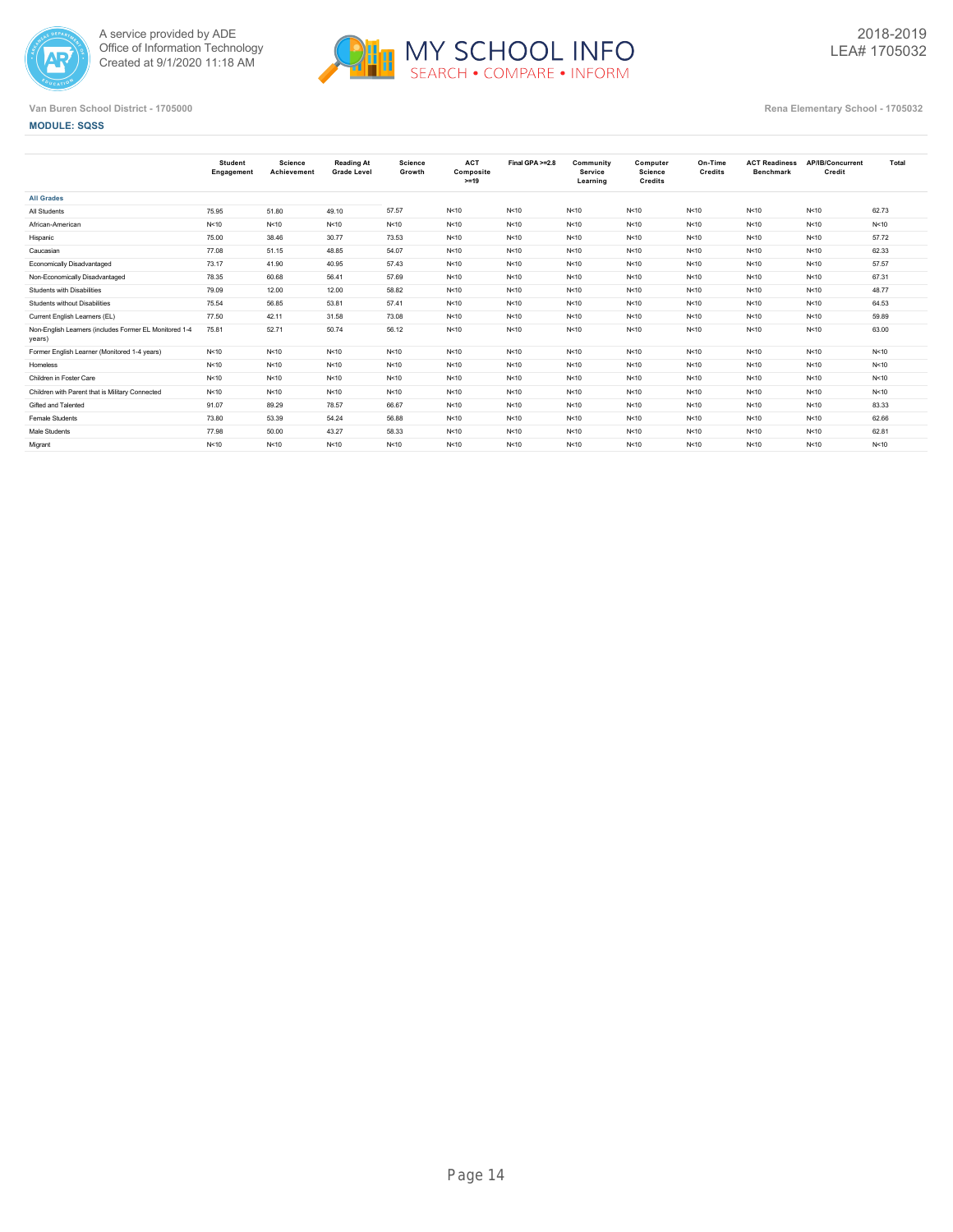



|  | <b>MODULE: SQSS</b> |  |
|--|---------------------|--|
|  |                     |  |

|                                                                  | <b>Student</b><br>Engagement | Science<br>Achievement | <b>Reading At</b><br><b>Grade Level</b> | <b>Science</b><br>Growth | <b>ACT</b><br>Composite<br>$>=19$ | Final GPA >=2.8 | Community<br>Service<br>Learning | Computer<br>Science<br>Credits | On-Time<br>Credits | <b>ACT Readiness</b><br><b>Benchmark</b> | AP/IB/Concurrent<br>Credit | Total  |
|------------------------------------------------------------------|------------------------------|------------------------|-----------------------------------------|--------------------------|-----------------------------------|-----------------|----------------------------------|--------------------------------|--------------------|------------------------------------------|----------------------------|--------|
| <b>All Grades</b>                                                |                              |                        |                                         |                          |                                   |                 |                                  |                                |                    |                                          |                            |        |
| All Students                                                     | 75.95                        | 51.80                  | 49.10                                   | 57.57                    | N<10                              | N<10            | N < 10                           | N<10                           | N < 10             | N<10                                     | N<10                       | 62.73  |
| African-American                                                 | N<10                         | N<10                   | N<10                                    | N<10                     | N<10                              | N<10            | N < 10                           | N<10                           | N < 10             | N<10                                     | N<10                       | N<10   |
| Hispanic                                                         | 75.00                        | 38.46                  | 30.77                                   | 73.53                    | N<10                              | N<10            | N < 10                           | N<10                           | N < 10             | N<10                                     | N<10                       | 57.72  |
| Caucasian                                                        | 77.08                        | 51.15                  | 48.85                                   | 54.07                    | N<10                              | N<10            | N<10                             | N<10                           | N<10               | N<10                                     | N<10                       | 62.33  |
| Economically Disadvantaged                                       | 73.17                        | 41.90                  | 40.95                                   | 57.43                    | N<10                              | N<10            | N<10                             | N<10                           | N<10               | N<10                                     | N<10                       | 57.57  |
| Non-Economically Disadvantaged                                   | 78.35                        | 60.68                  | 56.41                                   | 57.69                    | N<10                              | N<10            | N<10                             | N<10                           | N<10               | N<10                                     | N<10                       | 67.31  |
| Students with Disabilities                                       | 79.09                        | 12.00                  | 12.00                                   | 58.82                    | N<10                              | N<10            | N<10                             | N<10                           | N<10               | N<10                                     | N<10                       | 48.77  |
| Students without Disabilities                                    | 75.54                        | 56.85                  | 53.81                                   | 57.41                    | N<10                              | N<10            | N < 10                           | N<10                           | N < 10             | N<10                                     | N<10                       | 64.53  |
| Current English Learners (EL)                                    | 77.50                        | 42.11                  | 31.58                                   | 73.08                    | N<10                              | N<10            | N<10                             | N<10                           | N < 10             | N<10                                     | N<10                       | 59.89  |
| Non-English Learners (includes Former EL Monitored 1-4<br>years) | 75.81                        | 52.71                  | 50.74                                   | 56.12                    | N<10                              | N<10            | N < 10                           | N<10                           | N < 10             | N<10                                     | N<10                       | 63.00  |
| Former English Learner (Monitored 1-4 years)                     | N<10                         | N<10                   | N<10                                    | N<10                     | N<10                              | N<10            | N < 10                           | N<10                           | N < 10             | N<10                                     | N<10                       | N<10   |
| Homeless                                                         | N<10                         | N<10                   | N<10                                    | N<10                     | N<10                              | N<10            | N < 10                           | N<10                           | N < 10             | N<10                                     | N<10                       | N<10   |
| Children in Foster Care                                          | N<10                         | N<10                   | N<10                                    | N<10                     | N<10                              | N<10            | N < 10                           | N<10                           | N < 10             | N<10                                     | N<10                       | N < 10 |
| Children with Parent that is Military Connected                  | N<10                         | N<10                   | N<10                                    | N<10                     | N<10                              | N<10            | N < 10                           | N<10                           | N<10               | N<10                                     | N<10                       | N<10   |
| Gifted and Talented                                              | 91.07                        | 89.29                  | 78.57                                   | 66.67                    | N<10                              | N<10            | N < 10                           | N<10                           | N < 10             | N<10                                     | N<10                       | 83.33  |
| Female Students                                                  | 73.80                        | 53.39                  | 54.24                                   | 56.88                    | N<10                              | N<10            | N<10                             | N<10                           | N<10               | N<10                                     | N<10                       | 62.66  |
| Male Students                                                    | 77.98                        | 50.00                  | 43.27                                   | 58.33                    | N<10                              | N<10            | N<10                             | N<10                           | N<10               | N<10                                     | N<10                       | 62.81  |
| Migrant                                                          | N<10                         | N<10                   | N<10                                    | N<10                     | N<10                              | N<10            | N < 10                           | N<10                           | N<10               | N<10                                     | N<10                       | N < 10 |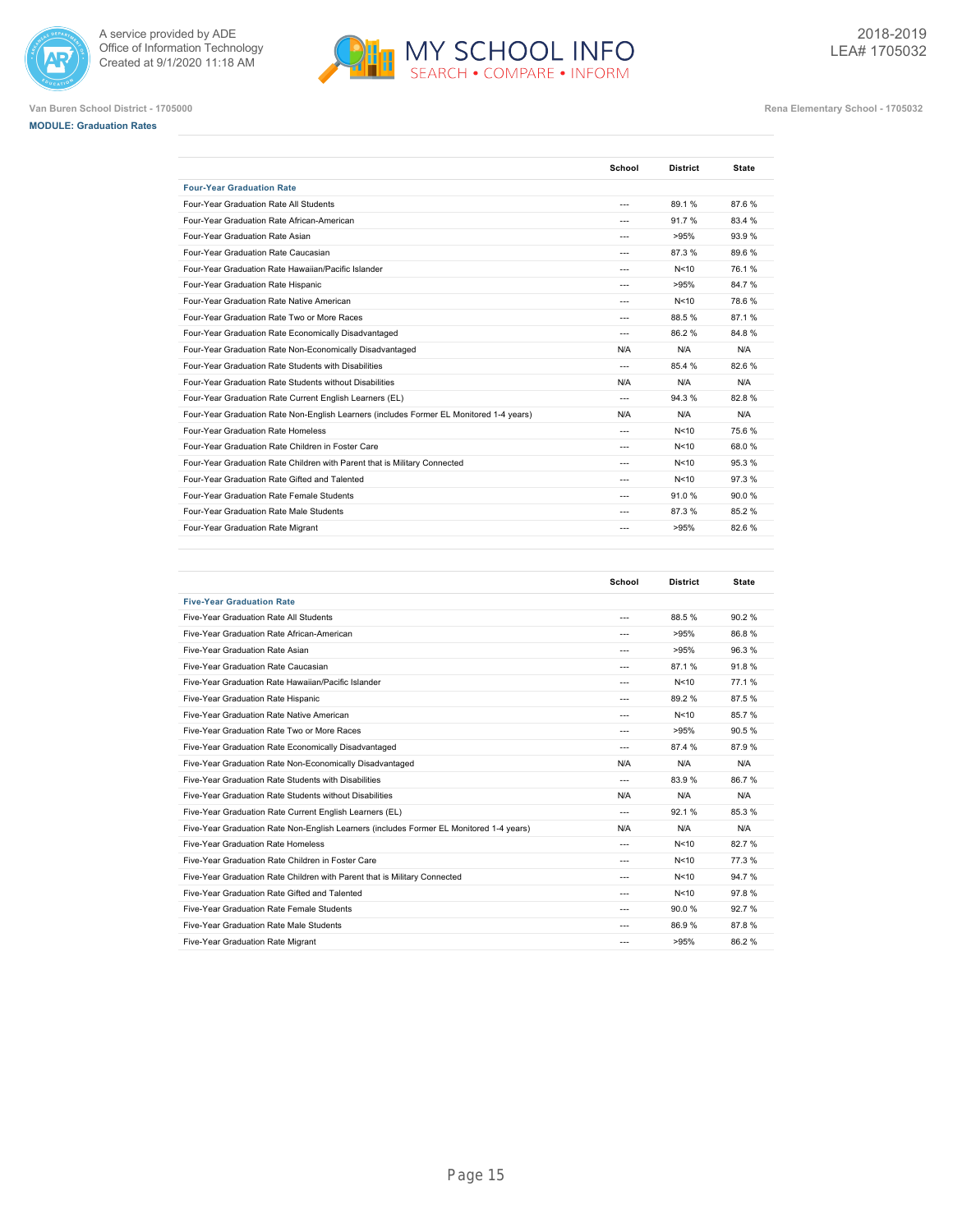







|                                                                                         | School  | <b>District</b> | <b>State</b> |
|-----------------------------------------------------------------------------------------|---------|-----------------|--------------|
| <b>Four-Year Graduation Rate</b>                                                        |         |                 |              |
| Four-Year Graduation Rate All Students                                                  | ---     | 89.1%           | 87.6%        |
| Four-Year Graduation Rate African-American                                              | ---     | 91.7%           | 83.4 %       |
| Four-Year Graduation Rate Asian                                                         | ---     | >95%            | 93.9%        |
| Four-Year Graduation Rate Caucasian                                                     | ---     | 87.3%           | 89.6%        |
| Four-Year Graduation Rate Hawaiian/Pacific Islander                                     | ---     | N<10            | 76.1%        |
| Four-Year Graduation Rate Hispanic                                                      | ---     | >95%            | 84.7%        |
| Four-Year Graduation Rate Native American                                               | ---     | N<10            | 78.6%        |
| Four-Year Graduation Rate Two or More Races                                             | ---     | 88.5%           | 87.1%        |
| Four-Year Graduation Rate Economically Disadvantaged                                    | $- - -$ | 86.2%           | 84.8%        |
| Four-Year Graduation Rate Non-Economically Disadvantaged                                | N/A     | N/A             | N/A          |
| Four-Year Graduation Rate Students with Disabilities                                    | ---     | 85.4 %          | 82.6%        |
| Four-Year Graduation Rate Students without Disabilities                                 | N/A     | N/A             | N/A          |
| Four-Year Graduation Rate Current English Learners (EL)                                 | $---$   | 94.3%           | 82.8%        |
| Four-Year Graduation Rate Non-English Learners (includes Former EL Monitored 1-4 years) | N/A     | N/A             | N/A          |
| Four-Year Graduation Rate Homeless                                                      | ---     | N<10            | 75.6%        |
| Four-Year Graduation Rate Children in Foster Care                                       | ---     | N<10            | 68.0%        |
| Four-Year Graduation Rate Children with Parent that is Military Connected               | $- - -$ | N<10            | 95.3%        |
| Four-Year Graduation Rate Gifted and Talented                                           | ---     | N<10            | 97.3%        |
| Four-Year Graduation Rate Female Students                                               | ---     | 91.0%           | 90.0%        |
| Four-Year Graduation Rate Male Students                                                 | ---     | 87.3%           | 85.2%        |
| Four-Year Graduation Rate Migrant                                                       | ---     | >95%            | 82.6%        |
|                                                                                         |         |                 |              |

|                                                                                         | School  | <b>District</b> | <b>State</b> |
|-----------------------------------------------------------------------------------------|---------|-----------------|--------------|
| <b>Five-Year Graduation Rate</b>                                                        |         |                 |              |
| Five-Year Graduation Rate All Students                                                  | $---$   | 88.5%           | 90.2%        |
| Five-Year Graduation Rate African-American                                              | $---$   | >95%            | 86.8%        |
| Five-Year Graduation Rate Asian                                                         | $---$   | >95%            | 96.3%        |
| Five-Year Graduation Rate Caucasian                                                     | $---$   | 87.1%           | 91.8%        |
| Five-Year Graduation Rate Hawaiian/Pacific Islander                                     | $- - -$ | N<10            | 77.1%        |
| Five-Year Graduation Rate Hispanic                                                      | $---$   | 89.2%           | 87.5%        |
| Five-Year Graduation Rate Native American                                               | $---$   | N<10            | 85.7%        |
| Five-Year Graduation Rate Two or More Races                                             | $- - -$ | >95%            | 90.5%        |
| Five-Year Graduation Rate Economically Disadvantaged                                    | $---$   | 87.4 %          | 87.9%        |
| Five-Year Graduation Rate Non-Economically Disadvantaged                                | N/A     | N/A             | N/A          |
| Five-Year Graduation Rate Students with Disabilities                                    | $---$   | 83.9%           | 86.7%        |
| Five-Year Graduation Rate Students without Disabilities                                 | N/A     | N/A             | N/A          |
| Five-Year Graduation Rate Current English Learners (EL)                                 | $---$   | 92.1%           | 85.3%        |
| Five-Year Graduation Rate Non-English Learners (includes Former EL Monitored 1-4 years) | N/A     | N/A             | N/A          |
| Five-Year Graduation Rate Homeless                                                      | $- - -$ | N<10            | 82.7%        |
| Five-Year Graduation Rate Children in Foster Care                                       | $---$   | N<10            | 77.3%        |
| Five-Year Graduation Rate Children with Parent that is Military Connected               | $- - -$ | N<10            | 94.7%        |
| Five-Year Graduation Rate Gifted and Talented                                           | ---     | N<10            | 97.8%        |
| Five-Year Graduation Rate Female Students                                               | $- - -$ | 90.0%           | 92.7%        |
| Five-Year Graduation Rate Male Students                                                 | $---$   | 86.9%           | 87.8%        |
| Five-Year Graduation Rate Migrant                                                       | $- - -$ | >95%            | 86.2%        |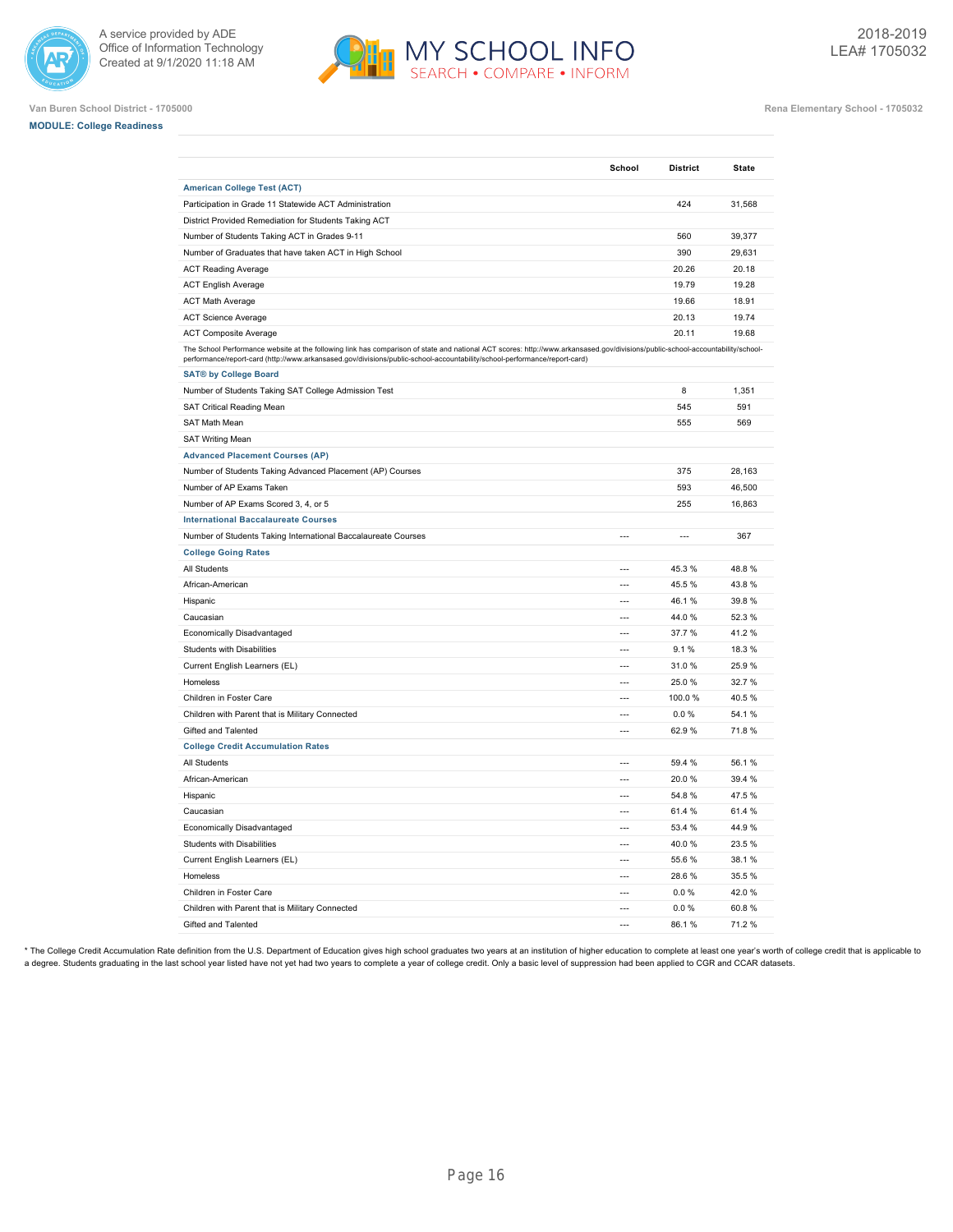





**Van Buren School District - 1705000 Rena Elementary School - 1705032**

|                                                                                                                                                                                                                                                                                                             | School                   | <b>District</b> | <b>State</b> |
|-------------------------------------------------------------------------------------------------------------------------------------------------------------------------------------------------------------------------------------------------------------------------------------------------------------|--------------------------|-----------------|--------------|
| <b>American College Test (ACT)</b>                                                                                                                                                                                                                                                                          |                          |                 |              |
| Participation in Grade 11 Statewide ACT Administration                                                                                                                                                                                                                                                      |                          | 424             | 31,568       |
| District Provided Remediation for Students Taking ACT                                                                                                                                                                                                                                                       |                          |                 |              |
| Number of Students Taking ACT in Grades 9-11                                                                                                                                                                                                                                                                |                          | 560             | 39,377       |
| Number of Graduates that have taken ACT in High School                                                                                                                                                                                                                                                      |                          | 390             | 29,631       |
| <b>ACT Reading Average</b>                                                                                                                                                                                                                                                                                  |                          | 20.26           | 20.18        |
| <b>ACT English Average</b>                                                                                                                                                                                                                                                                                  |                          | 19.79           | 19.28        |
| <b>ACT Math Average</b>                                                                                                                                                                                                                                                                                     |                          | 19.66           | 18.91        |
| <b>ACT Science Average</b>                                                                                                                                                                                                                                                                                  |                          | 20.13           | 19.74        |
| <b>ACT Composite Average</b>                                                                                                                                                                                                                                                                                |                          | 20.11           | 19.68        |
| The School Performance website at the following link has comparison of state and national ACT scores: http://www.arkansased.gov/divisions/public-school-accountability/school-<br>performance/report-card (http://www.arkansased.gov/divisions/public-school-accountability/school-performance/report-card) |                          |                 |              |
| <b>SAT® by College Board</b>                                                                                                                                                                                                                                                                                |                          |                 |              |
| Number of Students Taking SAT College Admission Test                                                                                                                                                                                                                                                        |                          | 8               | 1,351        |
| SAT Critical Reading Mean                                                                                                                                                                                                                                                                                   |                          | 545             | 591          |
| <b>SAT Math Mean</b>                                                                                                                                                                                                                                                                                        |                          | 555             | 569          |
| <b>SAT Writing Mean</b>                                                                                                                                                                                                                                                                                     |                          |                 |              |
| <b>Advanced Placement Courses (AP)</b>                                                                                                                                                                                                                                                                      |                          |                 |              |
| Number of Students Taking Advanced Placement (AP) Courses                                                                                                                                                                                                                                                   |                          | 375             | 28,163       |
| Number of AP Exams Taken                                                                                                                                                                                                                                                                                    |                          | 593             | 46,500       |
| Number of AP Exams Scored 3, 4, or 5                                                                                                                                                                                                                                                                        |                          | 255             | 16,863       |
| <b>International Baccalaureate Courses</b>                                                                                                                                                                                                                                                                  |                          |                 |              |
| Number of Students Taking International Baccalaureate Courses                                                                                                                                                                                                                                               | $\overline{a}$           | $\overline{a}$  | 367          |
| <b>College Going Rates</b>                                                                                                                                                                                                                                                                                  |                          |                 |              |
| All Students                                                                                                                                                                                                                                                                                                | ---                      | 45.3 %          | 48.8%        |
| African-American                                                                                                                                                                                                                                                                                            | $\overline{a}$           | 45.5 %          | 43.8%        |
| Hispanic                                                                                                                                                                                                                                                                                                    | $\overline{a}$           | 46.1 %          | 39.8%        |
| Caucasian                                                                                                                                                                                                                                                                                                   | $\overline{a}$           | 44.0%           | 52.3%        |
| Economically Disadvantaged                                                                                                                                                                                                                                                                                  |                          | 37.7 %          | 41.2%        |
| <b>Students with Disabilities</b>                                                                                                                                                                                                                                                                           | $\overline{a}$           | 9.1%            | 18.3%        |
| Current English Learners (EL)                                                                                                                                                                                                                                                                               | $\overline{a}$           | 31.0%           | 25.9%        |
| Homeless                                                                                                                                                                                                                                                                                                    | ---                      | 25.0%           | 32.7%        |
| Children in Foster Care                                                                                                                                                                                                                                                                                     | $\overline{\phantom{a}}$ | 100.0%          | 40.5%        |
| Children with Parent that is Military Connected                                                                                                                                                                                                                                                             | $\overline{a}$           | 0.0%            | 54.1%        |
| Gifted and Talented                                                                                                                                                                                                                                                                                         | $\overline{a}$           | 62.9%           | 71.8%        |
| <b>College Credit Accumulation Rates</b>                                                                                                                                                                                                                                                                    |                          |                 |              |
| All Students                                                                                                                                                                                                                                                                                                | $\overline{a}$           | 59.4 %          | 56.1%        |
| African-American                                                                                                                                                                                                                                                                                            | ---                      | 20.0 %          | 39.4 %       |
| Hispanic                                                                                                                                                                                                                                                                                                    | ---                      | 54.8%           | 47.5%        |
| Caucasian                                                                                                                                                                                                                                                                                                   | $\overline{\phantom{a}}$ | 61.4 %          | 61.4 %       |
| Economically Disadvantaged                                                                                                                                                                                                                                                                                  | $\overline{a}$           | 53.4 %          | 44.9%        |
| Students with Disabilities                                                                                                                                                                                                                                                                                  | $\overline{a}$           | 40.0%           | 23.5%        |
| Current English Learners (EL)                                                                                                                                                                                                                                                                               |                          | 55.6 %          | 38.1%        |
| Homeless                                                                                                                                                                                                                                                                                                    | $\overline{a}$           | 28.6%           | 35.5%        |
| Children in Foster Care                                                                                                                                                                                                                                                                                     | $\overline{a}$           | 0.0%            | 42.0%        |
| Children with Parent that is Military Connected                                                                                                                                                                                                                                                             | ---                      | 0.0%            | 60.8%        |
| Gifted and Talented                                                                                                                                                                                                                                                                                         |                          | 86.1%           | 71.2%        |

\* The College Credit Accumulation Rate definition from the U.S. Department of Education gives high school graduates two years at an institution of higher education to complete at least one year's worth of college credit th a degree. Students graduating in the last school year listed have not yet had two years to complete a year of college credit. Only a basic level of suppression had been applied to CGR and CCAR datasets.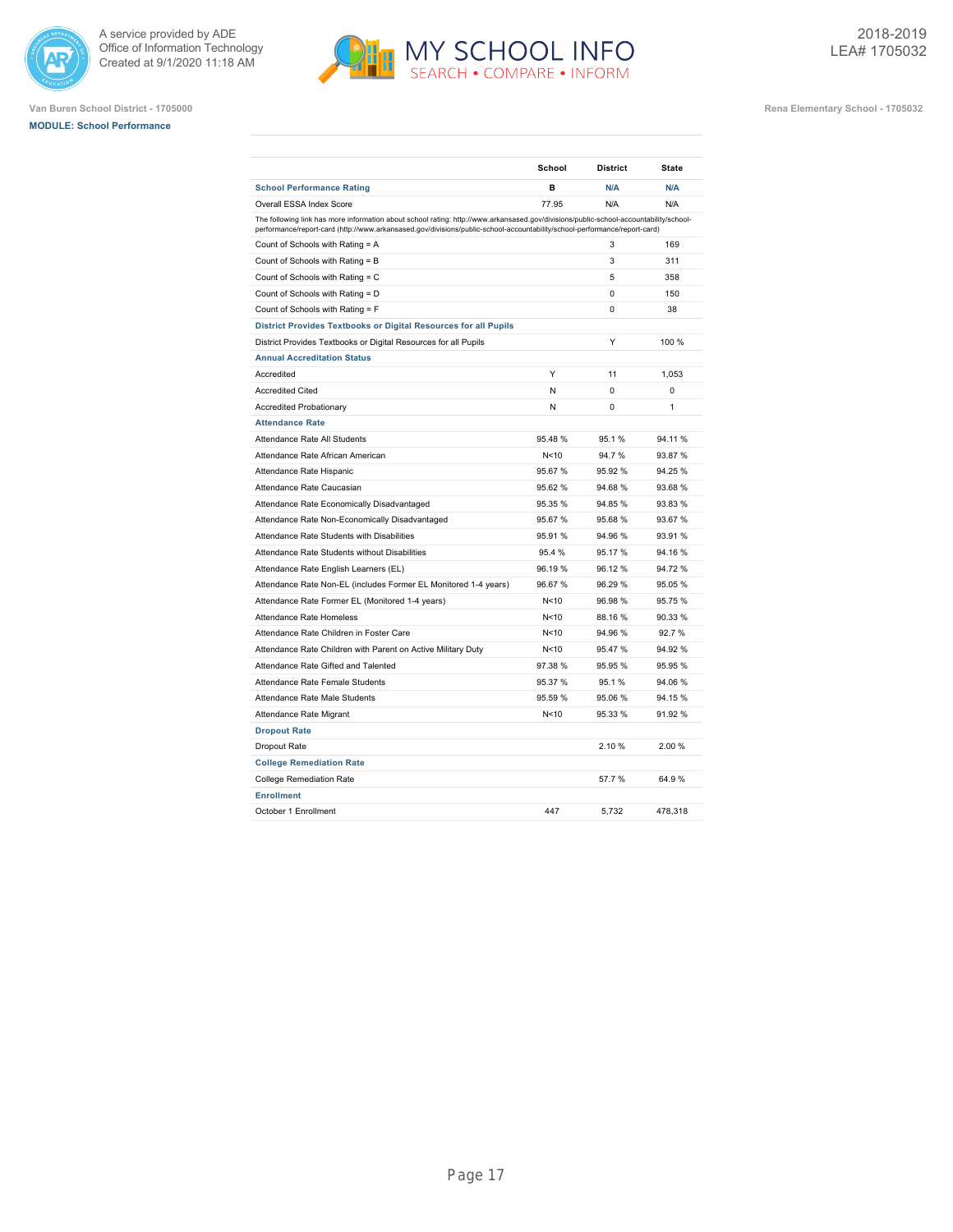





|                                                                                                                                                                                                                                                                    | School          | <b>District</b> | <b>State</b> |
|--------------------------------------------------------------------------------------------------------------------------------------------------------------------------------------------------------------------------------------------------------------------|-----------------|-----------------|--------------|
| <b>School Performance Rating</b>                                                                                                                                                                                                                                   | в               | N/A             | N/A          |
| Overall ESSA Index Score                                                                                                                                                                                                                                           | 77.95           | N/A             | N/A          |
| The following link has more information about school rating: http://www.arkansased.gov/divisions/public-school-accountability/school-<br>performance/report-card (http://www.arkansased.gov/divisions/public-school-accountability/school-performance/report-card) |                 |                 |              |
| Count of Schools with Rating = A                                                                                                                                                                                                                                   |                 | 3               | 169          |
| Count of Schools with Rating = B                                                                                                                                                                                                                                   |                 | 3               | 311          |
| Count of Schools with Rating = C                                                                                                                                                                                                                                   |                 | 5               | 358          |
| Count of Schools with Rating = D                                                                                                                                                                                                                                   |                 | $\Omega$        | 150          |
| Count of Schools with Rating = F                                                                                                                                                                                                                                   |                 | $\Omega$        | 38           |
| District Provides Textbooks or Digital Resources for all Pupils                                                                                                                                                                                                    |                 |                 |              |
| District Provides Textbooks or Digital Resources for all Pupils                                                                                                                                                                                                    |                 | Y               | 100 %        |
| <b>Annual Accreditation Status</b>                                                                                                                                                                                                                                 |                 |                 |              |
| Accredited                                                                                                                                                                                                                                                         | Y               | 11              | 1,053        |
| <b>Accredited Cited</b>                                                                                                                                                                                                                                            | N               | 0               | 0            |
| <b>Accredited Probationary</b>                                                                                                                                                                                                                                     | N               | $\Omega$        | 1            |
| <b>Attendance Rate</b>                                                                                                                                                                                                                                             |                 |                 |              |
| Attendance Rate All Students                                                                                                                                                                                                                                       | 95.48%          | 95.1%           | 94.11%       |
| Attendance Rate African American                                                                                                                                                                                                                                   | N<10            | 94.7%           | 93.87 %      |
| Attendance Rate Hispanic                                                                                                                                                                                                                                           | 95.67 %         | 95.92%          | 94.25 %      |
| Attendance Rate Caucasian                                                                                                                                                                                                                                          | 95.62 %         | 94.68%          | 93.68 %      |
| Attendance Rate Economically Disadvantaged                                                                                                                                                                                                                         | 95.35 %         | 94.85%          | 93.83%       |
| Attendance Rate Non-Economically Disadvantaged                                                                                                                                                                                                                     | 95.67%          | 95.68%          | 93.67 %      |
| Attendance Rate Students with Disabilities                                                                                                                                                                                                                         | 95.91 %         | 94.96%          | 93.91 %      |
| Attendance Rate Students without Disabilities                                                                                                                                                                                                                      | 95.4 %          | 95.17%          | 94.16 %      |
| Attendance Rate English Learners (EL)                                                                                                                                                                                                                              | 96.19 %         | 96.12%          | 94.72%       |
| Attendance Rate Non-EL (includes Former EL Monitored 1-4 years)                                                                                                                                                                                                    | 96.67%          | 96.29%          | 95.05 %      |
| Attendance Rate Former EL (Monitored 1-4 years)                                                                                                                                                                                                                    | N<10            | 96.98%          | 95.75 %      |
| Attendance Rate Homeless                                                                                                                                                                                                                                           | N <sub>10</sub> | 88.16%          | 90.33 %      |
| Attendance Rate Children in Foster Care                                                                                                                                                                                                                            | N<10            | 94.96%          | 92.7%        |
| Attendance Rate Children with Parent on Active Military Duty                                                                                                                                                                                                       | N<10            | 95.47%          | 94.92 %      |
| Attendance Rate Gifted and Talented                                                                                                                                                                                                                                | 97.38 %         | 95.95 %         | 95.95 %      |
| Attendance Rate Female Students                                                                                                                                                                                                                                    | 95.37 %         | 95.1%           | 94.06 %      |
| Attendance Rate Male Students                                                                                                                                                                                                                                      | 95.59 %         | 95.06%          | 94.15 %      |
| Attendance Rate Migrant                                                                                                                                                                                                                                            | N<10            | 95.33 %         | 91.92 %      |
| <b>Dropout Rate</b>                                                                                                                                                                                                                                                |                 |                 |              |
| Dropout Rate                                                                                                                                                                                                                                                       |                 | 2.10%           | 2.00%        |
| <b>College Remediation Rate</b>                                                                                                                                                                                                                                    |                 |                 |              |
| <b>College Remediation Rate</b>                                                                                                                                                                                                                                    |                 | 57.7%           | 64.9%        |
| <b>Enrollment</b>                                                                                                                                                                                                                                                  |                 |                 |              |
| October 1 Enrollment                                                                                                                                                                                                                                               | 447             | 5.732           | 478,318      |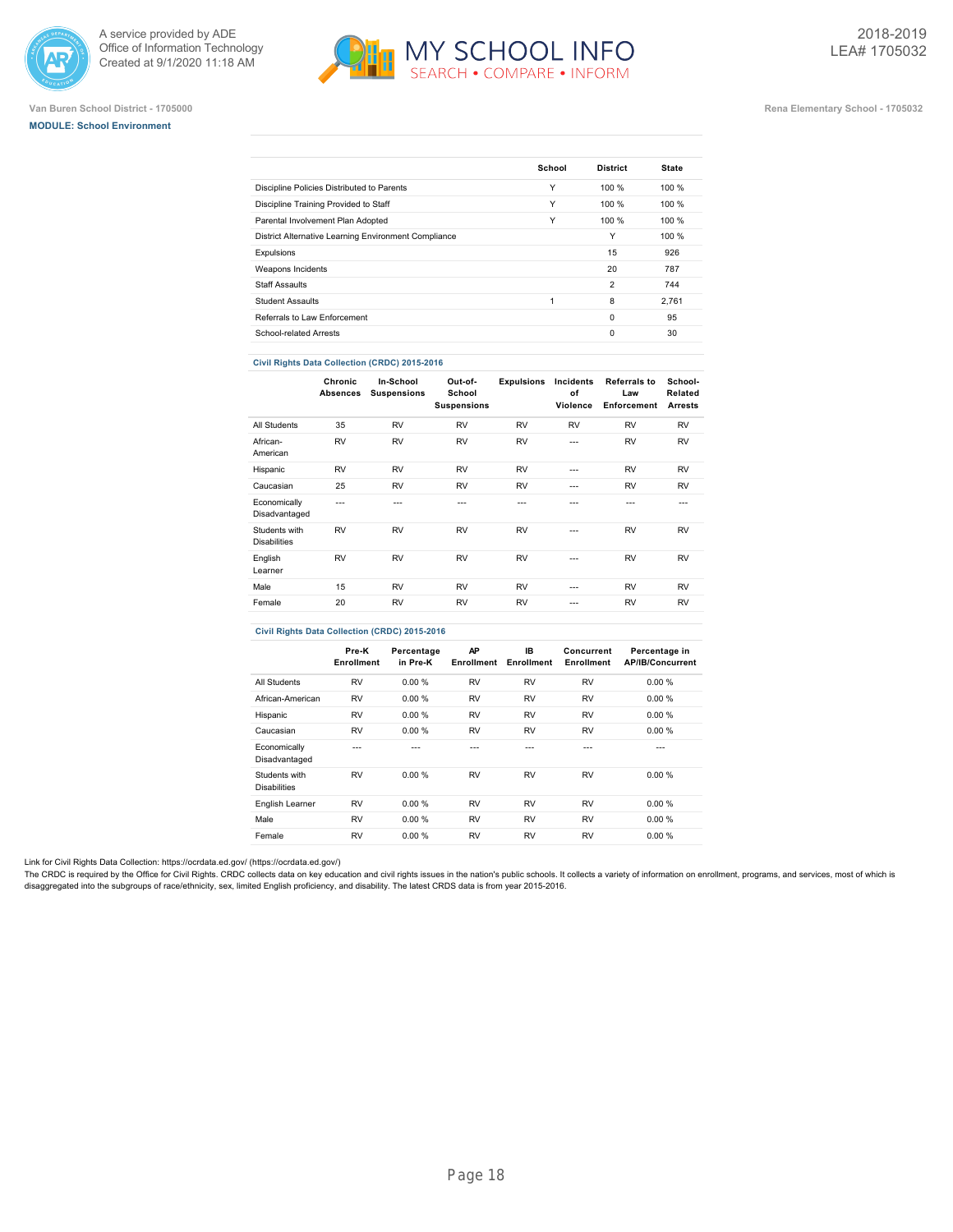





#### **Van Buren School District - 1705000 Rena Elementary School - 1705032**

|                                                      | School | <b>District</b> | <b>State</b> |
|------------------------------------------------------|--------|-----------------|--------------|
| Discipline Policies Distributed to Parents           | Υ      | 100 %           | 100%         |
| Discipline Training Provided to Staff                | Υ      | 100 %           | 100%         |
| Parental Involvement Plan Adopted                    | Υ      | 100 %           | 100%         |
| District Alternative Learning Environment Compliance |        | Υ               | 100%         |
| Expulsions                                           |        | 15              | 926          |
| Weapons Incidents                                    |        | 20              | 787          |
| <b>Staff Assaults</b>                                |        | $\overline{2}$  | 744          |
| <b>Student Assaults</b>                              | 1      | 8               | 2.761        |
| Referrals to Law Enforcement                         |        | $\Omega$        | 95           |
| School-related Arrests                               |        | $\Omega$        | 30           |
|                                                      |        |                 |              |

#### **Civil Rights Data Collection (CRDC) 2015-2016**

|                                      | Chronic<br>Absences | In-School<br><b>Suspensions</b> | Out-of-<br>School<br><b>Suspensions</b> | <b>Expulsions</b> | Incidents<br>of<br>Violence | <b>Referrals to</b><br>Law<br>Enforcement | School-<br>Related<br><b>Arrests</b> |
|--------------------------------------|---------------------|---------------------------------|-----------------------------------------|-------------------|-----------------------------|-------------------------------------------|--------------------------------------|
| All Students                         | 35                  | <b>RV</b>                       | <b>RV</b>                               | <b>RV</b>         | <b>RV</b>                   | <b>RV</b>                                 | <b>RV</b>                            |
| African-<br>American                 | <b>RV</b>           | <b>RV</b>                       | <b>RV</b>                               | <b>RV</b>         | $- - -$                     | <b>RV</b>                                 | <b>RV</b>                            |
| Hispanic                             | <b>RV</b>           | <b>RV</b>                       | <b>RV</b>                               | <b>RV</b>         | $- - -$                     | <b>RV</b>                                 | <b>RV</b>                            |
| Caucasian                            | 25                  | <b>RV</b>                       | <b>RV</b>                               | <b>RV</b>         | ---                         | <b>RV</b>                                 | <b>RV</b>                            |
| Economically<br>Disadvantaged        | ---                 | ---                             | ---                                     | ---               | ---                         | ---                                       | $- - -$                              |
| Students with<br><b>Disabilities</b> | <b>RV</b>           | <b>RV</b>                       | <b>RV</b>                               | <b>RV</b>         | ---                         | <b>RV</b>                                 | <b>RV</b>                            |
| English<br>Learner                   | <b>RV</b>           | <b>RV</b>                       | <b>RV</b>                               | <b>RV</b>         | $- - -$                     | <b>RV</b>                                 | <b>RV</b>                            |
| Male                                 | 15                  | <b>RV</b>                       | <b>RV</b>                               | <b>RV</b>         | ---                         | <b>RV</b>                                 | <b>RV</b>                            |
| Female                               | 20                  | <b>RV</b>                       | <b>RV</b>                               | <b>RV</b>         | ---                         | <b>RV</b>                                 | <b>RV</b>                            |
|                                      |                     |                                 |                                         |                   |                             |                                           |                                      |

### **Civil Rights Data Collection (CRDC) 2015-2016**

|                                      | Pre-K<br>Enrollment | Percentage<br>in Pre-K | AP<br><b>Enrollment</b> | IB.<br>Enrollment | Concurrent<br>Enrollment | Percentage in<br><b>AP/IB/Concurrent</b> |
|--------------------------------------|---------------------|------------------------|-------------------------|-------------------|--------------------------|------------------------------------------|
| All Students                         | <b>RV</b>           | 0.00%                  | <b>RV</b>               | <b>RV</b>         | <b>RV</b>                | 0.00%                                    |
| African-American                     | <b>RV</b>           | 0.00%                  | <b>RV</b>               | <b>RV</b>         | <b>RV</b>                | 0.00%                                    |
| Hispanic                             | <b>RV</b>           | 0.00%                  | <b>RV</b>               | <b>RV</b>         | <b>RV</b>                | 0.00%                                    |
| Caucasian                            | <b>RV</b>           | 0.00%                  | <b>RV</b>               | <b>RV</b>         | <b>RV</b>                | 0.00%                                    |
| Economically<br>Disadvantaged        | ---                 |                        | ---                     | ---               | ---                      | ---                                      |
| Students with<br><b>Disabilities</b> | <b>RV</b>           | 0.00%                  | <b>RV</b>               | <b>RV</b>         | <b>RV</b>                | 0.00%                                    |
| English Learner                      | <b>RV</b>           | 0.00 %                 | <b>RV</b>               | <b>RV</b>         | <b>RV</b>                | 0.00%                                    |
| Male                                 | <b>RV</b>           | 0.00%                  | <b>RV</b>               | <b>RV</b>         | <b>RV</b>                | 0.00%                                    |
| Female                               | <b>RV</b>           | 0.00%                  | <b>RV</b>               | <b>RV</b>         | <b>RV</b>                | 0.00%                                    |

Link for Civil Rights Data Collection: [https://ocrdata.ed.gov/ \(https://ocrdata.ed.gov/\)](https://ocrdata.ed.gov/)

The CRDC is required by the Office for Civil Rights. CRDC collects data on key education and civil rights issues in the nation's public schools. It collects a variety of information on enrollment, programs, and services, m disaggregated into the subgroups of race/ethnicity, sex, limited English proficiency, and disability. The latest CRDS data is from year 2015-2016.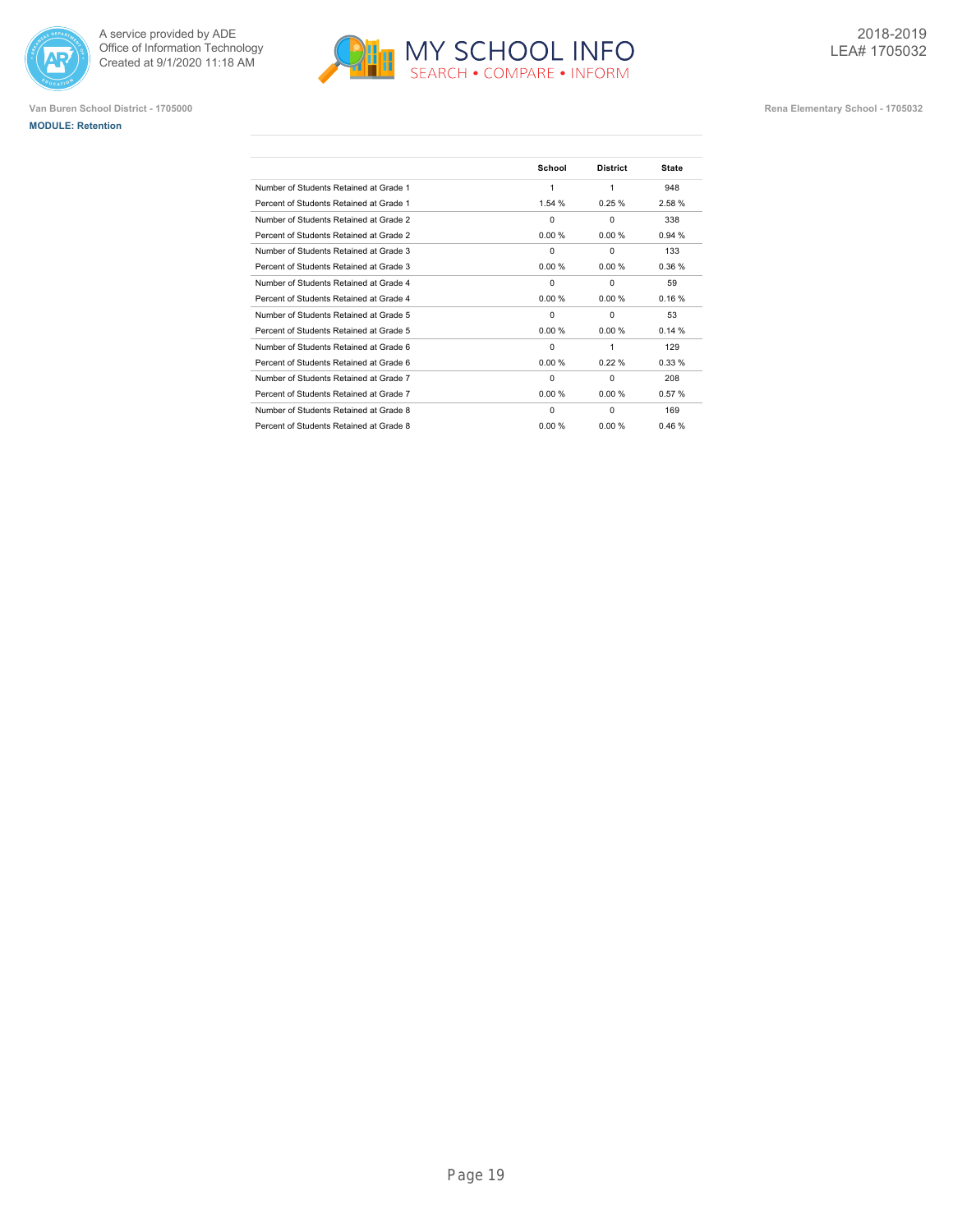





|                                         | School   | <b>District</b> | <b>State</b> |
|-----------------------------------------|----------|-----------------|--------------|
| Number of Students Retained at Grade 1  | 1        | 1               | 948          |
| Percent of Students Retained at Grade 1 | 1.54 %   | 0.25%           | 2.58%        |
| Number of Students Retained at Grade 2  | $\Omega$ | $\Omega$        | 338          |
| Percent of Students Retained at Grade 2 | 0.00%    | 0.00%           | 0.94%        |
| Number of Students Retained at Grade 3  | $\Omega$ | $\Omega$        | 133          |
| Percent of Students Retained at Grade 3 | 0.00%    | 0.00%           | 0.36%        |
| Number of Students Retained at Grade 4  | $\Omega$ | $\Omega$        | 59           |
| Percent of Students Retained at Grade 4 | 0.00 %   | 0.00%           | 0.16%        |
| Number of Students Retained at Grade 5  | $\Omega$ | $\Omega$        | 53           |
| Percent of Students Retained at Grade 5 | 0.00 %   | 0.00%           | 0.14%        |
| Number of Students Retained at Grade 6  | $\Omega$ | 1               | 129          |
| Percent of Students Retained at Grade 6 | 0.00 %   | 0.22%           | 0.33%        |
| Number of Students Retained at Grade 7  | $\Omega$ | 0               | 208          |
| Percent of Students Retained at Grade 7 | 0.00 %   | 0.00%           | 0.57%        |
| Number of Students Retained at Grade 8  | $\Omega$ | $\Omega$        | 169          |
| Percent of Students Retained at Grade 8 | 0.00 %   | 0.00%           | 0.46%        |
|                                         |          |                 |              |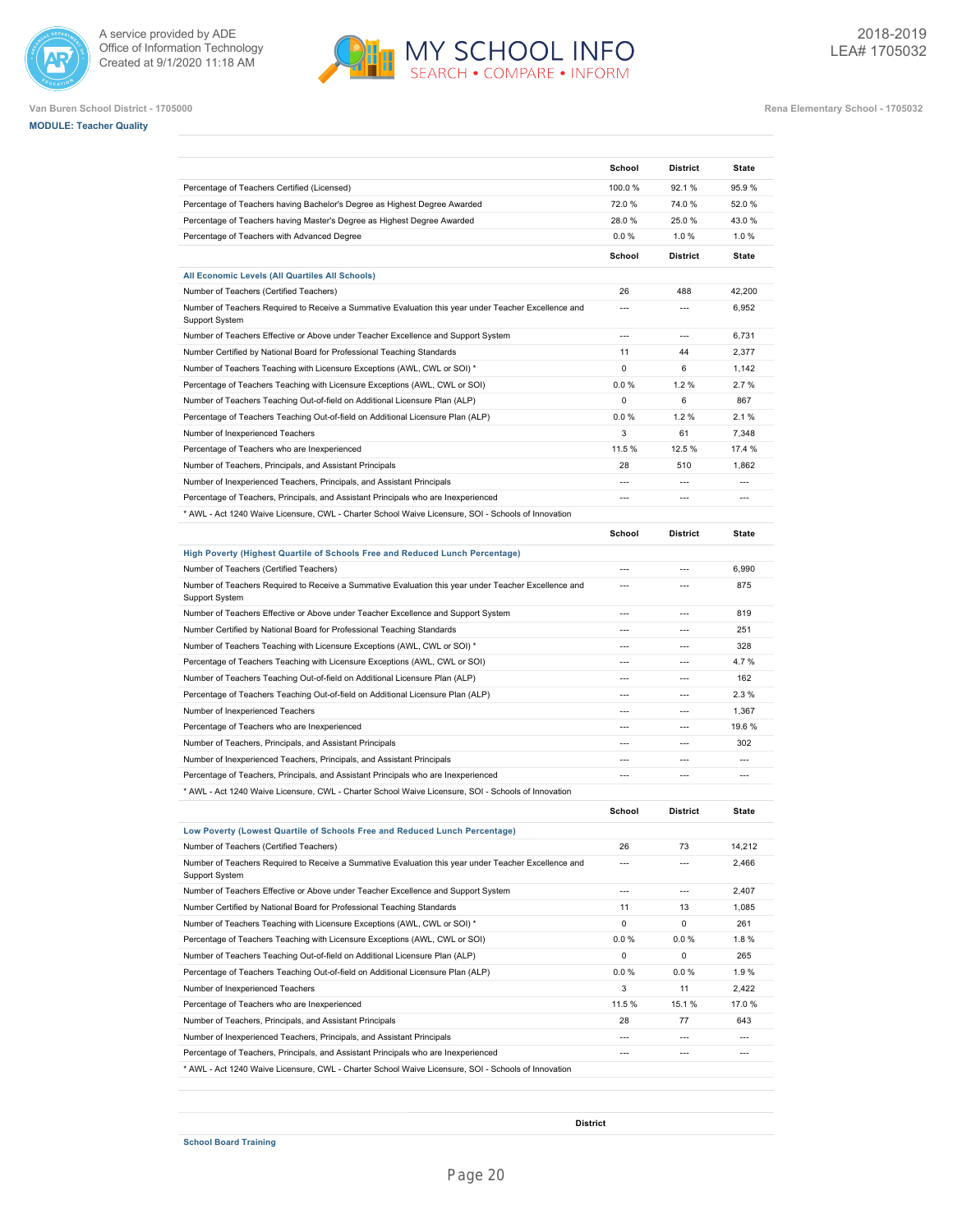







|                                                                                                                                                              | School                                     | <b>District</b>                                      | State                 |
|--------------------------------------------------------------------------------------------------------------------------------------------------------------|--------------------------------------------|------------------------------------------------------|-----------------------|
| Percentage of Teachers Certified (Licensed)                                                                                                                  | 100.0%                                     | 92.1 %                                               | 95.9%                 |
| Percentage of Teachers having Bachelor's Degree as Highest Degree Awarded                                                                                    | 72.0%                                      | 74.0%                                                | 52.0%                 |
| Percentage of Teachers having Master's Degree as Highest Degree Awarded                                                                                      | 28.0%                                      | 25.0%                                                | 43.0%                 |
| Percentage of Teachers with Advanced Degree                                                                                                                  | 0.0%                                       | 1.0%                                                 | 1.0%                  |
|                                                                                                                                                              | School                                     | <b>District</b>                                      | <b>State</b>          |
| All Economic Levels (All Quartiles All Schools)                                                                                                              |                                            |                                                      |                       |
| Number of Teachers (Certified Teachers)                                                                                                                      | 26                                         | 488                                                  | 42,200                |
| Number of Teachers Required to Receive a Summative Evaluation this year under Teacher Excellence and<br>Support System                                       | $\overline{a}$                             | $\overline{a}$                                       | 6,952                 |
| Number of Teachers Effective or Above under Teacher Excellence and Support System                                                                            | $---$                                      | $\overline{a}$                                       | 6,731                 |
| Number Certified by National Board for Professional Teaching Standards                                                                                       | 11                                         | 44                                                   | 2,377                 |
| Number of Teachers Teaching with Licensure Exceptions (AWL, CWL or SOI) *                                                                                    | $\Omega$                                   | 6                                                    | 1,142                 |
| Percentage of Teachers Teaching with Licensure Exceptions (AWL, CWL or SOI)                                                                                  | 0.0 %                                      | 1.2%                                                 | 2.7%                  |
| Number of Teachers Teaching Out-of-field on Additional Licensure Plan (ALP)                                                                                  | $\mathbf 0$                                | 6                                                    | 867                   |
| Percentage of Teachers Teaching Out-of-field on Additional Licensure Plan (ALP)                                                                              | 0.0%                                       | 1.2%                                                 | 2.1%                  |
| Number of Inexperienced Teachers                                                                                                                             | 3                                          | 61                                                   | 7.348                 |
| Percentage of Teachers who are Inexperienced                                                                                                                 | 11.5%                                      | 12.5 %                                               | 17.4 %                |
| Number of Teachers, Principals, and Assistant Principals                                                                                                     | 28                                         | 510                                                  | 1,862                 |
| Number of Inexperienced Teachers, Principals, and Assistant Principals                                                                                       | $\overline{a}$                             | $\overline{a}$                                       | $\overline{a}$        |
| Percentage of Teachers, Principals, and Assistant Principals who are Inexperienced                                                                           | $\overline{a}$                             | $\overline{a}$                                       | $\overline{a}$        |
| * AWL - Act 1240 Waive Licensure, CWL - Charter School Waive Licensure, SOI - Schools of Innovation                                                          |                                            |                                                      |                       |
|                                                                                                                                                              | School                                     | <b>District</b>                                      | <b>State</b>          |
| High Poverty (Highest Quartile of Schools Free and Reduced Lunch Percentage)                                                                                 |                                            |                                                      |                       |
| Number of Teachers (Certified Teachers)                                                                                                                      | $---$                                      | $---$                                                | 6,990                 |
| Number of Teachers Required to Receive a Summative Evaluation this year under Teacher Excellence and<br>Support System                                       | ---                                        | $\overline{a}$                                       | 875                   |
| Number of Teachers Effective or Above under Teacher Excellence and Support System                                                                            | ---                                        | $\overline{a}$                                       | 819                   |
| Number Certified by National Board for Professional Teaching Standards                                                                                       | $\overline{a}$                             | $\overline{a}$                                       | 251                   |
| Number of Teachers Teaching with Licensure Exceptions (AWL, CWL or SOI) *                                                                                    | $---$                                      | $---$                                                | 328                   |
| Percentage of Teachers Teaching with Licensure Exceptions (AWL, CWL or SOI)                                                                                  | $\overline{a}$                             | $\overline{a}$                                       | 4.7%                  |
| Number of Teachers Teaching Out-of-field on Additional Licensure Plan (ALP)                                                                                  |                                            | $\overline{a}$                                       | 162                   |
| Percentage of Teachers Teaching Out-of-field on Additional Licensure Plan (ALP)                                                                              | $\overline{a}$                             | $\overline{a}$                                       | 2.3%                  |
| Number of Inexperienced Teachers                                                                                                                             | $\overline{a}$                             | $\overline{a}$                                       | 1,367                 |
| Percentage of Teachers who are Inexperienced                                                                                                                 | ---                                        | $\overline{a}$                                       | 19.6%                 |
| Number of Teachers, Principals, and Assistant Principals                                                                                                     |                                            | $\overline{a}$                                       | 302                   |
| Number of Inexperienced Teachers, Principals, and Assistant Principals                                                                                       | $\overline{a}$                             | $\overline{a}$                                       | $\overline{a}$        |
| Percentage of Teachers, Principals, and Assistant Principals who are Inexperienced                                                                           | $\overline{a}$                             | $\overline{a}$                                       | $\overline{a}$        |
| MWL - Act 1240 Waive Licensure, CWL - Charter School Waive Licensure, SOI - Schools of Innovation *                                                          |                                            |                                                      |                       |
|                                                                                                                                                              | School                                     | <b>District</b>                                      | <b>State</b>          |
| Low Poverty (Lowest Quartile of Schools Free and Reduced Lunch Percentage)                                                                                   |                                            |                                                      |                       |
| Number of Teachers (Certified Teachers)                                                                                                                      | 26                                         | 73                                                   | 14,212                |
| Number of Teachers Required to Receive a Summative Evaluation this year under Teacher Excellence and<br>Support System                                       | $---$                                      | $\overline{a}$                                       | 2,466                 |
| Number of Teachers Effective or Above under Teacher Excellence and Support System                                                                            | $\overline{a}$                             | $\overline{\phantom{a}}$                             | 2,407                 |
| Number Certified by National Board for Professional Teaching Standards                                                                                       | 11                                         | 13                                                   | 1,085                 |
| Number of Teachers Teaching with Licensure Exceptions (AWL, CWL or SOI) *                                                                                    | $\mathbf 0$                                | 0                                                    | 261                   |
| Percentage of Teachers Teaching with Licensure Exceptions (AWL, CWL or SOI)                                                                                  | $0.0 \%$                                   | $0.0 \%$                                             | 1.8%                  |
| Number of Teachers Teaching Out-of-field on Additional Licensure Plan (ALP)                                                                                  | $\mathbf 0$                                | 0                                                    | 265                   |
| Percentage of Teachers Teaching Out-of-field on Additional Licensure Plan (ALP)                                                                              | $0.0 \%$                                   | 0.0 %                                                | 1.9%                  |
| Number of Inexperienced Teachers                                                                                                                             | 3                                          | 11                                                   | 2,422                 |
| Percentage of Teachers who are Inexperienced                                                                                                                 | 11.5%                                      | 15.1 %                                               | 17.0%                 |
|                                                                                                                                                              | 28                                         | 77                                                   | 643                   |
| Number of Teachers, Principals, and Assistant Principals                                                                                                     |                                            |                                                      |                       |
| Number of Inexperienced Teachers, Principals, and Assistant Principals<br>Percentage of Teachers, Principals, and Assistant Principals who are Inexperienced | $\overline{a}$<br>$\overline{\phantom{a}}$ | $\overline{\phantom{a}}$<br>$\overline{\phantom{a}}$ | $\overline{a}$<br>--- |

**District**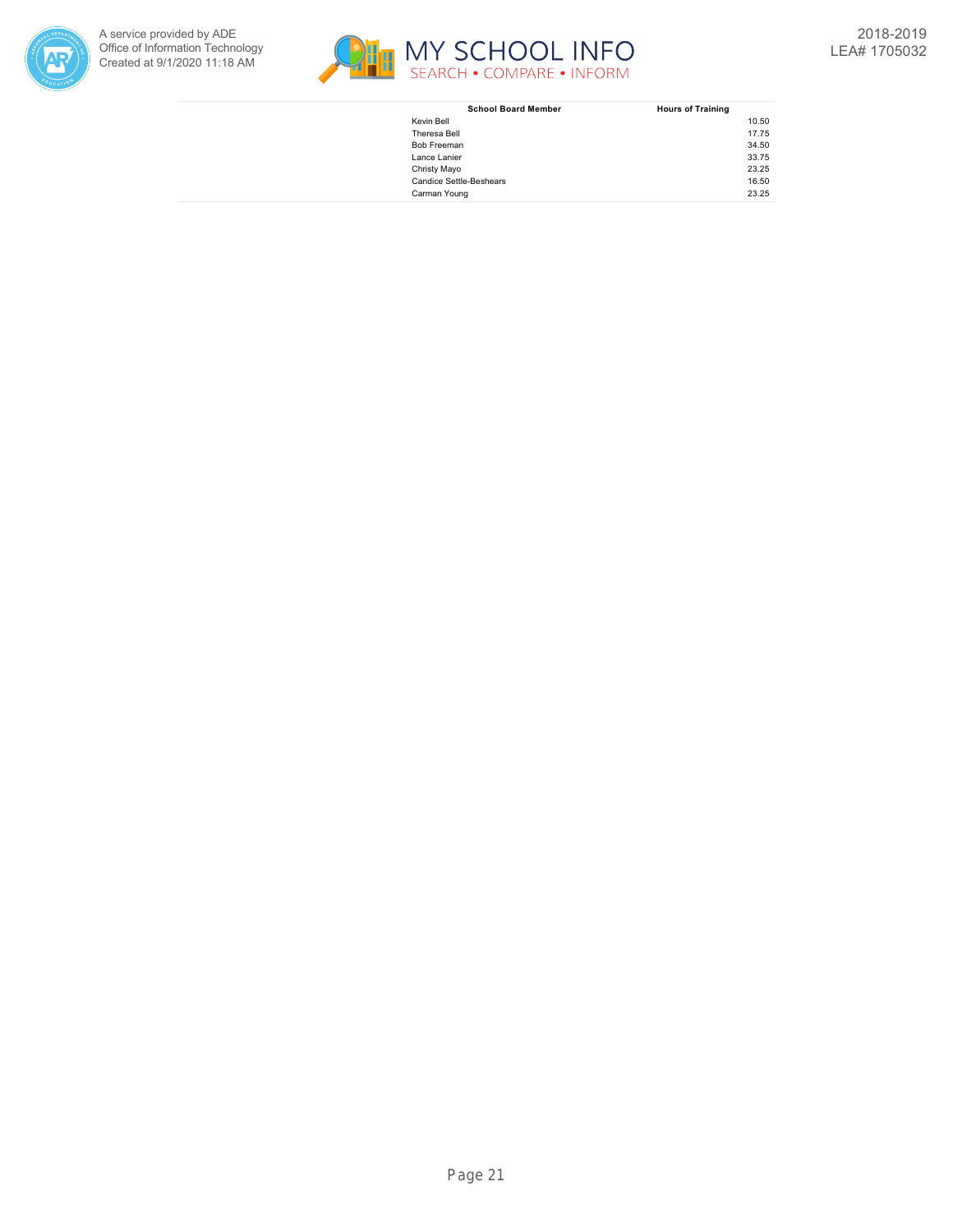



| <b>School Board Member</b>     | <b>Hours of Training</b> |
|--------------------------------|--------------------------|
| Kevin Bell                     | 10.50                    |
| Theresa Bell                   | 17.75                    |
| <b>Bob Freeman</b>             | 34.50                    |
| Lance Lanier                   | 33.75                    |
| Christy Mayo                   | 23.25                    |
| <b>Candice Settle-Beshears</b> | 16.50                    |
| Carman Young                   | 23.25                    |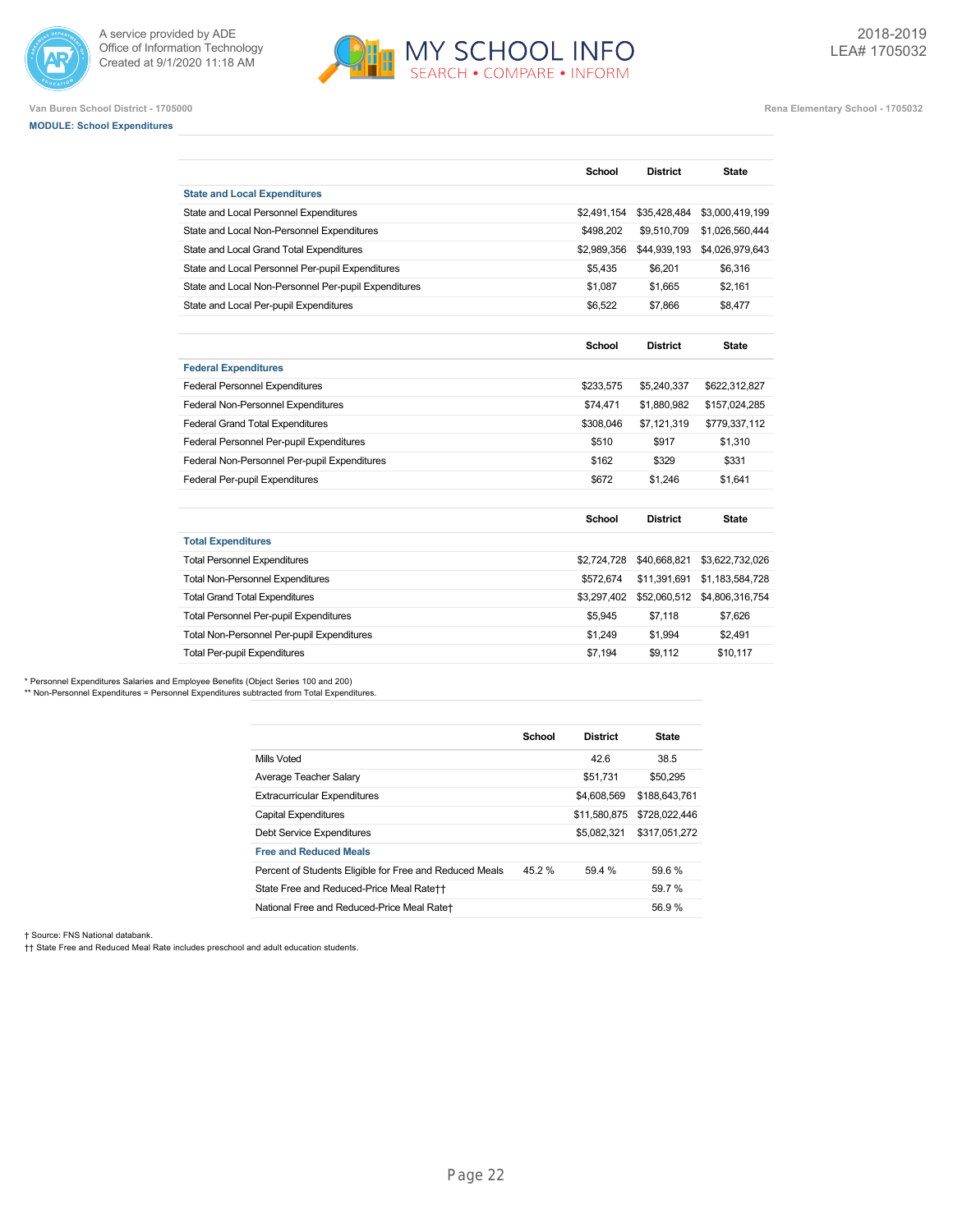



**Van Buren School District - 1705000 Rena Elementary School - 1705032**

# **MODULE: School Expenditures**

|                                                      | School        | <b>District</b> | <b>State</b>    |
|------------------------------------------------------|---------------|-----------------|-----------------|
| <b>State and Local Expenditures</b>                  |               |                 |                 |
| State and Local Personnel Expenditures               | \$2,491,154   | \$35,428,484    | \$3,000,419,199 |
| State and Local Non-Personnel Expenditures           | \$498,202     | \$9,510,709     | \$1,026,560,444 |
| State and Local Grand Total Expenditures             | \$2,989,356   | \$44,939,193    | \$4,026,979,643 |
| State and Local Personnel Per-pupil Expenditures     | \$5,435       | \$6,201         | \$6,316         |
| State and Local Non-Personnel Per-pupil Expenditures | \$1,087       | \$1.665         | \$2,161         |
| State and Local Per-pupil Expenditures               | \$6,522       | \$7,866         | \$8,477         |
|                                                      |               |                 |                 |
|                                                      | <b>School</b> | <b>District</b> | <b>State</b>    |
| <b>Federal Expenditures</b>                          |               |                 |                 |
| <b>Federal Personnel Expenditures</b>                | \$233,575     | \$5,240,337     | \$622,312,827   |
| Federal Non-Personnel Expenditures                   | \$74,471      | \$1,880,982     | \$157,024,285   |
| <b>Federal Grand Total Expenditures</b>              | \$308,046     | \$7,121,319     | \$779,337,112   |
| Federal Personnel Per-pupil Expenditures             | \$510         | \$917           | \$1.310         |
| Federal Non-Personnel Per-pupil Expenditures         | \$162         | \$329           | \$331           |
| Federal Per-pupil Expenditures                       | \$672         | \$1.246         | \$1.641         |
|                                                      | <b>School</b> | <b>District</b> | <b>State</b>    |
| <b>Total Expenditures</b>                            |               |                 |                 |
| <b>Total Personnel Expenditures</b>                  | \$2,724,728   | \$40,668,821    | \$3,622,732,026 |
| <b>Total Non-Personnel Expenditures</b>              | \$572,674     | \$11,391,691    | \$1,183,584,728 |
| <b>Total Grand Total Expenditures</b>                | \$3,297,402   | \$52,060,512    | \$4,806,316,754 |
| <b>Total Personnel Per-pupil Expenditures</b>        | \$5,945       | \$7,118         | \$7,626         |
| Total Non-Personnel Per-pupil Expenditures           | \$1,249       | \$1,994         | \$2,491         |
| <b>Total Per-pupil Expenditures</b>                  | \$7,194       | \$9.112         | \$10.117        |

\* Personnel Expenditures Salaries and Employee Benefits (Object Series 100 and 200)

\*\* Non-Personnel Expenditures = Personnel Expenditures subtracted from Total Expenditures.

|                                                         | School | <b>District</b> | <b>State</b>  |
|---------------------------------------------------------|--------|-----------------|---------------|
| Mills Voted                                             |        | 42.6            | 38.5          |
| Average Teacher Salary                                  |        | \$51.731        | \$50,295      |
| <b>Extracurricular Expenditures</b>                     |        | \$4,608,569     | \$188,643,761 |
| <b>Capital Expenditures</b>                             |        | \$11.580.875    | \$728,022,446 |
| Debt Service Expenditures                               |        | \$5,082,321     | \$317.051.272 |
| <b>Free and Reduced Meals</b>                           |        |                 |               |
| Percent of Students Eligible for Free and Reduced Meals | 45.2%  | 59.4 %          | 59.6 %        |
| State Free and Reduced-Price Meal Rate++                |        |                 | 59.7 %        |
| National Free and Reduced-Price Meal Rate+              |        |                 | 56.9%         |

† Source: FNS National databank.

†† State Free and Reduced Meal Rate includes preschool and adult education students.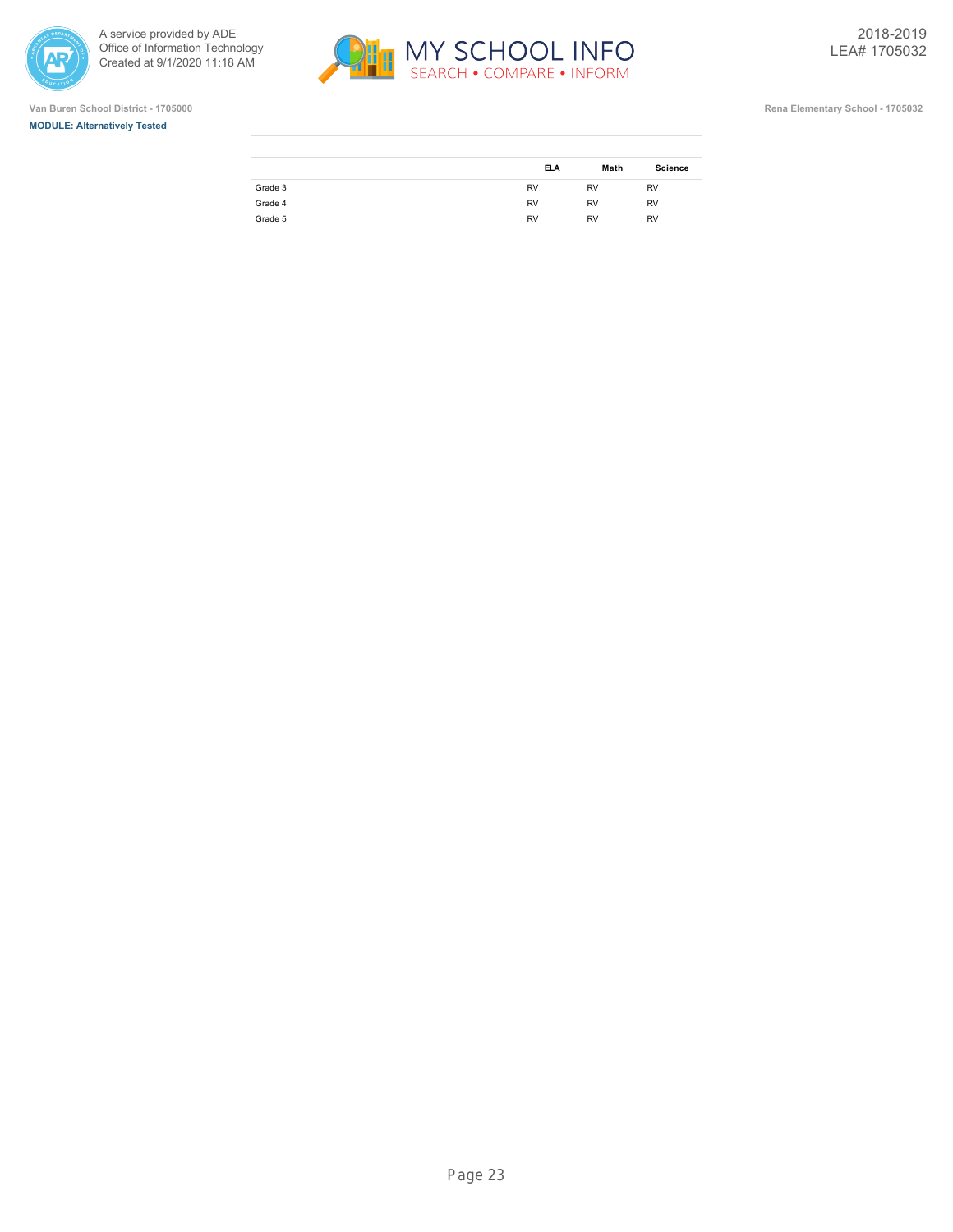

> i, ł.







|         | <b>ELA</b> | Math      | <b>Science</b> |
|---------|------------|-----------|----------------|
| Grade 3 | <b>RV</b>  | <b>RV</b> | <b>RV</b>      |
| Grade 4 | <b>RV</b>  | <b>RV</b> | <b>RV</b>      |
| Grade 5 | <b>RV</b>  | <b>RV</b> | <b>RV</b>      |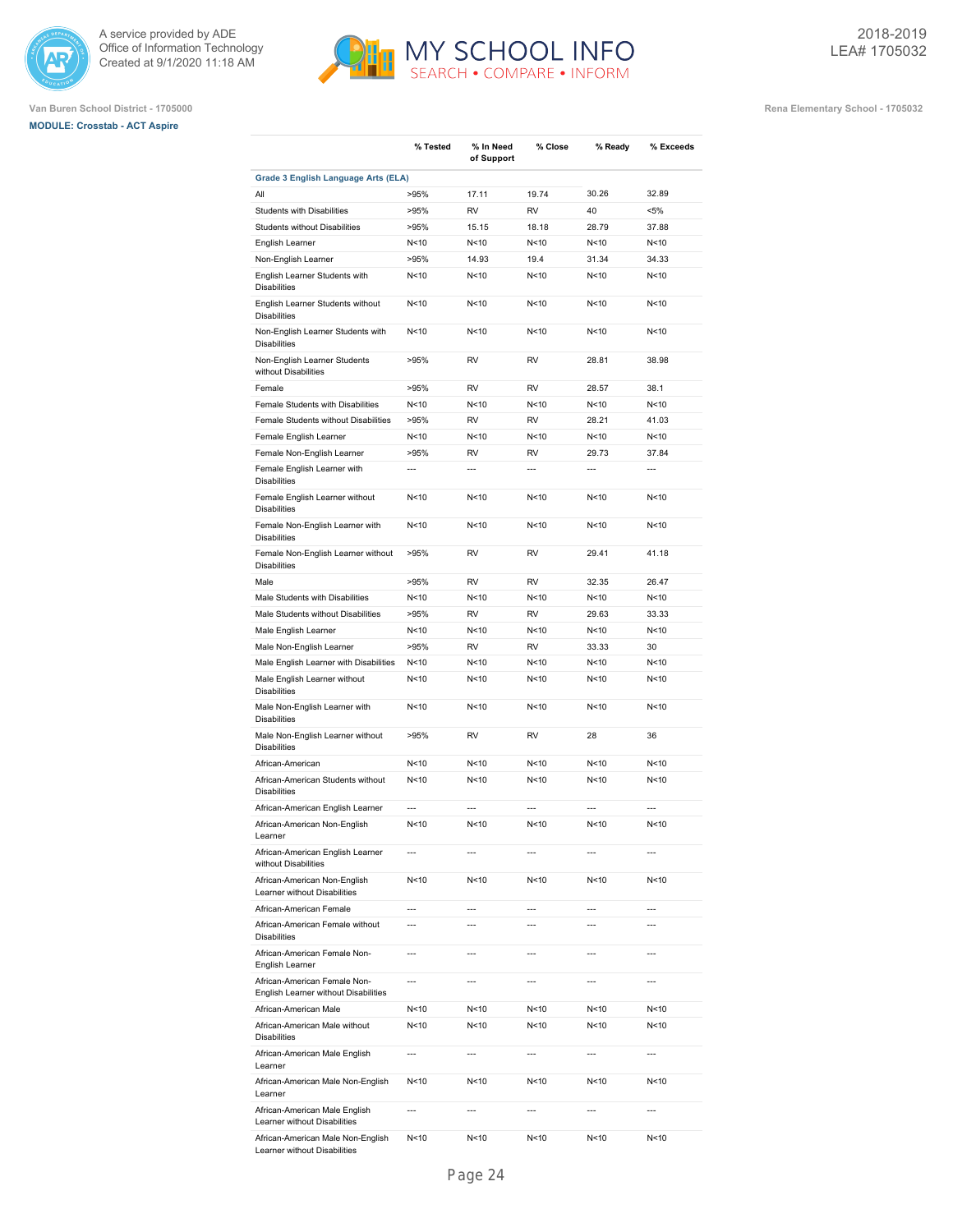





|                                                                      | % Tested        | % In Need<br>of Support | % Close        | % Ready         | % Exceeds      |
|----------------------------------------------------------------------|-----------------|-------------------------|----------------|-----------------|----------------|
| Grade 3 English Language Arts (ELA)                                  |                 |                         |                |                 |                |
| All                                                                  | >95%            | 17.11                   | 19.74          | 30.26           | 32.89          |
| <b>Students with Disabilities</b>                                    | >95%            | RV                      | RV             | 40              | $< 5\%$        |
| Students without Disabilities                                        | >95%            | 15.15                   | 18.18          | 28.79           | 37.88          |
| English Learner                                                      | N<10            | N<10                    | N<10           | N < 10          | N<10           |
| Non-English Learner                                                  | >95%            | 14.93                   | 19.4           | 31.34           | 34.33          |
| English Learner Students with<br><b>Disabilities</b>                 | N < 10          | N<10                    | N<10           | N < 10          | N<10           |
| English Learner Students without<br><b>Disabilities</b>              | N < 10          | N<10                    | N < 10         | N <sub>10</sub> | N<10           |
| Non-English Learner Students with<br><b>Disabilities</b>             | N < 10          | N<10                    | N < 10         | N < 10          | N<10           |
| Non-English Learner Students<br>without Disabilities                 | >95%            | <b>RV</b>               | <b>RV</b>      | 28.81           | 38.98          |
| Female                                                               | >95%            | RV                      | RV             | 28.57           | 38.1           |
| Female Students with Disabilities                                    | N<10            | N<10                    | N < 10         | N < 10          | N<10           |
| Female Students without Disabilities                                 | >95%            | RV                      | <b>RV</b>      | 28.21           | 41.03          |
| Female English Learner                                               | N < 10          | N<10                    | N < 10         | N < 10          | N<10           |
| Female Non-English Learner                                           | >95%            | <b>RV</b>               | <b>RV</b>      | 29.73           | 37.84          |
| Female English Learner with<br><b>Disabilities</b>                   | ---             | $\overline{a}$          | $\overline{a}$ | $\overline{a}$  | ---            |
| Female English Learner without<br><b>Disabilities</b>                | N < 10          | N<10                    | N<10           | N < 10          | N<10           |
| Female Non-English Learner with<br><b>Disabilities</b>               | N < 10          | N<10                    | N<10           | N<10            | N<10           |
| Female Non-English Learner without<br><b>Disabilities</b>            | >95%            | RV                      | <b>RV</b>      | 29.41           | 41.18          |
| Male                                                                 | >95%            | RV                      | RV             | 32.35           | 26.47          |
| Male Students with Disabilities                                      | N<10            | N<10                    | N<10           | N < 10          | N<10           |
| Male Students without Disabilities                                   | >95%            | RV                      | <b>RV</b>      | 29.63           | 33.33          |
| Male English Learner                                                 | N < 10          | N<10                    | N<10           | N < 10          | N<10           |
| Male Non-English Learner                                             | >95%            | <b>RV</b>               | <b>RV</b>      | 33.33           | 30             |
| Male English Learner with Disabilities                               | N < 10          | N<10                    | N<10           | N < 10          | N<10           |
| Male English Learner without<br><b>Disabilities</b>                  | N < 10          | N<10                    | N<10           | N<10            | N<10           |
| Male Non-English Learner with<br><b>Disabilities</b>                 | N < 10          | N<10                    | N<10           | N <sub>10</sub> | N<10           |
| Male Non-English Learner without<br><b>Disabilities</b>              | >95%            | <b>RV</b>               | <b>RV</b>      | 28              | 36             |
| African-American                                                     | N < 10          | N<10                    | N<10           | N < 10          | N<10           |
| African-American Students without<br><b>Disabilities</b>             | N<10            | N<10                    | N<10           | N < 10          | N<10           |
| African-American English Learner                                     | ---             | $\overline{a}$          | $\overline{a}$ | $\overline{a}$  | $\overline{a}$ |
| African-American Non-English<br>Learner                              | N<10            | N<10                    | N<10           | N<10            | N<10           |
| African-American English Learner<br>without Disabilities             | $\overline{a}$  | $\overline{a}$          | $\overline{a}$ | $\overline{a}$  | $\overline{a}$ |
| African-American Non-English<br>Learner without Disabilities         | N<10            | N<10                    | N<10           | N < 10          | N<10           |
| African-American Female                                              | ---             | $\overline{a}$          | $\overline{a}$ | ---             | $\overline{a}$ |
| African-American Female without<br><b>Disabilities</b>               | ---             | ---                     | ---            | ---             | ---            |
| African-American Female Non-<br>English Learner                      | ---             | ---                     | ---            | ---             | ---            |
| African-American Female Non-<br>English Learner without Disabilities | ---             | ---                     | ---            | $\overline{a}$  | $\overline{a}$ |
| African-American Male                                                | N<10            | N<10                    | N < 10         | N < 10          | N<10           |
| African-American Male without<br><b>Disabilities</b>                 | N<10            | N<10                    | N<10           | N<10            | N<10           |
| African-American Male English<br>Learner                             | $\overline{a}$  | $\overline{a}$          | $\overline{a}$ | $\overline{a}$  | $\overline{a}$ |
| African-American Male Non-English<br>Learner                         | N<10            | N<10                    | N < 10         | N < 10          | N<10           |
| African-American Male English<br>Learner without Disabilities        | $\overline{a}$  | $\overline{a}$          |                | $\overline{a}$  | $\overline{a}$ |
| African-American Male Non-English<br>Learner without Disabilities    | N <sub>10</sub> | N<10                    | N < 10         | N < 10          | N<10           |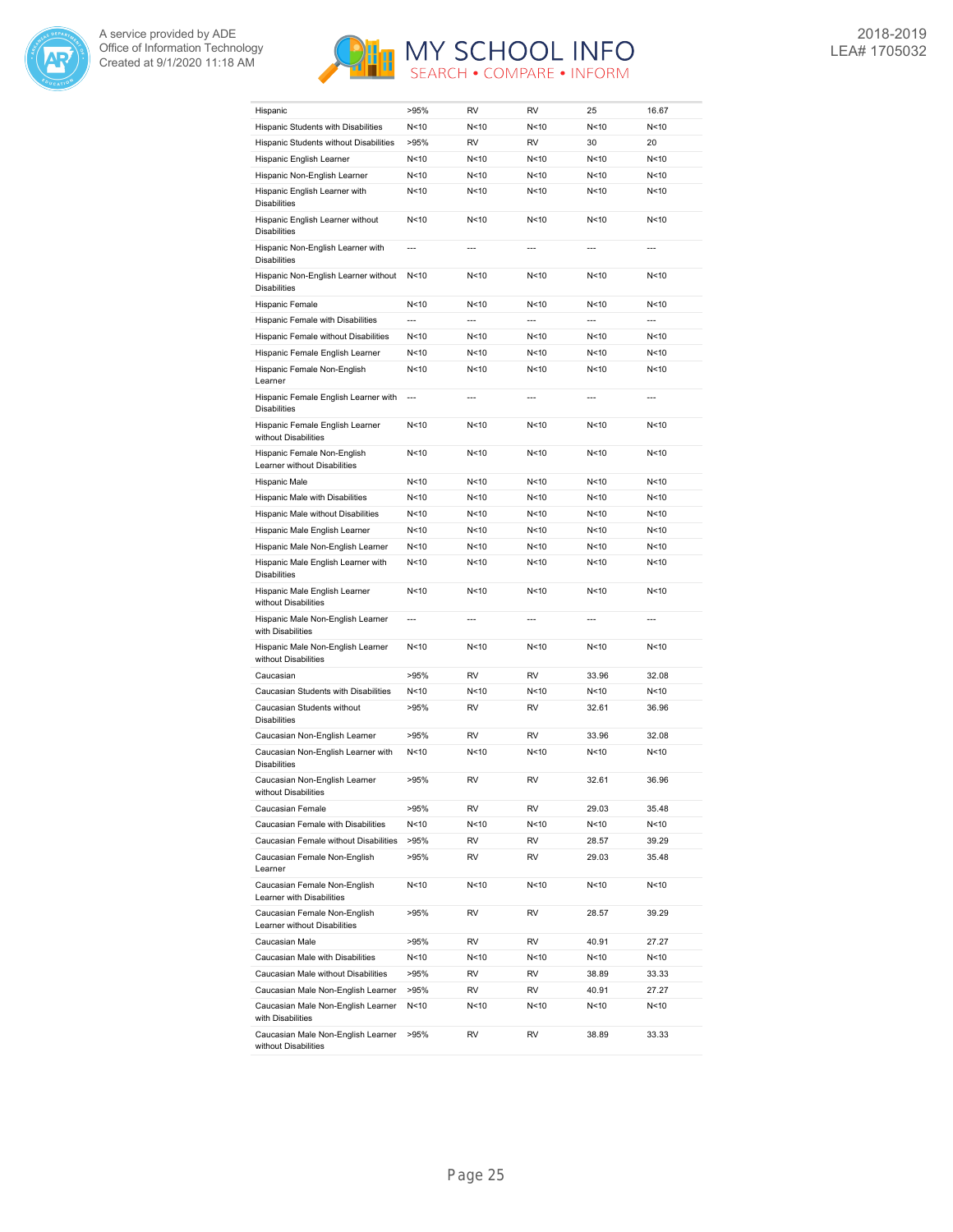



| Hispanic                                                                        | >95%            | <b>RV</b>      | RV              | 25              | 16.67           |
|---------------------------------------------------------------------------------|-----------------|----------------|-----------------|-----------------|-----------------|
| Hispanic Students with Disabilities                                             | N <sub>10</sub> | N<10           | N<10            | N <sub>10</sub> | N<10            |
| Hispanic Students without Disabilities                                          | >95%            | <b>RV</b>      | RV              | 30              | 20              |
| Hispanic English Learner                                                        | N<10            | N<10           | N<10            | N<10            | N<10            |
| Hispanic Non-English Learner                                                    | N < 10          | N<10           | N<10            | N<10            | N<10            |
| Hispanic English Learner with<br><b>Disabilities</b>                            | N < 10          | N < 10         | N<10            | N<10            | N<10            |
| Hispanic English Learner without<br><b>Disabilities</b>                         | N<10            | N < 10         | N<10            | N<10            | N<10            |
| Hispanic Non-English Learner with<br><b>Disabilities</b>                        | $\overline{a}$  | $\overline{a}$ | $\overline{a}$  | $\overline{a}$  | $\overline{a}$  |
| Hispanic Non-English Learner without<br><b>Disabilities</b>                     | N<10            | N < 10         | N<10            | N <sub>10</sub> | N < 10          |
| Hispanic Female                                                                 | N<10            | N < 10         | N<10            | N<10            | N<10            |
| Hispanic Female with Disabilities                                               | $\overline{a}$  | ---            | $\overline{a}$  | ---             | $\overline{a}$  |
| Hispanic Female without Disabilities                                            | N<10            | N < 10         | N<10            | N<10            | N<10            |
| Hispanic Female English Learner                                                 | N<10            | N<10           | N<10            | N<10            | N<10            |
| Hispanic Female Non-English                                                     | N<10            | N < 10         | N<10            | N<10            | N<10            |
| Learner<br>Hispanic Female English Learner with                                 | $\overline{a}$  | $\overline{a}$ | $\overline{a}$  | $\overline{a}$  | $\overline{a}$  |
| <b>Disabilities</b>                                                             |                 |                |                 |                 |                 |
| Hispanic Female English Learner<br>without Disabilities                         | N<10            | N < 10         | N<10            | N<10            | N<10            |
| Hispanic Female Non-English<br>Learner without Disabilities                     | N<10            | N<10           | N<10            | N<10            | N<10            |
| Hispanic Male                                                                   | N <sub>10</sub> | N < 10         | N<10            | N<10            | N<10            |
| Hispanic Male with Disabilities                                                 | N<10            | N < 10         | N<10            | N <sub>10</sub> | N<10            |
| Hispanic Male without Disabilities                                              | N<10            | N < 10         | N <sub>10</sub> | N <sub>10</sub> | N<10            |
| Hispanic Male English Learner                                                   | N<10            | N<10           | N <sub>10</sub> | N<10            | N<10            |
| Hispanic Male Non-English Learner                                               | N < 10          | N<10           | N<10            | N<10            | N<10            |
| Hispanic Male English Learner with<br><b>Disabilities</b>                       | N<10            | N<10           | N<10            | N<10            | N<10            |
| Hispanic Male English Learner<br>without Disabilities                           | N<10            | N < 10         | N<10            | N<10            | N<10            |
| Hispanic Male Non-English Learner<br>with Disabilities                          | $\overline{a}$  | $-$ --         |                 |                 |                 |
| Hispanic Male Non-English Learner<br>without Disabilities                       | N<10            | N < 10         | N<10            | N<10            | N < 10          |
| Caucasian                                                                       | >95%            | RV             | RV              | 33.96           | 32.08           |
| Caucasian Students with Disabilities                                            | N <sub>10</sub> | N < 10         | N<10            | N<10            | N<10            |
| Caucasian Students without<br><b>Disabilities</b>                               | >95%            | RV             | RV              | 32.61           | 36.96           |
| Caucasian Non-English Learner                                                   | >95%            | <b>RV</b>      | RV              | 33.96           | 32.08           |
| Caucasian Non-English Learner with<br><b>Disabilities</b>                       | N<10            | N < 10         | N<10            | N<10            | N<10            |
| Caucasian Non-English Learner<br>without Disabilities                           | >95%            | RV             | RV              | 32.61           | 36.96           |
| Caucasian Female                                                                | >95%            | RV             | RV              | 29.03           | 35.48           |
| Caucasian Female with Disabilities                                              | N<10            | N<10           | N<10            | N<10            | N<10            |
| Caucasian Female without Disabilities                                           | >95%            | RV             | RV              | 28.57           | 39.29           |
| Caucasian Female Non-English<br>Learner                                         | >95%            | RV             | RV              | 29.03           | 35.48           |
| Caucasian Female Non-English<br>Learner with Disabilities                       | N<10            | N<10           | N<10            | N<10            | N<10            |
| Caucasian Female Non-English<br>Learner without Disabilities                    | >95%            | RV             | RV              | 28.57           | 39.29           |
| Caucasian Male                                                                  | >95%            | RV             | RV              | 40.91           | 27.27           |
| Caucasian Male with Disabilities                                                | N<10            | N<10           | N<10            | N<10            | N<10            |
| Caucasian Male without Disabilities                                             | >95%            | RV             | RV              | 38.89           | 33.33           |
| Caucasian Male Non-English Learner                                              | >95%            | RV             | RV              | 40.91           | 27.27           |
| Caucasian Male Non-English Learner                                              | N<10            | N<10           | N<10            | N<10            | N <sub>10</sub> |
| with Disabilities<br>Caucasian Male Non-English Learner<br>without Disabilities | >95%            | RV             | RV              | 38.89           | 33.33           |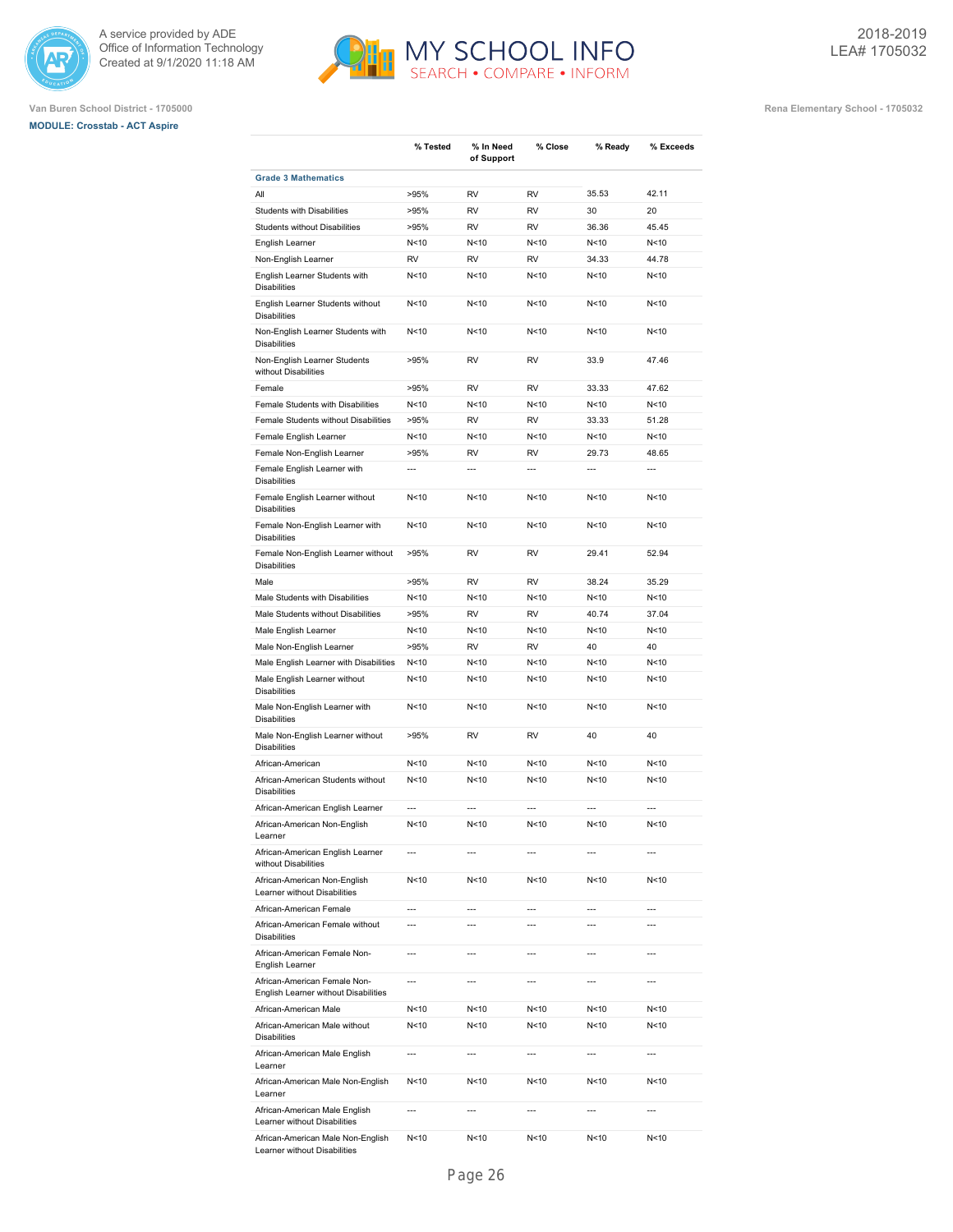





|                                                                      | % Tested        | % In Need<br>of Support  | % Close        | % Ready         | % Exceeds      |
|----------------------------------------------------------------------|-----------------|--------------------------|----------------|-----------------|----------------|
| <b>Grade 3 Mathematics</b>                                           |                 |                          |                |                 |                |
| All                                                                  | >95%            | <b>RV</b>                | <b>RV</b>      | 35.53           | 42.11          |
| <b>Students with Disabilities</b>                                    | >95%            | <b>RV</b>                | <b>RV</b>      | 30              | 20             |
| <b>Students without Disabilities</b>                                 | >95%            | RV                       | RV             | 36.36           | 45.45          |
| English Learner                                                      | N<10            | N < 10                   | N<10           | N<10            | N<10           |
| Non-English Learner                                                  | <b>RV</b>       | RV                       | RV             | 34.33           | 44.78          |
| English Learner Students with<br><b>Disabilities</b>                 | N<10            | N < 10                   | N<10           | N<10            | N<10           |
| English Learner Students without<br><b>Disabilities</b>              | N<10            | N < 10                   | N<10           | N <sub>10</sub> | N<10           |
| Non-English Learner Students with<br><b>Disabilities</b>             | N<10            | N<10                     | N<10           | N < 10          | N<10           |
| Non-English Learner Students<br>without Disabilities                 | >95%            | RV                       | RV             | 33.9            | 47.46          |
| Female                                                               | >95%            | <b>RV</b>                | <b>RV</b>      | 33.33           | 47.62          |
| Female Students with Disabilities                                    | N<10            | N<10                     | N<10           | N <sub>10</sub> | N<10           |
| Female Students without Disabilities                                 | >95%            | RV                       | <b>RV</b>      | 33.33           | 51.28          |
| Female English Learner                                               | N <sub>10</sub> | N < 10                   | N<10           | N<10            | N<10           |
| Female Non-English Learner                                           | >95%            | RV                       | RV             | 29.73           | 48.65          |
| Female English Learner with<br><b>Disabilities</b>                   | ---             | $\overline{a}$           | ---            | ---             | ---            |
| Female English Learner without<br><b>Disabilities</b>                | N<10            | N<10                     | N<10           | N<10            | N<10           |
| Female Non-English Learner with<br><b>Disabilities</b>               | N<10            | N<10                     | N<10           | N <sub>10</sub> | N<10           |
| Female Non-English Learner without<br><b>Disabilities</b>            | >95%            | RV                       | RV             | 29.41           | 52.94          |
| Male                                                                 | >95%            | <b>RV</b>                | <b>RV</b>      | 38.24           | 35.29          |
| Male Students with Disabilities                                      | N<10            | N < 10                   | N<10           | N<10            | N<10           |
| Male Students without Disabilities                                   | >95%            | RV                       | RV             | 40.74           | 37.04          |
| Male English Learner                                                 | N<10            | N < 10                   | N<10           | N<10            | N<10           |
| Male Non-English Learner                                             | >95%            | RV                       | RV             | 40              | 40             |
| Male English Learner with Disabilities                               | N<10            | N < 10                   | N<10           | N<10            | N<10           |
| Male English Learner without<br><b>Disabilities</b>                  | N<10            | N < 10                   | N<10           | N<10            | N<10           |
| Male Non-English Learner with<br><b>Disabilities</b>                 | N<10            | N<10                     | N<10           | N <sub>10</sub> | N<10           |
| Male Non-English Learner without<br><b>Disabilities</b>              | >95%            | RV                       | RV             | 40              | 40             |
| African-American                                                     | N<10            | N<10                     | N<10           | N <sub>10</sub> | N<10           |
| African-American Students without<br><b>Disabilities</b>             | N <sub>10</sub> | N < 10                   | N<10           | N <sub>10</sub> | N<10           |
| African-American English Learner                                     | ---             | $\overline{a}$           | ---            | ---             | $\overline{a}$ |
| African-American Non-English<br>Learner                              | N<10            | N<10                     | N<10           | N<10            | N<10           |
| African-American English Learner<br>without Disabilities             | $\overline{a}$  | $\overline{a}$           | ---            | ---             | ---            |
| African-American Non-English<br>Learner without Disabilities         | N <sub>10</sub> | N <sub>10</sub>          | N < 10         | N<10            | N<10           |
| African-American Female                                              | $\overline{a}$  | $\overline{a}$           | $\overline{a}$ | $\overline{a}$  | $\overline{a}$ |
| African-American Female without<br><b>Disabilities</b>               | $\overline{a}$  | $\overline{a}$           | ---            | $\overline{a}$  | $\overline{a}$ |
| African-American Female Non-<br>English Learner                      | $\overline{a}$  | $\overline{\phantom{a}}$ | ---            | $\overline{a}$  | $\overline{a}$ |
| African-American Female Non-<br>English Learner without Disabilities | $\overline{a}$  | $\overline{a}$           | ---            | $\overline{a}$  | $\overline{a}$ |
| African-American Male                                                | N <sub>10</sub> | N < 10                   | N<10           | N<10            | N<10           |
| African-American Male without<br><b>Disabilities</b>                 | N <sub>10</sub> | N < 10                   | N<10           | N<10            | N<10           |
| African-American Male English<br>Learner                             | $\overline{a}$  | $\overline{a}$           | ---            | ---             | ---            |
| African-American Male Non-English<br>Learner                         | N<10            | N < 10                   | N<10           | N<10            | N<10           |
| African-American Male English<br>Learner without Disabilities        | $\overline{a}$  | $\overline{a}$           | ---            | $---$           | $---$          |
| African-American Male Non-English<br>Learner without Disabilities    | N<10            | N < 10                   | N<10           | N<10            | N<10           |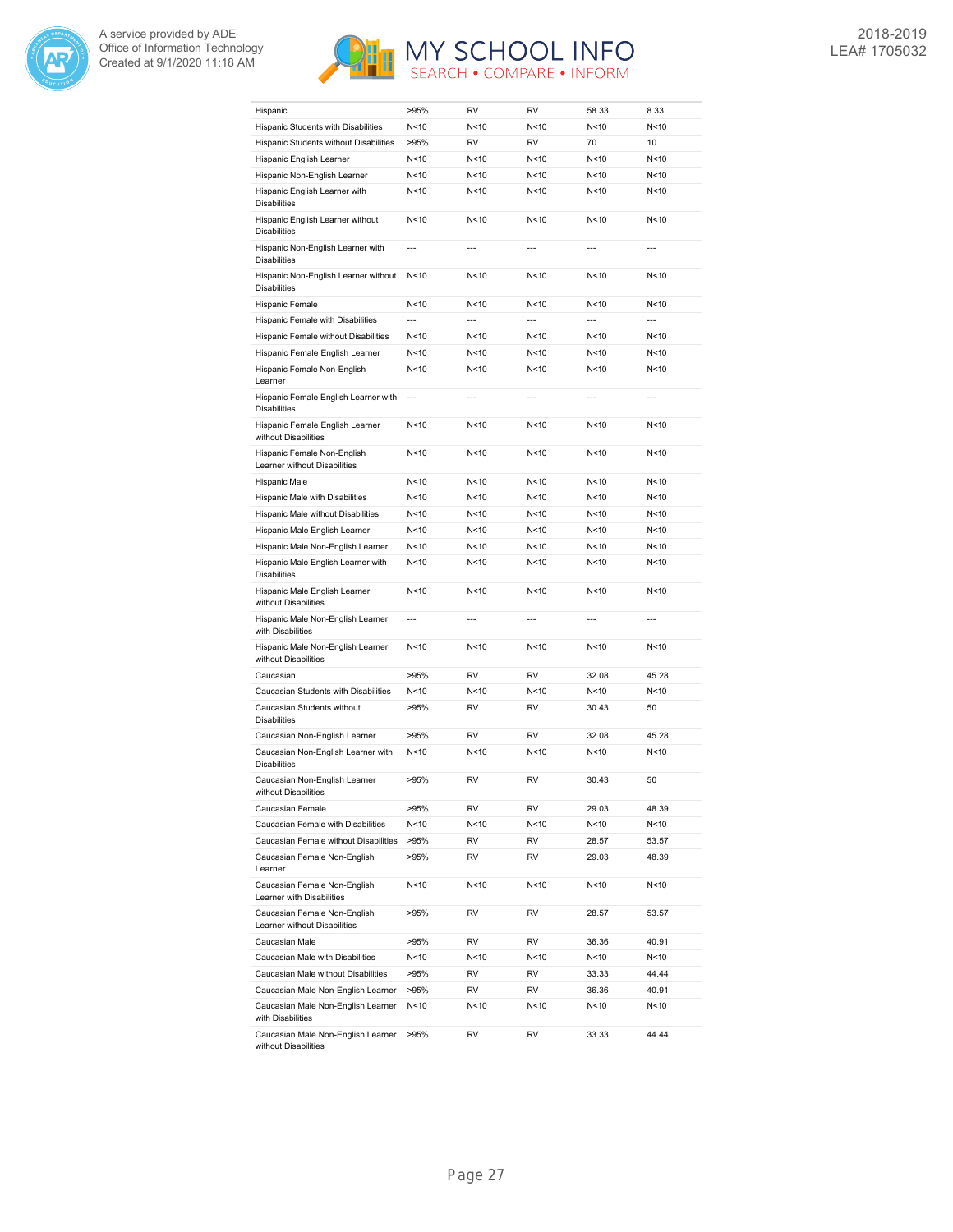



| Hispanic                                                     | >95%           | RV             | RV              | 58.33           | 8.33           |
|--------------------------------------------------------------|----------------|----------------|-----------------|-----------------|----------------|
| Hispanic Students with Disabilities                          | N<10           | N<10           | N<10            | N<10            | N<10           |
| Hispanic Students without Disabilities                       | >95%           | RV             | RV              | 70              | 10             |
| Hispanic English Learner                                     | N<10           | N<10           | N<10            | N < 10          | N<10           |
| Hispanic Non-English Learner                                 | N<10           | N<10           | N<10            | N < 10          | N<10           |
| Hispanic English Learner with<br><b>Disabilities</b>         | N<10           | N<10           | N<10            | N < 10          | N<10           |
| Hispanic English Learner without<br><b>Disabilities</b>      | N<10           | N<10           | N<10            | N<10            | N<10           |
| Hispanic Non-English Learner with<br><b>Disabilities</b>     | $\overline{a}$ | $\overline{a}$ | $\overline{a}$  | $\overline{a}$  | $\overline{a}$ |
| Hispanic Non-English Learner without<br><b>Disabilities</b>  | N<10           | N<10           | N<10            | N <sub>10</sub> | N<10           |
| Hispanic Female                                              | N<10           | N<10           | N<10            | N<10            | N<10           |
| Hispanic Female with Disabilities                            | ---            |                | ---             | ---             | $\overline{a}$ |
| Hispanic Female without Disabilities                         | N<10           | N<10           | N<10            | N<10            | N<10           |
| Hispanic Female English Learner                              | N<10           | N<10           | N<10            | N < 10          | N<10           |
| Hispanic Female Non-English<br>Learner                       | N<10           | N<10           | N<10            | N<10            | N<10           |
| Hispanic Female English Learner with<br><b>Disabilities</b>  | $\overline{a}$ | $\overline{a}$ | $\overline{a}$  | $\overline{a}$  | $\overline{a}$ |
| Hispanic Female English Learner<br>without Disabilities      | N<10           | N<10           | N<10            | N<10            | N<10           |
| Hispanic Female Non-English<br>Learner without Disabilities  | N<10           | N<10           | N<10            | N<10            | N<10           |
| Hispanic Male                                                | N<10           | N<10           | N<10            | N<10            | N<10           |
| Hispanic Male with Disabilities                              | N<10           | N<10           | N<10            | N <sub>10</sub> | N<10           |
| Hispanic Male without Disabilities                           | N<10           | N<10           | N<10            | N<10            | N<10           |
| Hispanic Male English Learner                                | N<10           | N<10           | N<10            | N < 10          | N<10           |
| Hispanic Male Non-English Learner                            | N<10           | N<10           | N<10            | N < 10          | N<10           |
| Hispanic Male English Learner with<br><b>Disabilities</b>    | N<10           | N<10           | N<10            | N < 10          | N<10           |
| Hispanic Male English Learner<br>without Disabilities        | N<10           | N<10           | N<10            | N < 10          | N<10           |
| Hispanic Male Non-English Learner<br>with Disabilities       | ---            | $\overline{a}$ |                 | $\overline{a}$  | $---$          |
| Hispanic Male Non-English Learner<br>without Disabilities    | N<10           | N<10           | N<10            | N<10            | N<10           |
| Caucasian                                                    | >95%           | RV             | RV              | 32.08           | 45.28          |
| Caucasian Students with Disabilities                         | N<10           | N<10           | N<10            | N < 10          | N<10           |
| Caucasian Students without<br><b>Disabilities</b>            | >95%           | RV             | RV              | 30.43           | 50             |
| Caucasian Non-English Learner                                | >95%           | RV             | <b>RV</b>       | 32.08           | 45.28          |
| Caucasian Non-English Learner with<br><b>Disabilities</b>    | N<10           | N<10           | N <sub>10</sub> | N<10            | N<10           |
| Caucasian Non-English Learner<br>without Disabilities        | >95%           | RV             | RV              | 30.43           | 50             |
| Caucasian Female                                             | >95%           | RV             | RV              | 29.03           | 48.39          |
| Caucasian Female with Disabilities                           | N<10           | N<10           | N<10            | N<10            | N<10           |
| Caucasian Female without Disabilities                        | >95%           | RV             | RV              | 28.57           | 53.57          |
| Caucasian Female Non-English<br>Learner                      | >95%           | RV             | RV              | 29.03           | 48.39          |
| Caucasian Female Non-English<br>Learner with Disabilities    | N<10           | N<10           | N <sub>10</sub> | N<10            | N<10           |
| Caucasian Female Non-English<br>Learner without Disabilities | >95%           | RV             | RV              | 28.57           | 53.57          |
| Caucasian Male                                               | >95%           | RV             | RV              | 36.36           | 40.91          |
| Caucasian Male with Disabilities                             | N<10           | N<10           | N<10            | N<10            | N<10           |
| Caucasian Male without Disabilities                          | >95%           | RV             | RV              | 33.33           | 44.44          |
| Caucasian Male Non-English Learner                           | >95%           | RV             | RV              | 36.36           | 40.91          |
| Caucasian Male Non-English Learner<br>with Disabilities      | N<10           | N<10           | N<10            | N<10            | N<10           |
| Caucasian Male Non-English Learner<br>without Disabilities   | >95%           | RV             | RV              | 33.33           | 44.44          |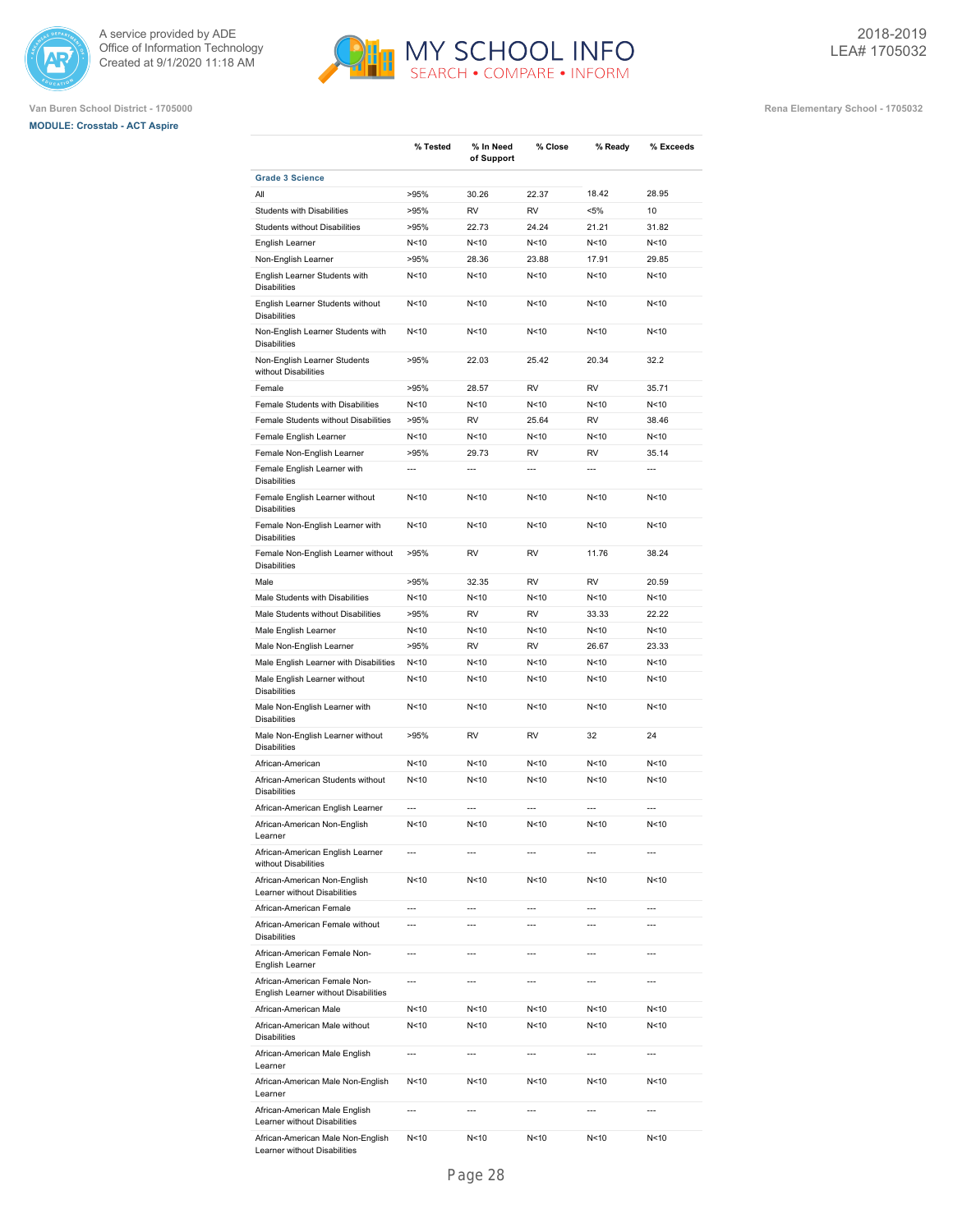





|                                                                      | % Tested        | % In Need<br>of Support | % Close                  | % Ready         | % Exceeds                |
|----------------------------------------------------------------------|-----------------|-------------------------|--------------------------|-----------------|--------------------------|
| <b>Grade 3 Science</b>                                               |                 |                         |                          |                 |                          |
| All                                                                  | >95%            | 30.26                   | 22.37                    | 18.42           | 28.95                    |
| <b>Students with Disabilities</b>                                    | >95%            | <b>RV</b>               | <b>RV</b>                | $< 5\%$         | 10                       |
| <b>Students without Disabilities</b>                                 | >95%            | 22.73                   | 24.24                    | 21.21           | 31.82                    |
| English Learner                                                      | N<10            | N<10                    | N <sub>10</sub>          | N <sub>10</sub> | N<10                     |
| Non-English Learner                                                  | >95%            | 28.36                   | 23.88                    | 17.91           | 29.85                    |
| English Learner Students with<br><b>Disabilities</b>                 | N <sub>10</sub> | N<10                    | N < 10                   | N <sub>10</sub> | N<10                     |
| English Learner Students without<br><b>Disabilities</b>              | N <sub>10</sub> | N<10                    | N < 10                   | N <sub>10</sub> | N<10                     |
| Non-English Learner Students with<br><b>Disabilities</b>             | N <sub>10</sub> | N<10                    | N < 10                   | N<10            | N<10                     |
| Non-English Learner Students<br>without Disabilities                 | >95%            | 22.03                   | 25.42                    | 20.34           | 32.2                     |
| Female                                                               | >95%            | 28.57                   | <b>RV</b>                | <b>RV</b>       | 35.71                    |
| Female Students with Disabilities                                    | N <sub>10</sub> | N<10                    | N<10                     | N <sub>10</sub> | N<10                     |
| Female Students without Disabilities                                 | >95%            | RV                      | 25.64                    | <b>RV</b>       | 38.46                    |
| Female English Learner                                               | N<10            | N<10                    | N < 10                   | N <sub>10</sub> | N<10                     |
| Female Non-English Learner                                           | >95%            | 29.73                   | <b>RV</b>                | <b>RV</b>       | 35.14                    |
| Female English Learner with<br><b>Disabilities</b>                   | $\overline{a}$  | $\overline{a}$          | $\overline{a}$           | $\overline{a}$  | $\overline{a}$           |
| Female English Learner without<br><b>Disabilities</b>                | N<10            | N<10                    | N<10                     | N <sub>10</sub> | N<10                     |
| Female Non-English Learner with<br><b>Disabilities</b>               | N<10            | N<10                    | N<10                     | N <sub>10</sub> | N<10                     |
| Female Non-English Learner without<br><b>Disabilities</b>            | >95%            | <b>RV</b>               | <b>RV</b>                | 11.76           | 38.24                    |
| Male                                                                 | >95%            | 32.35                   | <b>RV</b>                | <b>RV</b>       | 20.59                    |
| Male Students with Disabilities                                      | N<10            | N<10                    | N<10                     | N <sub>10</sub> | N<10                     |
| Male Students without Disabilities                                   | >95%            | <b>RV</b>               | <b>RV</b>                | 33.33           | 22.22                    |
| Male English Learner                                                 | N<10            | N<10                    | N<10                     | N <sub>10</sub> | N<10                     |
| Male Non-English Learner                                             | >95%            | <b>RV</b>               | <b>RV</b>                | 26.67           | 23.33                    |
| Male English Learner with Disabilities                               | N < 10          | N<10                    | N<10                     | N <sub>10</sub> | N<10                     |
| Male English Learner without<br><b>Disabilities</b>                  | N<10            | N<10                    | N<10                     | N <sub>10</sub> | N<10                     |
| Male Non-English Learner with<br><b>Disabilities</b>                 | N <sub>10</sub> | N<10                    | N < 10                   | N <sub>10</sub> | N<10                     |
| Male Non-English Learner without<br><b>Disabilities</b>              | >95%            | RV                      | <b>RV</b>                | 32              | 24                       |
| African-American                                                     | N <sub>10</sub> | N<10                    | N < 10                   | N <sub>10</sub> | N<10                     |
| African-American Students without<br><b>Disabilities</b>             | N <sub>10</sub> | N<10                    | N < 10                   | N <sub>10</sub> | N<10                     |
| African-American English Learner                                     | $\overline{a}$  | $---$                   | $\overline{a}$           | $---$           | $\overline{a}$           |
| African-American Non-English<br>Learner                              | N <sub>10</sub> | N <sub>10</sub>         | N <sub>10</sub>          | N <sub>10</sub> | N<10                     |
| African-American English Learner<br>without Disabilities             | $\overline{a}$  | $\overline{a}$          | $\overline{a}$           | $\overline{a}$  | $\overline{a}$           |
| African-American Non-English<br>Learner without Disabilities         | N<10            | N<10                    | N<10                     | N < 10          | N<10                     |
| African-American Female                                              | $\overline{a}$  | $\overline{a}$          | $\overline{a}$           | $\overline{a}$  | $\overline{a}$           |
| African-American Female without<br><b>Disabilities</b>               | $\overline{a}$  | $\overline{a}$          | $\overline{a}$           | $\overline{a}$  | $\overline{a}$           |
| African-American Female Non-<br>English Learner                      | $\overline{a}$  | $\overline{a}$          | $\overline{a}$           | $\overline{a}$  | $\overline{a}$           |
| African-American Female Non-<br>English Learner without Disabilities | $\overline{a}$  | $\overline{a}$          | $\overline{a}$           | ---             | $\overline{a}$           |
| African-American Male                                                | N < 10          | N<10                    | N<10                     | N < 10          | N<10                     |
| African-American Male without<br><b>Disabilities</b>                 | N < 10          | N<10                    | N<10                     | N < 10          | N<10                     |
| African-American Male English<br>Learner                             | $\overline{a}$  | ---                     | $\overline{\phantom{a}}$ | $\overline{a}$  | $\overline{\phantom{a}}$ |
| African-American Male Non-English<br>Learner                         | N < 10          | N<10                    | N<10                     | N < 10          | N<10                     |
| African-American Male English<br>Learner without Disabilities        | $\overline{a}$  | ---                     | $\overline{\phantom{a}}$ | $\overline{a}$  | $\overline{a}$           |
| African-American Male Non-English<br>Learner without Disabilities    | N<10            | N<10                    | N<10                     | N < 10          | N<10                     |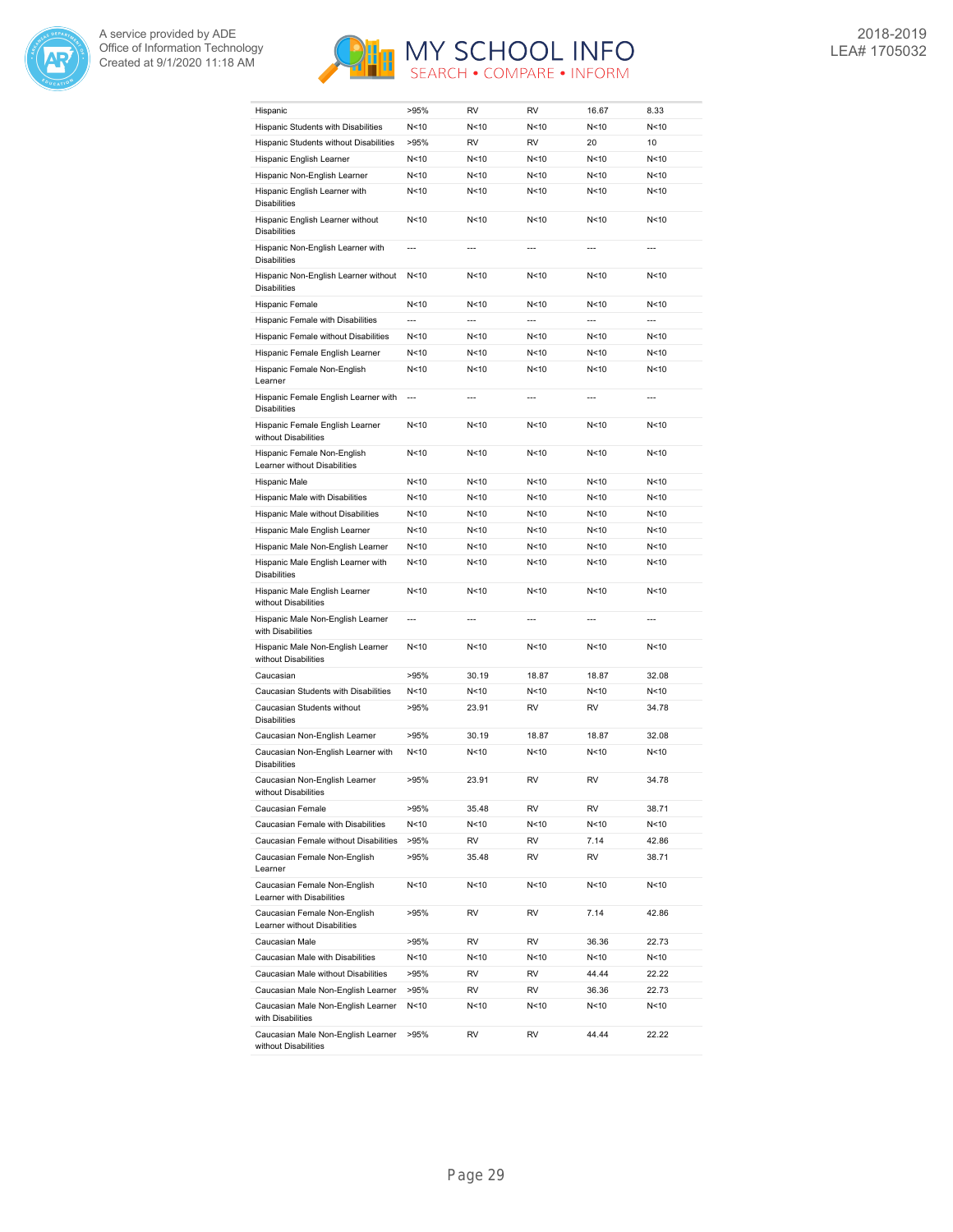



| Hispanic                                                     | >95%           | RV             | RV              | 16.67           | 8.33           |
|--------------------------------------------------------------|----------------|----------------|-----------------|-----------------|----------------|
| Hispanic Students with Disabilities                          | N<10           | N<10           | N <sub>10</sub> | N<10            | N<10           |
| Hispanic Students without Disabilities                       | >95%           | RV             | <b>RV</b>       | 20              | 10             |
| Hispanic English Learner                                     | N<10           | N<10           | N<10            | N<10            | N<10           |
| Hispanic Non-English Learner                                 | N<10           | N < 10         | N<10            | N <sub>10</sub> | N<10           |
| Hispanic English Learner with<br><b>Disabilities</b>         | N<10           | N < 10         | N<10            | N < 10          | N<10           |
| Hispanic English Learner without<br><b>Disabilities</b>      | N<10           | N < 10         | N < 10          | N < 10          | N<10           |
| Hispanic Non-English Learner with<br><b>Disabilities</b>     | $\overline{a}$ |                | $\overline{a}$  | $\overline{a}$  | $\overline{a}$ |
| Hispanic Non-English Learner without<br><b>Disabilities</b>  | N<10           | N<10           | N<10            | N <sub>10</sub> | N<10           |
| Hispanic Female                                              | N<10           | N<10           | N<10            | N<10            | N<10           |
| Hispanic Female with Disabilities                            | $\overline{a}$ | $\overline{a}$ | $\overline{a}$  | $\overline{a}$  | $\overline{a}$ |
| Hispanic Female without Disabilities                         | N<10           | N<10           | N<10            | N<10            | N<10           |
| Hispanic Female English Learner                              | N<10           | N < 10         | N < 10          | N < 10          | N<10           |
| Hispanic Female Non-English                                  | N<10           | N<10           | N<10            | N<10            | N<10           |
| Learner                                                      | $\overline{a}$ | $\overline{a}$ | $\overline{a}$  | $\overline{a}$  | $\overline{a}$ |
| Hispanic Female English Learner with<br><b>Disabilities</b>  |                |                |                 |                 |                |
| Hispanic Female English Learner<br>without Disabilities      | N<10           | N<10           | N<10            | N<10            | N<10           |
| Hispanic Female Non-English<br>Learner without Disabilities  | N<10           | N<10           | N<10            | N < 10          | N<10           |
| Hispanic Male                                                | N<10           | N<10           | N<10            | N<10            | N<10           |
| Hispanic Male with Disabilities                              | N<10           | N<10           | N <sub>10</sub> | N < 10          | N<10           |
| Hispanic Male without Disabilities                           | N<10           | N<10           | N<10            | N < 10          | N<10           |
| Hispanic Male English Learner                                | N<10           | N<10           | N<10            | N <sub>10</sub> | N<10           |
| Hispanic Male Non-English Learner                            | N<10           | N<10           | N<10            | N <sub>10</sub> | N<10           |
| Hispanic Male English Learner with<br><b>Disabilities</b>    | N<10           | N<10           | N < 10          | N <sub>10</sub> | N<10           |
| Hispanic Male English Learner<br>without Disabilities        | N<10           | N<10           | N<10            | N < 10          | N<10           |
| Hispanic Male Non-English Learner<br>with Disabilities       |                | $\overline{a}$ |                 | $\overline{a}$  |                |
| Hispanic Male Non-English Learner<br>without Disabilities    | N<10           | N<10           | N<10            | N < 10          | N<10           |
| Caucasian                                                    | >95%           | 30.19          | 18.87           | 18.87           | 32.08          |
| Caucasian Students with Disabilities                         | N<10           | N<10           | N<10            | N < 10          | N<10           |
| Caucasian Students without<br><b>Disabilities</b>            | >95%           | 23.91          | RV              | RV              | 34.78          |
| Caucasian Non-English Learner                                | >95%           | 30.19          | 18.87           | 18.87           | 32.08          |
| Caucasian Non-English Learner with<br><b>Disabilities</b>    | N<10           | N<10           | N<10            | N <sub>10</sub> | N<10           |
| Caucasian Non-English Learner<br>without Disabilities        | >95%           | 23.91          | RV              | <b>RV</b>       | 34.78          |
| Caucasian Female                                             | >95%           | 35.48          | RV              | RV              | 38.71          |
| Caucasian Female with Disabilities                           | N<10           | N<10           | N <sub>10</sub> | N<10            | N<10           |
| Caucasian Female without Disabilities                        | >95%           | RV             | RV              | 7.14            | 42.86          |
| Caucasian Female Non-English<br>Learner                      | >95%           | 35.48          | RV              | RV              | 38.71          |
| Caucasian Female Non-English<br>Learner with Disabilities    | N<10           | N<10           | N<10            | N<10            | N<10           |
| Caucasian Female Non-English<br>Learner without Disabilities | >95%           | RV             | RV              | 7.14            | 42.86          |
| Caucasian Male                                               | >95%           | RV             | RV              | 36.36           | 22.73          |
| Caucasian Male with Disabilities                             | N<10           | N<10           | N<10            | N<10            | N<10           |
| Caucasian Male without Disabilities                          | >95%           | RV             | RV              | 44.44           | 22.22          |
| Caucasian Male Non-English Learner                           | >95%           | RV             | RV              | 36.36           | 22.73          |
| Caucasian Male Non-English Learner<br>with Disabilities      | N<10           | N<10           | N<10            | N<10            | N<10           |
| Caucasian Male Non-English Learner<br>without Disabilities   | >95%           | RV             | RV              | 44.44           | 22.22          |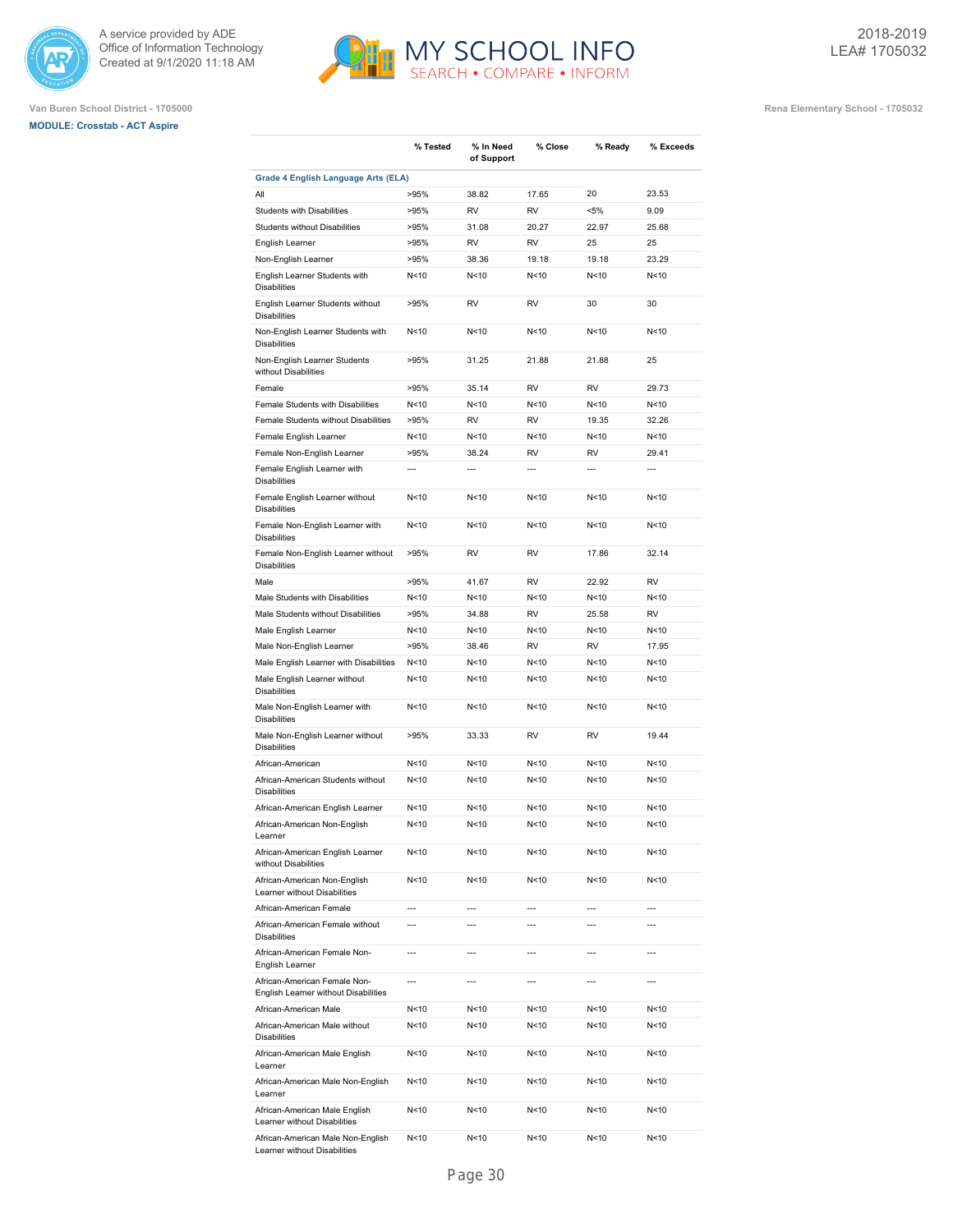





|                                                                           | % Tested        | % In Need      | % Close         | % Ready          | % Exceeds      |
|---------------------------------------------------------------------------|-----------------|----------------|-----------------|------------------|----------------|
|                                                                           |                 | of Support     |                 |                  |                |
| Grade 4 English Language Arts (ELA)                                       |                 |                |                 |                  |                |
| All                                                                       | >95%            | 38.82          | 17.65           | 20               | 23.53          |
| <b>Students with Disabilities</b><br><b>Students without Disabilities</b> | >95%<br>>95%    | RV<br>31.08    | RV<br>20.27     | $< 5\%$<br>22.97 | 9.09<br>25.68  |
| English Learner                                                           | >95%            | <b>RV</b>      | <b>RV</b>       | 25               | 25             |
| Non-English Learner                                                       | >95%            | 38.36          | 19.18           | 19.18            | 23.29          |
| English Learner Students with<br><b>Disabilities</b>                      | N < 10          | N<10           | N<10            | N < 10           | N<10           |
| English Learner Students without<br><b>Disabilities</b>                   | >95%            | RV             | RV              | 30               | 30             |
| Non-English Learner Students with<br><b>Disabilities</b>                  | N < 10          | N<10           | N<10            | N<10             | N<10           |
| Non-English Learner Students<br>without Disabilities                      | >95%            | 31.25          | 21.88           | 21.88            | 25             |
| Female                                                                    | >95%            | 35.14          | RV              | RV               | 29.73          |
| Female Students with Disabilities                                         | N<10            | N<10           | N<10            | N<10             | N<10           |
| Female Students without Disabilities                                      | >95%            | <b>RV</b>      | <b>RV</b>       | 19.35            | 32.26          |
| Female English Learner                                                    | N < 10          | N < 10         | N<10            | N <sub>10</sub>  | N<10           |
| Female Non-English Learner                                                | >95%            | 38.24          | <b>RV</b>       | <b>RV</b>        | 29.41          |
| Female English Learner with                                               | $\overline{a}$  | $\overline{a}$ | ---             | $\overline{a}$   | $\overline{a}$ |
| <b>Disabilities</b>                                                       |                 |                |                 |                  |                |
| Female English Learner without<br><b>Disabilities</b>                     | N <sub>10</sub> | N<10           | N<10            | N<10             | N<10           |
| Female Non-English Learner with<br><b>Disabilities</b>                    | N <sub>10</sub> | N<10           | N <sub>10</sub> | N<10             | N<10           |
| Female Non-English Learner without<br><b>Disabilities</b>                 | >95%            | RV             | RV              | 17.86            | 32.14          |
| Male                                                                      | >95%            | 41.67          | RV              | 22.92            | <b>RV</b>      |
| Male Students with Disabilities                                           | N<10            | N<10           | N<10            | N < 10           | N<10           |
| Male Students without Disabilities                                        | >95%            | 34.88          | <b>RV</b>       | 25.58            | <b>RV</b>      |
| Male English Learner                                                      | N < 10          | N<10           | N<10            | N<10             | N<10           |
| Male Non-English Learner                                                  | >95%            | 38.46          | <b>RV</b>       | <b>RV</b>        | 17.95          |
| Male English Learner with Disabilities                                    | N < 10          | N<10           | N<10            | N <sub>10</sub>  | N<10           |
| Male English Learner without<br><b>Disabilities</b>                       | N < 10          | N<10           | N < 10          | N <sub>10</sub>  | N<10           |
| Male Non-English Learner with<br><b>Disabilities</b>                      | N < 10          | N<10           | N <sub>10</sub> | N <sub>10</sub>  | N<10           |
| Male Non-English Learner without<br><b>Disabilities</b>                   | >95%            | 33.33          | RV              | <b>RV</b>        | 19.44          |
| African-American                                                          | N < 10          | N<10           | N<10            | N < 10           | N<10           |
| African-American Students without<br><b>Disabilities</b>                  | N < 10          | N<10           | N<10            | N<10             | N<10           |
| African-American English Learner                                          | N<10            | N<10           | N<10            | N<10             | N<10           |
| African-American Non-English<br>Learner                                   | N <sub>10</sub> | N<10           | N <sub>10</sub> | N<10             | N<10           |
| African-American English Learner<br>without Disabilities                  | N<10            | N<10           | N<10            | N <sub>10</sub>  | N<10           |
| African-American Non-English<br>Learner without Disabilities              | N<10            | N<10           | N<10            | N<10             | N<10           |
| African-American Female                                                   | ---             | $\overline{a}$ | ---             | ---              | $\overline{a}$ |
| African-American Female without<br><b>Disabilities</b>                    | ---             | ---            | ---             | $\overline{a}$   | $\overline{a}$ |
| African-American Female Non-<br>English Learner                           | $\overline{a}$  | ---            | ---             | $\overline{a}$   | ---            |
| African-American Female Non-<br>English Learner without Disabilities      | $\overline{a}$  | $\overline{a}$ | ---             | $\overline{a}$   | $\overline{a}$ |
| African-American Male                                                     | N <sub>10</sub> | N<10           | N<10            | N<10             | N<10           |
| African-American Male without<br><b>Disabilities</b>                      | N<10            | N<10           | N<10            | N<10             | N<10           |
| African-American Male English<br>Learner                                  | N<10            | N<10           | N<10            | N<10             | N<10           |
| African-American Male Non-English<br>Learner                              | N<10            | N<10           | N<10            | N<10             | N<10           |
| African-American Male English<br>Learner without Disabilities             | N<10            | N<10           | N<10            | N<10             | N<10           |
| African-American Male Non-English                                         | N <sub>10</sub> | N<10           | N<10            | N<10             | N < 10         |

Learner without Disabilities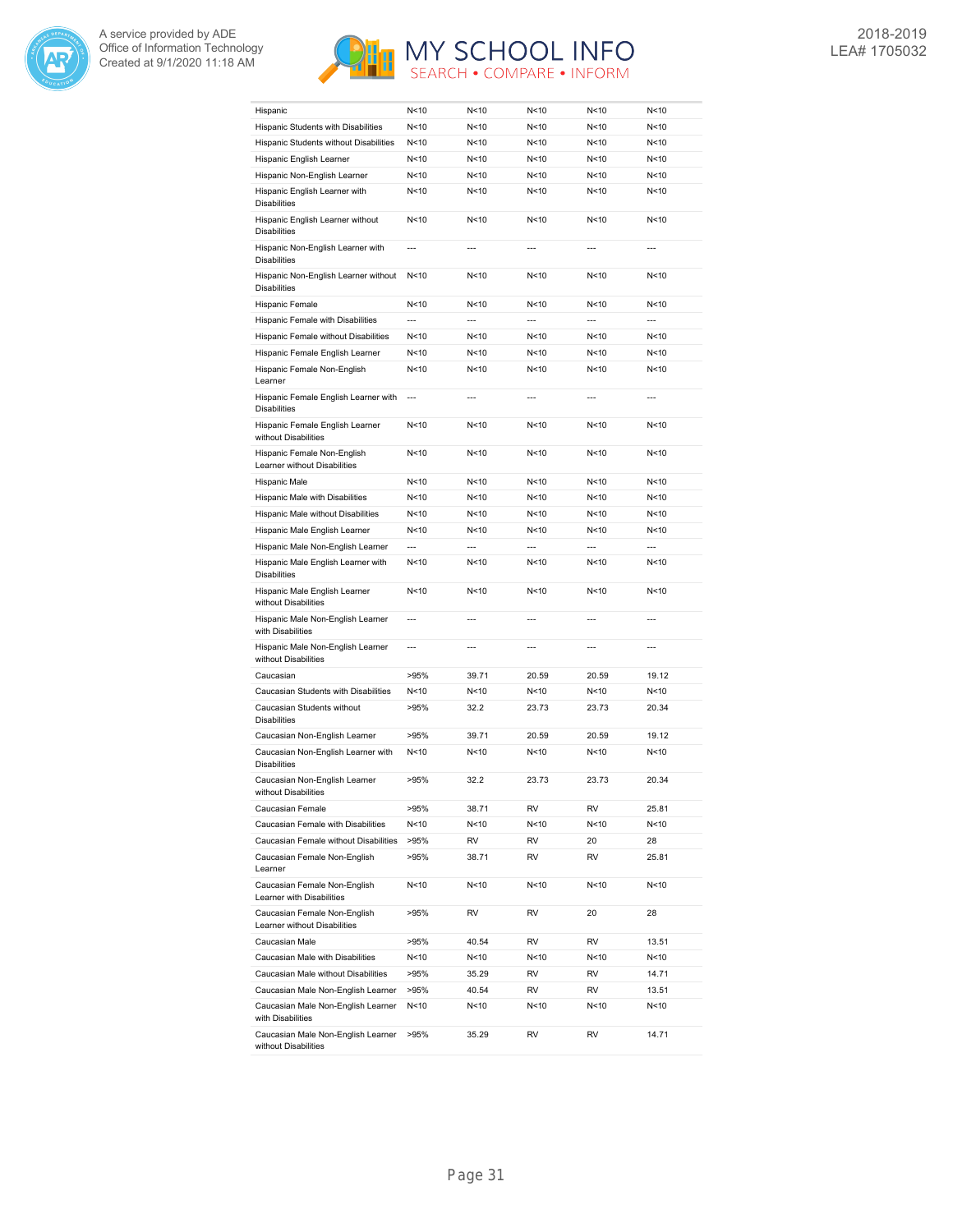



| Hispanic                                                     | N<10           | N<10           | N < 10          | N < 10          | N<10           |
|--------------------------------------------------------------|----------------|----------------|-----------------|-----------------|----------------|
| Hispanic Students with Disabilities                          | N<10           | N<10           | N < 10          | N < 10          | N<10           |
| Hispanic Students without Disabilities                       | N<10           | N<10           | N<10            | N<10            | N<10           |
| Hispanic English Learner                                     | N<10           | N<10           | N<10            | N<10            | N<10           |
| Hispanic Non-English Learner                                 | N<10           | N<10           | N < 10          | N < 10          | N<10           |
| Hispanic English Learner with<br><b>Disabilities</b>         | N<10           | N<10           | N <sub>10</sub> | N <sub>10</sub> | N<10           |
| Hispanic English Learner without<br><b>Disabilities</b>      | N<10           | N<10           | N <sub>10</sub> | N <sub>10</sub> | N<10           |
| Hispanic Non-English Learner with<br><b>Disabilities</b>     | $\overline{a}$ | $\overline{a}$ | $\overline{a}$  | $---$           | $---$          |
| Hispanic Non-English Learner without<br><b>Disabilities</b>  | N<10           | N<10           | N < 10          | N < 10          | N<10           |
| Hispanic Female                                              | N<10           | N<10           | N < 10          | N < 10          | N<10           |
| Hispanic Female with Disabilities                            | $\overline{a}$ | $\overline{a}$ |                 | $\overline{a}$  | $\overline{a}$ |
| Hispanic Female without Disabilities                         | N<10           | N<10           | N<10            | N <sub>10</sub> | N<10           |
| Hispanic Female English Learner                              | N<10           | N < 10         | N <sub>10</sub> | N < 10          | N<10           |
| Hispanic Female Non-English                                  | N<10           | N < 10         | N < 10          | N < 10          | N<10           |
| Learner                                                      | $\overline{a}$ | $\overline{a}$ | $\overline{a}$  | $---$           | $---$          |
| Hispanic Female English Learner with<br><b>Disabilities</b>  |                |                |                 |                 |                |
| Hispanic Female English Learner<br>without Disabilities      | N<10           | N<10           | N<10            | N<10            | N<10           |
| Hispanic Female Non-English<br>Learner without Disabilities  | N<10           | N<10           | N < 10          | N < 10          | N<10           |
| Hispanic Male                                                | N<10           | N<10           | N <sub>10</sub> | N < 10          | N<10           |
| Hispanic Male with Disabilities                              | N<10           | N<10           | N<10            | N < 10          | N<10           |
| Hispanic Male without Disabilities                           | N < 10         | N<10           | N < 10          | N < 10          | N<10           |
| Hispanic Male English Learner                                | N<10           | N<10           | N < 10          | N <sub>10</sub> | N<10           |
| Hispanic Male Non-English Learner                            | $\overline{a}$ | $\overline{a}$ | $\overline{a}$  | $\overline{a}$  | $\overline{a}$ |
| Hispanic Male English Learner with<br><b>Disabilities</b>    | N<10           | N<10           | N < 10          | N < 10          | N<10           |
| Hispanic Male English Learner<br>without Disabilities        | N<10           | N<10           | N<10            | N<10            | N<10           |
| Hispanic Male Non-English Learner<br>with Disabilities       | $\overline{a}$ | $\overline{a}$ | $\overline{a}$  | ---             | ---            |
| Hispanic Male Non-English Learner<br>without Disabilities    | $\overline{a}$ | ---            | $\overline{a}$  | $\overline{a}$  | $\overline{a}$ |
| Caucasian                                                    | >95%           | 39.71          | 20.59           | 20.59           | 19.12          |
| Caucasian Students with Disabilities                         | N<10           | N<10           | N<10            | N<10            | N<10           |
| Caucasian Students without<br><b>Disabilities</b>            | >95%           | 32.2           | 23.73           | 23.73           | 20.34          |
| Caucasian Non-English Learner                                | >95%           | 39.71          | 20.59           | 20.59           | 19.12          |
| Caucasian Non-English Learner with<br><b>Disabilities</b>    | N<10           | N<10           | N < 10          | N < 10          | N<10           |
| Caucasian Non-English Learner<br>without Disabilities        | >95%           | 32.2           | 23.73           | 23.73           | 20.34          |
| Caucasian Female                                             | >95%           | 38.71          | RV              | RV              | 25.81          |
| Caucasian Female with Disabilities                           | N<10           | N<10           | N<10            | N<10            | N<10           |
| Caucasian Female without Disabilities                        |                | RV             | RV              | 20              | 28             |
| Caucasian Female Non-English                                 | >95%<br>>95%   | 38.71          | RV              | RV              | 25.81          |
| Learner                                                      |                |                |                 |                 |                |
| Caucasian Female Non-English<br>Learner with Disabilities    | N < 10         | N<10           | N<10            | N<10            | N<10           |
| Caucasian Female Non-English<br>Learner without Disabilities | >95%           | RV             | RV              | 20              | 28             |
| Caucasian Male                                               | >95%           | 40.54          | RV              | RV              | 13.51          |
| Caucasian Male with Disabilities                             | N<10           | N<10           | N<10            | N<10            | N<10           |
| Caucasian Male without Disabilities                          | >95%           | 35.29          | RV              | RV              | 14.71          |
| Caucasian Male Non-English Learner                           | >95%           | 40.54          | RV              | RV              | 13.51          |
| Caucasian Male Non-English Learner<br>with Disabilities      | N<10           | N<10           | N<10            | N<10            | N<10           |
| Caucasian Male Non-English Learner<br>without Disabilities   | >95%           | 35.29          | RV              | RV              | 14.71          |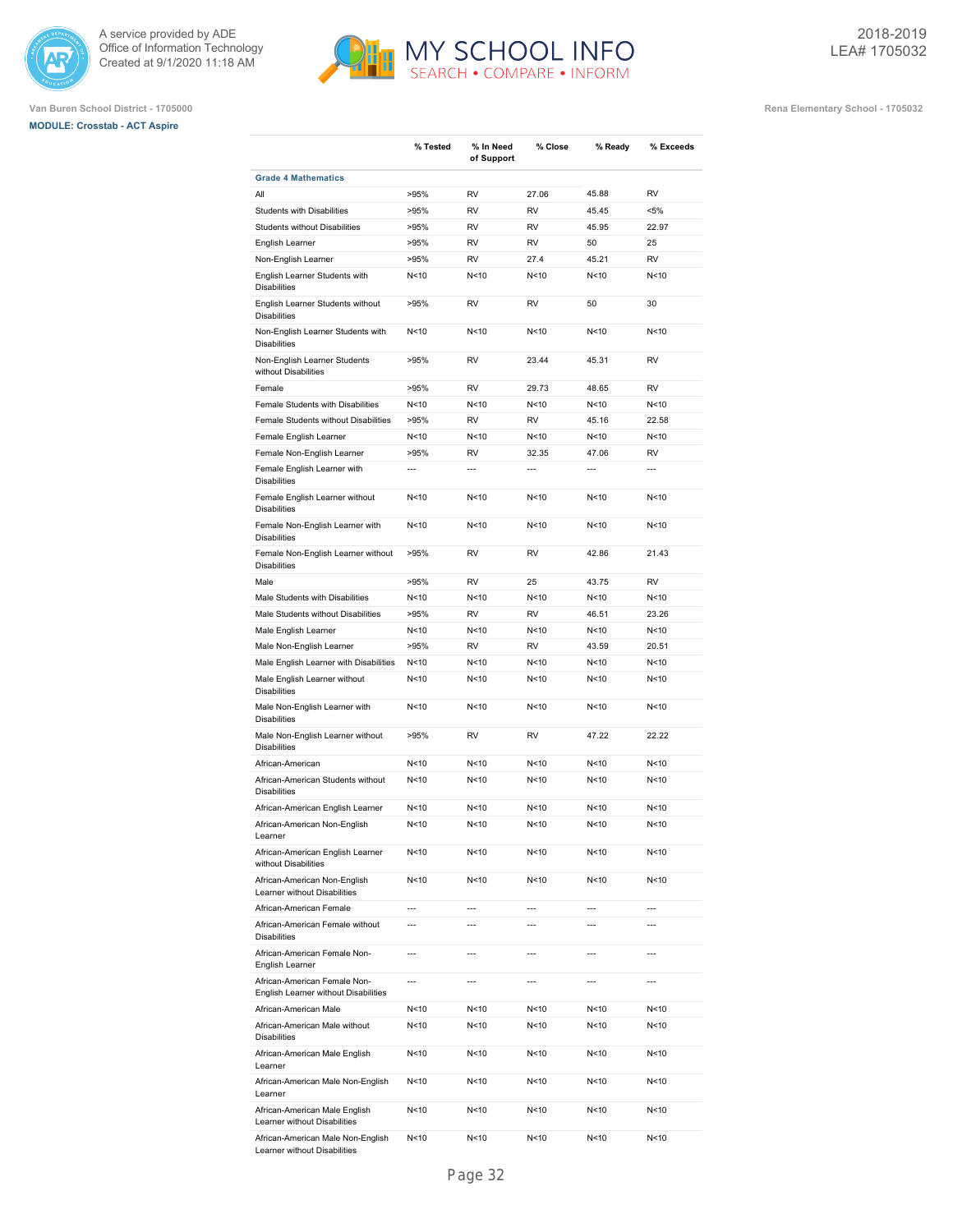





|                                                                      | % Tested       | % In Need<br>of Support | % Close         | % Ready         | % Exceeds      |
|----------------------------------------------------------------------|----------------|-------------------------|-----------------|-----------------|----------------|
| <b>Grade 4 Mathematics</b>                                           |                |                         |                 |                 |                |
| All                                                                  | >95%           | RV                      | 27.06           | 45.88           | <b>RV</b>      |
| <b>Students with Disabilities</b>                                    | >95%           | RV                      | RV              | 45.45           | $< 5\%$        |
| <b>Students without Disabilities</b>                                 | >95%           | <b>RV</b>               | <b>RV</b>       | 45.95           | 22.97          |
| English Learner                                                      | >95%           | RV                      | <b>RV</b>       | 50              | 25             |
| Non-English Learner                                                  | >95%           | <b>RV</b>               | 27.4            | 45.21           | <b>RV</b>      |
| English Learner Students with<br><b>Disabilities</b>                 | N<10           | N<10                    | N<10            | N<10            | N<10           |
| English Learner Students without<br><b>Disabilities</b>              | >95%           | RV                      | RV              | 50              | 30             |
| Non-English Learner Students with<br><b>Disabilities</b>             | N<10           | N<10                    | N<10            | N<10            | N<10           |
| Non-English Learner Students<br>without Disabilities                 | >95%           | RV                      | 23.44           | 45.31           | <b>RV</b>      |
| Female                                                               | >95%           | RV                      | 29.73           | 48.65           | RV             |
| Female Students with Disabilities                                    | N<10           | N<10                    | N<10            | N<10            | N<10           |
| Female Students without Disabilities                                 | >95%           | <b>RV</b>               | <b>RV</b>       | 45.16           | 22.58          |
| Female English Learner                                               | N < 10         | N<10                    | N<10            | N <sub>10</sub> | N<10           |
| Female Non-English Learner                                           | >95%           | <b>RV</b>               | 32.35           | 47.06           | <b>RV</b>      |
| Female English Learner with<br><b>Disabilities</b>                   | $\overline{a}$ | $\overline{a}$          | $\overline{a}$  | $\overline{a}$  | $\overline{a}$ |
| Female English Learner without<br><b>Disabilities</b>                | N<10           | N<10                    | N<10            | N <sub>10</sub> | N<10           |
| Female Non-English Learner with<br><b>Disabilities</b>               | N<10           | N<10                    | N <sub>10</sub> | N <sub>10</sub> | N<10           |
| Female Non-English Learner without<br><b>Disabilities</b>            | >95%           | <b>RV</b>               | RV              | 42.86           | 21.43          |
| Male                                                                 | >95%           | RV                      | 25              | 43.75           | <b>RV</b>      |
| Male Students with Disabilities                                      | N<10           | N<10                    | N<10            | N<10            | N<10           |
| Male Students without Disabilities                                   | >95%           | <b>RV</b>               | <b>RV</b>       | 46.51           | 23.26          |
| Male English Learner                                                 | N<10           | N<10                    | N<10            | N <sub>10</sub> | N<10           |
| Male Non-English Learner                                             | >95%           | <b>RV</b>               | <b>RV</b>       | 43.59           | 20.51          |
| Male English Learner with Disabilities                               | N < 10         | N<10                    | N<10            | N < 10          | N<10           |
| Male English Learner without<br><b>Disabilities</b>                  | N<10           | N < 10                  | N < 10          | N <sub>10</sub> | N<10           |
| Male Non-English Learner with<br><b>Disabilities</b>                 | N<10           | N<10                    | N <sub>10</sub> | N <sub>10</sub> | N<10           |
| Male Non-English Learner without<br><b>Disabilities</b>              | >95%           | RV                      | RV              | 47.22           | 22.22          |
| African-American                                                     | N<10           | N<10                    | N<10            | N<10            | N<10           |
| African-American Students without<br><b>Disabilities</b>             | N<10           | N<10                    | N<10            | N < 10          | N<10           |
| African-American English Learner                                     | N<10           | N<10                    | N<10            | N <sub>10</sub> | N<10           |
| African-American Non-English<br>Learner                              | N<10           | N<10                    | N<10            | N<10            | N < 10         |
| African-American English Learner<br>without Disabilities             | N<10           | N<10                    | N<10            | N <sub>10</sub> | N<10           |
| African-American Non-English<br>Learner without Disabilities         | N<10           | N<10                    | N<10            | N <sub>10</sub> | N<10           |
| African-American Female                                              | $\overline{a}$ | $\overline{a}$          | $\overline{a}$  | $\overline{a}$  | $\overline{a}$ |
| African-American Female without<br><b>Disabilities</b>               | ---            | ---                     | $\overline{a}$  | $\overline{a}$  | $\overline{a}$ |
| African-American Female Non-<br>English Learner                      | $\overline{a}$ | ---                     | $\overline{a}$  | $\overline{a}$  | $\overline{a}$ |
| African-American Female Non-<br>English Learner without Disabilities | ---            | ---                     | $\overline{a}$  | $\overline{a}$  | $\overline{a}$ |
| African-American Male                                                | N<10           | N <sub>10</sub>         | N<10            | N<10            | N<10           |
| African-American Male without<br><b>Disabilities</b>                 | N<10           | N<10                    | N <sub>10</sub> | N<10            | N<10           |
| African-American Male English<br>Learner                             | N<10           | N<10                    | N<10            | N<10            | N<10           |
| African-American Male Non-English<br>Learner                         | N<10           | N<10                    | N<10            | N<10            | N<10           |
| African-American Male English<br>Learner without Disabilities        | N<10           | N<10                    | N<10            | N<10            | N<10           |
| African-American Male Non-English<br>Learner without Disabilities    | N<10           | N<10                    | N<10            | N<10            | N<10           |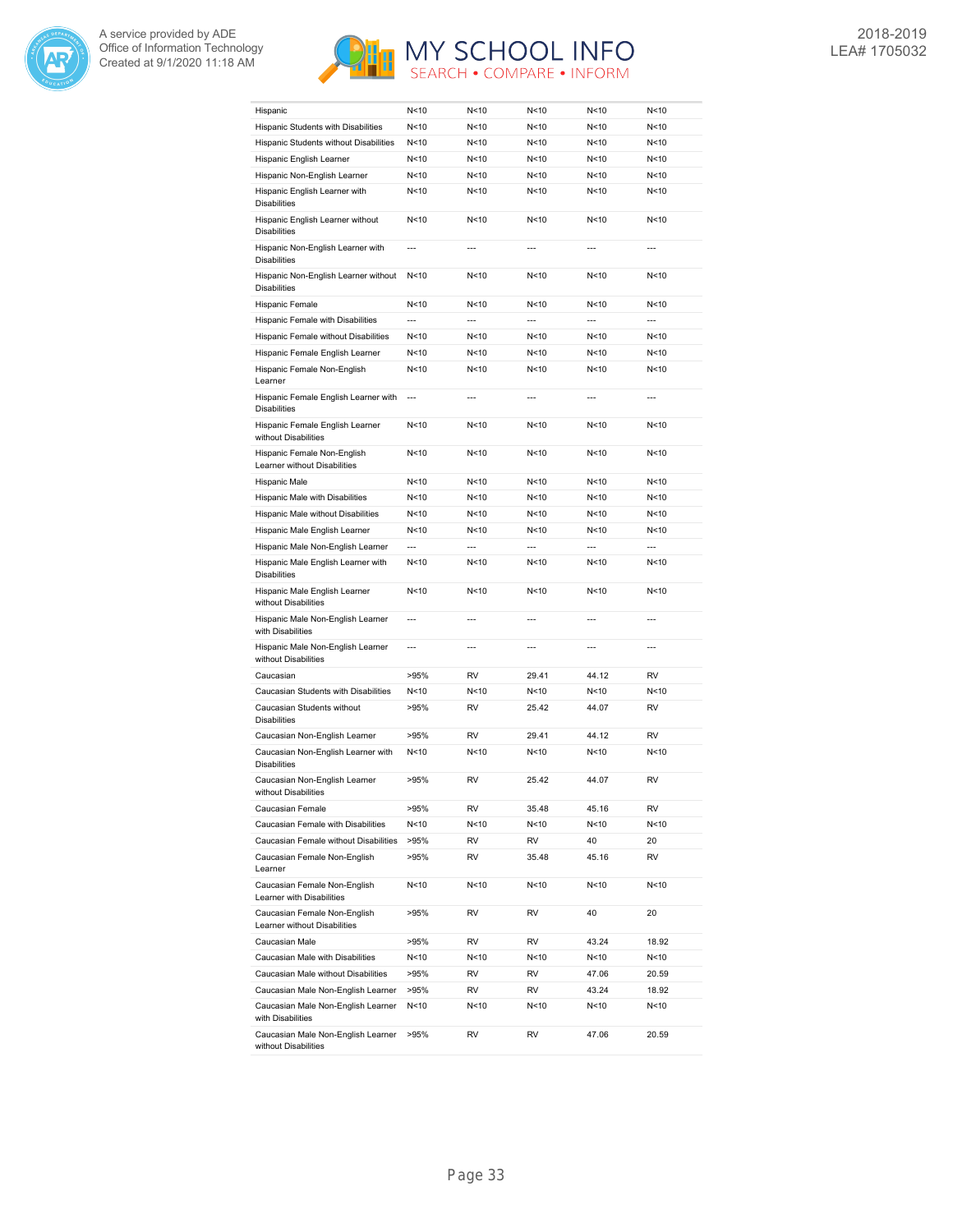



| Hispanic                                                     | N<10            | N < 10         | N<10            | N <sub>10</sub> | N <sub>10</sub> |
|--------------------------------------------------------------|-----------------|----------------|-----------------|-----------------|-----------------|
| Hispanic Students with Disabilities                          | N<10            | N<10           | N<10            | N < 10          | N<10            |
| Hispanic Students without Disabilities                       | N<10            | N<10           | N < 10          | N <sub>10</sub> | N<10            |
| Hispanic English Learner                                     | N<10            | N<10           | N < 10          | N<10            | N<10            |
| Hispanic Non-English Learner                                 | N<10            | N<10           | N < 10          | N <sub>10</sub> | N<10            |
| Hispanic English Learner with<br><b>Disabilities</b>         | N<10            | N<10           | N<10            | N<10            | N < 10          |
| Hispanic English Learner without<br><b>Disabilities</b>      | N <sub>10</sub> | N<10           | N<10            | N <sub>10</sub> | N<10            |
| Hispanic Non-English Learner with<br><b>Disabilities</b>     | $\overline{a}$  |                | $\overline{a}$  | $\overline{a}$  | $\overline{a}$  |
| Hispanic Non-English Learner without<br><b>Disabilities</b>  | N <sub>10</sub> | N<10           | N < 10          | N <sub>10</sub> | N<10            |
| Hispanic Female                                              | N<10            | N<10           | N < 10          | N <sub>10</sub> | N<10            |
| Hispanic Female with Disabilities                            | $\overline{a}$  | $\overline{a}$ | $\overline{a}$  | $\overline{a}$  | $\overline{a}$  |
| Hispanic Female without Disabilities                         | N <sub>10</sub> | N<10           | N < 10          | N<10            | N<10            |
| Hispanic Female English Learner                              | N<10            | N < 10         | N<10            | N < 10          | N<10            |
| Hispanic Female Non-English                                  | N<10            | N < 10         | N<10            | N <sub>10</sub> | N < 10          |
| Learner<br>Hispanic Female English Learner with              | $\overline{a}$  | $\overline{a}$ | $\overline{a}$  | $\overline{a}$  | $\overline{a}$  |
| <b>Disabilities</b>                                          |                 |                |                 |                 |                 |
| Hispanic Female English Learner<br>without Disabilities      | N<10            | N < 10         | N <sub>10</sub> | N <sub>10</sub> | N < 10          |
| Hispanic Female Non-English<br>Learner without Disabilities  | N<10            | N<10           | N < 10          | N < 10          | N<10            |
| Hispanic Male                                                | N<10            | N<10           | N<10            | N <sub>10</sub> | N<10            |
| Hispanic Male with Disabilities                              | N<10            | N<10           | N < 10          | N<10            | N<10            |
| Hispanic Male without Disabilities                           | N<10            | N<10           | N<10            | N<10            | N<10            |
| Hispanic Male English Learner                                | N<10            | N<10           | N < 10          | N < 10          | N<10            |
| Hispanic Male Non-English Learner                            | $\overline{a}$  | $\overline{a}$ | $\overline{a}$  | $\overline{a}$  | $\overline{a}$  |
| Hispanic Male English Learner with<br><b>Disabilities</b>    | N<10            | N < 10         | N < 10          | N < 10          | N<10            |
| Hispanic Male English Learner<br>without Disabilities        | N<10            | N<10           | N <sub>10</sub> | N <sub>10</sub> | N<10            |
| Hispanic Male Non-English Learner<br>with Disabilities       | $\overline{a}$  |                |                 | $\overline{a}$  |                 |
| Hispanic Male Non-English Learner<br>without Disabilities    | ---             | $\overline{a}$ | $\overline{a}$  | ---             | ---             |
| Caucasian                                                    | >95%            | <b>RV</b>      | 29.41           | 44.12           | <b>RV</b>       |
| Caucasian Students with Disabilities                         | N<10            | N<10           | N<10            | N<10            | N<10            |
| Caucasian Students without<br><b>Disabilities</b>            | >95%            | RV             | 25.42           | 44.07           | <b>RV</b>       |
| Caucasian Non-English Learner                                | >95%            | <b>RV</b>      | 29.41           | 44.12           | <b>RV</b>       |
| Caucasian Non-English Learner with<br><b>Disabilities</b>    | N<10            | N<10           | N<10            | N<10            | N<10            |
| Caucasian Non-English Learner<br>without Disabilities        | >95%            | RV             | 25.42           | 44.07           | <b>RV</b>       |
| Caucasian Female                                             | >95%            | RV             | 35.48           | 45.16           | RV              |
| Caucasian Female with Disabilities                           | N<10            | N<10           | N<10            | N<10            | N<10            |
| Caucasian Female without Disabilities                        | >95%            | RV             | RV              | 40              | 20              |
| Caucasian Female Non-English<br>Learner                      | >95%            | RV             | 35.48           | 45.16           | RV              |
| Caucasian Female Non-English<br>Learner with Disabilities    | N<10            | N<10           | N<10            | N <sub>10</sub> | N<10            |
| Caucasian Female Non-English<br>Learner without Disabilities | >95%            | RV             | RV              | 40              | 20              |
| Caucasian Male                                               | >95%            | RV             | RV              | 43.24           | 18.92           |
| Caucasian Male with Disabilities                             | N<10            | N<10           | N<10            | N<10            | N<10            |
| Caucasian Male without Disabilities                          | >95%            | RV             | RV              | 47.06           | 20.59           |
| Caucasian Male Non-English Learner                           | >95%            | RV             | RV              | 43.24           | 18.92           |
| Caucasian Male Non-English Learner<br>with Disabilities      | N<10            | N<10           | N<10            | N<10            | N<10            |
| Caucasian Male Non-English Learner<br>without Disabilities   | >95%            | RV             | RV              | 47.06           | 20.59           |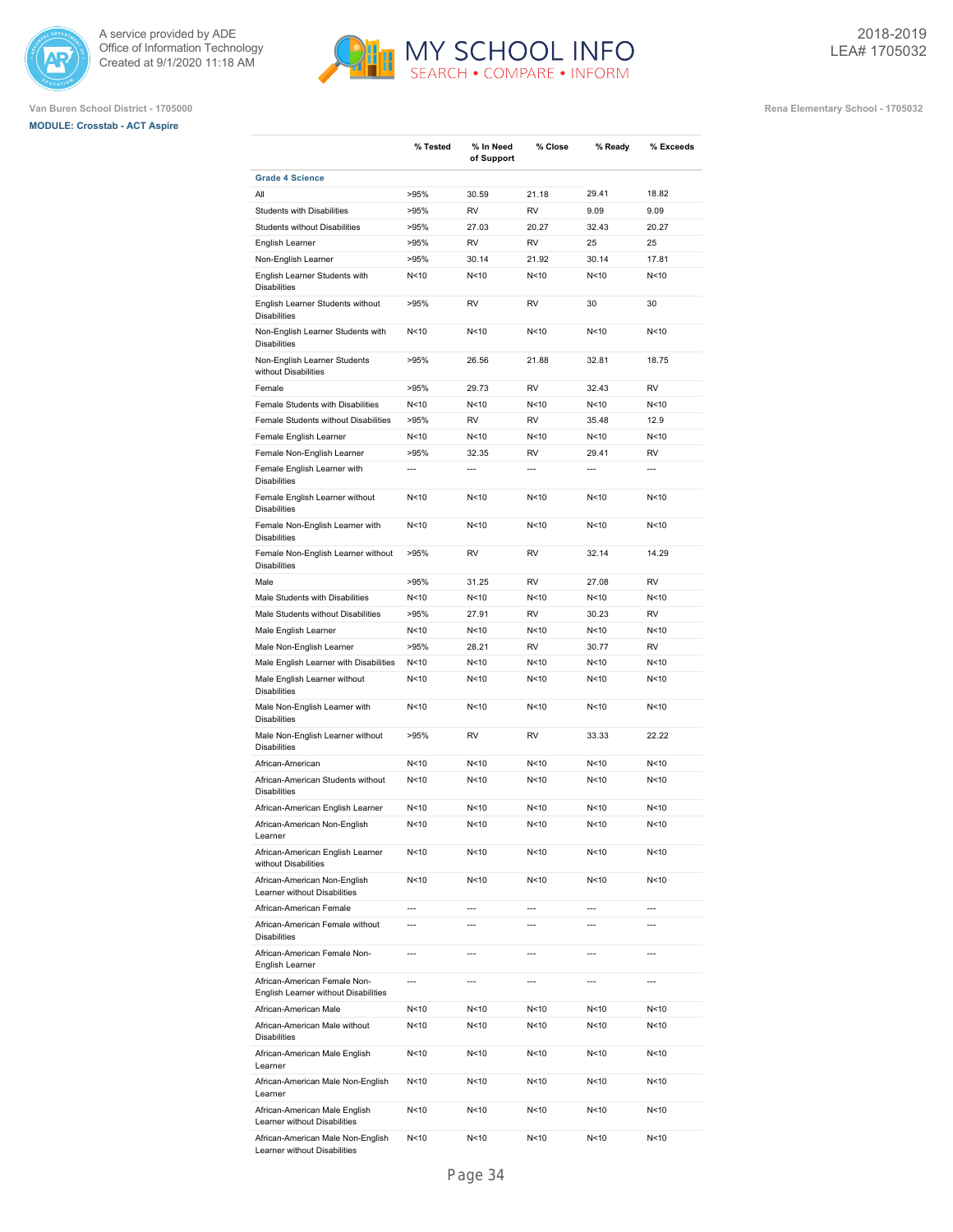





|                                                                      | % Tested        | % In Need<br>of Support | % Close         | % Ready         | % Exceeds       |
|----------------------------------------------------------------------|-----------------|-------------------------|-----------------|-----------------|-----------------|
| <b>Grade 4 Science</b>                                               |                 |                         |                 |                 |                 |
| All                                                                  | >95%            | 30.59                   | 21.18           | 29.41           | 18.82           |
| <b>Students with Disabilities</b>                                    | >95%            | <b>RV</b>               | <b>RV</b>       | 9.09            | 9.09            |
| <b>Students without Disabilities</b>                                 | >95%            | 27.03                   | 20.27           | 32.43           | 20.27           |
| English Learner                                                      | >95%            | RV                      | RV              | 25              | 25              |
| Non-English Learner                                                  | >95%            | 30.14                   | 21.92           | 30.14           | 17.81           |
| English Learner Students with<br><b>Disabilities</b>                 | N<10            | N < 10                  | N<10            | N<10            | N<10            |
| English Learner Students without<br><b>Disabilities</b>              | >95%            | RV                      | RV              | 30              | 30              |
| Non-English Learner Students with<br><b>Disabilities</b>             | N<10            | N<10                    | N<10            | N < 10          | N<10            |
| Non-English Learner Students<br>without Disabilities                 | >95%            | 26.56                   | 21.88           | 32.81           | 18.75           |
| Female                                                               | >95%            | 29.73                   | <b>RV</b>       | 32.43           | <b>RV</b>       |
| Female Students with Disabilities                                    | N<10            | N <sub>10</sub>         | N <sub>10</sub> | N <sub>10</sub> | N<10            |
| Female Students without Disabilities                                 | >95%            | RV                      | RV              | 35.48           | 12.9            |
| Female English Learner                                               | N<10            | N < 10                  | N <sub>10</sub> | N<10            | N<10            |
| Female Non-English Learner                                           | >95%            | 32.35                   | RV              | 29.41           | RV              |
| Female English Learner with<br><b>Disabilities</b>                   | ---             | $\overline{a}$          | ---             | ---             | ---             |
| Female English Learner without<br><b>Disabilities</b>                | N<10            | N < 10                  | N<10            | N<10            | N<10            |
| Female Non-English Learner with<br><b>Disabilities</b>               | N <sub>10</sub> | N < 10                  | N<10            | N<10            | N<10            |
| Female Non-English Learner without<br><b>Disabilities</b>            | >95%            | RV                      | RV              | 32.14           | 14.29           |
| Male                                                                 | >95%            | 31.25                   | <b>RV</b>       | 27.08           | <b>RV</b>       |
| Male Students with Disabilities                                      | N<10            | N < 10                  | N<10            | N<10            | N<10            |
| Male Students without Disabilities                                   | >95%            | 27.91                   | RV              | 30.23           | <b>RV</b>       |
| Male English Learner                                                 | N<10            | N < 10                  | N<10            | N<10            | N<10            |
| Male Non-English Learner                                             | >95%            | 28.21                   | RV              | 30.77           | RV              |
| Male English Learner with Disabilities                               | N<10            | N<10                    | N<10            | N<10            | N<10            |
| Male English Learner without<br><b>Disabilities</b>                  | N<10            | N < 10                  | N<10            | N<10            | N<10            |
| Male Non-English Learner with<br><b>Disabilities</b>                 | N<10            | N < 10                  | N<10            | N<10            | N<10            |
| Male Non-English Learner without<br><b>Disabilities</b>              | >95%            | RV                      | RV              | 33.33           | 22.22           |
| African-American                                                     | N < 10          | N < 10                  | N<10            | N<10            | N<10            |
| African-American Students without<br><b>Disabilities</b>             | N < 10          | N < 10                  | N<10            | N <sub>10</sub> | N<10            |
| African-American English Learner                                     | N < 10          | N < 10                  | N<10            | N <sub>10</sub> | N <sub>10</sub> |
| African-American Non-English<br>Learner                              | N < 10          | N <sub>10</sub>         | N < 10          | N <sub>10</sub> | N<10            |
| African-American English Learner<br>without Disabilities             | N<10            | N<10                    | N<10            | N<10            | N<10            |
| African-American Non-English<br>Learner without Disabilities         | N <sub>10</sub> | N<10                    | N<10            | N<10            | N<10            |
| African-American Female                                              | ---             | $\overline{a}$          | $\overline{a}$  | $\overline{a}$  | $\overline{a}$  |
| African-American Female without<br><b>Disabilities</b>               | ---             | $\overline{a}$          | $\overline{a}$  | $\overline{a}$  | $\overline{a}$  |
| African-American Female Non-<br>English Learner                      | $\overline{a}$  | ---                     | $\overline{a}$  | $\overline{a}$  | $\overline{a}$  |
| African-American Female Non-<br>English Learner without Disabilities | ---             | ---                     | $\overline{a}$  | ---             | ---             |
| African-American Male                                                | N<10            | N<10                    | N<10            | N<10            | N<10            |
| African-American Male without<br><b>Disabilities</b>                 | N<10            | N<10                    | N<10            | N<10            | N<10            |
| African-American Male English<br>Learner                             | N<10            | N<10                    | N<10            | N<10            | N <sub>10</sub> |
| African-American Male Non-English<br>Learner                         | N<10            | N<10                    | N<10            | N<10            | N <sub>10</sub> |
| African-American Male English<br>Learner without Disabilities        | N<10            | N<10                    | N<10            | N<10            | N <sub>10</sub> |
| African-American Male Non-English<br>Learner without Disabilities    | N<10            | N<10                    | N<10            | N<10            | N <sub>10</sub> |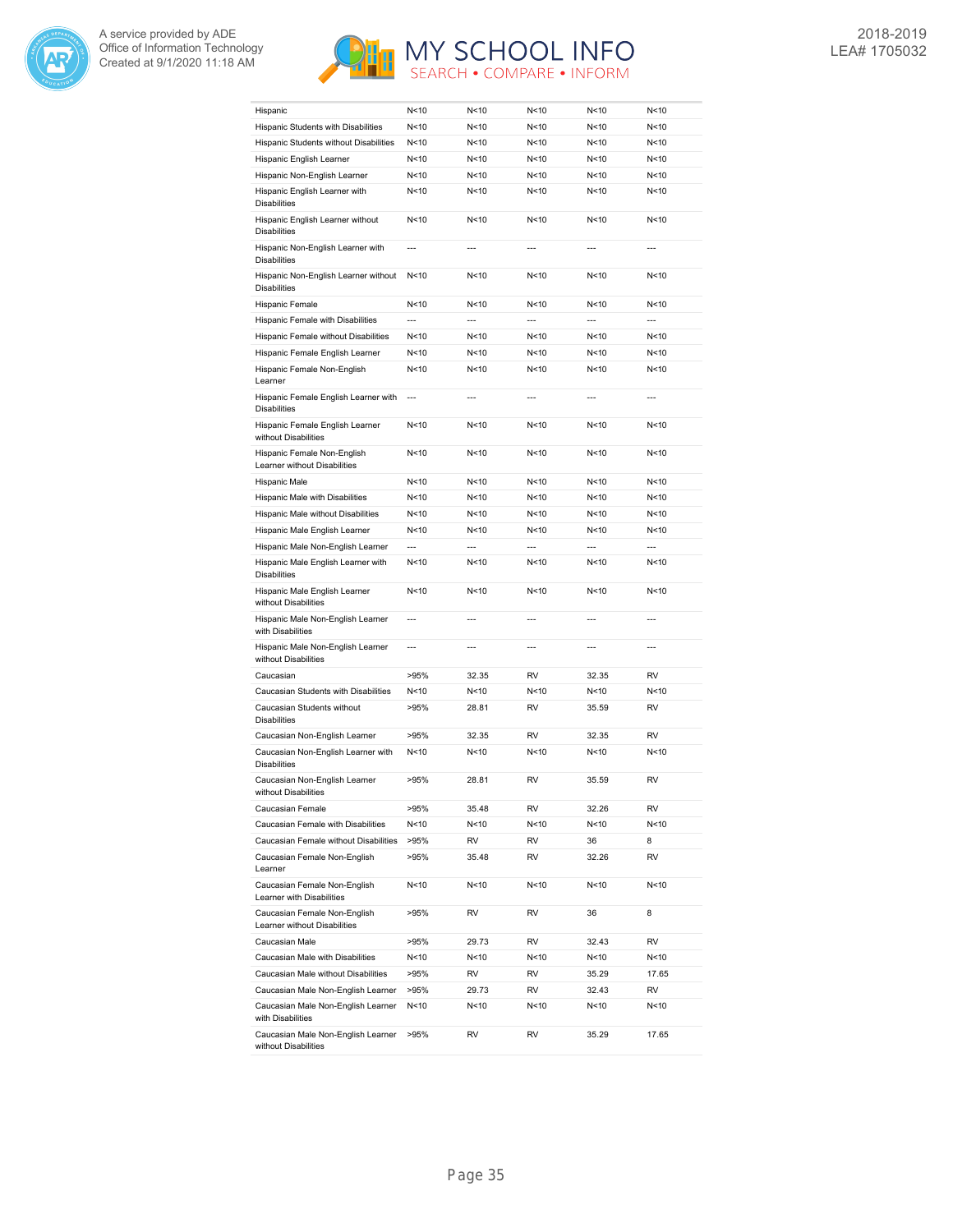



| Hispanic                                                     | N<10           | N < 10                   | N<10            | N<10            | N<10           |
|--------------------------------------------------------------|----------------|--------------------------|-----------------|-----------------|----------------|
| Hispanic Students with Disabilities                          | N<10           | N<10                     | N < 10          | N < 10          | N<10           |
| Hispanic Students without Disabilities                       | N<10           | N<10                     | N<10            | N < 10          | N<10           |
| Hispanic English Learner                                     | N<10           | N<10                     | N<10            | N<10            | N<10           |
| Hispanic Non-English Learner                                 | N<10           | N < 10                   | N < 10          | N<10            | N<10           |
| Hispanic English Learner with<br><b>Disabilities</b>         | N<10           | N<10                     | N < 10          | N<10            | N<10           |
| Hispanic English Learner without<br><b>Disabilities</b>      | N<10           | N <sub>10</sub>          | N < 10          | N < 10          | N<10           |
| Hispanic Non-English Learner with<br><b>Disabilities</b>     | $\overline{a}$ | $\overline{a}$           | $\overline{a}$  | $\overline{a}$  | $\overline{a}$ |
| Hispanic Non-English Learner without<br><b>Disabilities</b>  | N < 10         | N <sub>10</sub>          | N < 10          | N <sub>10</sub> | N<10           |
| Hispanic Female                                              | N<10           | N<10                     | N<10            | N <sub>10</sub> | N<10           |
| Hispanic Female with Disabilities                            | $\overline{a}$ | $\overline{\phantom{a}}$ | $\overline{a}$  | $\overline{a}$  | $\overline{a}$ |
| Hispanic Female without Disabilities                         | N<10           | N<10                     | N < 10          | N<10            | N<10           |
| Hispanic Female English Learner                              | N<10           | N < 10                   | N < 10          | N < 10          | N<10           |
| Hispanic Female Non-English                                  | N<10           | N < 10                   | N < 10          | N<10            | N<10           |
| Learner                                                      | $\overline{a}$ | $\overline{a}$           | $\overline{a}$  | $\overline{a}$  | $\overline{a}$ |
| Hispanic Female English Learner with<br><b>Disabilities</b>  |                |                          |                 |                 |                |
| Hispanic Female English Learner<br>without Disabilities      | N<10           | N<10                     | N < 10          | N < 10          | N<10           |
| Hispanic Female Non-English<br>Learner without Disabilities  | N<10           | N<10                     | N < 10          | N<10            | N<10           |
| Hispanic Male                                                | N<10           | N<10                     | N<10            | N <sub>10</sub> | N<10           |
| Hispanic Male with Disabilities                              | N<10           | N<10                     | N < 10          | N<10            | N<10           |
| Hispanic Male without Disabilities                           | N<10           | N<10                     | N < 10          | N<10            | N<10           |
| Hispanic Male English Learner                                | N<10           | N<10                     | N < 10          | N < 10          | N<10           |
| Hispanic Male Non-English Learner                            | $\overline{a}$ | $\overline{a}$           | $\overline{a}$  | $\overline{a}$  | $\overline{a}$ |
| Hispanic Male English Learner with<br><b>Disabilities</b>    | N<10           | N < 10                   | N < 10          | N < 10          | N<10           |
| Hispanic Male English Learner<br>without Disabilities        | N<10           | N<10                     | N <sub>10</sub> | N <sub>10</sub> | N<10           |
| Hispanic Male Non-English Learner<br>with Disabilities       | $\overline{a}$ | $\overline{a}$           |                 | $\overline{a}$  |                |
| Hispanic Male Non-English Learner<br>without Disabilities    | $\overline{a}$ | $\overline{a}$           | $\overline{a}$  | $\overline{a}$  | ---            |
| Caucasian                                                    | >95%           | 32.35                    | <b>RV</b>       | 32.35           | <b>RV</b>      |
| Caucasian Students with Disabilities                         | N<10           | N<10                     | N < 10          | N<10            | N<10           |
| Caucasian Students without<br><b>Disabilities</b>            | >95%           | 28.81                    | <b>RV</b>       | 35.59           | <b>RV</b>      |
| Caucasian Non-English Learner                                | >95%           | 32.35                    | <b>RV</b>       | 32.35           | <b>RV</b>      |
| Caucasian Non-English Learner with<br><b>Disabilities</b>    | N<10           | N<10                     | N<10            | N<10            | N<10           |
| Caucasian Non-English Learner<br>without Disabilities        | >95%           | 28.81                    | <b>RV</b>       | 35.59           | <b>RV</b>      |
| Caucasian Female                                             | >95%           | 35.48                    | RV              | 32.26           | RV             |
| Caucasian Female with Disabilities                           | N<10           | N<10                     | N<10            | N<10            | N<10           |
| Caucasian Female without Disabilities                        | >95%           | RV                       | RV              | 36              | 8              |
| Caucasian Female Non-English<br>Learner                      | >95%           | 35.48                    | RV              | 32.26           | RV             |
| Caucasian Female Non-English<br>Learner with Disabilities    | N<10           | N<10                     | N<10            | N<10            | N<10           |
| Caucasian Female Non-English<br>Learner without Disabilities | >95%           | RV                       | RV              | 36              | 8              |
| Caucasian Male                                               | >95%           | 29.73                    | RV              | 32.43           | RV             |
| Caucasian Male with Disabilities                             | N<10           | N<10                     | N<10            | N<10            | N<10           |
| Caucasian Male without Disabilities                          | >95%           | RV                       | RV              | 35.29           | 17.65          |
| Caucasian Male Non-English Learner                           | >95%           | 29.73                    | RV              | 32.43           | RV             |
| Caucasian Male Non-English Learner                           | N<10           | N<10                     | N<10            | N<10            | N<10           |
| with Disabilities                                            |                |                          |                 |                 |                |
| Caucasian Male Non-English Learner<br>without Disabilities   | >95%           | RV                       | RV              | 35.29           | 17.65          |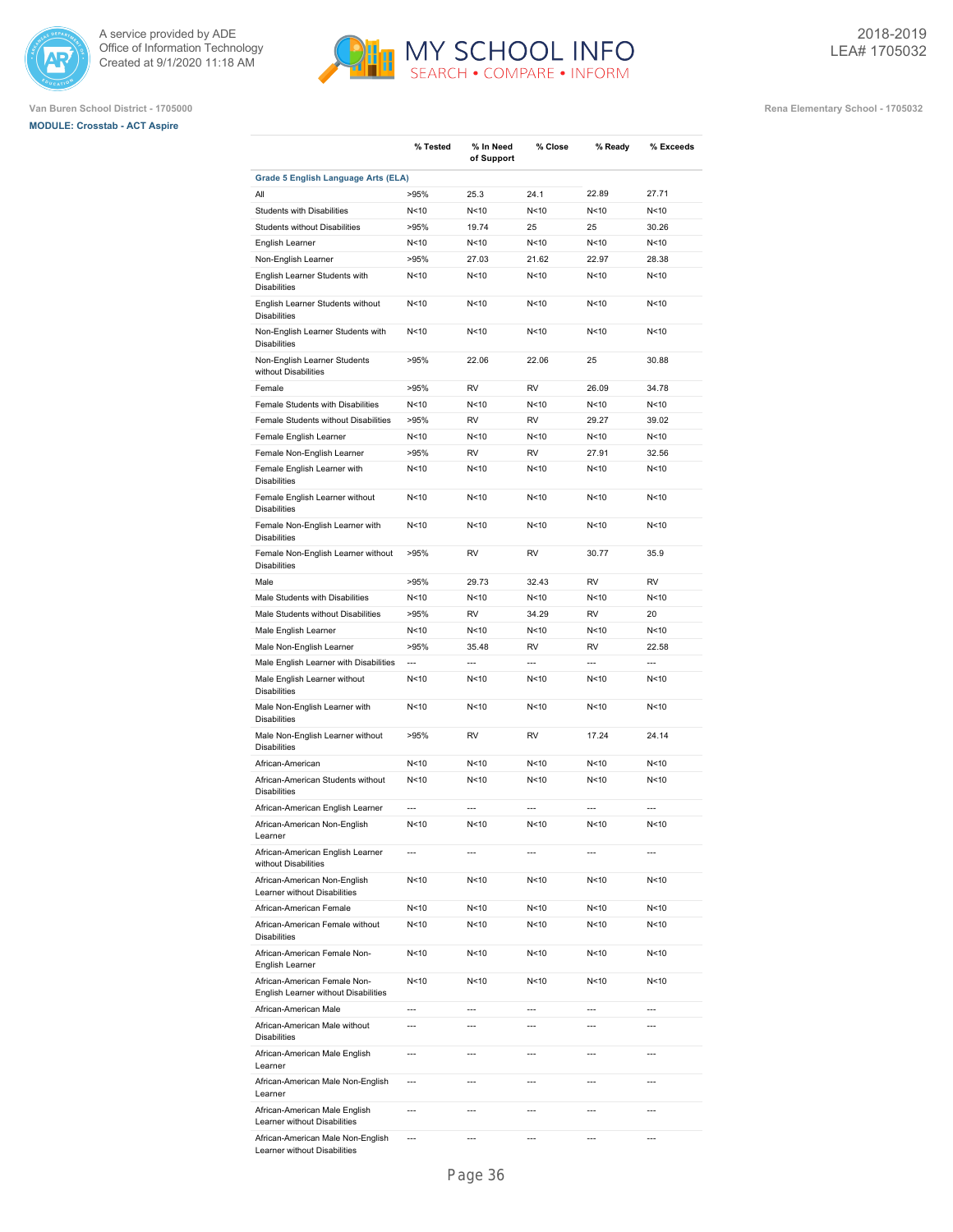





|                                                                      | % Tested        | % In Need<br>of Support | % Close         | % Ready         | % Exceeds      |
|----------------------------------------------------------------------|-----------------|-------------------------|-----------------|-----------------|----------------|
| Grade 5 English Language Arts (ELA)                                  |                 |                         |                 |                 |                |
| All                                                                  | >95%            | 25.3                    | 24.1            | 22.89           | 27.71          |
| <b>Students with Disabilities</b>                                    | N<10            | N <sub>10</sub>         | N <sub>10</sub> | N <sub>10</sub> | N<10           |
| <b>Students without Disabilities</b>                                 | >95%            | 19.74                   | 25              | 25              | 30.26          |
| English Learner                                                      | N<10            | N < 10                  | N<10            | N<10            | N<10           |
| Non-English Learner                                                  | >95%            | 27.03                   | 21.62           | 22.97           | 28.38          |
| English Learner Students with<br><b>Disabilities</b>                 | N<10            | N < 10                  | N<10            | N<10            | N<10           |
| English Learner Students without<br><b>Disabilities</b>              | N<10            | N < 10                  | N<10            | N<10            | N<10           |
| Non-English Learner Students with<br><b>Disabilities</b>             | N<10            | N < 10                  | N < 10          | N < 10          | N<10           |
| Non-English Learner Students<br>without Disabilities                 | >95%            | 22.06                   | 22.06           | 25              | 30.88          |
| Female                                                               | >95%            | <b>RV</b>               | <b>RV</b>       | 26.09           | 34.78          |
| Female Students with Disabilities                                    | N<10            | N<10                    | N<10            | N <sub>10</sub> | N<10           |
| Female Students without Disabilities                                 | >95%            | RV                      | <b>RV</b>       | 29.27           | 39.02          |
| Female English Learner                                               | N<10            | N < 10                  | N<10            | N<10            | N<10           |
| Female Non-English Learner                                           | >95%            | RV                      | RV              | 27.91           | 32.56          |
|                                                                      | N<10            | N <sub>10</sub>         | N<10            | N<10            | N<10           |
| Female English Learner with<br><b>Disabilities</b>                   |                 |                         |                 |                 |                |
| Female English Learner without<br><b>Disabilities</b>                | N<10            | N<10                    | N <sub>10</sub> | N<10            | N<10           |
| Female Non-English Learner with<br><b>Disabilities</b>               | N<10            | N<10                    | N<10            | N<10            | N<10           |
| Female Non-English Learner without<br><b>Disabilities</b>            | >95%            | RV                      | RV              | 30.77           | 35.9           |
| Male                                                                 | >95%            | 29.73                   | 32.43           | <b>RV</b>       | <b>RV</b>      |
| Male Students with Disabilities                                      | N<10            | N < 10                  | N<10            | N<10            | N<10           |
| Male Students without Disabilities                                   | >95%            | RV                      | 34.29           | RV              | 20             |
| Male English Learner                                                 | N<10            | N<10                    | N<10            | N<10            | N<10           |
| Male Non-English Learner                                             | >95%            | 35.48                   | RV              | RV              | 22.58          |
| Male English Learner with Disabilities                               | ---             | $\overline{a}$          | $\overline{a}$  | $\overline{a}$  | $\overline{a}$ |
| Male English Learner without<br><b>Disabilities</b>                  | N<10            | N<10                    | N<10            | N<10            | N<10           |
| Male Non-English Learner with<br><b>Disabilities</b>                 | N<10            | N<10                    | N<10            | N<10            | N<10           |
| Male Non-English Learner without<br><b>Disabilities</b>              | >95%            | RV                      | RV              | 17.24           | 24.14          |
| African-American                                                     | N<10            | N<10                    | N<10            | N<10            | N<10           |
| African-American Students without<br><b>Disabilities</b>             | N <sub>10</sub> | N < 10                  | N <sub>10</sub> | N<10            | N<10           |
| African-American English Learner                                     | ---             | $\overline{a}$          | ---             | ---             | ---            |
| African-American Non-English<br>Learner                              | N<10            | N<10                    | N<10            | N<10            | N<10           |
| African-American English Learner<br>without Disabilities             | ---             | $\overline{a}$          | ---             | ---             | ---            |
| African-American Non-English<br>Learner without Disabilities         | N<10            | N<10                    | N<10            | N<10            | N<10           |
| African-American Female                                              | N<10            | N<10                    | N<10            | N<10            | N<10           |
| African-American Female without<br><b>Disabilities</b>               | N<10            | N<10                    | N<10            | N<10            | N<10           |
| African-American Female Non-<br>English Learner                      | N<10            | N<10                    | N<10            | N<10            | N<10           |
| African-American Female Non-<br>English Learner without Disabilities | N<10            | N<10                    | N<10            | N<10            | N<10           |
| African-American Male                                                | ---             | $---$                   | $\overline{a}$  | $---$           | ---            |
| African-American Male without<br><b>Disabilities</b>                 |                 | ---                     |                 |                 |                |
| African-American Male English<br>Learner                             | ---             | $\overline{a}$          | ---             | $---$           | ---            |
| African-American Male Non-English<br>Learner                         | ---             | ---                     | ---             | $-$ --          | ---            |
| African-American Male English<br>Learner without Disabilities        | ---             | $\overline{a}$          | ---             | $---$           | ---            |
| African-American Male Non-English<br>Learner without Disabilities    | ---             | ---                     | ---             | $\overline{a}$  | ---            |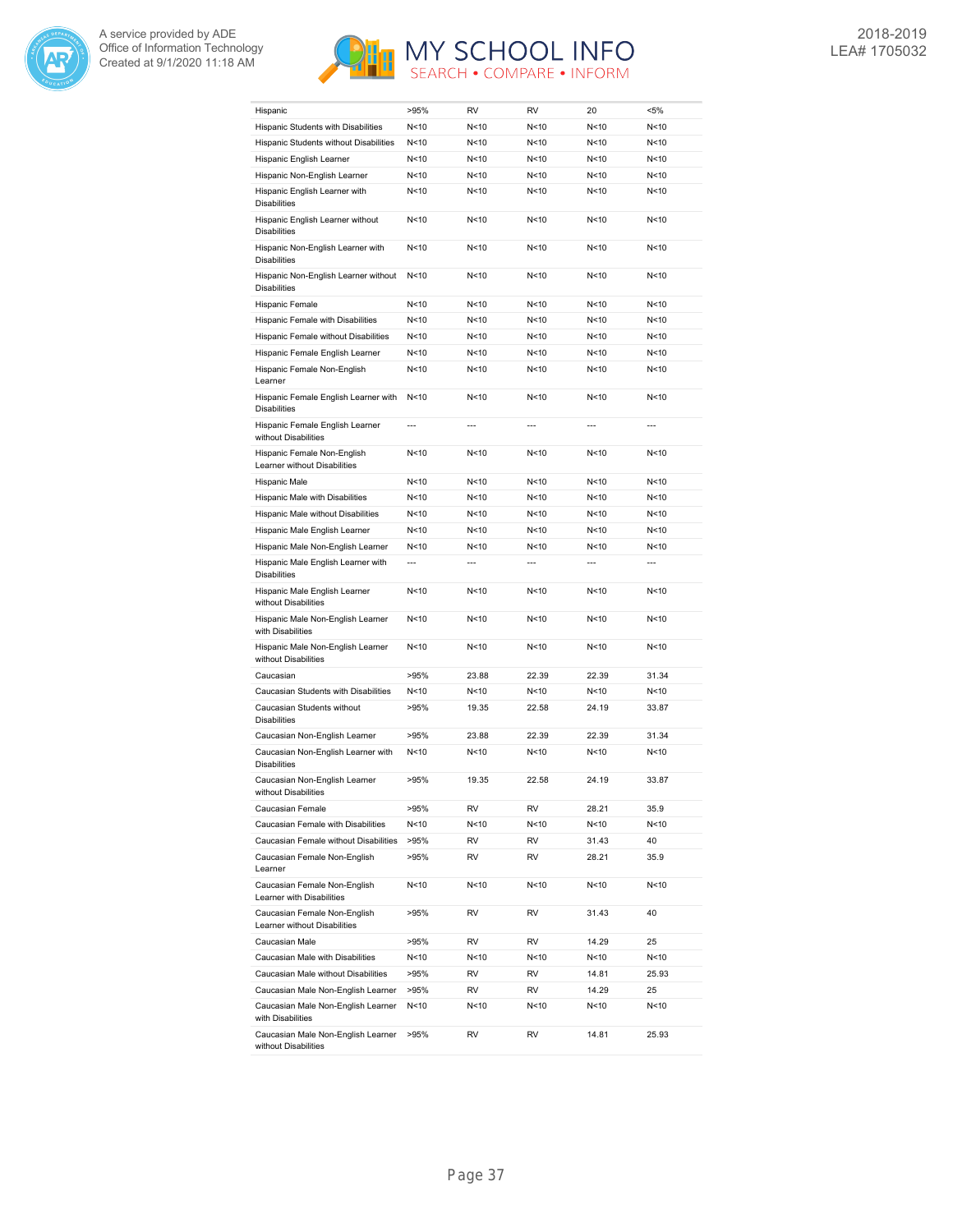



| Hispanic                                                     | >95%           | RV     | <b>RV</b>      | 20              | <5%            |
|--------------------------------------------------------------|----------------|--------|----------------|-----------------|----------------|
| Hispanic Students with Disabilities                          | N<10           | N<10   | N < 10         | N<10            | N<10           |
| Hispanic Students without Disabilities                       | N<10           | N<10   | N < 10         | N < 10          | N<10           |
| Hispanic English Learner                                     | N<10           | N<10   | N < 10         | N < 10          | N<10           |
| Hispanic Non-English Learner                                 | N<10           | N<10   | N < 10         | N <sub>10</sub> | N<10           |
| Hispanic English Learner with<br><b>Disabilities</b>         | N<10           | N<10   | N < 10         | N < 10          | N<10           |
| Hispanic English Learner without<br><b>Disabilities</b>      | N<10           | N<10   | N < 10         | N<10            | N<10           |
| Hispanic Non-English Learner with<br><b>Disabilities</b>     | N<10           | N<10   | N<10           | N < 10          | N<10           |
| Hispanic Non-English Learner without<br><b>Disabilities</b>  | N<10           | N < 10 | N < 10         | N < 10          | N<10           |
| Hispanic Female                                              | N<10           | N<10   | N<10           | N<10            | N<10           |
| Hispanic Female with Disabilities                            | N<10           | N<10   | N<10           | N < 10          | N<10           |
| Hispanic Female without Disabilities                         | N<10           | N<10   | N < 10         | N < 10          | N<10           |
| Hispanic Female English Learner                              | N<10           | N<10   | N<10           | N < 10          | N<10           |
| Hispanic Female Non-English<br>Learner                       | N<10           | N<10   | N < 10         | N<10            | N<10           |
| Hispanic Female English Learner with<br><b>Disabilities</b>  | N < 10         | N<10   | N < 10         | N<10            | N<10           |
| Hispanic Female English Learner<br>without Disabilities      | $\overline{a}$ | ---    | $\overline{a}$ | $\overline{a}$  | $\overline{a}$ |
| Hispanic Female Non-English<br>Learner without Disabilities  | N<10           | N<10   | N < 10         | N <sub>10</sub> | N<10           |
| Hispanic Male                                                | N<10           | N<10   | N < 10         | N<10            | N<10           |
| Hispanic Male with Disabilities                              | N<10           | N<10   | N < 10         | N <sub>10</sub> | N<10           |
| Hispanic Male without Disabilities                           | N<10           | N<10   | N<10           | N<10            | N<10           |
| Hispanic Male English Learner                                | N<10           | N<10   | N < 10         | N < 10          | N<10           |
| Hispanic Male Non-English Learner                            | N<10           | N<10   | N < 10         | N <sub>10</sub> | N<10           |
| Hispanic Male English Learner with<br><b>Disabilities</b>    | ---            | ---    | $\overline{a}$ | $\overline{a}$  | $\overline{a}$ |
| Hispanic Male English Learner<br>without Disabilities        | N<10           | N<10   | N < 10         | N<10            | N<10           |
| Hispanic Male Non-English Learner<br>with Disabilities       | N<10           | N<10   | N < 10         | N < 10          | N<10           |
| Hispanic Male Non-English Learner<br>without Disabilities    | N<10           | N<10   | N < 10         | N <sub>10</sub> | N<10           |
| Caucasian                                                    | >95%           | 23.88  | 22.39          | 22.39           | 31.34          |
| Caucasian Students with Disabilities                         | N<10           | N<10   | N<10           | N<10            | N<10           |
| Caucasian Students without<br><b>Disabilities</b>            | >95%           | 19.35  | 22.58          | 24.19           | 33.87          |
| Caucasian Non-English Learner                                | >95%           | 23.88  | 22.39          | 22.39           | 31.34          |
| Caucasian Non-English Learner with<br><b>Disabilities</b>    | N<10           | N<10   | N < 10         | N < 10          | N<10           |
| Caucasian Non-English Learner<br>without Disabilities        | >95%           | 19.35  | 22.58          | 24.19           | 33.87          |
| Caucasian Female                                             | >95%           | RV     | RV             | 28.21           | 35.9           |
| Caucasian Female with Disabilities                           | N<10           | N<10   | N<10           | N<10            | N<10           |
| Caucasian Female without Disabilities                        | >95%           | RV     | RV             | 31.43           | 40             |
| Caucasian Female Non-English<br>Learner                      | >95%           | RV     | RV             | 28.21           | 35.9           |
| Caucasian Female Non-English<br>Learner with Disabilities    | N<10           | N<10   | N<10           | N <sub>10</sub> | N<10           |
| Caucasian Female Non-English<br>Learner without Disabilities | >95%           | RV     | RV             | 31.43           | 40             |
| Caucasian Male                                               | >95%           | RV     | RV             | 14.29           | 25             |
| Caucasian Male with Disabilities                             | N<10           | N<10   | N<10           | N<10            | N<10           |
| Caucasian Male without Disabilities                          | >95%           | RV     | RV             | 14.81           | 25.93          |
| Caucasian Male Non-English Learner                           | >95%           | RV     | RV             | 14.29           | 25             |
| Caucasian Male Non-English Learner<br>with Disabilities      | N<10           | N<10   | N<10           | N<10            | N<10           |
| Caucasian Male Non-English Learner<br>without Disabilities   | >95%           | RV     | RV             | 14.81           | 25.93          |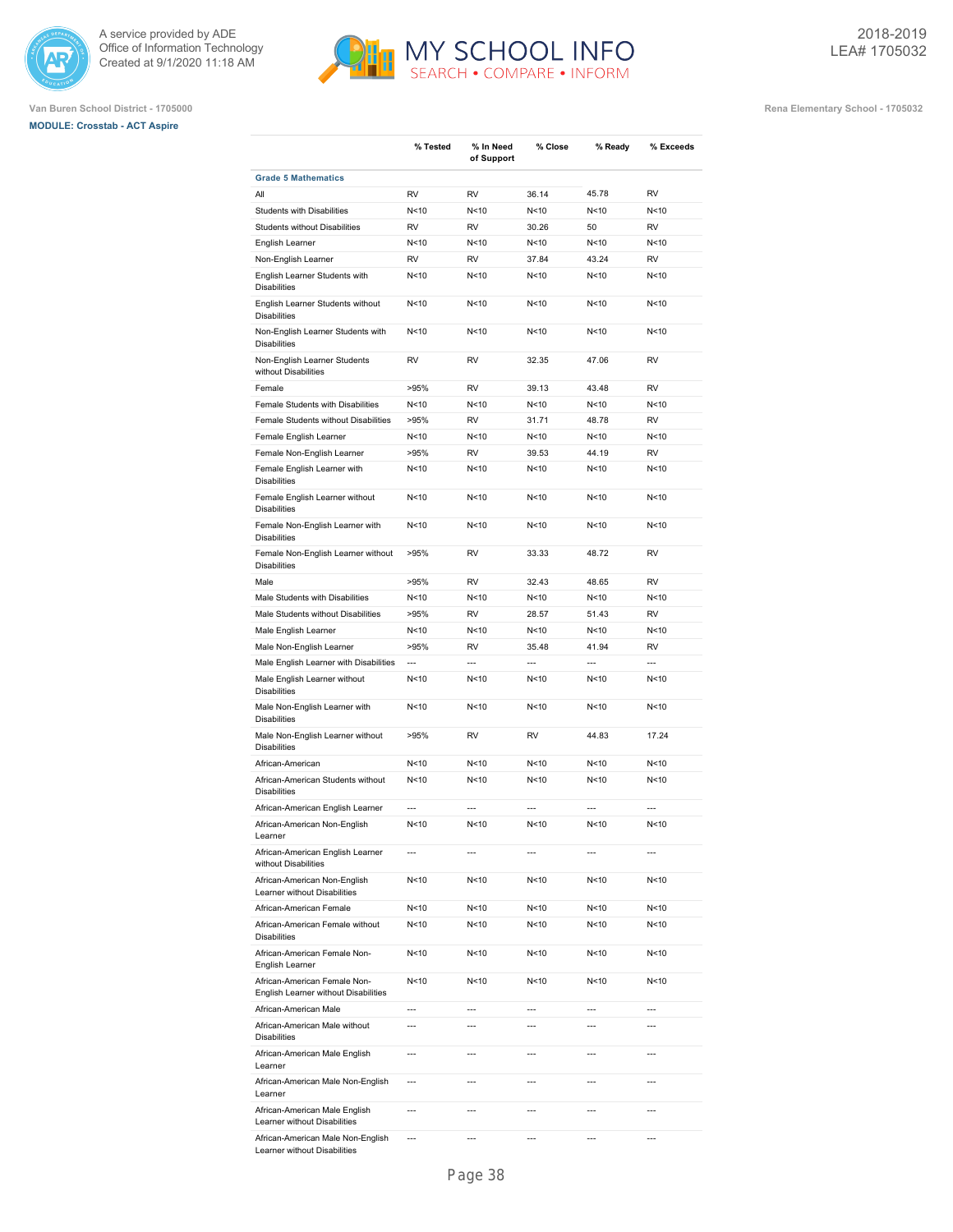





**Van Buren School District - 1705000 Rena Elementary School - 1705032**

|                                                                      | % Tested                 | % In Need<br>of Support | % Close                  | % Ready        | % Exceeds      |
|----------------------------------------------------------------------|--------------------------|-------------------------|--------------------------|----------------|----------------|
| <b>Grade 5 Mathematics</b>                                           |                          |                         |                          |                |                |
| All                                                                  | <b>RV</b>                | RV                      | 36.14                    | 45.78          | <b>RV</b>      |
| <b>Students with Disabilities</b>                                    | N<10                     | N<10                    | N<10                     | N<10           | N<10           |
| Students without Disabilities                                        | <b>RV</b>                | RV                      | 30.26                    | 50             | <b>RV</b>      |
| English Learner                                                      | N<10                     | N<10                    | N<10                     | N < 10         | N<10           |
| Non-English Learner                                                  | <b>RV</b>                | RV                      | 37.84                    | 43.24          | RV             |
| English Learner Students with<br><b>Disabilities</b>                 | N<10                     | N<10                    | N<10                     | N < 10         | N<10           |
| English Learner Students without<br><b>Disabilities</b>              | N<10                     | N<10                    | N<10                     | N<10           | N<10           |
| Non-English Learner Students with<br><b>Disabilities</b>             | N<10                     | N<10                    | N<10                     | N<10           | N<10           |
| Non-English Learner Students<br>without Disabilities                 | <b>RV</b>                | RV                      | 32.35                    | 47.06          | <b>RV</b>      |
| Female                                                               | >95%                     | RV                      | 39.13                    | 43.48          | RV             |
| Female Students with Disabilities                                    | N <sub>10</sub>          | N<10                    | N<10                     | N < 10         | N<10           |
| Female Students without Disabilities                                 | >95%                     | RV                      | 31.71                    | 48.78          | <b>RV</b>      |
| Female English Learner                                               | N<10                     | N<10                    | N<10                     | N < 10         | N<10           |
| Female Non-English Learner                                           | >95%                     | RV                      | 39.53                    | 44.19          | <b>RV</b>      |
| Female English Learner with<br><b>Disabilities</b>                   | N <sub>10</sub>          | N<10                    | N<10                     | N < 10         | N<10           |
| Female English Learner without<br><b>Disabilities</b>                | N<10                     | N<10                    | N<10                     | N < 10         | N<10           |
| Female Non-English Learner with<br><b>Disabilities</b>               | N<10                     | N<10                    | N<10                     | N < 10         | N<10           |
| Female Non-English Learner without<br><b>Disabilities</b>            | >95%                     | RV                      | 33.33                    | 48.72          | <b>RV</b>      |
| Male                                                                 | >95%                     | RV                      | 32.43                    | 48.65          | <b>RV</b>      |
| Male Students with Disabilities                                      | N<10                     | N<10                    | N<10                     | N < 10         | N<10           |
| Male Students without Disabilities                                   | >95%                     | RV                      | 28.57                    | 51.43          | RV             |
| Male English Learner                                                 | N<10                     | N<10                    | N<10                     | N < 10         | N<10           |
| Male Non-English Learner                                             | >95%                     | RV                      | 35.48                    | 41.94          | RV             |
| Male English Learner with Disabilities                               | $\overline{a}$           | $\overline{a}$          | $\overline{a}$           | $\overline{a}$ | $\overline{a}$ |
| Male English Learner without<br><b>Disabilities</b>                  | N<10                     | N<10                    | N<10                     | N < 10         | N<10           |
| Male Non-English Learner with<br><b>Disabilities</b>                 | N<10                     | N<10                    | N<10                     | N < 10         | N<10           |
| Male Non-English Learner without<br><b>Disabilities</b>              | >95%                     | RV                      | RV                       | 44.83          | 17.24          |
| African-American                                                     | N<10                     | N<10                    | N<10                     | N < 10         | N<10           |
| African-American Students without<br><b>Disabilities</b>             | N<10                     | N<10                    | N<10                     | N < 10         | N<10           |
| African-American English Learner                                     | $\overline{a}$           | $\overline{a}$          | ---                      | $\overline{a}$ | $\overline{a}$ |
| African-American Non-English<br>Learner                              | N<10                     | N<10                    | N<10                     | N<10           | N<10           |
| African-American English Learner<br>without Disabilities             | $\overline{a}$           | ---                     | $\overline{a}$           | $---$          | $\overline{a}$ |
| African-American Non-English<br>Learner without Disabilities         | N<10                     | N<10                    | N<10                     | N < 10         | N<10           |
| African-American Female                                              | N<10                     | N<10                    | N<10                     | N < 10         | N<10           |
| African-American Female without<br><b>Disabilities</b>               | N<10                     | N<10                    | N<10                     | N < 10         | N<10           |
| African-American Female Non-<br>English Learner                      | N<10                     | N<10                    | N<10                     | N < 10         | N<10           |
| African-American Female Non-<br>English Learner without Disabilities | N<10                     | N<10                    | N<10                     | N < 10         | N<10           |
| African-American Male                                                | $\overline{a}$           | $\overline{a}$          | ---                      | $\overline{a}$ | $\overline{a}$ |
| African-American Male without<br><b>Disabilities</b>                 | ---                      | ---                     | ---                      | ---            | ---            |
| African-American Male English<br>Learner                             | $\overline{a}$           | $\overline{a}$          | $\overline{a}$           | $\overline{a}$ | $\overline{a}$ |
| African-American Male Non-English<br>Learner                         | $\overline{a}$           | $\overline{a}$          | $\overline{a}$           | $\overline{a}$ | $\overline{a}$ |
| African-American Male English<br>Learner without Disabilities        | $\overline{a}$           | $\overline{a}$          | $\overline{a}$           | $\overline{a}$ | $\overline{a}$ |
| African-American Male Non-English                                    | $\overline{\phantom{a}}$ | $\overline{a}$          | $\overline{\phantom{a}}$ | ---            | ---            |

MY SCHOOL INFO

Learner without Disabilities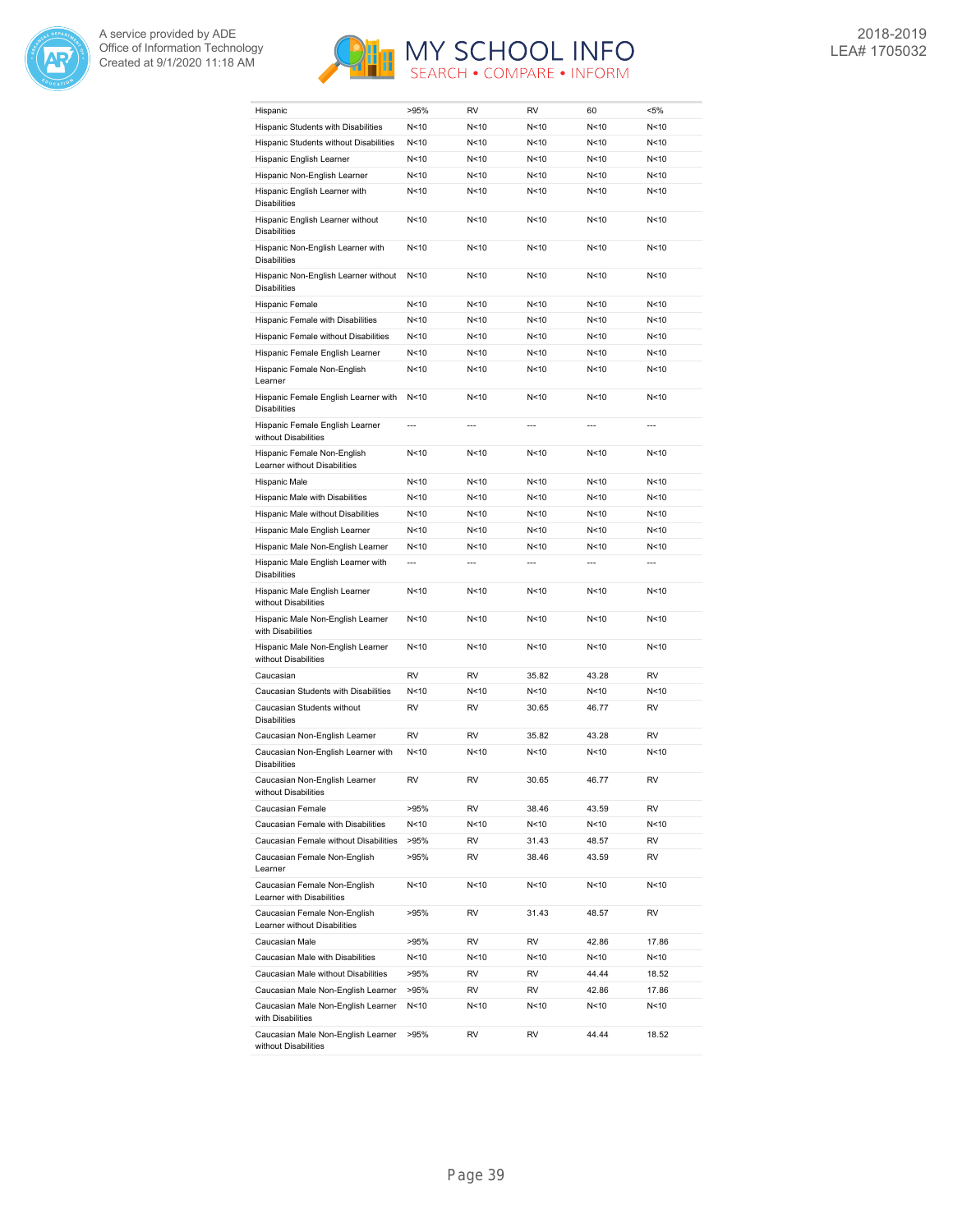



| Hispanic                                                     | >95%            | RV             | RV              | 60              | $< 5\%$        |
|--------------------------------------------------------------|-----------------|----------------|-----------------|-----------------|----------------|
| Hispanic Students with Disabilities                          | N<10            | N<10           | N<10            | N<10            | N<10           |
| Hispanic Students without Disabilities                       | N<10            | N<10           | N<10            | N<10            | N<10           |
| Hispanic English Learner                                     | N<10            | N<10           | N<10            | N<10            | N<10           |
| Hispanic Non-English Learner                                 | N<10            | N<10           | N<10            | N<10            | N<10           |
| Hispanic English Learner with<br><b>Disabilities</b>         | N < 10          | N<10           | N<10            | N<10            | N<10           |
| Hispanic English Learner without<br><b>Disabilities</b>      | N<10            | N<10           | N<10            | N <sub>10</sub> | N<10           |
| Hispanic Non-English Learner with<br><b>Disabilities</b>     | N<10            | N<10           | N<10            | N<10            | N<10           |
| Hispanic Non-English Learner without<br><b>Disabilities</b>  | N <sub>10</sub> | N<10           | N<10            | N<10            | N<10           |
| Hispanic Female                                              | N<10            | N<10           | N<10            | N <sub>10</sub> | N<10           |
| Hispanic Female with Disabilities                            | N <sub>10</sub> | N<10           | N<10            | N<10            | N<10           |
| Hispanic Female without Disabilities                         | N < 10          | N<10           | N<10            | N<10            | N<10           |
| Hispanic Female English Learner                              | N<10            | N<10           | N <sub>10</sub> | N <sub>10</sub> | N<10           |
| Hispanic Female Non-English<br>Learner                       | N<10            | N<10           | N<10            | N<10            | N<10           |
| Hispanic Female English Learner with<br><b>Disabilities</b>  | N<10            | N<10           | N<10            | N<10            | N<10           |
| Hispanic Female English Learner<br>without Disabilities      | $\overline{a}$  | $---$          | $\overline{a}$  | ---             | $---$          |
| Hispanic Female Non-English<br>Learner without Disabilities  | N<10            | N<10           | N<10            | N<10            | N<10           |
| Hispanic Male                                                | N<10            | N<10           | N<10            | N <sub>10</sub> | N<10           |
| Hispanic Male with Disabilities                              | N<10            | N<10           | N<10            | N<10            | N<10           |
| Hispanic Male without Disabilities                           | N<10            | N<10           | N <sub>10</sub> | N <sub>10</sub> | N<10           |
| Hispanic Male English Learner                                | N<10            | N<10           | N<10            | N <sub>10</sub> | N<10           |
| Hispanic Male Non-English Learner                            | N < 10          | N<10           | N<10            | N<10            | N<10           |
| Hispanic Male English Learner with<br><b>Disabilities</b>    | $\overline{a}$  | $\overline{a}$ | $\overline{a}$  | ---             | $\overline{a}$ |
| Hispanic Male English Learner<br>without Disabilities        | N<10            | N<10           | N<10            | N <sub>10</sub> | N<10           |
| Hispanic Male Non-English Learner<br>with Disabilities       | N<10            | N<10           | N<10            | N<10            | N<10           |
| Hispanic Male Non-English Learner<br>without Disabilities    | N < 10          | N<10           | N<10            | N <sub>10</sub> | N<10           |
| Caucasian                                                    | <b>RV</b>       | RV             | 35.82           | 43.28           | <b>RV</b>      |
| Caucasian Students with Disabilities                         | N<10            | N<10           | N<10            | N<10            | N<10           |
| Caucasian Students without<br><b>Disabilities</b>            | <b>RV</b>       | RV             | 30.65           | 46.77           | <b>RV</b>      |
| Caucasian Non-English Learner                                | RV              | RV             | 35.82           | 43.28           | RV             |
| Caucasian Non-English Learner with<br><b>Disabilities</b>    | N<10            | N<10           | N<10            | N<10            | N<10           |
| Caucasian Non-English Learner<br>without Disabilities        | <b>RV</b>       | RV             | 30.65           | 46.77           | <b>RV</b>      |
| Caucasian Female                                             | >95%            | RV             | 38.46           | 43.59           | RV             |
| Caucasian Female with Disabilities                           | N<10            | N<10           | N<10            | N<10            | N<10           |
| Caucasian Female without Disabilities                        | >95%            | RV             | 31.43           | 48.57           | RV             |
| Caucasian Female Non-English<br>Learner                      | >95%            | RV             | 38.46           | 43.59           | RV             |
| Caucasian Female Non-English<br>Learner with Disabilities    | N<10            | N<10           | N<10            | N<10            | N<10           |
| Caucasian Female Non-English<br>Learner without Disabilities | >95%            | RV             | 31.43           | 48.57           | RV             |
| Caucasian Male                                               | >95%            | RV             | RV              | 42.86           | 17.86          |
| Caucasian Male with Disabilities                             | N<10            | N<10           | N<10            | N<10            | N<10           |
| Caucasian Male without Disabilities                          | >95%            | RV             | RV              | 44.44           | 18.52          |
| Caucasian Male Non-English Learner                           | >95%            | RV             | RV              | 42.86           | 17.86          |
| Caucasian Male Non-English Learner<br>with Disabilities      | N<10            | N<10           | N<10            | N<10            | N<10           |
| Caucasian Male Non-English Learner<br>without Disabilities   | >95%            | RV             | RV              | 44.44           | 18.52          |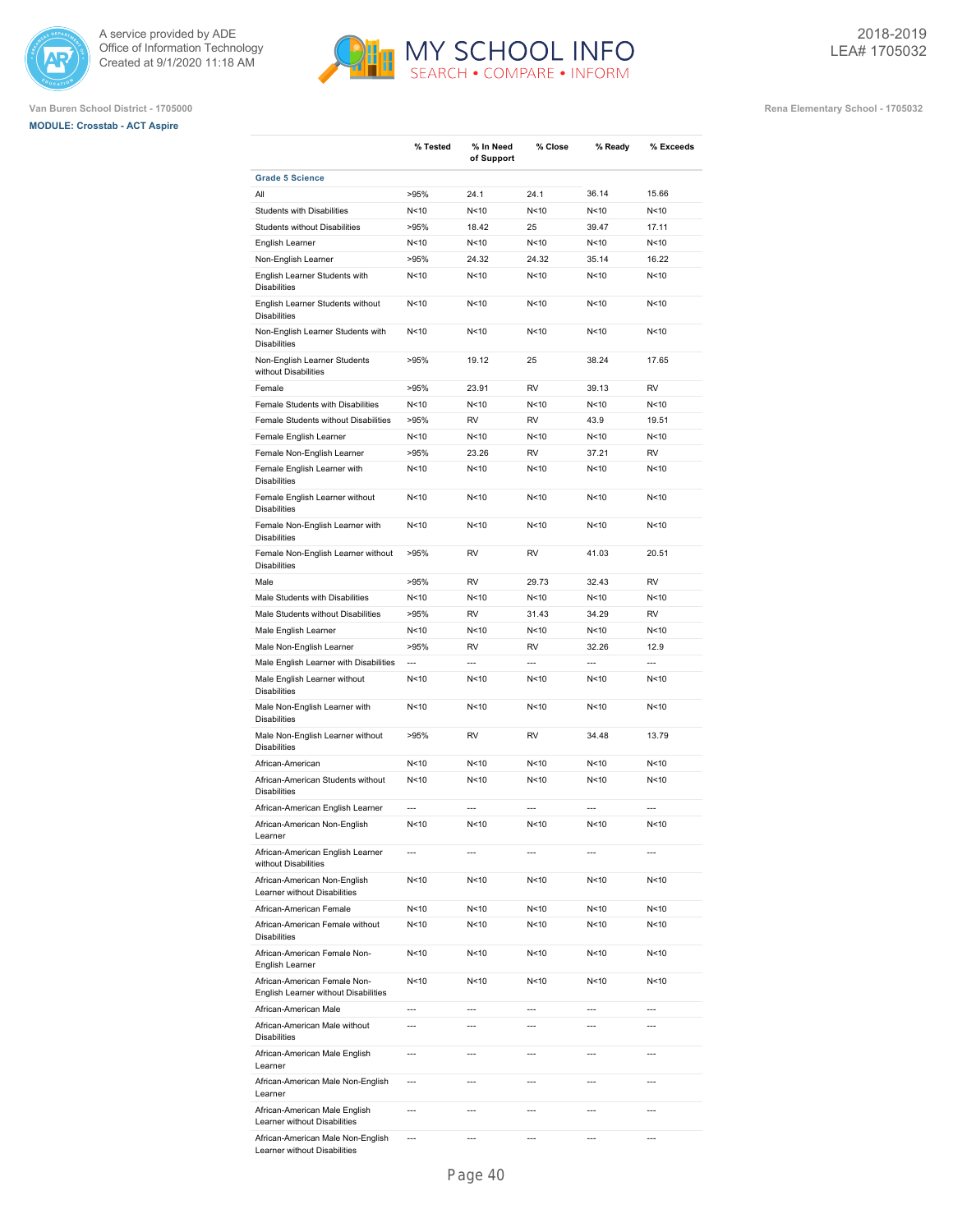





|                                                                      | % Tested        | % In Need<br>of Support | % Close         | % Ready         | % Exceeds      |
|----------------------------------------------------------------------|-----------------|-------------------------|-----------------|-----------------|----------------|
| <b>Grade 5 Science</b>                                               |                 |                         |                 |                 |                |
| All                                                                  | >95%            | 24.1                    | 24.1            | 36.14           | 15.66          |
| Students with Disabilities                                           | N<10            | N<10                    | N <sub>10</sub> | N <sub>10</sub> | N<10           |
| <b>Students without Disabilities</b>                                 | >95%            | 18.42                   | 25              | 39.47           | 17.11          |
| English Learner                                                      | N<10            | N < 10                  | N<10            | N < 10          | N<10           |
| Non-English Learner                                                  | >95%            | 24.32                   | 24.32           | 35.14           | 16.22          |
| English Learner Students with<br><b>Disabilities</b>                 | N<10            | N < 10                  | N < 10          | N<10            | N<10           |
| English Learner Students without<br><b>Disabilities</b>              | N<10            | N<10                    | N <sub>10</sub> | N <sub>10</sub> | N<10           |
| Non-English Learner Students with<br><b>Disabilities</b>             | N<10            | N < 10                  | N < 10          | N <sub>10</sub> | N<10           |
| Non-English Learner Students<br>without Disabilities                 | >95%            | 19.12                   | 25              | 38.24           | 17.65          |
| Female                                                               | >95%            | 23.91                   | <b>RV</b>       | 39.13           | <b>RV</b>      |
| Female Students with Disabilities                                    | N<10            | N<10                    | N<10            | N <sub>10</sub> | N<10           |
| Female Students without Disabilities                                 | >95%            | <b>RV</b>               | <b>RV</b>       | 43.9            | 19.51          |
| Female English Learner                                               | N<10            | N<10                    | N<10            | N<10            | N<10           |
|                                                                      | >95%            | 23.26                   | <b>RV</b>       | 37.21           | <b>RV</b>      |
| Female Non-English Learner                                           |                 |                         |                 |                 |                |
| Female English Learner with<br><b>Disabilities</b>                   | N<10            | N<10                    | N<10            | N < 10          | N<10           |
| Female English Learner without<br><b>Disabilities</b>                | N<10            | N<10                    | N < 10          | N < 10          | N<10           |
| Female Non-English Learner with<br><b>Disabilities</b>               | N<10            | N<10                    | N <sub>10</sub> | N <sub>10</sub> | N<10           |
| Female Non-English Learner without<br><b>Disabilities</b>            | >95%            | RV                      | <b>RV</b>       | 41.03           | 20.51          |
| Male                                                                 | >95%            | RV                      | 29.73           | 32.43           | <b>RV</b>      |
| Male Students with Disabilities                                      | N<10            | N<10                    | N < 10          | N <sub>10</sub> | N<10           |
| Male Students without Disabilities                                   | >95%            | <b>RV</b>               | 31.43           | 34.29           | <b>RV</b>      |
| Male English Learner                                                 | N<10            | N<10                    | N<10            | N <sub>10</sub> | N<10           |
| Male Non-English Learner                                             | >95%            | RV                      | <b>RV</b>       | 32.26           | 12.9           |
| Male English Learner with Disabilities                               | ---             | ---                     | $\overline{a}$  | ---             | ---            |
| Male English Learner without<br><b>Disabilities</b>                  | N<10            | N<10                    | N<10            | N<10            | N<10           |
| Male Non-English Learner with<br><b>Disabilities</b>                 | N<10            | N<10                    | N <sub>10</sub> | N <sub>10</sub> | N<10           |
| Male Non-English Learner without<br><b>Disabilities</b>              | >95%            | RV                      | RV              | 34.48           | 13.79          |
| African-American                                                     | N<10            | N<10                    | N<10            | N < 10          | N<10           |
| African-American Students without<br><b>Disabilities</b>             | N<10            | N<10                    | N < 10          | N <sub>10</sub> | N<10           |
| African-American English Learner                                     | $\overline{a}$  | $\overline{a}$          | $\overline{a}$  | $\overline{a}$  | $\overline{a}$ |
| African-American Non-English<br>Learner                              | N <sub>10</sub> | N <sub>10</sub>         | N<10            | N<10            | N<10           |
| African-American English Learner<br>without Disabilities             | $\overline{a}$  | $\overline{a}$          | $\overline{a}$  | $\overline{a}$  | $\overline{a}$ |
| African-American Non-English<br>Learner without Disabilities         | N<10            | N <sub>10</sub>         | N<10            | N<10            | N<10           |
| African-American Female                                              | N<10            | N<10                    | N<10            | N<10            | N<10           |
| African-American Female without<br><b>Disabilities</b>               | N<10            | N<10                    | N<10            | N<10            | N<10           |
| African-American Female Non-<br>English Learner                      | N<10            | N<10                    | N<10            | N<10            | N<10           |
| African-American Female Non-<br>English Learner without Disabilities | N<10            | N<10                    | N<10            | N<10            | N<10           |
| African-American Male                                                | $\overline{a}$  | $\overline{a}$          | $\overline{a}$  | $\overline{a}$  | $\overline{a}$ |
| African-American Male without<br><b>Disabilities</b>                 | ---             | ---                     | ---             | ---             | ---            |
| African-American Male English<br>Learner                             | $\overline{a}$  | $\overline{a}$          | ---             | $\overline{a}$  | $\overline{a}$ |
| African-American Male Non-English<br>Learner                         | $\overline{a}$  | ---                     | ---             | $\overline{a}$  |                |
| African-American Male English<br>Learner without Disabilities        | $\overline{a}$  | $\overline{a}$          | ---             | $\overline{a}$  | $\overline{a}$ |
| African-American Male Non-English<br>Learner without Disabilities    | $\overline{a}$  | ---                     | ---             | ---             | ---            |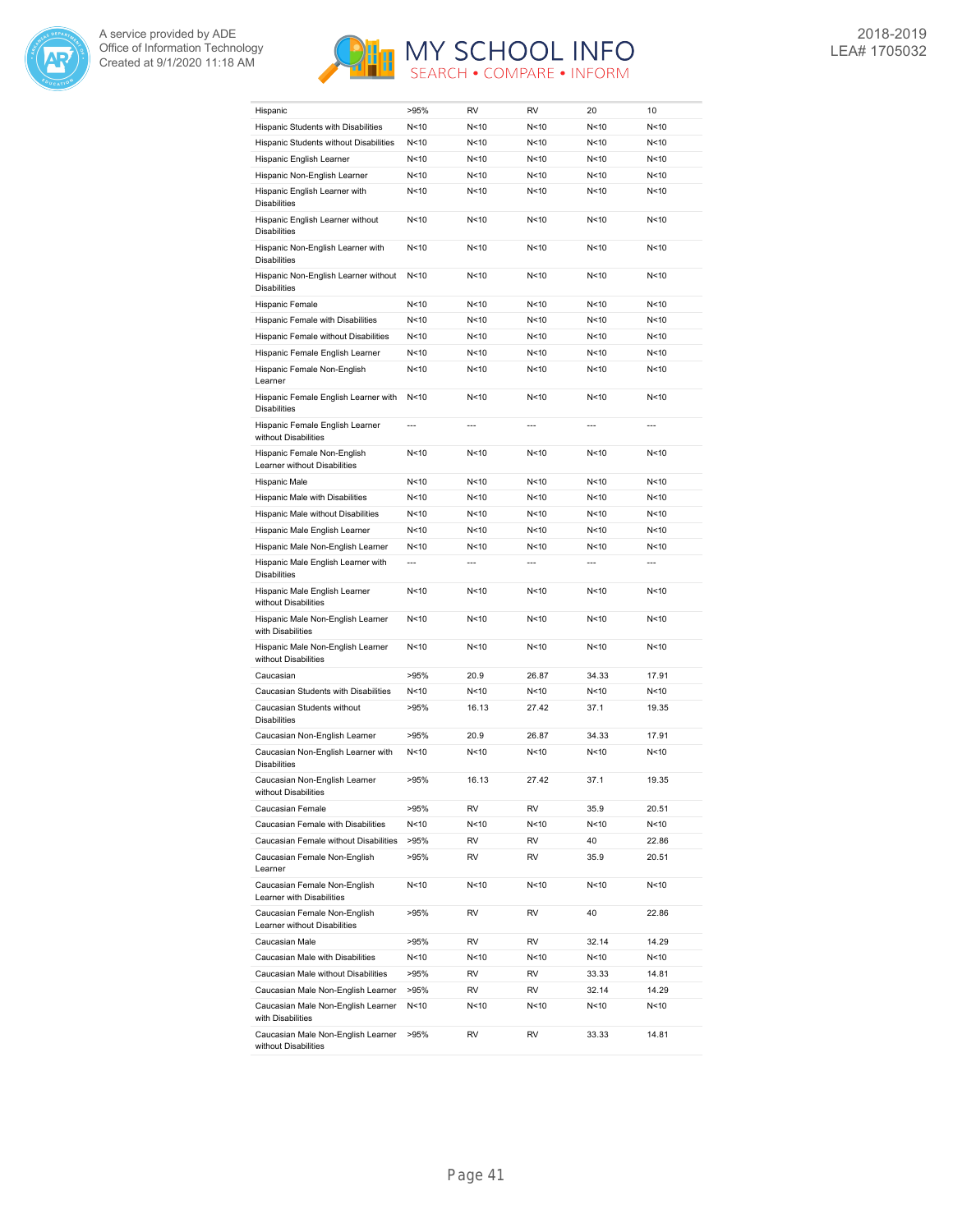



| Hispanic                                                                        | >95%            | <b>RV</b>      | <b>RV</b>       | 20              | 10              |
|---------------------------------------------------------------------------------|-----------------|----------------|-----------------|-----------------|-----------------|
| Hispanic Students with Disabilities                                             | N < 10          | N<10           | N < 10          | N <sub>10</sub> | N<10            |
| Hispanic Students without Disabilities                                          | N < 10          | N<10           | N<10            | N<10            | N <sub>10</sub> |
| Hispanic English Learner                                                        | N < 10          | N < 10         | N<10            | N<10            | N<10            |
| Hispanic Non-English Learner                                                    | N<10            | N<10           | N<10            | N <sub>10</sub> | N <sub>10</sub> |
| Hispanic English Learner with<br><b>Disabilities</b>                            | N<10            | N<10           | N<10            | N<10            | N<10            |
| Hispanic English Learner without<br><b>Disabilities</b>                         | N<10            | N<10           | N<10            | N<10            | N<10            |
| Hispanic Non-English Learner with<br><b>Disabilities</b>                        | N<10            | N<10           | N<10            | N < 10          | N<10            |
| Hispanic Non-English Learner without<br><b>Disabilities</b>                     | N<10            | N<10           | N<10            | N<10            | N<10            |
| Hispanic Female                                                                 | N<10            | N<10           | N < 10          | N<10            | N<10            |
| Hispanic Female with Disabilities                                               | N < 10          | N<10           | N <sub>10</sub> | N <sub>10</sub> | N<10            |
| Hispanic Female without Disabilities                                            | N<10            | N < 10         | N<10            | N < 10          | N<10            |
| Hispanic Female English Learner                                                 | N<10            | N<10           | N<10            | N<10            | N<10            |
| Hispanic Female Non-English                                                     | N<10            | N<10           | N < 10          | N<10            | N < 10          |
| Learner<br>Hispanic Female English Learner with                                 | N < 10          | N<10           | N<10            | N<10            | N<10            |
| <b>Disabilities</b>                                                             |                 |                |                 |                 |                 |
| Hispanic Female English Learner<br>without Disabilities                         | ---             | $\overline{a}$ | ---             | $\overline{a}$  | $\overline{a}$  |
| Hispanic Female Non-English<br>Learner without Disabilities                     | N<10            | N < 10         | N < 10          | N <sub>10</sub> | N<10            |
| Hispanic Male                                                                   | N<10            | N<10           | N < 10          | N<10            | N<10            |
| Hispanic Male with Disabilities                                                 | N < 10          | N<10           | N < 10          | N < 10          | N<10            |
| Hispanic Male without Disabilities                                              | N <sub>10</sub> | N<10           | N<10            | N<10            | N<10            |
| Hispanic Male English Learner                                                   | N<10            | N<10           | N<10            | N<10            | N<10            |
| Hispanic Male Non-English Learner                                               | N<10            | N<10           | N<10            | N <sub>10</sub> | N<10            |
| Hispanic Male English Learner with<br><b>Disabilities</b>                       | $\overline{a}$  | $\overline{a}$ | ---             | ---             | ---             |
| Hispanic Male English Learner<br>without Disabilities                           | N < 10          | N<10           | N < 10          | N<10            | N<10            |
| Hispanic Male Non-English Learner<br>with Disabilities                          | N < 10          | N<10           | N<10            | N < 10          | N<10            |
| Hispanic Male Non-English Learner<br>without Disabilities                       | N < 10          | N<10           | N <sub>10</sub> | N <sub>10</sub> | N<10            |
| Caucasian                                                                       | >95%            | 20.9           | 26.87           | 34.33           | 17.91           |
| Caucasian Students with Disabilities                                            | N<10            | N<10           | N<10            | N < 10          | N<10            |
| Caucasian Students without<br><b>Disabilities</b>                               | >95%            | 16.13          | 27.42           | 37.1            | 19.35           |
| Caucasian Non-English Learner                                                   | >95%            | 20.9           | 26.87           | 34.33           | 17.91           |
| Caucasian Non-English Learner with<br><b>Disabilities</b>                       | N < 10          | N<10           | N<10            | N<10            | N<10            |
| Caucasian Non-English Learner<br>without Disabilities                           | >95%            | 16.13          | 27.42           | 37.1            | 19.35           |
| Caucasian Female                                                                | >95%            | RV             | RV              | 35.9            | 20.51           |
| Caucasian Female with Disabilities                                              | N<10            | N<10           | N<10            | N<10            | N<10            |
| Caucasian Female without Disabilities                                           | >95%            | RV             | RV              | 40              | 22.86           |
| Caucasian Female Non-English<br>Learner                                         | >95%            | RV             | RV              | 35.9            | 20.51           |
| Caucasian Female Non-English<br>Learner with Disabilities                       | N<10            | N<10           | N<10            | N <sub>10</sub> | N<10            |
| Caucasian Female Non-English<br>Learner without Disabilities                    | >95%            | RV             | RV              | 40              | 22.86           |
| Caucasian Male                                                                  | >95%            | RV             | RV              | 32.14           | 14.29           |
| Caucasian Male with Disabilities                                                | N<10            | N<10           | N<10            | N<10            | N<10            |
| Caucasian Male without Disabilities                                             | >95%            | RV             | RV              | 33.33           | 14.81           |
| Caucasian Male Non-English Learner                                              | >95%            | RV             | RV              | 32.14           | 14.29           |
| Caucasian Male Non-English Learner                                              | N<10            | N<10           | N<10            | N<10            | N<10            |
| with Disabilities<br>Caucasian Male Non-English Learner<br>without Disabilities | >95%            | RV             | RV              | 33.33           | 14.81           |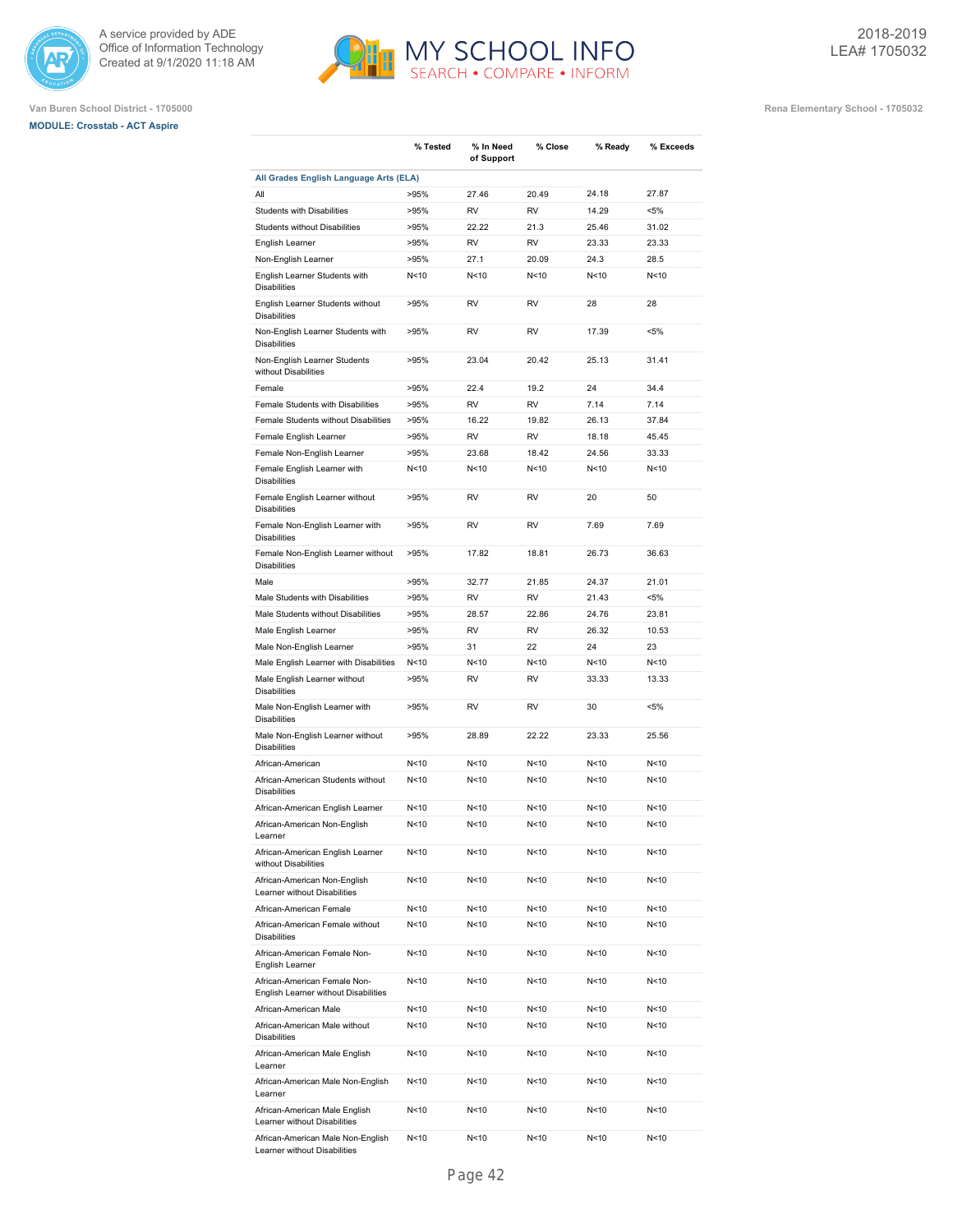





|                                                                      | % Tested | % In Need<br>of Support | % Close         | % Ready         | % Exceeds       |
|----------------------------------------------------------------------|----------|-------------------------|-----------------|-----------------|-----------------|
| All Grades English Language Arts (ELA)                               |          |                         |                 |                 |                 |
| All                                                                  | >95%     | 27.46                   | 20.49           | 24.18           | 27.87           |
| <b>Students with Disabilities</b>                                    | >95%     | <b>RV</b>               | RV              | 14.29           | $< 5\%$         |
| <b>Students without Disabilities</b>                                 | >95%     | 22.22                   | 21.3            | 25.46           | 31.02           |
| English Learner                                                      | >95%     | <b>RV</b>               | <b>RV</b>       | 23.33           | 23.33           |
| Non-English Learner                                                  | >95%     | 27.1                    | 20.09           | 24.3            | 28.5            |
| English Learner Students with<br><b>Disabilities</b>                 | N<10     | N<10                    | N <sub>10</sub> | N <sub>10</sub> | N<10            |
| English Learner Students without<br><b>Disabilities</b>              | >95%     | RV                      | RV              | 28              | 28              |
| Non-English Learner Students with<br><b>Disabilities</b>             | >95%     | <b>RV</b>               | <b>RV</b>       | 17.39           | $< 5\%$         |
| Non-English Learner Students<br>without Disabilities                 | >95%     | 23.04                   | 20.42           | 25.13           | 31.41           |
| Female                                                               | >95%     | 22.4                    | 19.2            | 24              | 34.4            |
| Female Students with Disabilities                                    | >95%     | <b>RV</b>               | <b>RV</b>       | 7.14            | 7.14            |
| Female Students without Disabilities                                 | >95%     | 16.22                   | 19.82           | 26.13           | 37.84           |
| Female English Learner                                               | >95%     | <b>RV</b>               | <b>RV</b>       | 18.18           | 45.45           |
| Female Non-English Learner                                           | >95%     | 23.68                   | 18.42           | 24.56           | 33.33           |
| Female English Learner with<br><b>Disabilities</b>                   | N<10     | N<10                    | N <sub>10</sub> | N <sub>10</sub> | N<10            |
| Female English Learner without<br><b>Disabilities</b>                | >95%     | <b>RV</b>               | <b>RV</b>       | 20              | 50              |
| Female Non-English Learner with<br><b>Disabilities</b>               | >95%     | <b>RV</b>               | <b>RV</b>       | 7.69            | 7.69            |
| Female Non-English Learner without<br><b>Disabilities</b>            | >95%     | 17.82                   | 18.81           | 26.73           | 36.63           |
| Male                                                                 | >95%     | 32.77                   | 21.85           | 24.37           | 21.01           |
| Male Students with Disabilities                                      | >95%     | <b>RV</b>               | <b>RV</b>       | 21.43           | $< 5\%$         |
| Male Students without Disabilities                                   | >95%     | 28.57                   | 22.86           | 24.76           | 23.81           |
| Male English Learner                                                 | >95%     | <b>RV</b>               | <b>RV</b>       | 26.32           | 10.53           |
| Male Non-English Learner                                             | >95%     | 31                      | 22              | 24              | 23              |
| Male English Learner with Disabilities                               | N<10     | N<10                    | N<10            | N <sub>10</sub> | N<10            |
| Male English Learner without<br><b>Disabilities</b>                  | >95%     | <b>RV</b>               | <b>RV</b>       | 33.33           | 13.33           |
| Male Non-English Learner with<br><b>Disabilities</b>                 | >95%     | <b>RV</b>               | <b>RV</b>       | 30              | $< 5\%$         |
| Male Non-English Learner without<br><b>Disabilities</b>              | >95%     | 28.89                   | 22.22           | 23.33           | 25.56           |
| African-American                                                     | N<10     | N<10                    | N <sub>10</sub> | N<10            | N<10            |
| African-American Students without<br><b>Disabilities</b>             | N<10     | N<10                    | N<10            | N<10            | N<10            |
| African-American English Learner                                     | N<10     | N<10                    | N<10            | N <sub>10</sub> | N <sub>10</sub> |
| African-American Non-English<br>Learner                              | N<10     | N<10                    | N<10            | N <sub>10</sub> | N<10            |
| African-American English Learner<br>without Disabilities             | N<10     | N<10                    | N<10            | N <sub>10</sub> | N<10            |
| African-American Non-English<br>Learner without Disabilities         | N<10     | N <sub>10</sub>         | N<10            | N<10            | N<10            |
| African-American Female                                              | N<10     | N<10                    | N<10            | N <sub>10</sub> | N<10            |
| African-American Female without<br><b>Disabilities</b>               | N<10     | N<10                    | N<10            | N <sub>10</sub> | N<10            |
| African-American Female Non-<br>English Learner                      | N<10     | N<10                    | N<10            | N<10            | N<10            |
| African-American Female Non-<br>English Learner without Disabilities | N<10     | N<10                    | N<10            | N<10            | N<10            |
| African-American Male                                                | N<10     | N<10                    | N<10            | N<10            | N<10            |
| African-American Male without<br><b>Disabilities</b>                 | N<10     | N<10                    | N<10            | N <sub>10</sub> | N<10            |
| African-American Male English<br>Learner                             | N<10     | N<10                    | N<10            | N<10            | N<10            |
| African-American Male Non-English<br>Learner                         | N<10     | N<10                    | N<10            | N<10            | N<10            |
| African-American Male English<br>Learner without Disabilities        | N<10     | N<10                    | N<10            | N<10            | N<10            |
| African-American Male Non-English<br>Learner without Disabilities    | N<10     | N<10                    | N<10            | N <sub>10</sub> | N<10            |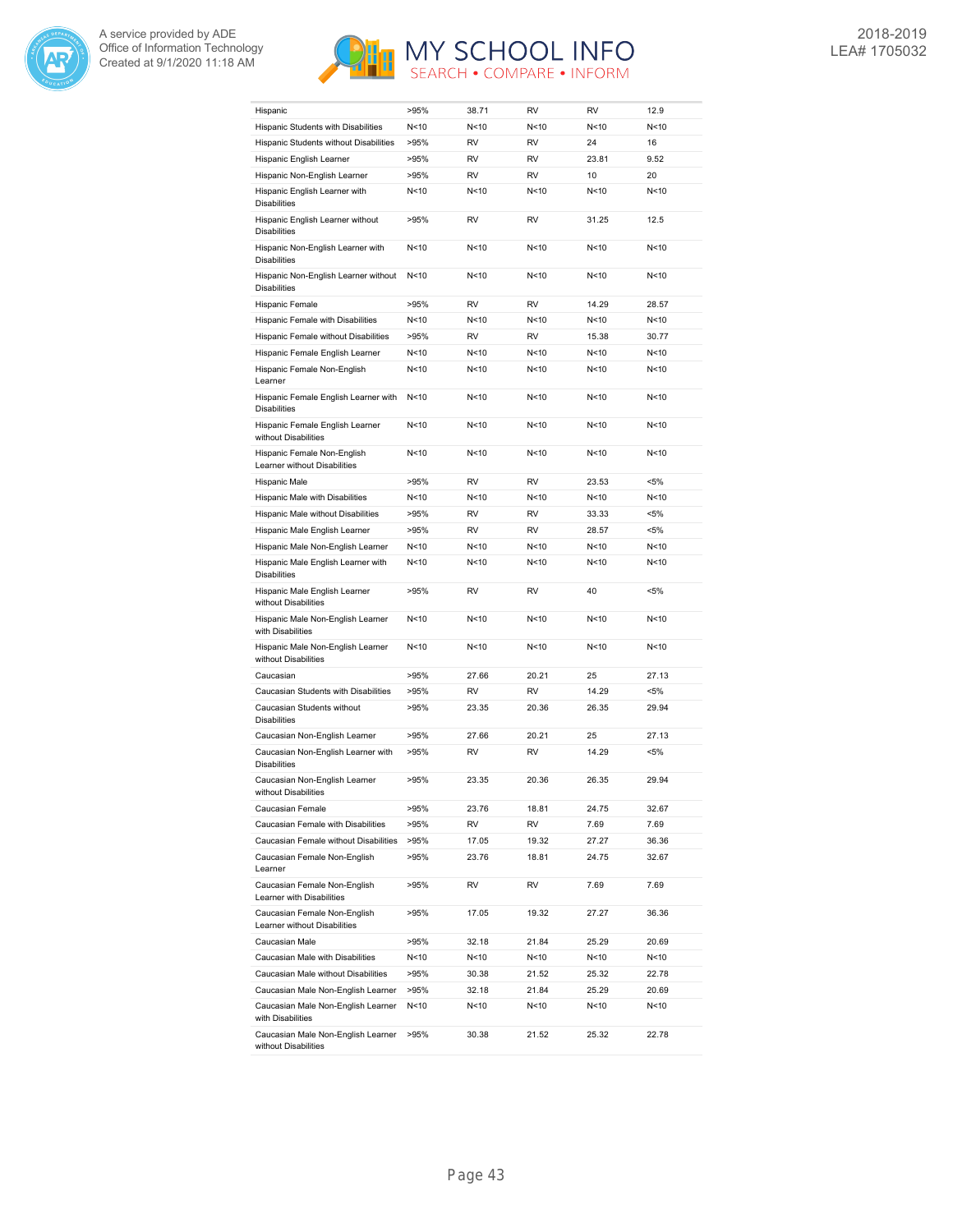



| Hispanic                                                     | >95%   | 38.71     | <b>RV</b>       | <b>RV</b>       | 12.9    |
|--------------------------------------------------------------|--------|-----------|-----------------|-----------------|---------|
| Hispanic Students with Disabilities                          | N<10   | N < 10    | N < 10          | N <sub>10</sub> | N<10    |
| Hispanic Students without Disabilities                       | >95%   | <b>RV</b> | <b>RV</b>       | 24              | 16      |
| Hispanic English Learner                                     | >95%   | RV        | <b>RV</b>       | 23.81           | 9.52    |
| Hispanic Non-English Learner                                 | >95%   | <b>RV</b> | <b>RV</b>       | 10              | 20      |
| Hispanic English Learner with<br><b>Disabilities</b>         | N<10   | N<10      | N<10            | N<10            | N<10    |
| Hispanic English Learner without<br><b>Disabilities</b>      | >95%   | <b>RV</b> | <b>RV</b>       | 31.25           | 12.5    |
| Hispanic Non-English Learner with<br><b>Disabilities</b>     | N < 10 | N < 10    | N<10            | N <sub>10</sub> | N<10    |
| Hispanic Non-English Learner without<br><b>Disabilities</b>  | N < 10 | N<10      | N<10            | N<10            | N<10    |
| Hispanic Female                                              | >95%   | <b>RV</b> | <b>RV</b>       | 14.29           | 28.57   |
| Hispanic Female with Disabilities                            | N<10   | N<10      | N<10            | N <sub>10</sub> | N<10    |
| Hispanic Female without Disabilities                         | >95%   | <b>RV</b> | <b>RV</b>       | 15.38           | 30.77   |
| Hispanic Female English Learner                              | N<10   | N<10      | N<10            | N<10            | N<10    |
| Hispanic Female Non-English<br>Learner                       | N<10   | N<10      | N<10            | N < 10          | N<10    |
| Hispanic Female English Learner with<br><b>Disabilities</b>  | N<10   | N < 10    | N<10            | N <sub>10</sub> | N<10    |
| Hispanic Female English Learner<br>without Disabilities      | N<10   | N<10      | N<10            | N<10            | N<10    |
| Hispanic Female Non-English<br>Learner without Disabilities  | N<10   | N<10      | N<10            | N <sub>10</sub> | N<10    |
| Hispanic Male                                                | >95%   | <b>RV</b> | <b>RV</b>       | 23.53           | $< 5\%$ |
| Hispanic Male with Disabilities                              | N<10   | N<10      | N<10            | N<10            | N<10    |
| Hispanic Male without Disabilities                           | >95%   | <b>RV</b> | <b>RV</b>       | 33.33           | $< 5\%$ |
| Hispanic Male English Learner                                | >95%   | <b>RV</b> | <b>RV</b>       | 28.57           | $< 5\%$ |
| Hispanic Male Non-English Learner                            | N<10   | N<10      | N<10            | N < 10          | N<10    |
| Hispanic Male English Learner with<br><b>Disabilities</b>    | N<10   | N<10      | N<10            | N <sub>10</sub> | N<10    |
| Hispanic Male English Learner<br>without Disabilities        | >95%   | RV        | <b>RV</b>       | 40              | <5%     |
| Hispanic Male Non-English Learner<br>with Disabilities       | N < 10 | N<10      | N <sub>10</sub> | N <sub>10</sub> | N<10    |
| Hispanic Male Non-English Learner<br>without Disabilities    | N<10   | N<10      | N<10            | N<10            | N<10    |
| Caucasian                                                    | >95%   | 27.66     | 20.21           | 25              | 27.13   |
| Caucasian Students with Disabilities                         | >95%   | RV        | <b>RV</b>       | 14.29           | <5%     |
| Caucasian Students without<br><b>Disabilities</b>            | >95%   | 23.35     | 20.36           | 26.35           | 29.94   |
| Caucasian Non-English Learner                                | >95%   | 27.66     | 20.21           | 25              | 27.13   |
| Caucasian Non-English Learner with<br><b>Disabilities</b>    | >95%   | RV        | <b>RV</b>       | 14.29           | <5%     |
| Caucasian Non-English Learner<br>without Disabilities        | >95%   | 23.35     | 20.36           | 26.35           | 29.94   |
| Caucasian Female                                             | >95%   | 23.76     | 18.81           | 24.75           | 32.67   |
| Caucasian Female with Disabilities                           | >95%   | RV        | RV              | 7.69            | 7.69    |
| Caucasian Female without Disabilities                        | >95%   | 17.05     | 19.32           | 27.27           | 36.36   |
| Caucasian Female Non-English<br>Learner                      | >95%   | 23.76     | 18.81           | 24.75           | 32.67   |
| Caucasian Female Non-English<br>Learner with Disabilities    | >95%   | RV        | RV              | 7.69            | 7.69    |
| Caucasian Female Non-English<br>Learner without Disabilities | >95%   | 17.05     | 19.32           | 27.27           | 36.36   |
| Caucasian Male                                               | >95%   | 32.18     | 21.84           | 25.29           | 20.69   |
| Caucasian Male with Disabilities                             | N<10   | N<10      | N<10            | N<10            | N<10    |
| Caucasian Male without Disabilities                          | >95%   | 30.38     | 21.52           | 25.32           | 22.78   |
| Caucasian Male Non-English Learner                           | >95%   | 32.18     | 21.84           | 25.29           | 20.69   |
| Caucasian Male Non-English Learner<br>with Disabilities      | N<10   | N<10      | N<10            | N<10            | N<10    |
| Caucasian Male Non-English Learner<br>without Disabilities   | >95%   | 30.38     | 21.52           | 25.32           | 22.78   |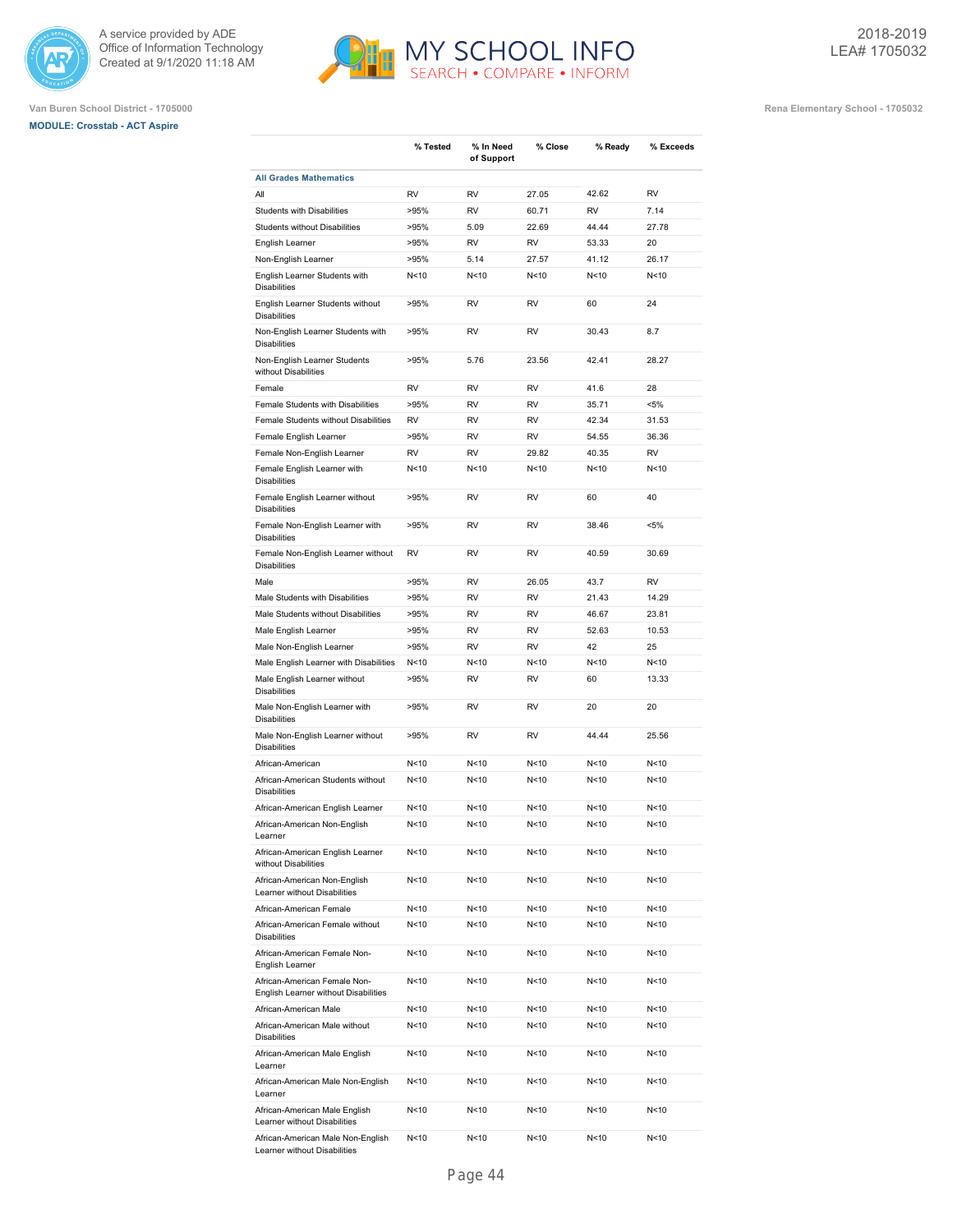





**Van Buren School District - 1705000 Rena Elementary School - 1705032**

|                                                                      | % Tested        | % In Need<br>of Support | % Close         | % Ready         | % Exceeds |
|----------------------------------------------------------------------|-----------------|-------------------------|-----------------|-----------------|-----------|
| <b>All Grades Mathematics</b>                                        |                 |                         |                 |                 |           |
| All                                                                  | <b>RV</b>       | RV                      | 27.05           | 42.62           | <b>RV</b> |
| <b>Students with Disabilities</b>                                    | >95%            | RV                      | 60.71           | RV              | 7.14      |
| <b>Students without Disabilities</b>                                 | >95%            | 5.09                    | 22.69           | 44.44           | 27.78     |
| English Learner                                                      | >95%            | RV                      | RV              | 53.33           | 20        |
| Non-English Learner                                                  | >95%            | 5.14                    | 27.57           | 41.12           | 26.17     |
| English Learner Students with<br><b>Disabilities</b>                 | N<10            | N < 10                  | N < 10          | N < 10          | N<10      |
| English Learner Students without<br><b>Disabilities</b>              | >95%            | RV                      | <b>RV</b>       | 60              | 24        |
| Non-English Learner Students with<br><b>Disabilities</b>             | >95%            | RV                      | <b>RV</b>       | 30.43           | 8.7       |
| Non-English Learner Students<br>without Disabilities                 | >95%            | 5.76                    | 23.56           | 42.41           | 28.27     |
| Female                                                               | RV              | RV                      | RV              | 41.6            | 28        |
| Female Students with Disabilities                                    | >95%            | RV                      | RV              | 35.71           | <5%       |
| Female Students without Disabilities                                 | RV              | RV                      | RV              | 42.34           | 31.53     |
| Female English Learner                                               | >95%            | RV                      | RV              | 54.55           | 36.36     |
| Female Non-English Learner                                           | RV              | RV                      | 29.82           | 40.35           | <b>RV</b> |
| Female English Learner with<br><b>Disabilities</b>                   | N<10            | N<10                    | N < 10          | N < 10          | N<10      |
| Female English Learner without<br><b>Disabilities</b>                | >95%            | RV                      | RV              | 60              | 40        |
| Female Non-English Learner with<br><b>Disabilities</b>               | >95%            | RV                      | RV              | 38.46           | $< 5\%$   |
| Female Non-English Learner without<br><b>Disabilities</b>            | RV              | RV                      | RV              | 40.59           | 30.69     |
| Male                                                                 | >95%            | RV                      | 26.05           | 43.7            | <b>RV</b> |
| Male Students with Disabilities                                      | >95%            | RV                      | RV              | 21.43           | 14.29     |
| Male Students without Disabilities                                   | >95%            | RV                      | RV              | 46.67           | 23.81     |
| Male English Learner                                                 | >95%            | RV                      | RV              | 52.63           | 10.53     |
| Male Non-English Learner                                             | >95%            | RV                      | <b>RV</b>       | 42              | 25        |
| Male English Learner with Disabilities                               | N<10            | N <sub>10</sub>         | N < 10          | N <sub>10</sub> | N<10      |
| Male English Learner without<br><b>Disabilities</b>                  | >95%            | RV                      | <b>RV</b>       | 60              | 13.33     |
| Male Non-English Learner with<br><b>Disabilities</b>                 | >95%            | RV                      | RV              | 20              | 20        |
| Male Non-English Learner without<br><b>Disabilities</b>              | >95%            | RV                      | RV              | 44.44           | 25.56     |
| African-American                                                     | N<10            | N<10                    | N < 10          | N < 10          | N<10      |
| African-American Students without<br><b>Disabilities</b>             | N<10            | N < 10                  | N < 10          | N<10            | N<10      |
| African-American English Learner                                     | N <sub>10</sub> | N <sub>10</sub>         | N < 10          | N<10            | N<10      |
| African-American Non-English<br>Learner                              | N<10            | N<10                    | N<10            | N < 10          | N<10      |
| African-American English Learner<br>without Disabilities             | N<10            | N<10                    | N<10            | N < 10          | N<10      |
| African-American Non-English<br>Learner without Disabilities         | N<10            | N<10                    | N<10            | N < 10          | N<10      |
| African-American Female                                              | N<10            | N<10                    | N<10            | N <sub>10</sub> | N<10      |
| African-American Female without<br><b>Disabilities</b>               | N<10            | N<10                    | N<10            | N < 10          | N<10      |
| African-American Female Non-<br>English Learner                      | N<10            | N<10                    | N<10            | N < 10          | N<10      |
| African-American Female Non-<br>English Learner without Disabilities | N<10            | N<10                    | N<10            | N < 10          | N<10      |
| African-American Male                                                | N<10            | N<10                    | N<10            | N<10            | N<10      |
| African-American Male without<br><b>Disabilities</b>                 | N<10            | N<10                    | N <sub>10</sub> | N <sub>10</sub> | N<10      |
| African-American Male English<br>Learner                             | N<10            | N<10                    | N<10            | N<10            | N<10      |
| African-American Male Non-English<br>Learner                         | N<10            | N<10                    | N<10            | N<10            | N<10      |
| African-American Male English<br>Learner without Disabilities        | N <sub>10</sub> | N<10                    | N<10            | N<10            | N<10      |
| African-American Male Non-English                                    | N<10            | N <sub>10</sub>         | N<10            | N <sub>10</sub> | N<10      |

MY SCHOOL INFO

Learner without Disabilities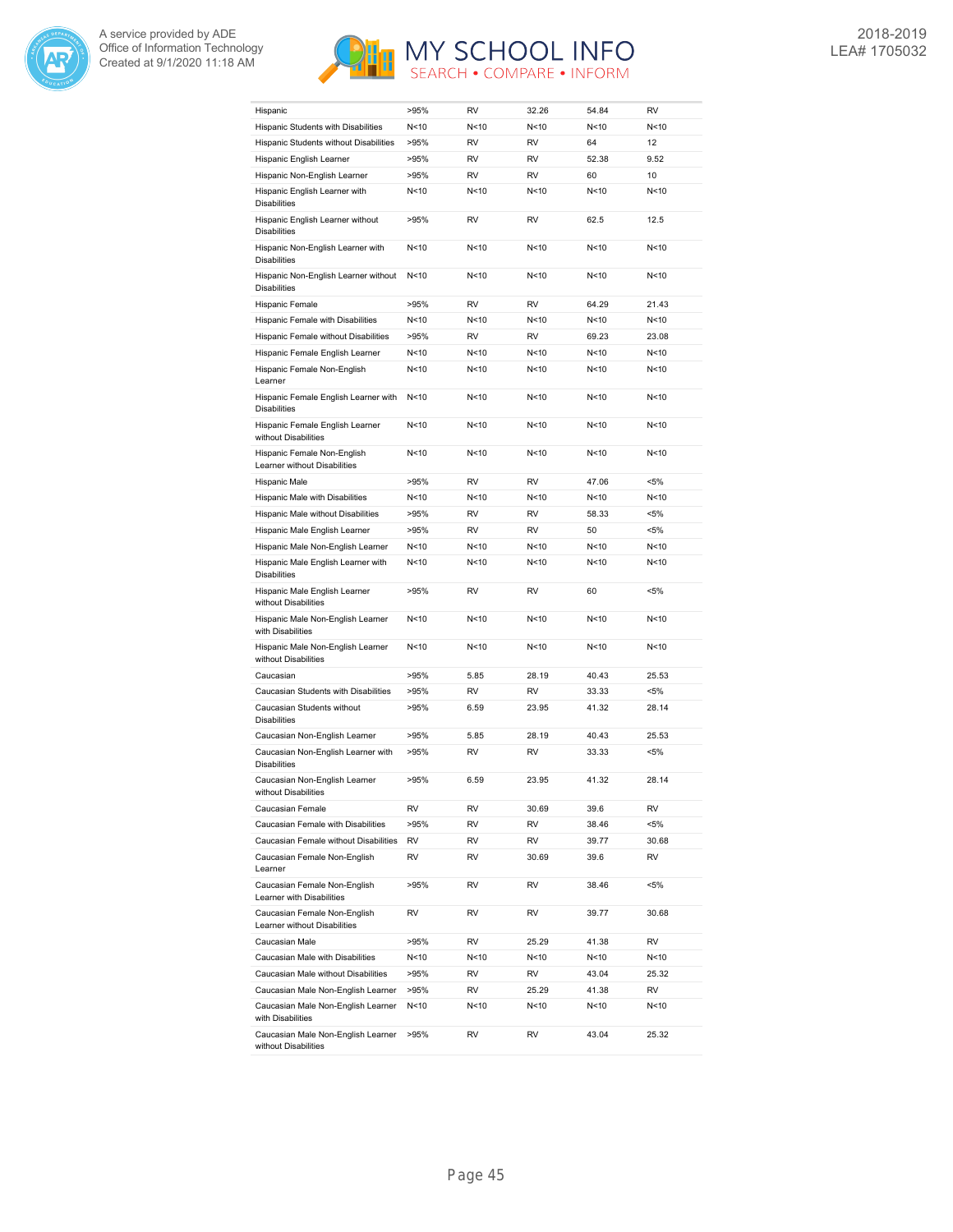



| Hispanic                                                                        | >95% | RV        | 32.26           | 54.84           | <b>RV</b> |
|---------------------------------------------------------------------------------|------|-----------|-----------------|-----------------|-----------|
| Hispanic Students with Disabilities                                             | N<10 | N<10      | N < 10          | N <sub>10</sub> | N<10      |
| Hispanic Students without Disabilities                                          | >95% | <b>RV</b> | <b>RV</b>       | 64              | 12        |
| Hispanic English Learner                                                        | >95% | <b>RV</b> | RV              | 52.38           | 9.52      |
| Hispanic Non-English Learner                                                    | >95% | <b>RV</b> | <b>RV</b>       | 60              | 10        |
| Hispanic English Learner with<br><b>Disabilities</b>                            | N<10 | N<10      | N < 10          | N <sub>10</sub> | N<10      |
| Hispanic English Learner without<br><b>Disabilities</b>                         | >95% | <b>RV</b> | <b>RV</b>       | 62.5            | 12.5      |
| Hispanic Non-English Learner with<br><b>Disabilities</b>                        | N<10 | N<10      | N <sub>10</sub> | N <sub>10</sub> | N<10      |
| Hispanic Non-English Learner without<br><b>Disabilities</b>                     | N<10 | N<10      | N<10            | N<10            | N<10      |
| Hispanic Female                                                                 | >95% | <b>RV</b> | <b>RV</b>       | 64.29           | 21.43     |
| Hispanic Female with Disabilities                                               | N<10 | N<10      | N <sub>10</sub> | N<10            | N<10      |
| Hispanic Female without Disabilities                                            | >95% | <b>RV</b> | <b>RV</b>       | 69.23           | 23.08     |
| Hispanic Female English Learner                                                 | N<10 | N<10      | N <sub>10</sub> | N<10            | N<10      |
| Hispanic Female Non-English                                                     | N<10 | N<10      | N < 10          | N<10            | N<10      |
| Learner<br>Hispanic Female English Learner with                                 | N<10 | N < 10    | N <sub>10</sub> | N < 10          | N<10      |
| <b>Disabilities</b><br>Hispanic Female English Learner                          |      | N<10      | N <sub>10</sub> |                 | N<10      |
| without Disabilities                                                            | N<10 |           |                 | N<10            |           |
| Hispanic Female Non-English<br>Learner without Disabilities                     | N<10 | N<10      | N<10            | N<10            | N<10      |
| Hispanic Male                                                                   | >95% | <b>RV</b> | <b>RV</b>       | 47.06           | $< 5\%$   |
| Hispanic Male with Disabilities                                                 | N<10 | N<10      | N <sub>10</sub> | N <sub>10</sub> | N<10      |
| Hispanic Male without Disabilities                                              | >95% | <b>RV</b> | <b>RV</b>       | 58.33           | $< 5\%$   |
| Hispanic Male English Learner                                                   | >95% | <b>RV</b> | <b>RV</b>       | 50              | $< 5\%$   |
| Hispanic Male Non-English Learner                                               | N<10 | N<10      | N < 10          | N<10            | N<10      |
| Hispanic Male English Learner with<br><b>Disabilities</b>                       | N<10 | N<10      | N <sub>10</sub> | N <sub>10</sub> | N<10      |
| Hispanic Male English Learner<br>without Disabilities                           | >95% | RV        | <b>RV</b>       | 60              | $< 5\%$   |
| Hispanic Male Non-English Learner<br>with Disabilities                          | N<10 | N<10      | N <sub>10</sub> | N <sub>10</sub> | N<10      |
| Hispanic Male Non-English Learner<br>without Disabilities                       | N<10 | N<10      | N <sub>10</sub> | N <sub>10</sub> | N<10      |
| Caucasian                                                                       | >95% | 5.85      | 28.19           | 40.43           | 25.53     |
| Caucasian Students with Disabilities                                            | >95% | RV        | RV              | 33.33           | <5%       |
| Caucasian Students without<br><b>Disabilities</b>                               | >95% | 6.59      | 23.95           | 41.32           | 28.14     |
| Caucasian Non-English Learner                                                   | >95% | 5.85      | 28.19           | 40.43           | 25.53     |
| Caucasian Non-English Learner with<br><b>Disabilities</b>                       | >95% | RV        | <b>RV</b>       | 33.33           | <5%       |
| Caucasian Non-English Learner<br>without Disabilities                           | >95% | 6.59      | 23.95           | 41.32           | 28.14     |
| Caucasian Female                                                                | RV   | RV        | 30.69           | 39.6            | RV        |
| Caucasian Female with Disabilities                                              | >95% | RV        | RV              | 38.46           | $< 5\%$   |
| Caucasian Female without Disabilities                                           | RV   | RV        | RV              | 39.77           | 30.68     |
| Caucasian Female Non-English<br>Learner                                         | RV   | RV        | 30.69           | 39.6            | RV        |
| Caucasian Female Non-English<br>Learner with Disabilities                       | >95% | RV        | RV              | 38.46           | $< 5\%$   |
| Caucasian Female Non-English<br>Learner without Disabilities                    | RV   | RV        | RV              | 39.77           | 30.68     |
| Caucasian Male                                                                  | >95% | RV        | 25.29           | 41.38           | RV        |
| Caucasian Male with Disabilities                                                | N<10 | N<10      | N<10            | N<10            | N<10      |
| Caucasian Male without Disabilities                                             | >95% | RV        | RV              | 43.04           | 25.32     |
| Caucasian Male Non-English Learner                                              | >95% | RV        | 25.29           | 41.38           | RV        |
| Caucasian Male Non-English Learner                                              | N<10 | N<10      | N<10            | N<10            | N<10      |
| with Disabilities<br>Caucasian Male Non-English Learner<br>without Disabilities | >95% | RV        | RV              | 43.04           | 25.32     |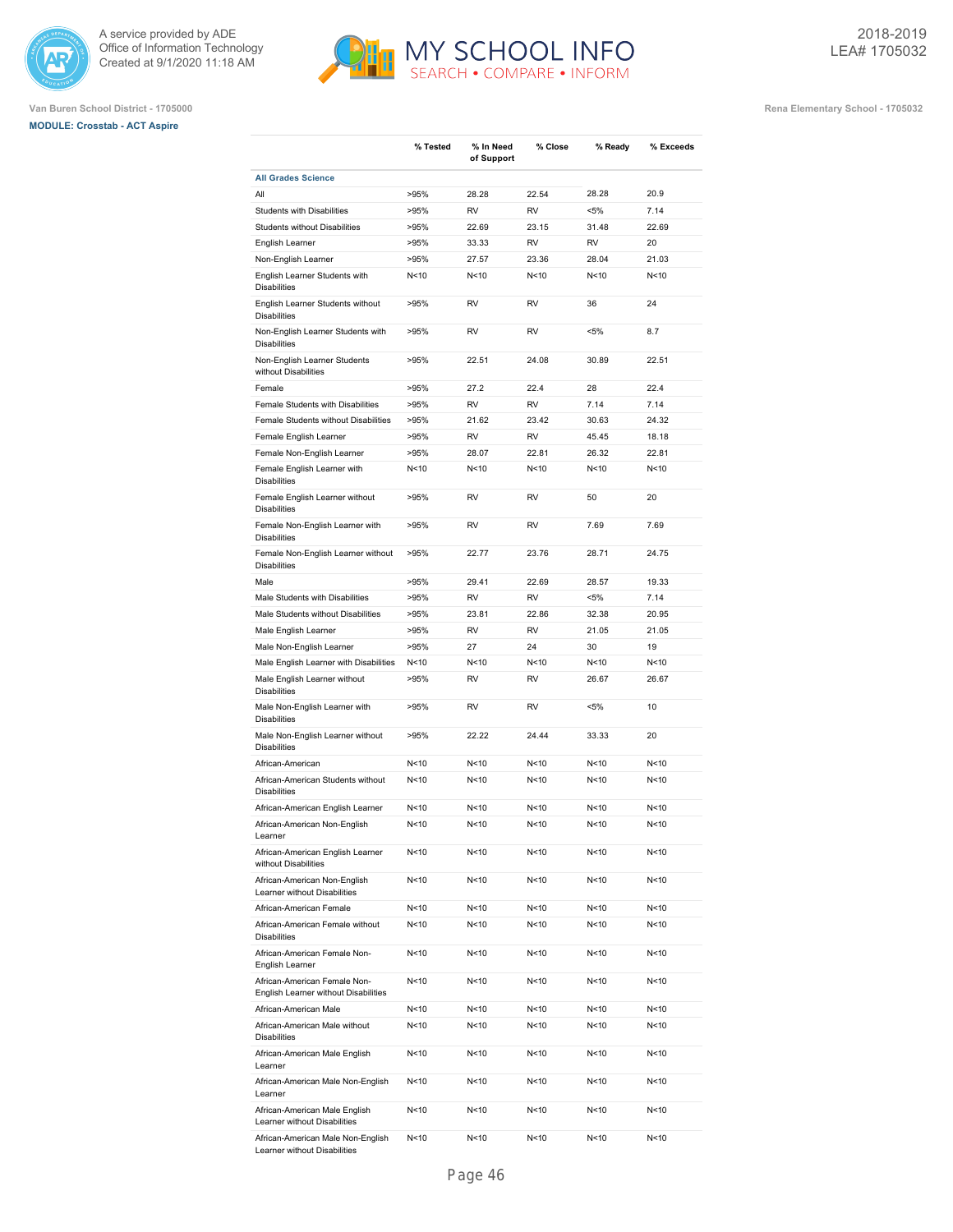





|                                                                      | % Tested        | % In Need<br>of Support | % Close         | % Ready         | % Exceeds |
|----------------------------------------------------------------------|-----------------|-------------------------|-----------------|-----------------|-----------|
| <b>All Grades Science</b>                                            |                 |                         |                 |                 |           |
| All                                                                  | >95%            | 28.28                   | 22.54           | 28.28           | 20.9      |
| <b>Students with Disabilities</b>                                    | >95%            | RV                      | RV              | $< 5\%$         | 7.14      |
| Students without Disabilities                                        | >95%            | 22.69                   | 23.15           | 31.48           | 22.69     |
| English Learner                                                      | >95%            | 33.33                   | RV              | RV              | 20        |
| Non-English Learner                                                  | >95%            | 27.57                   | 23.36           | 28.04           | 21.03     |
| English Learner Students with<br><b>Disabilities</b>                 | N<10            | N < 10                  | N<10            | N<10            | N<10      |
| English Learner Students without<br><b>Disabilities</b>              | >95%            | RV                      | RV              | 36              | 24        |
| Non-English Learner Students with<br><b>Disabilities</b>             | >95%            | RV                      | RV              | $< 5\%$         | 8.7       |
| Non-English Learner Students<br>without Disabilities                 | >95%            | 22.51                   | 24.08           | 30.89           | 22.51     |
| Female                                                               | >95%            | 27.2                    | 22.4            | 28              | 22.4      |
| Female Students with Disabilities                                    | >95%            | RV                      | RV              | 7.14            | 7.14      |
| Female Students without Disabilities                                 | >95%            | 21.62                   | 23.42           | 30.63           | 24.32     |
| Female English Learner                                               | >95%            | RV                      | RV              | 45.45           | 18.18     |
| Female Non-English Learner                                           | >95%            | 28.07                   | 22.81           | 26.32           | 22.81     |
| Female English Learner with<br><b>Disabilities</b>                   | N<10            | N < 10                  | N<10            | N<10            | N<10      |
| Female English Learner without<br><b>Disabilities</b>                | >95%            | RV                      | RV              | 50              | 20        |
| Female Non-English Learner with<br><b>Disabilities</b>               | >95%            | RV                      | RV              | 7.69            | 7.69      |
| Female Non-English Learner without<br><b>Disabilities</b>            | >95%            | 22.77                   | 23.76           | 28.71           | 24.75     |
| Male                                                                 | >95%            | 29.41                   | 22.69           | 28.57           | 19.33     |
| Male Students with Disabilities                                      | >95%            | RV                      | RV              | $< 5\%$         | 7.14      |
| Male Students without Disabilities                                   | >95%            | 23.81                   | 22.86           | 32.38           | 20.95     |
| Male English Learner                                                 | >95%            | RV                      | RV              | 21.05           | 21.05     |
| Male Non-English Learner                                             | >95%            | 27                      | 24              | 30              | 19        |
| Male English Learner with Disabilities                               | N<10            | N < 10                  | N<10            | N<10            | N<10      |
| Male English Learner without<br><b>Disabilities</b>                  | >95%            | RV                      | RV              | 26.67           | 26.67     |
| Male Non-English Learner with<br><b>Disabilities</b>                 | >95%            | RV                      | RV              | <5%             | 10        |
| Male Non-English Learner without<br><b>Disabilities</b>              | >95%            | 22.22                   | 24.44           | 33.33           | 20        |
| African-American                                                     | N<10            | N < 10                  | N<10            | N<10            | N<10      |
| African-American Students without<br><b>Disabilities</b>             | N <sub>10</sub> | N < 10                  | N<10            | N<10            | N<10      |
| African-American English Learner                                     | N <sub>10</sub> | N < 10                  | N <sub>10</sub> | N <sub>10</sub> | N<10      |
| African-American Non-English<br>Learner                              | N <sub>10</sub> | N<10                    | N<10            | N <sub>10</sub> | N<10      |
| African-American English Learner<br>without Disabilities             | N<10            | N<10                    | N<10            | N<10            | N<10      |
| African-American Non-English<br>Learner without Disabilities         | N<10            | N<10                    | N <sub>10</sub> | N<10            | N<10      |
| African-American Female                                              | N <sub>10</sub> | N<10                    | N<10            | N <sub>10</sub> | N<10      |
| African-American Female without<br><b>Disabilities</b>               | N<10            | N<10                    | N<10            | N<10            | N<10      |
| African-American Female Non-<br>English Learner                      | N<10            | N<10                    | N<10            | N<10            | N<10      |
| African-American Female Non-<br>English Learner without Disabilities | N<10            | N<10                    | N<10            | N<10            | N<10      |
| African-American Male                                                | N<10            | N<10                    | N<10            | N<10            | N<10      |
| African-American Male without<br><b>Disabilities</b>                 | N<10            | N<10                    | N<10            | N<10            | N<10      |
| African-American Male English<br>Learner                             | N<10            | N<10                    | N<10            | N<10            | N<10      |
| African-American Male Non-English<br>Learner                         | N<10            | N<10                    | N<10            | N<10            | N<10      |
| African-American Male English<br>Learner without Disabilities        | N <sub>10</sub> | N<10                    | N<10            | N<10            | N<10      |
| African-American Male Non-English<br>Learner without Disabilities    | N<10            | N<10                    | N<10            | N<10            | N<10      |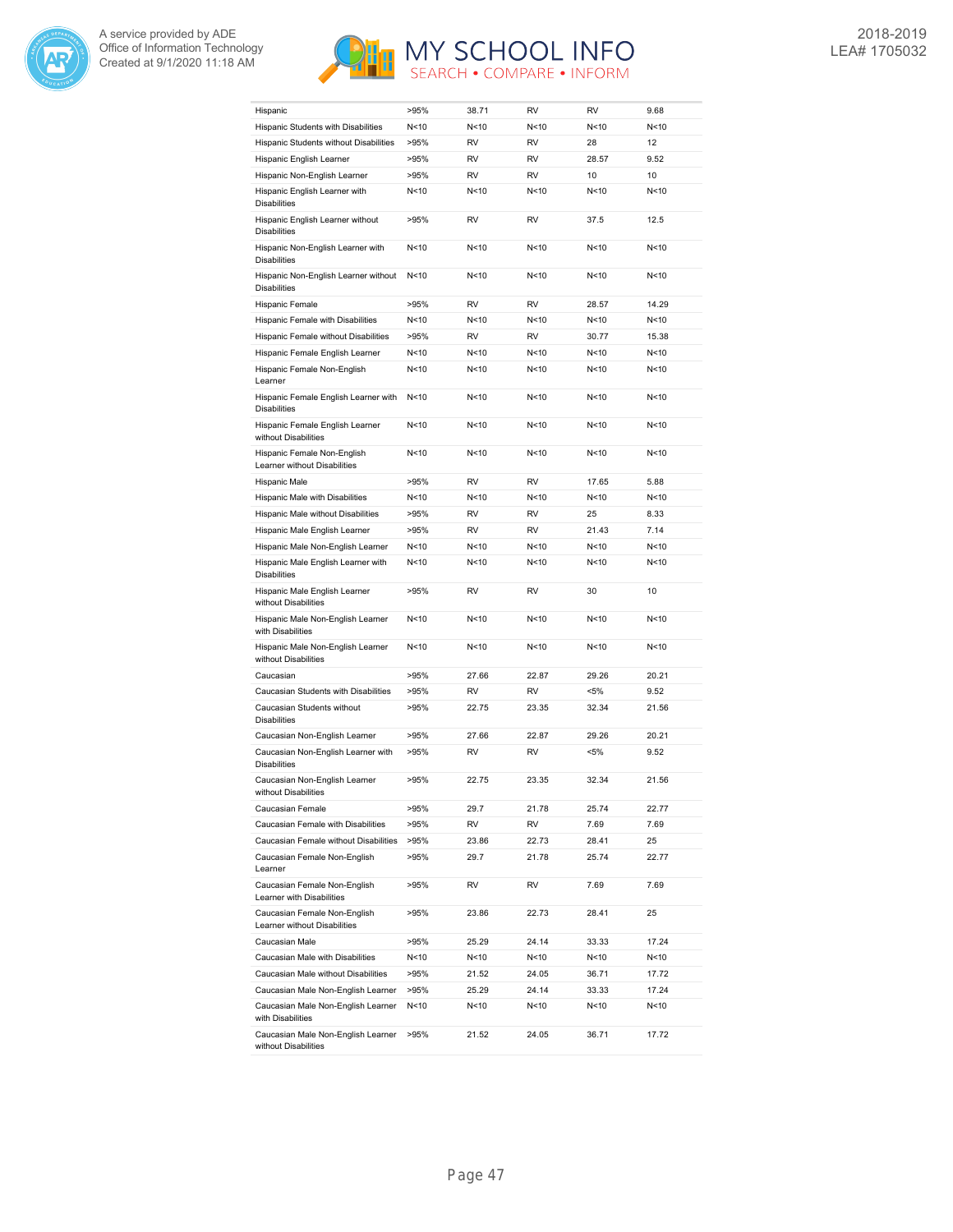



| Hispanic                                                     | >95% | 38.71     | RV              | RV              | 9.68  |
|--------------------------------------------------------------|------|-----------|-----------------|-----------------|-------|
| Hispanic Students with Disabilities                          | N<10 | N<10      | N<10            | N<10            | N<10  |
| Hispanic Students without Disabilities                       | >95% | <b>RV</b> | <b>RV</b>       | 28              | 12    |
| Hispanic English Learner                                     | >95% | <b>RV</b> | <b>RV</b>       | 28.57           | 9.52  |
| Hispanic Non-English Learner                                 | >95% | <b>RV</b> | <b>RV</b>       | 10              | 10    |
| Hispanic English Learner with<br><b>Disabilities</b>         | N<10 | N<10      | N <sub>10</sub> | N <sub>10</sub> | N<10  |
| Hispanic English Learner without<br><b>Disabilities</b>      | >95% | <b>RV</b> | <b>RV</b>       | 37.5            | 12.5  |
| Hispanic Non-English Learner with<br><b>Disabilities</b>     | N<10 | N<10      | N <sub>10</sub> | N <sub>10</sub> | N<10  |
| Hispanic Non-English Learner without<br><b>Disabilities</b>  | N<10 | N<10      | N<10            | N<10            | N<10  |
| Hispanic Female                                              | >95% | RV        | RV              | 28.57           | 14.29 |
| Hispanic Female with Disabilities                            | N<10 | N<10      | N<10            | N<10            | N<10  |
| Hispanic Female without Disabilities                         | >95% | <b>RV</b> | <b>RV</b>       | 30.77           | 15.38 |
| Hispanic Female English Learner                              | N<10 | N<10      | N<10            | N<10            | N<10  |
| Hispanic Female Non-English<br>Learner                       | N<10 | N<10      | N<10            | N<10            | N<10  |
| Hispanic Female English Learner with<br><b>Disabilities</b>  | N<10 | N<10      | N <sub>10</sub> | N <sub>10</sub> | N<10  |
| Hispanic Female English Learner<br>without Disabilities      | N<10 | N<10      | N<10            | N <sub>10</sub> | N<10  |
| Hispanic Female Non-English<br>Learner without Disabilities  | N<10 | N<10      | N<10            | N<10            | N<10  |
| Hispanic Male                                                | >95% | RV        | RV              | 17.65           | 5.88  |
| Hispanic Male with Disabilities                              | N<10 | N<10      | N<10            | N<10            | N<10  |
| Hispanic Male without Disabilities                           | >95% | <b>RV</b> | RV              | 25              | 8.33  |
| Hispanic Male English Learner                                | >95% | <b>RV</b> | <b>RV</b>       | 21.43           | 7.14  |
| Hispanic Male Non-English Learner                            | N<10 | N<10      | N<10            | N<10            | N<10  |
| Hispanic Male English Learner with<br><b>Disabilities</b>    | N<10 | N<10      | N <sub>10</sub> | N <sub>10</sub> | N<10  |
| Hispanic Male English Learner<br>without Disabilities        | >95% | <b>RV</b> | RV              | 30              | 10    |
| Hispanic Male Non-English Learner<br>with Disabilities       | N<10 | N<10      | N <sub>10</sub> | N <sub>10</sub> | N<10  |
| Hispanic Male Non-English Learner<br>without Disabilities    | N<10 | N<10      | N<10            | N<10            | N<10  |
| Caucasian                                                    | >95% | 27.66     | 22.87           | 29.26           | 20.21 |
| Caucasian Students with Disabilities                         | >95% | <b>RV</b> | RV              | $< 5\%$         | 9.52  |
| Caucasian Students without<br><b>Disabilities</b>            | >95% | 22.75     | 23.35           | 32.34           | 21.56 |
| Caucasian Non-English Learner                                | >95% | 27.66     | 22.87           | 29.26           | 20.21 |
| Caucasian Non-English Learner with<br><b>Disabilities</b>    | >95% | <b>RV</b> | RV              | $< 5\%$         | 9.52  |
| Caucasian Non-English Learner<br>without Disabilities        | >95% | 22.75     | 23.35           | 32.34           | 21.56 |
| Caucasian Female                                             | >95% | 29.7      | 21.78           | 25.74           | 22.77 |
| Caucasian Female with Disabilities                           | >95% | RV        | RV              | 7.69            | 7.69  |
| Caucasian Female without Disabilities                        | >95% | 23.86     | 22.73           | 28.41           | 25    |
| Caucasian Female Non-English<br>Learner                      | >95% | 29.7      | 21.78           | 25.74           | 22.77 |
| Caucasian Female Non-English<br>Learner with Disabilities    | >95% | RV        | RV              | 7.69            | 7.69  |
| Caucasian Female Non-English<br>Learner without Disabilities | >95% | 23.86     | 22.73           | 28.41           | 25    |
| Caucasian Male                                               | >95% | 25.29     | 24.14           | 33.33           | 17.24 |
| Caucasian Male with Disabilities                             | N<10 | N<10      | N<10            | N<10            | N<10  |
| Caucasian Male without Disabilities                          | >95% | 21.52     | 24.05           | 36.71           | 17.72 |
| Caucasian Male Non-English Learner                           | >95% | 25.29     | 24.14           | 33.33           | 17.24 |
| Caucasian Male Non-English Learner<br>with Disabilities      | N<10 | N<10      | N<10            | N<10            | N<10  |
| Caucasian Male Non-English Learner<br>without Disabilities   | >95% | 21.52     | 24.05           | 36.71           | 17.72 |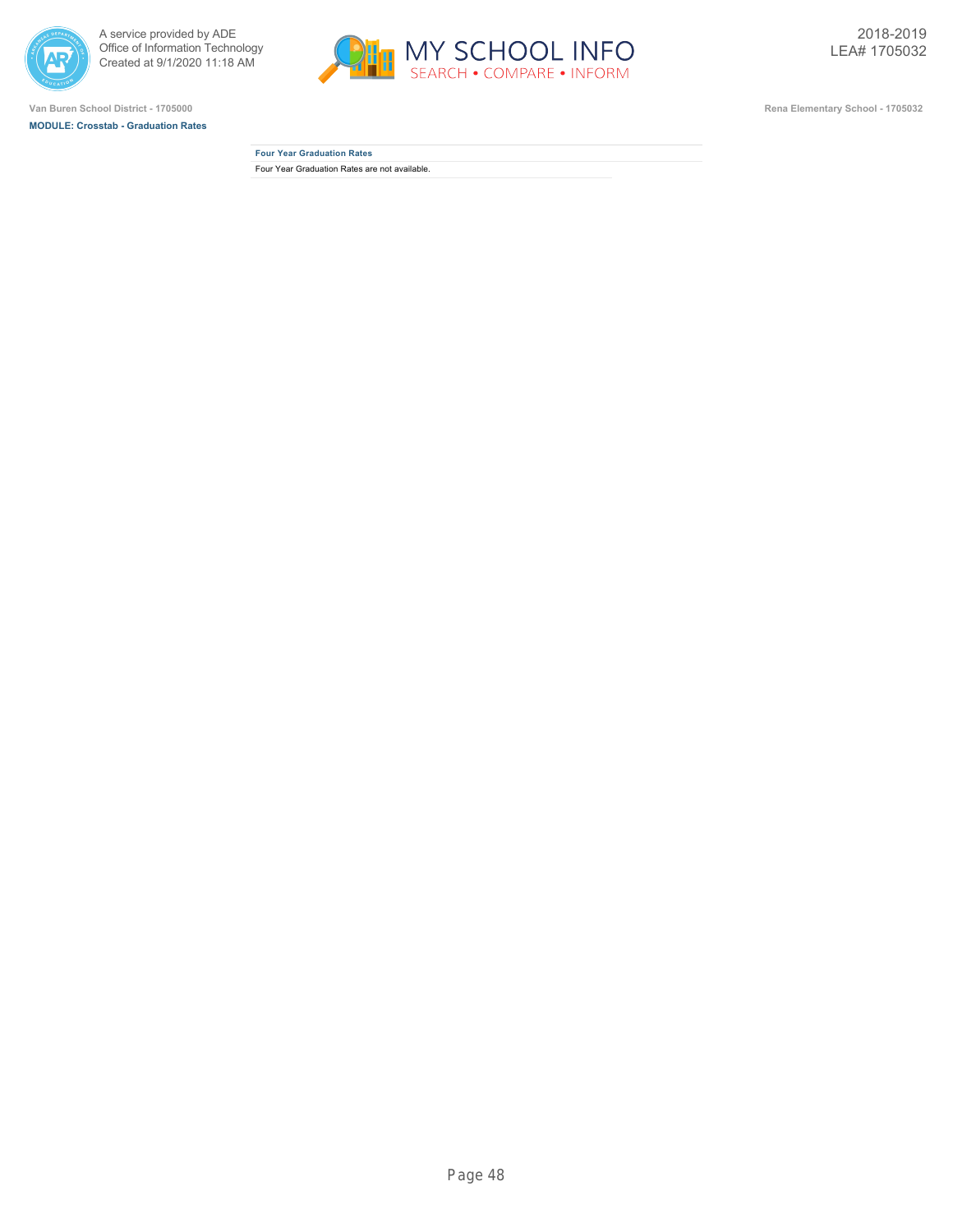



**MODULE: Crosstab - Graduation Rates**



**Four Year Graduation Rates** Four Year Graduation Rates are not available.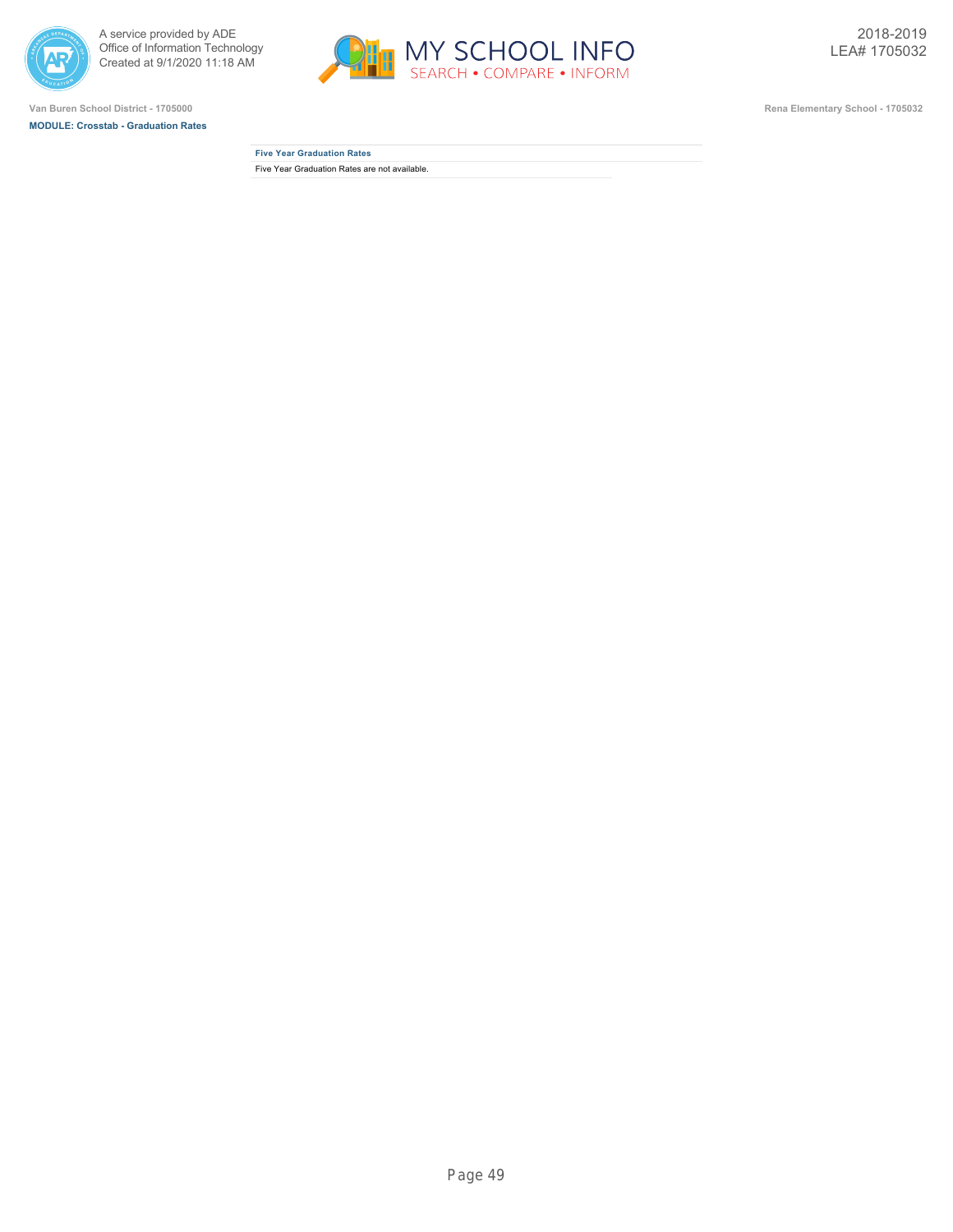



**MODULE: Crosstab - Graduation Rates**



| <b>Five Year Graduation Rates</b>             |  |
|-----------------------------------------------|--|
| Five Year Graduation Rates are not available. |  |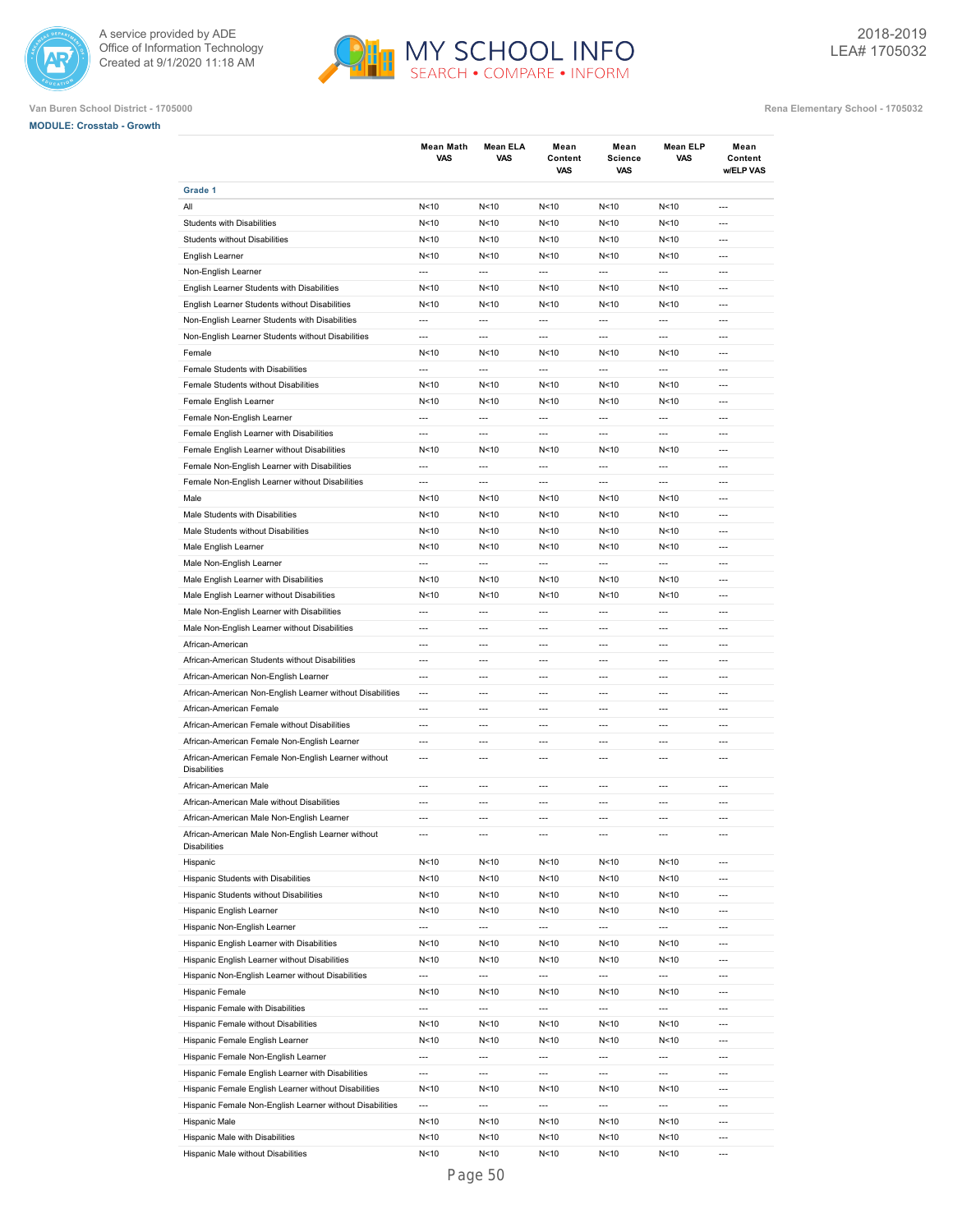



| <b>MODULE: Crosstab - Growth</b> |  |
|----------------------------------|--|
|                                  |  |

|                                                                            | <b>Mean Math</b><br><b>VAS</b> | Mean ELA<br><b>VAS</b>   | Mean<br>Content<br>VAS | Mean<br>Science<br>VAS   | <b>Mean ELP</b><br><b>VAS</b> | Mean<br>Content<br>w/ELP VAS |
|----------------------------------------------------------------------------|--------------------------------|--------------------------|------------------------|--------------------------|-------------------------------|------------------------------|
| Grade 1                                                                    |                                |                          |                        |                          |                               |                              |
| All                                                                        | N < 10                         | N<10                     | N < 10                 | N<10                     | N<10                          | ---                          |
| <b>Students with Disabilities</b>                                          | N<10                           | N<10                     | N < 10                 | N<10                     | N<10                          | ---                          |
| <b>Students without Disabilities</b>                                       | N < 10                         | N<10                     | N<10                   | N<10                     | N<10                          | ---                          |
| English Learner                                                            | N < 10                         | N<10                     | N < 10                 | N<10                     | N<10                          | ---                          |
| Non-English Learner                                                        | $\overline{a}$                 | $\overline{a}$           | $\overline{a}$         | $\overline{\phantom{a}}$ | $\overline{\phantom{a}}$      | ---                          |
| English Learner Students with Disabilities                                 | N<10                           | N<10                     | N<10                   | N<10                     | N < 10                        | $\overline{a}$               |
| English Learner Students without Disabilities                              | N<10                           | N<10                     | N<10                   | N<10                     | N<10                          | $\overline{a}$               |
| Non-English Learner Students with Disabilities                             | $\overline{a}$                 | $\overline{a}$           | $\overline{a}$         | $\overline{a}$           | $\overline{a}$                | $\overline{a}$               |
| Non-English Learner Students without Disabilities                          | $\overline{a}$                 | ---                      | $\overline{a}$         | $\overline{a}$           | $\overline{a}$                | $---$                        |
| Female                                                                     | N<10                           | N<10                     | N<10                   | N<10                     | N<10                          | $---$                        |
| Female Students with Disabilities                                          | $\overline{a}$                 | $---$                    | $\overline{a}$         | $\overline{a}$           | $\overline{a}$                | $---$                        |
| Female Students without Disabilities                                       | N<10                           | N<10                     | N < 10                 | N<10                     | N<10                          | $---$                        |
| Female English Learner                                                     | N<10                           | N<10                     | N < 10                 | N<10                     | N<10                          | $\overline{a}$               |
|                                                                            | $\overline{a}$                 | $\overline{a}$           | $\overline{a}$         | ---                      | ---                           | $\overline{a}$               |
| Female Non-English Learner                                                 |                                |                          |                        |                          |                               |                              |
| Female English Learner with Disabilities                                   | ---                            | $\overline{a}$           | $\overline{a}$         | ---                      | $\overline{a}$                | $\overline{a}$               |
| Female English Learner without Disabilities                                | N < 10                         | N < 10                   | N<10                   | N<10                     | N<10                          | ---                          |
| Female Non-English Learner with Disabilities                               | ---                            | $\overline{a}$           | ---                    | ---                      | ---                           | ---                          |
| Female Non-English Learner without Disabilities                            | $\overline{\phantom{a}}$       | $\overline{a}$           | $\overline{a}$         | $\hspace{0.05cm} \ldots$ | $\overline{\phantom{a}}$      | ---                          |
| Male                                                                       | N < 10                         | N<10                     | N < 10                 | N<10                     | N<10                          | ---                          |
| Male Students with Disabilities                                            | N < 10                         | N<10                     | N < 10                 | N<10                     | N<10                          | ---                          |
| Male Students without Disabilities                                         | N<10                           | N<10                     | N<10                   | N<10                     | N<10                          | $\overline{a}$               |
| Male English Learner                                                       | N<10                           | N<10                     | N<10                   | N<10                     | N < 10                        | $\overline{a}$               |
| Male Non-English Learner                                                   | $\overline{\phantom{a}}$       | $\overline{a}$           | $\overline{a}$         | ---                      | ---                           | $\overline{a}$               |
| Male English Learner with Disabilities                                     | N<10                           | N<10                     | N < 10                 | N<10                     | N<10                          | ---                          |
| Male English Learner without Disabilities                                  | N < 10                         | N < 10                   | N < 10                 | N<10                     | N<10                          | $---$                        |
| Male Non-English Learner with Disabilities                                 | $\overline{a}$                 | $\overline{a}$           | $\overline{a}$         | $\overline{a}$           | $\overline{a}$                | $---$                        |
| Male Non-English Learner without Disabilities                              | $\overline{a}$                 | $---$                    | $\overline{a}$         | $\overline{a}$           | $\overline{a}$                | $---$                        |
| African-American                                                           | $---$                          | $---$                    | $---$                  | $\overline{a}$           | ---                           | $---$                        |
| African-American Students without Disabilities                             | $\overline{a}$                 | $\overline{a}$           | $\overline{a}$         | $\overline{a}$           | ---                           | $\overline{a}$               |
| African-American Non-English Learner                                       | $\overline{a}$                 | $\overline{a}$           | $\overline{a}$         | $\overline{a}$           | $\overline{a}$                | $\overline{a}$               |
| African-American Non-English Learner without Disabilities                  | $\overline{a}$                 | $\overline{a}$           | $\overline{a}$         | ---                      | $\overline{\phantom{a}}$      | $\overline{a}$               |
| African-American Female                                                    | $\overline{a}$                 | $\overline{a}$           | $\overline{a}$         | $\overline{a}$           | $\overline{a}$                | $\overline{a}$               |
| African-American Female without Disabilities                               | $\overline{a}$                 | $\overline{a}$           | $\overline{a}$         | $\overline{a}$           | $\overline{\phantom{a}}$      | ---                          |
| African-American Female Non-English Learner                                | ---                            | $\overline{a}$           | $\overline{a}$         | ---                      | $\overline{a}$                | ---                          |
| African-American Female Non-English Learner without<br><b>Disabilities</b> | ---                            | ---                      | $\overline{a}$         | ---                      | $\overline{a}$                | ---                          |
| African-American Male                                                      | ---                            | ---                      | ---                    | ---                      | ---                           | ---                          |
| African-American Male without Disabilities                                 | ---                            | $\overline{a}$           | $\overline{a}$         | ---                      | ---                           | ---                          |
| African-American Male Non-English Learner                                  | $\overline{a}$                 | $\overline{a}$           | $\overline{a}$         | $\overline{\phantom{a}}$ | $\overline{\phantom{a}}$      | $\overline{a}$               |
| African-American Male Non-English Learner without                          |                                |                          |                        |                          |                               |                              |
| <b>Disabilities</b><br>Hispanic                                            | N<10                           | N <sub>10</sub>          | N<10                   | N<10                     | N<10                          | ---                          |
| Hispanic Students with Disabilities                                        | N<10                           | N<10                     | N<10                   | N<10                     | N <sub>10</sub>               | ---                          |
| Hispanic Students without Disabilities                                     | N<10                           | N<10                     | N<10                   | N<10                     | N<10                          | ---                          |
|                                                                            |                                |                          |                        |                          |                               |                              |
| Hispanic English Learner                                                   | N<10                           | N<10                     | N < 10                 | N<10                     | N <sub>10</sub>               | ---                          |
| Hispanic Non-English Learner                                               | ---                            | ---                      | ---                    | ---                      | $\overline{\phantom{a}}$      | ---                          |
| Hispanic English Learner with Disabilities                                 | N<10                           | N<10                     | N < 10                 | N<10                     | N<10                          | ---                          |
| Hispanic English Learner without Disabilities                              | N<10                           | N<10                     | N<10                   | N<10                     | N<10                          | $---$                        |
| Hispanic Non-English Learner without Disabilities                          | $\overline{\phantom{a}}$       | $\overline{\phantom{a}}$ | ---                    | $\overline{\phantom{a}}$ | $\overline{\phantom{a}}$      | ---                          |
| Hispanic Female                                                            | N<10                           | N <sub>10</sub>          | N<10                   | N<10                     | N<10                          | $---$                        |
| Hispanic Female with Disabilities                                          | ---                            | ---                      | ---                    | ---                      | $\overline{\phantom{a}}$      | ---                          |
| Hispanic Female without Disabilities                                       | N<10                           | N <sub>10</sub>          | N<10                   | N<10                     | N<10                          | ---                          |
| Hispanic Female English Learner                                            | N<10                           | N<10                     | N<10                   | N<10                     | N<10                          | $\overline{a}$               |
| Hispanic Female Non-English Learner                                        | ---                            | ---                      | ---                    | ---                      | ---                           | ---                          |
| Hispanic Female English Learner with Disabilities                          | $\overline{\phantom{a}}$       | $\overline{\phantom{a}}$ | ---                    | ---                      | ---                           | ---                          |
| Hispanic Female English Learner without Disabilities                       | N < 10                         | N < 10                   | N<10                   | N<10                     | N < 10                        | ---                          |
| Hispanic Female Non-English Learner without Disabilities                   | $\overline{\phantom{a}}$       | $\overline{\phantom{a}}$ | ---                    | $\overline{\phantom{a}}$ | $\overline{\phantom{a}}$      | ---                          |
| Hispanic Male                                                              | N<10                           | N < 10                   | N<10                   | N<10                     | N < 10                        | ---                          |
| Hispanic Male with Disabilities                                            | N<10                           | N<10                     | N<10                   | N<10                     | N<10                          | ---                          |
| Hispanic Male without Disabilities                                         | N<10                           | N<10                     | N<10                   | N<10                     | N <sub>10</sub>               | ---                          |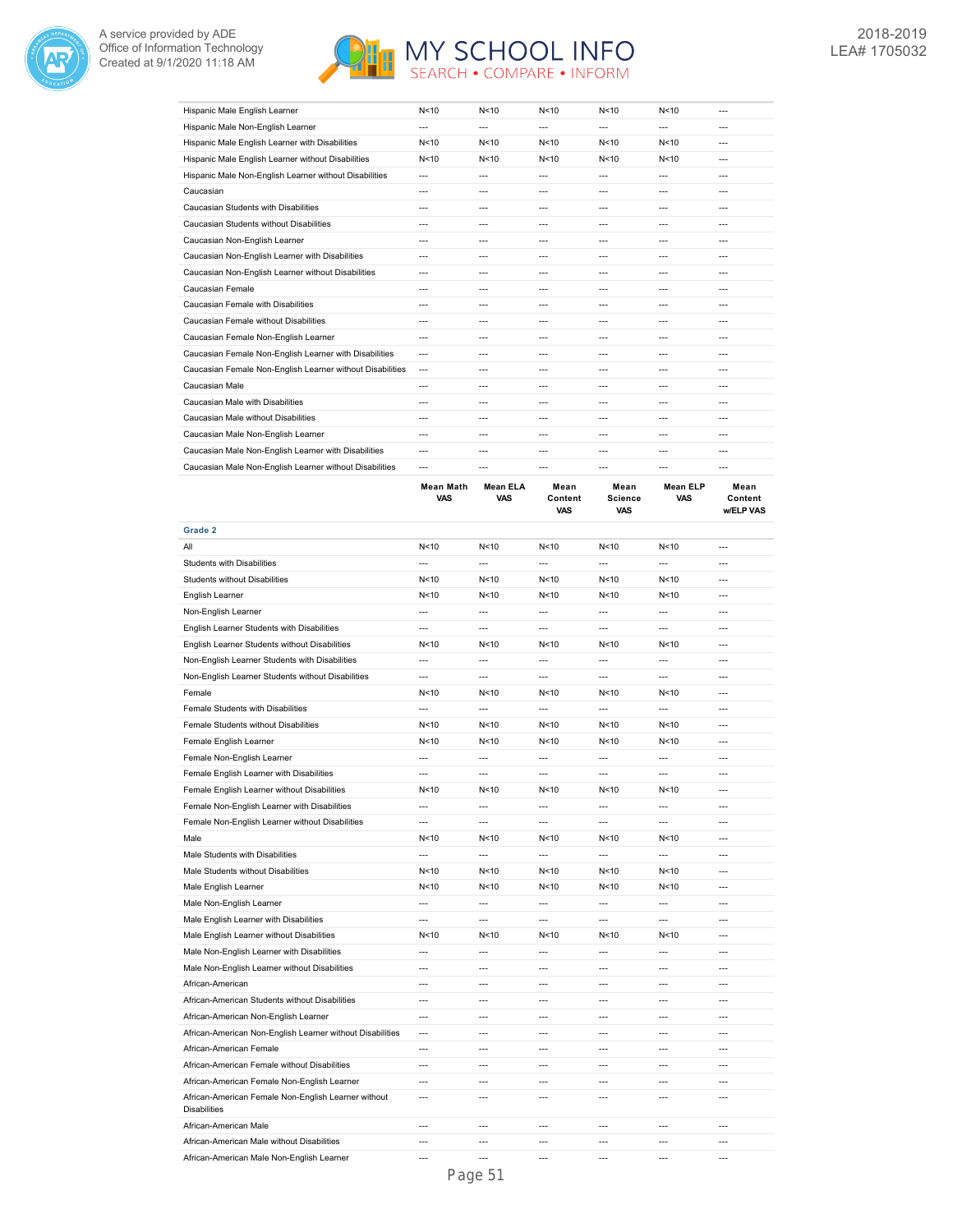



| Hispanic Male English Learner                             | N<10    | N <sub>10</sub> | N<10    | N <sub>10</sub> | N <sub>10</sub> | $- - -$ |
|-----------------------------------------------------------|---------|-----------------|---------|-----------------|-----------------|---------|
| Hispanic Male Non-English Learner                         | ---     | $- - -$         | $---$   | ---             | $- - -$         | ---     |
| Hispanic Male English Learner with Disabilities           | N < 10  | N < 10          | N < 10  | N < 10          | N < 10          | ---     |
| Hispanic Male English Learner without Disabilities        | N < 10  | N < 10          | N < 10  | N < 10          | N < 10          | $---$   |
| Hispanic Male Non-English Learner without Disabilities    | ---     | $- - -$         | $---$   | ---             | $- - -$         | ---     |
| Caucasian                                                 | ---     | $\overline{a}$  | $- - -$ | ---             | $-$ --          | ---     |
| Caucasian Students with Disabilities                      | ---     | $- - -$         | $- - -$ | ---             | ---             | ---     |
| Caucasian Students without Disabilities                   | $- - -$ | $- - -$         | $- - -$ | ---             | ---             | ---     |
| Caucasian Non-English Learner                             | ---     | $- - -$         | $- - -$ | ---             | $- - -$         | ---     |
| Caucasian Non-English Learner with Disabilities           | ---     | $- - -$         | $- - -$ | ---             | $- - -$         | ---     |
| Caucasian Non-English Learner without Disabilities        | ---     | $---$           | $---$   | ---             | $---$           | ---     |
| Caucasian Female                                          | ---     | $- - -$         | $- - -$ | ---             | $- - -$         | $- - -$ |
| Caucasian Female with Disabilities                        | ---     | $- - -$         | $- - -$ | ---             | ---             | ---     |
| Caucasian Female without Disabilities                     | ---     | $- - -$         | $- - -$ | ---             | ---             | ---     |
| Caucasian Female Non-English Learner                      | ---     | $- - -$         | $- - -$ | ---             | $- - -$         | ---     |
| Caucasian Female Non-English Learner with Disabilities    | ---     | $- - -$         | $---$   | ---             | ---             | ---     |
| Caucasian Female Non-English Learner without Disabilities | $---$   | ---             | $---$   | $---$           | $---$           | ---     |
| Caucasian Male                                            | ---     | $---$           | $---$   | ---             | $---$           | ---     |
| Caucasian Male with Disabilities                          | ---     | $---$           | $---$   | ---             | $---$           | $---$   |
| Caucasian Male without Disabilities                       | ---     | $- - -$         | $- - -$ | ---             | $-$ --          | ---     |
| Caucasian Male Non-English Learner                        | ---     | $- - -$         | $- - -$ | ---             | $- - -$         | $- - -$ |
| Caucasian Male Non-English Learner with Disabilities      | ---     | $- - -$         | $- - -$ | ---             | $- - -$         | ---     |
| Caucasian Male Non-English Learner without Disabilities   | $---$   | $- - -$         | $- - -$ | ---             | $- - -$         | ---     |

|                                                                            | <b>Mean Math</b><br>VAS | <b>Mean ELA</b><br>VAS | Mean<br>Content<br>VAS | Mean<br><b>Science</b><br>VAS | <b>Mean ELP</b><br>VAS   | Mean<br>Content<br>w/ELP VAS |
|----------------------------------------------------------------------------|-------------------------|------------------------|------------------------|-------------------------------|--------------------------|------------------------------|
| Grade 2                                                                    |                         |                        |                        |                               |                          |                              |
| All                                                                        | N<10                    | N <sub>10</sub>        | N<10                   | N<10                          | N <sub>10</sub>          | ---                          |
| <b>Students with Disabilities</b>                                          | ---                     | $\overline{a}$         | ---                    | ---                           | ---                      | $\overline{a}$               |
| Students without Disabilities                                              | N<10                    | N <sub>10</sub>        | N <sub>10</sub>        | N<10                          | N <sub>10</sub>          | $\overline{a}$               |
| English Learner                                                            | N<10                    | N <sub>10</sub>        | N <sub>10</sub>        | N <sub>10</sub>               | N <sub>10</sub>          | $\overline{a}$               |
| Non-English Learner                                                        | $\overline{a}$          | $\overline{a}$         | $\overline{a}$         | $\overline{a}$                | $\overline{a}$           | $\overline{a}$               |
| English Learner Students with Disabilities                                 | $\overline{a}$          | $\overline{a}$         | $\overline{a}$         | $\overline{a}$                | $\overline{a}$           | $\overline{a}$               |
| English Learner Students without Disabilities                              | N<10                    | N<10                   | N<10                   | N<10                          | N<10                     | $---$                        |
| Non-English Learner Students with Disabilities                             | $\overline{a}$          | $\overline{a}$         | $\overline{a}$         | $\overline{a}$                | $\overline{a}$           | $\overline{a}$               |
| Non-English Learner Students without Disabilities                          | $\overline{a}$          | $\overline{a}$         | ---                    | $\overline{a}$                | ---                      | $---$                        |
| Female                                                                     | N<10                    | N <sub>10</sub>        | N<10                   | N <sub>10</sub>               | N <sub>10</sub>          | $\overline{a}$               |
| Female Students with Disabilities                                          | $\overline{a}$          | $\overline{a}$         | $\overline{a}$         | ---                           | $\overline{a}$           | $\overline{a}$               |
| Female Students without Disabilities                                       | N<10                    | N<10                   | N <sub>10</sub>        | N <sub>10</sub>               | N <sub>10</sub>          | $\overline{a}$               |
| Female English Learner                                                     | N<10                    | N<10                   | N<10                   | N<10                          | N<10                     | ---                          |
| Female Non-English Learner                                                 | $\overline{a}$          | $\overline{a}$         | $\overline{a}$         | $\overline{a}$                | $\overline{a}$           | $\overline{a}$               |
| Female English Learner with Disabilities                                   | ---                     | ---                    | ---                    | ---                           | $\overline{a}$           | $\overline{a}$               |
| Female English Learner without Disabilities                                | N<10                    | N < 10                 | N<10                   | N<10                          | N <sub>10</sub>          | $\overline{a}$               |
| Female Non-English Learner with Disabilities                               | $\overline{a}$          | ---                    | ---                    | ---                           | ---                      | ---                          |
| Female Non-English Learner without Disabilities                            | ---                     | ---                    | ---                    | ---                           | ---                      | ---                          |
| Male                                                                       | N<10                    | N <sub>10</sub>        | N <sub>10</sub>        | N <sub>10</sub>               | N <sub>10</sub>          | $\overline{\phantom{a}}$     |
| Male Students with Disabilities                                            | ---                     | ---                    | ---                    | ---                           | ---                      | ---                          |
| Male Students without Disabilities                                         | N <sub>10</sub>         | N <sub>10</sub>        | N <sub>10</sub>        | N <sub>10</sub>               | N <sub>10</sub>          | $\overline{a}$               |
| Male English Learner                                                       | N <sub>10</sub>         | N <sub>10</sub>        | N <sub>10</sub>        | N<10                          | N <sub>10</sub>          | $\overline{a}$               |
| Male Non-English Learner                                                   | $\overline{a}$          | $\overline{a}$         | $\overline{a}$         | $\overline{a}$                | $\overline{a}$           | $\overline{a}$               |
| Male English Learner with Disabilities                                     | $\overline{a}$          | $\overline{a}$         | $\overline{a}$         | $\overline{a}$                | $\overline{a}$           | $\overline{a}$               |
| Male English Learner without Disabilities                                  | N <sub>10</sub>         | N<10                   | N <sub>10</sub>        | N <sub>10</sub>               | N <sub>10</sub>          | $\overline{a}$               |
| Male Non-English Learner with Disabilities                                 | $\overline{a}$          | $\overline{a}$         | $\overline{a}$         | $\overline{a}$                | $\overline{a}$           | $---$                        |
| Male Non-English Learner without Disabilities                              | $\overline{a}$          | $\overline{a}$         | $\overline{a}$         | $\overline{a}$                | $\overline{a}$           | $\overline{a}$               |
| African-American                                                           | $\overline{a}$          | $---$                  | $\overline{a}$         | $\overline{a}$                | $---$                    | $---$                        |
| African-American Students without Disabilities                             | $\overline{a}$          | $\overline{a}$         | $\overline{a}$         | $\overline{a}$                | $\overline{\phantom{a}}$ | $\overline{a}$               |
| African-American Non-English Learner                                       | ---                     | ---                    | ---                    | ---                           | ---                      | ---                          |
| African-American Non-English Learner without Disabilities                  | $\overline{a}$          | $\overline{a}$         | $\overline{a}$         | $\overline{a}$                | $\overline{a}$           | $\sim$                       |
| African-American Female                                                    | ---                     | ---                    | ---                    | ---                           | $\overline{a}$           | $\overline{a}$               |
| African-American Female without Disabilities                               | $\overline{a}$          | $\overline{a}$         | $\overline{a}$         | $\overline{a}$                | $\overline{a}$           | $\overline{a}$               |
| African-American Female Non-English Learner                                | ---                     | ---                    | ---                    | ---                           | ---                      | ---                          |
| African-American Female Non-English Learner without<br><b>Disabilities</b> | $\overline{a}$          | $\overline{a}$         | ---                    | ---                           | ---                      | ---                          |
| African-American Male                                                      | $\overline{a}$          | $\overline{a}$         | ---                    | $\overline{a}$                | $\overline{a}$           | $\overline{a}$               |
| African-American Male without Disabilities                                 | $-$                     | $-$ --                 | ---                    | $\overline{a}$                | ---                      | $-$ --                       |
| African-American Male Non-English Learner                                  | $-$                     | $\overline{a}$         | ---                    | $\overline{a}$                | ---                      | $\overline{a}$               |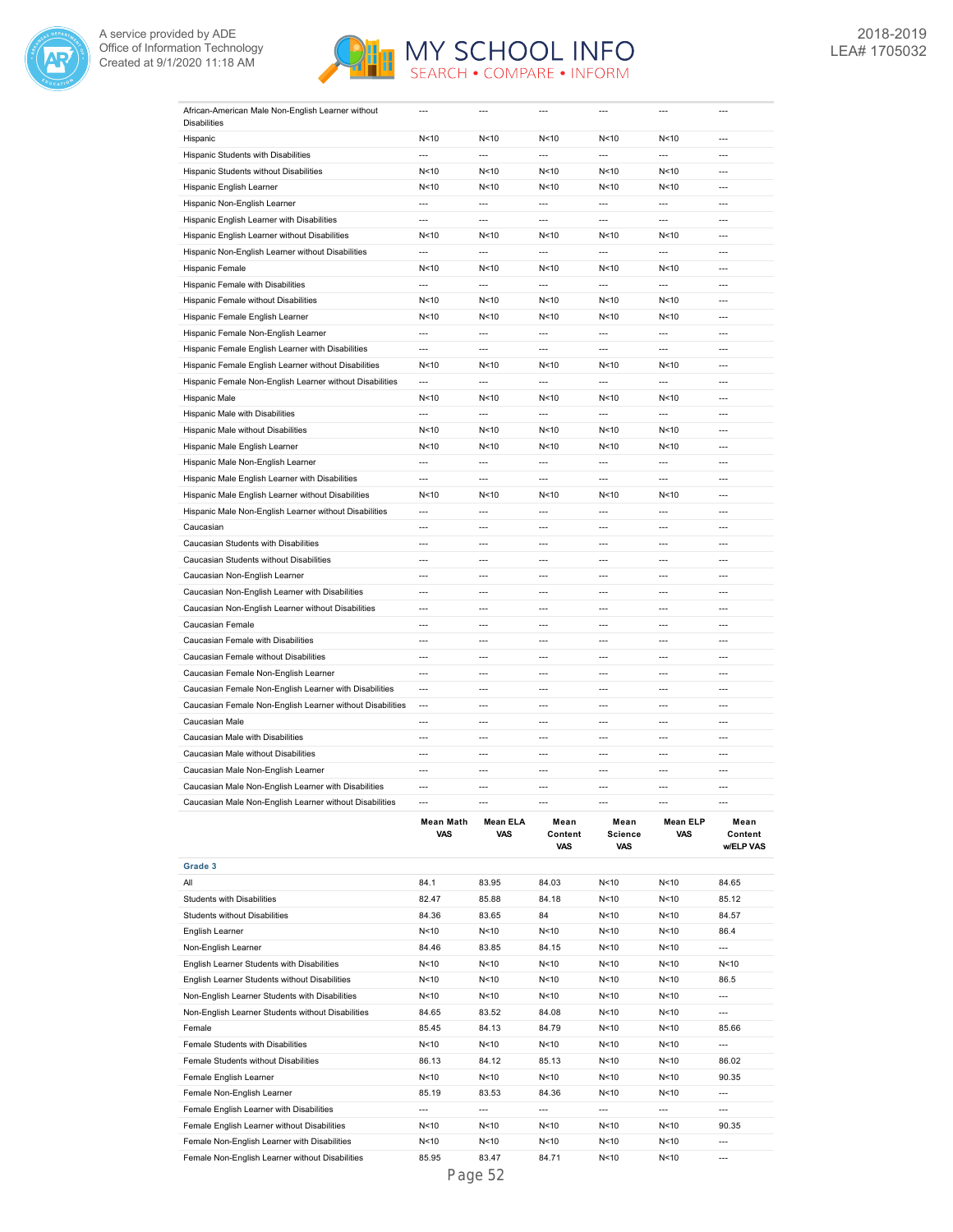



|                                                           | <b>Mean Math</b><br>VAS            | <b>Mean ELA</b><br><b>VAS</b>      | Mean<br>Content<br>VAS            | Mean<br><b>Science</b><br>VAS | <b>Mean ELP</b><br><b>VAS</b> | Mean<br>Content<br><b>WELP VAS</b> |
|-----------------------------------------------------------|------------------------------------|------------------------------------|-----------------------------------|-------------------------------|-------------------------------|------------------------------------|
| Caucasian Male Non-English Learner without Disabilities   | $\overline{a}$                     | $\overline{a}$                     | $\overline{a}$                    | $\overline{a}$                | $\overline{a}$                | $\overline{a}$                     |
| Caucasian Male Non-English Learner with Disabilities      | $\overline{a}$                     | ---                                | $\overline{a}$                    | $\overline{a}$                | $\overline{a}$                | $\overline{a}$                     |
| Caucasian Male Non-English Learner                        | $\overline{\phantom{a}}$           | $\overline{a}$                     | ---                               | ---                           | ---                           | $\overline{a}$                     |
| Caucasian Male without Disabilities                       | $\overline{a}$                     | $---$                              | $\overline{a}$                    | $\overline{a}$                | $\overline{a}$                | $---$                              |
| Caucasian Male with Disabilities                          | $\overline{a}$                     | ---                                | ---                               | ---                           | $\overline{a}$                | ---                                |
| Caucasian Male                                            | $\overline{a}$                     | $\overline{a}$                     | $---$                             | $\overline{a}$                | $\overline{a}$                | $\overline{a}$                     |
| Caucasian Female Non-English Learner without Disabilities | $\overline{a}$                     | ---                                | $\overline{a}$                    | ---                           | $\overline{a}$                | ---                                |
| Caucasian Female Non-English Learner with Disabilities    | $\overline{\phantom{a}}$           | $\overline{a}$                     | $\overline{a}$                    | $\overline{a}$                | $\overline{a}$                | $\overline{a}$                     |
| Caucasian Female Non-English Learner                      | $\overline{a}$                     | ---                                | $\overline{a}$                    | ---                           | $\overline{a}$                | ---                                |
| Caucasian Female without Disabilities                     | $\overline{a}$                     | $\overline{a}$                     | $\overline{a}$                    | ---                           | $\overline{a}$                | $\overline{a}$                     |
| Caucasian Female with Disabilities                        | $\overline{a}$                     | $\overline{a}$                     | $\overline{a}$                    | ---                           | $\overline{\phantom{a}}$      | $\overline{a}$                     |
| Caucasian Female                                          | $\overline{a}$                     | $\overline{a}$                     | $\overline{a}$                    | $\overline{a}$                | $\overline{a}$                | $\overline{a}$                     |
| Caucasian Non-English Learner without Disabilities        | $\overline{\phantom{a}}$           | $\overline{a}$                     | $\overline{a}$                    | $\overline{a}$                | $\overline{a}$                | $\overline{a}$                     |
| Caucasian Non-English Learner with Disabilities           | $\overline{a}$                     | $\overline{a}$                     | $\overline{a}$                    | $\overline{a}$                | $\overline{a}$                | $\overline{a}$                     |
| Caucasian Non-English Learner                             | $\overline{a}$                     | $\overline{a}$                     | $\overline{a}$                    | $\overline{a}$                | $\overline{a}$                | $\overline{a}$                     |
| Caucasian Students without Disabilities                   | $\overline{a}$                     | $\overline{a}$                     | $\overline{a}$                    | $\overline{a}$                | $\overline{a}$                | $\overline{a}$                     |
| Caucasian Students with Disabilities                      | $\overline{a}$                     | $\overline{a}$                     | $\overline{a}$                    | $\overline{a}$                | $\overline{a}$                | $\overline{a}$                     |
| Caucasian                                                 | $\overline{a}$                     | $\overline{a}$                     | $\overline{a}$                    | ---                           | $\overline{a}$                | $\overline{a}$                     |
| Hispanic Male Non-English Learner without Disabilities    | $---$                              | $---$                              | $---$                             | $\overline{a}$                | $---$                         | $---$                              |
| Hispanic Male English Learner without Disabilities        | N < 10                             | N<10                               | N<10                              | N<10                          | N<10                          | $\overline{\phantom{a}}$           |
| Hispanic Male English Learner with Disabilities           | $\overline{a}$                     | ---                                | $\overline{a}$                    | ---                           | ---                           | $\overline{a}$                     |
| Hispanic Male Non-English Learner                         | $\overline{a}$                     | $\overline{a}$                     | $\overline{a}$                    | ---                           | $\overline{a}$                | $\overline{a}$                     |
| Hispanic Male English Learner                             | N<10                               | N <sub>10</sub>                    | N <sub>10</sub>                   | N < 10                        | N < 10                        | ---                                |
| Hispanic Male without Disabilities                        | N<10                               | N <sub>10</sub>                    | N<10                              | N<10                          | N<10                          | $---$                              |
| Hispanic Male with Disabilities                           | ---                                | ---                                | $\overline{a}$                    | ---                           | ---                           | ---                                |
| Hispanic Male                                             |                                    |                                    |                                   |                               |                               |                                    |
| Hispanic Female Non-English Learner without Disabilities  | N<10                               | N <sub>10</sub>                    | N<10                              | N<10                          | N <sub>10</sub>               | $\overline{a}$                     |
| Hispanic Female English Learner without Disabilities      | N<10<br>$\overline{a}$             | N <sub>10</sub><br>$\overline{a}$  | N <sub>10</sub><br>$\overline{a}$ | N<10<br>$\overline{a}$        | N < 10<br>$\overline{a}$      | $\overline{a}$                     |
| Hispanic Female English Learner with Disabilities         |                                    |                                    |                                   |                               |                               | $\overline{a}$                     |
| Hispanic Female Non-English Learner                       | $\overline{a}$                     | ---                                | $\overline{a}$                    | $\overline{a}$                | $\overline{a}$                | $\overline{a}$                     |
| Hispanic Female English Learner                           | $\overline{a}$                     | $\overline{a}$                     | $\overline{a}$                    | ---                           | $\overline{a}$                | $\overline{a}$                     |
| Hispanic Female without Disabilities                      | N < 10<br>N<10                     | N <sub>10</sub><br>N <sub>10</sub> | N < 10<br>N<10                    | N<10<br>N<10                  | N < 10<br>N<10                | ---                                |
| Hispanic Female with Disabilities                         |                                    |                                    |                                   |                               |                               | $\overline{a}$<br>$\overline{a}$   |
| Hispanic Female                                           | N < 10<br>$\overline{\phantom{a}}$ | N <sub>10</sub><br>---             | N <sub>10</sub><br>$\overline{a}$ | N<10<br>---                   | N < 10<br>$\overline{a}$      | $\overline{\phantom{a}}$           |
|                                                           |                                    |                                    |                                   |                               |                               |                                    |
| Hispanic Non-English Learner without Disabilities         | $\overline{a}$                     | $\overline{a}$                     | $\overline{a}$                    | $\overline{a}$                | $\overline{a}$                | ---                                |
| Hispanic English Learner without Disabilities             | N < 10                             | N<10                               | N<10                              | N<10                          | N<10                          | ---                                |
| Hispanic English Learner with Disabilities                | $\overline{a}$                     | $---$                              | $\overline{a}$                    | $\overline{a}$                | $---$                         | $---$                              |
| Hispanic Non-English Learner                              | $\overline{a}$                     | ---                                | $\overline{a}$                    | ---                           | $\overline{a}$                | ---                                |
| Hispanic English Learner                                  | N<10                               | N <sub>10</sub>                    | N <sub>10</sub>                   | N<10                          | N <sub>10</sub>               | $---$                              |
| Hispanic Students without Disabilities                    | N<10                               | N <sub>10</sub>                    | N<10                              | N<10                          | N<10                          | ---                                |
| Hispanic Students with Disabilities                       | $\overline{a}$                     | $\overline{a}$                     | $\overline{a}$                    | $\overline{a}$                | $\overline{a}$                | $\overline{a}$                     |
| <b>Disabilities</b><br>Hispanic                           | N < 10                             | N <sub>10</sub>                    | N<10                              | N<10                          | N<10                          | $\overline{\phantom{a}}$           |
| African-American Male Non-English Learner without         | ---                                | ---                                |                                   | ---                           | ---                           | ---                                |
|                                                           |                                    |                                    |                                   |                               |                               |                                    |

|                                                   |        |                 | ,,,,,           | ,,,, |                 | ,,,,,,,,,,, |
|---------------------------------------------------|--------|-----------------|-----------------|------|-----------------|-------------|
| Grade 3                                           |        |                 |                 |      |                 |             |
| All                                               | 84.1   | 83.95           | 84.03           | N<10 | N<10            | 84.65       |
| <b>Students with Disabilities</b>                 | 82.47  | 85.88           | 84.18           | N<10 | N < 10          | 85.12       |
| <b>Students without Disabilities</b>              | 84.36  | 83.65           | 84              | N<10 | N < 10          | 84.57       |
| English Learner                                   | N<10   | N <sub>10</sub> | N <sub>10</sub> | N<10 | N < 10          | 86.4        |
| Non-English Learner                               | 84.46  | 83.85           | 84.15           | N<10 | N < 10          | $---$       |
| English Learner Students with Disabilities        | N < 10 | N<10            | N < 10          | N<10 | N < 10          | N < 10      |
| English Learner Students without Disabilities     | N < 10 | N <sub>10</sub> | N<10            | N<10 | N < 10          | 86.5        |
| Non-English Learner Students with Disabilities    | N < 10 | N <sub>10</sub> | N<10            | N<10 | N < 10          | $---$       |
| Non-English Learner Students without Disabilities | 84.65  | 83.52           | 84.08           | N<10 | N<10            | $---$       |
| Female                                            | 85.45  | 84.13           | 84.79           | N<10 | N < 10          | 85.66       |
| Female Students with Disabilities                 | N < 10 | N <sub>10</sub> | N<10            | N<10 | N < 10          | $---$       |
| Female Students without Disabilities              | 86.13  | 84.12           | 85.13           | N<10 | N <sub>10</sub> | 86.02       |
| Female English Learner                            | N<10   | N<10            | N<10            | N<10 | N<10            | 90.35       |
| Female Non-English Learner                        | 85.19  | 83.53           | 84.36           | N<10 | N < 10          | $---$       |
| Female English Learner with Disabilities          | $---$  | $---$           | $---$           | ---  | $---$           | $---$       |
| Female English Learner without Disabilities       | N < 10 | N<10            | N<10            | N<10 | N < 10          | 90.35       |
| Female Non-English Learner with Disabilities      | N < 10 | N<10            | N < 10          | N<10 | N < 10          | $---$       |
| Female Non-English Learner without Disabilities   | 85.95  | 83.47           | 84.71           | N<10 | N < 10          | ---         |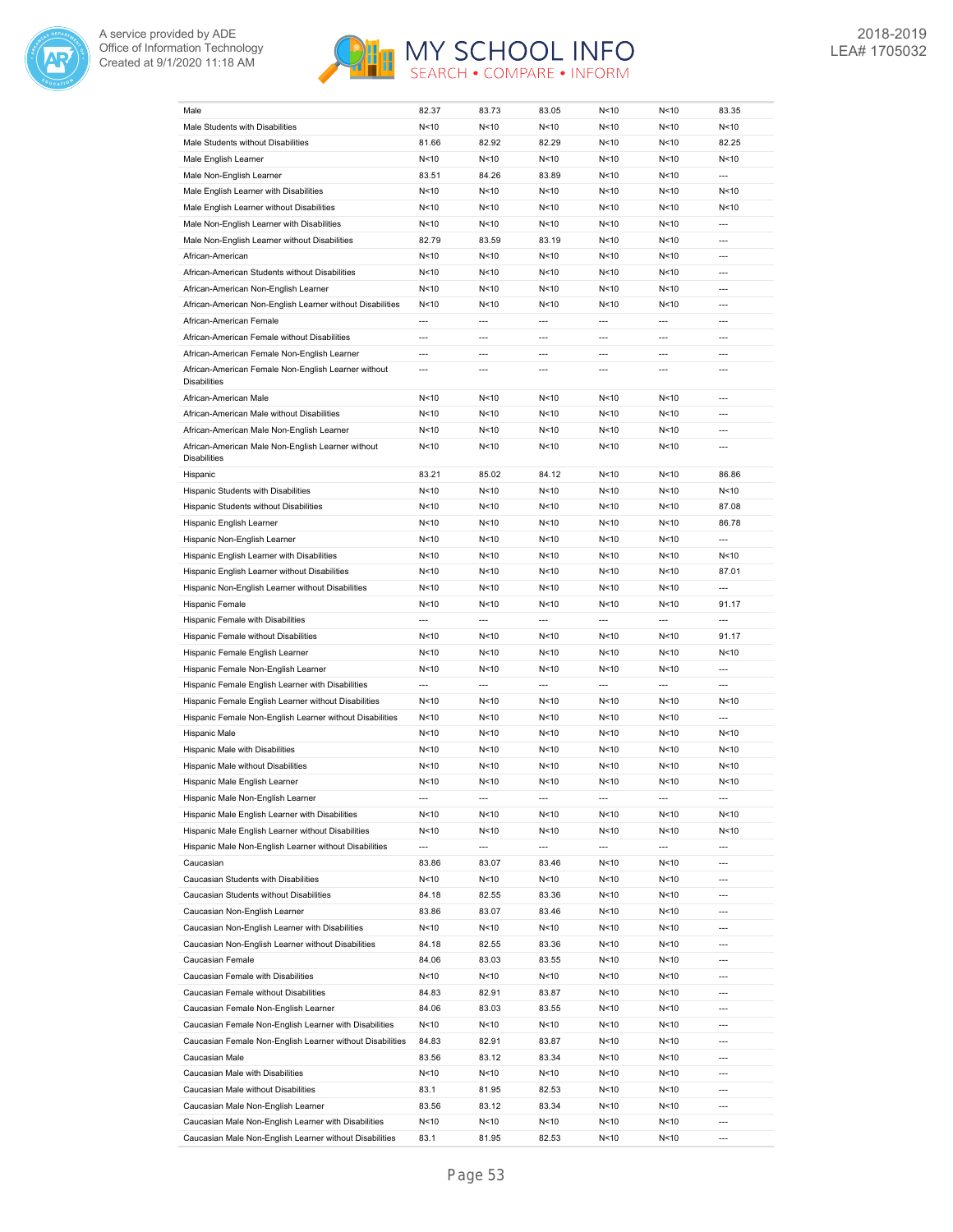



| Male                                                                     | 82.37          | 83.73                    | 83.05                    | N<10                     | N<10                     | 83.35                    |
|--------------------------------------------------------------------------|----------------|--------------------------|--------------------------|--------------------------|--------------------------|--------------------------|
| Male Students with Disabilities                                          | N < 10         | N <sub>10</sub>          | N < 10                   | N<10                     | N<10                     | N<10                     |
| Male Students without Disabilities                                       | 81.66          | 82.92                    | 82.29                    | N<10                     | N<10                     | 82.25                    |
| Male English Learner                                                     | N<10           | N < 10                   | N < 10                   | N<10                     | N<10                     | N<10                     |
| Male Non-English Learner                                                 | 83.51          | 84.26                    | 83.89                    | N<10                     | N<10                     | $\overline{a}$           |
| Male English Learner with Disabilities                                   | N<10           | N < 10                   | N < 10                   | N<10                     | N<10                     | N<10                     |
| Male English Learner without Disabilities                                | N<10           | N<10                     | N<10                     | N<10                     | N<10                     | N<10                     |
| Male Non-English Learner with Disabilities                               | N<10           | N<10                     | N<10                     | N<10                     | N<10                     | $\overline{a}$           |
| Male Non-English Learner without Disabilities                            | 82.79          | 83.59                    | 83.19                    | N<10                     | N<10                     | $---$                    |
| African-American                                                         | N<10           | N < 10                   | N<10                     | N<10                     | N<10                     | ---                      |
| African-American Students without Disabilities                           | N<10           | N<10                     | N<10                     | N<10                     | N<10                     | $\overline{a}$           |
| African-American Non-English Learner                                     | N<10           | N < 10                   | N<10                     | N <sub>10</sub>          | N<10                     | $\overline{a}$           |
| African-American Non-English Learner without Disabilities                | N<10           | N < 10                   | N <sub>10</sub>          | N <sub>10</sub>          | N<10                     | $\overline{a}$           |
| African-American Female                                                  | $\overline{a}$ | $\overline{a}$           | $\overline{a}$           | $\overline{a}$           | $\overline{a}$           | $\overline{a}$           |
| African-American Female without Disabilities                             | ---            | ---                      | ---                      | ---                      | ---                      | ---                      |
| African-American Female Non-English Learner                              | $\overline{a}$ | ---                      | $\overline{a}$           | $\overline{a}$           | ---                      | ---                      |
| African-American Female Non-English Learner without                      | ---            | ---                      | $\overline{a}$           | ---                      | $\overline{a}$           | ---                      |
| <b>Disabilities</b>                                                      |                |                          |                          |                          |                          |                          |
| African-American Male                                                    | N < 10         | N<10                     | N<10                     | N<10                     | N<10                     | ---                      |
| African-American Male without Disabilities                               | N < 10         | N<10                     | N < 10                   | N<10                     | N<10                     | ---                      |
| African-American Male Non-English Learner                                | N < 10         | N <sub>10</sub>          | N < 10                   | N<10                     | N<10                     | ---                      |
| African-American Male Non-English Learner without<br><b>Disabilities</b> | N<10           | N<10                     | N < 10                   | N<10                     | N<10                     | ---                      |
| Hispanic                                                                 | 83.21          | 85.02                    | 84.12                    | N<10                     | N<10                     | 86.86                    |
| Hispanic Students with Disabilities                                      | N < 10         | N<10                     | N < 10                   | N<10                     | N<10                     | N<10                     |
| Hispanic Students without Disabilities                                   | N<10           | N<10                     | N<10                     | N<10                     | N<10                     | 87.08                    |
| Hispanic English Learner                                                 | N<10           | N<10                     | N<10                     | N<10                     | N<10                     | 86.78                    |
| Hispanic Non-English Learner                                             | N<10           | N<10                     | N<10                     | N<10                     | N<10                     | ---                      |
| Hispanic English Learner with Disabilities                               | N<10           | N<10                     | N<10                     | N<10                     | N<10                     | N < 10                   |
| Hispanic English Learner without Disabilities                            | N<10           | N<10                     | N <sub>10</sub>          | N<10                     | N<10                     | 87.01                    |
| Hispanic Non-English Learner without Disabilities                        | N<10           | N<10                     | N <sub>10</sub>          | N<10                     | N<10                     | $\overline{a}$           |
| Hispanic Female                                                          | N<10           | N<10                     | N <sub>10</sub>          | N<10                     | N<10                     | 91.17                    |
| Hispanic Female with Disabilities                                        | $\overline{a}$ | $\overline{a}$           | $\overline{a}$           | $\overline{a}$           | $\overline{a}$           | $\overline{a}$           |
| Hispanic Female without Disabilities                                     | N<10           | N<10                     | N <sub>10</sub>          | N<10                     | N<10                     | 91.17                    |
| Hispanic Female English Learner                                          | N<10           | N < 10                   | N<10                     | N<10                     | N < 10                   | N < 10                   |
| Hispanic Female Non-English Learner                                      | N<10           | N<10                     | N <sub>10</sub>          | N<10                     | N<10                     | $\overline{a}$           |
| Hispanic Female English Learner with Disabilities                        | ---            | $\overline{a}$           | $\overline{a}$           | $\overline{\phantom{a}}$ | $\overline{\phantom{a}}$ | $\overline{a}$           |
| Hispanic Female English Learner without Disabilities                     | N < 10         | N<10                     | N < 10                   | N<10                     | N<10                     | N<10                     |
| Hispanic Female Non-English Learner without Disabilities                 | N < 10         | N<10                     | N < 10                   | N<10                     | N<10                     | ---                      |
| <b>Hispanic Male</b>                                                     | N < 10         | N<10                     | N<10                     | N<10                     | N<10                     | N<10                     |
| Hispanic Male with Disabilities                                          | N < 10         | N<10                     | N < 10                   | N<10                     | N<10                     | N<10                     |
| Hispanic Male without Disabilities                                       | N < 10         | N<10                     | N < 10                   | N<10                     | N<10                     | N<10                     |
| Hispanic Male English Learner                                            | N<10           | N<10                     | N<10                     | N<10                     | N<10                     | N<10                     |
| Hispanic Male Non-English Learner                                        | ---            | $\overline{\phantom{a}}$ | ---                      | $\overline{\phantom{a}}$ | $\overline{\phantom{a}}$ | ---                      |
| Hispanic Male English Learner with Disabilities                          | N < 10         | N < 10                   | N<10                     | N < 10                   | N <sub>10</sub>          | N<10                     |
| Hispanic Male English Learner without Disabilities                       | N < 10         | N<10                     | N<10                     | N<10                     | N <sub>10</sub>          | N<10                     |
| Hispanic Male Non-English Learner without Disabilities                   | ---            | ---                      | $\overline{\phantom{a}}$ | $\hspace{0.05cm} \cdots$ | $\cdots$                 | ---                      |
| Caucasian                                                                | 83.86          | 83.07                    | 83.46                    | N < 10                   | N <sub>10</sub>          | ---                      |
| Caucasian Students with Disabilities                                     | N<10           | N<10                     | N<10                     | N <sub>10</sub>          | N <sub>10</sub>          | ---                      |
| Caucasian Students without Disabilities                                  | 84.18          | 82.55                    | 83.36                    | N<10                     | N <sub>10</sub>          | $\overline{\phantom{a}}$ |
| Caucasian Non-English Learner                                            | 83.86          | 83.07                    | 83.46                    | N<10                     | N <sub>10</sub>          | ---                      |
| Caucasian Non-English Learner with Disabilities                          | N<10           | N<10                     | N<10                     | N <sub>10</sub>          | N <sub>10</sub>          | $\overline{a}$           |
| Caucasian Non-English Learner without Disabilities                       | 84.18          | 82.55                    | 83.36                    | N <sub>10</sub>          | N <sub>10</sub>          | ---                      |
| Caucasian Female                                                         | 84.06          | 83.03                    | 83.55                    | N <sub>10</sub>          | N <sub>10</sub>          | $\overline{\phantom{a}}$ |
| Caucasian Female with Disabilities                                       | N < 10         | N<10                     | N<10                     | N <sub>10</sub>          | N <sub>10</sub>          | ---                      |
| Caucasian Female without Disabilities                                    | 84.83          | 82.91                    | 83.87                    | N <sub>10</sub>          | N <sub>10</sub>          | ---                      |
| Caucasian Female Non-English Learner                                     | 84.06          | 83.03                    | 83.55                    | N <sub>10</sub>          | N <sub>10</sub>          | ---                      |
| Caucasian Female Non-English Learner with Disabilities                   | N < 10         | N<10                     | N<10                     | N <sub>10</sub>          | N <sub>10</sub>          | $\overline{\phantom{a}}$ |
| Caucasian Female Non-English Learner without Disabilities                | 84.83          | 82.91                    | 83.87                    | N <sub>10</sub>          | N <sub>10</sub>          | ---                      |
| Caucasian Male                                                           | 83.56          | 83.12                    | 83.34                    | N < 10                   | N <sub>10</sub>          | ---                      |
| Caucasian Male with Disabilities                                         | N < 10         | N<10                     | N<10                     | N <sub>10</sub>          | N <sub>10</sub>          | ---                      |
| Caucasian Male without Disabilities                                      | 83.1           | 81.95                    | 82.53                    | N <sub>10</sub>          | N <sub>10</sub>          | ---                      |
| Caucasian Male Non-English Learner                                       | 83.56          | 83.12                    | 83.34                    | N <sub>10</sub>          | N <sub>10</sub>          | ---                      |
| Caucasian Male Non-English Learner with Disabilities                     | N < 10         | N<10                     | N<10                     | N <sub>10</sub>          | N <sub>10</sub>          | ---                      |
| Caucasian Male Non-English Learner without Disabilities                  | 83.1           | 81.95                    | 82.53                    | N < 10                   | N <sub>10</sub>          | $\overline{\phantom{a}}$ |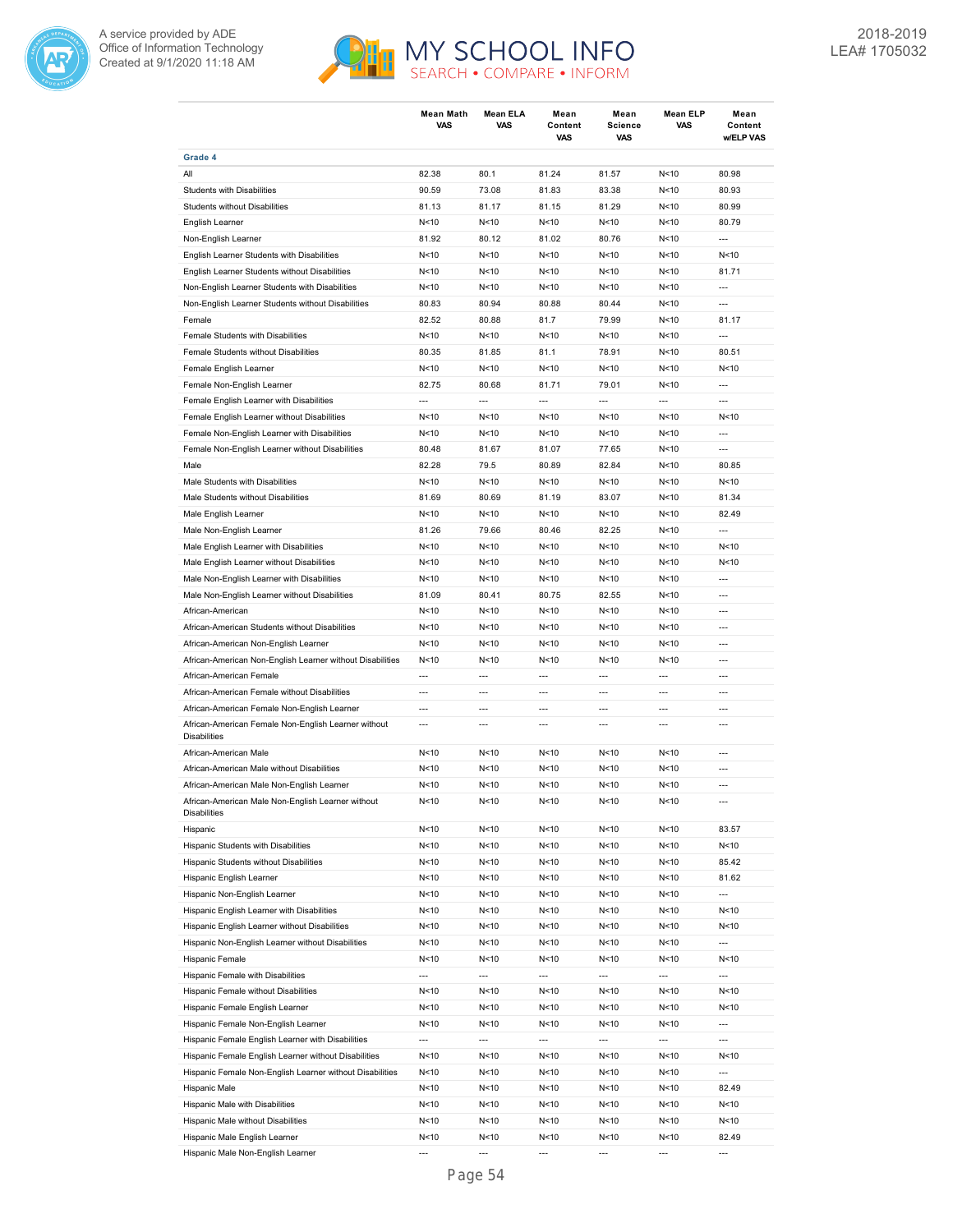



|                                                                            | <b>Mean Math</b><br>VAS  | <b>Mean ELA</b><br>VAS  | Mean<br>Content<br>VAS | Mean<br>Science<br>VAS           | <b>Mean ELP</b><br>VAS           | Mean<br>Content<br>w/ELP VAS     |
|----------------------------------------------------------------------------|--------------------------|-------------------------|------------------------|----------------------------------|----------------------------------|----------------------------------|
| Grade 4                                                                    |                          |                         |                        |                                  |                                  |                                  |
| All                                                                        | 82.38                    | 80.1                    | 81.24                  | 81.57                            | N < 10                           | 80.98                            |
| <b>Students with Disabilities</b>                                          | 90.59                    | 73.08                   | 81.83                  | 83.38                            | N < 10                           | 80.93                            |
| Students without Disabilities                                              | 81.13                    | 81.17                   | 81.15                  | 81.29                            | N<10                             | 80.99                            |
| English Learner                                                            | N <sub>10</sub>          | N<10                    | N < 10                 | N<10                             | N<10                             | 80.79                            |
| Non-English Learner                                                        | 81.92                    | 80.12                   | 81.02                  | 80.76                            | N < 10                           | $\overline{a}$                   |
| English Learner Students with Disabilities                                 | N<10                     | N < 10                  | N<10                   | N < 10                           | N<10                             | N < 10                           |
| English Learner Students without Disabilities                              | N<10                     | N<10                    | N<10                   | N<10                             | N<10                             | 81.71                            |
| Non-English Learner Students with Disabilities                             | N<10                     | N<10                    | N<10                   | N<10                             | N<10                             | ---                              |
| Non-English Learner Students without Disabilities                          | 80.83                    | 80.94                   | 80.88                  | 80.44                            | N<10                             | $\overline{a}$                   |
| Female                                                                     | 82.52                    | 80.88                   | 81.7                   | 79.99                            | N<10                             | 81.17                            |
| Female Students with Disabilities                                          | N <sub>10</sub>          | N <sub>10</sub>         | N<10                   | N < 10                           | N<10                             | $\overline{a}$                   |
| Female Students without Disabilities                                       | 80.35                    | 81.85                   | 81.1                   | 78.91                            | N<10                             | 80.51                            |
| Female English Learner                                                     | N <sub>10</sub>          | N<10                    | N<10                   | N<10                             | N<10                             | N < 10                           |
| Female Non-English Learner                                                 | 82.75                    | 80.68                   | 81.71                  | 79.01                            | N<10                             | $\overline{\phantom{a}}$         |
| Female English Learner with Disabilities                                   | $\overline{a}$           | $\overline{a}$          | $\overline{a}$         | $\overline{a}$                   | $\overline{a}$                   | $\overline{a}$                   |
| Female English Learner without Disabilities                                | N < 10                   | N<10                    | N<10                   | N < 10                           | N < 10                           | N<10                             |
| Female Non-English Learner with Disabilities                               | N<10                     | N<10                    | N<10                   | N<10                             | N<10                             | $\overline{a}$                   |
| Female Non-English Learner without Disabilities                            | 80.48                    | 81.67                   | 81.07                  | 77.65                            | N < 10                           | $\overline{a}$                   |
| Male                                                                       | 82.28                    | 79.5                    | 80.89                  | 82.84                            | N<10                             | 80.85                            |
| Male Students with Disabilities                                            | N < 10                   | N<10                    | N <sub>10</sub>        | N < 10                           | N < 10                           | N < 10                           |
| Male Students without Disabilities                                         | 81.69                    | 80.69                   | 81.19                  | 83.07                            | N<10                             | 81.34                            |
| Male English Learner                                                       | N <sub>10</sub>          | N <sub>10</sub>         | N <sub>10</sub>        | N<10                             | N < 10                           | 82.49                            |
| Male Non-English Learner                                                   | 81.26                    | 79.66                   | 80.46                  | 82.25                            | N<10                             | ---                              |
|                                                                            | N <sub>10</sub>          | N<10                    | N<10                   | N<10                             | N <sub>10</sub>                  | N<10                             |
| Male English Learner with Disabilities                                     | N < 10                   | N < 10                  | N<10                   | N<10                             | N<10                             | N<10                             |
| Male English Learner without Disabilities                                  |                          |                         |                        |                                  |                                  | $\overline{a}$                   |
| Male Non-English Learner with Disabilities                                 | N<10                     | N<10                    | N<10                   | N<10                             | N<10                             |                                  |
| Male Non-English Learner without Disabilities                              | 81.09                    | 80.41                   | 80.75                  | 82.55                            | N<10                             | $\overline{\phantom{a}}$         |
| African-American                                                           | N<10                     | N<10                    | N<10                   | N<10                             | N < 10                           | $\overline{a}$                   |
| African-American Students without Disabilities                             | N<10                     | N<10                    | N<10                   | N<10                             | N<10                             | $\overline{\phantom{a}}$         |
| African-American Non-English Learner                                       | N<10                     | N<10                    | N<10                   | N<10                             | N<10                             | $\overline{a}$<br>$\overline{a}$ |
| African-American Non-English Learner without Disabilities                  | N < 10<br>$\overline{a}$ | N<10<br>$\overline{a}$  | N<10<br>$\overline{a}$ | N < 10                           | N < 10<br>$\overline{a}$         |                                  |
| African-American Female                                                    |                          |                         |                        | $\overline{a}$                   |                                  | $---$                            |
| African-American Female without Disabilities                               | $---$                    | ---                     | ---                    | ---                              | $\overline{\phantom{a}}$         | $\overline{a}$                   |
| African-American Female Non-English Learner                                | $\overline{a}$<br>$---$  | $\overline{a}$<br>$---$ | $\overline{a}$<br>---  | $\overline{a}$<br>$\overline{a}$ | $\overline{a}$<br>$\overline{a}$ | $\overline{a}$<br>$\overline{a}$ |
| African-American Female Non-English Learner without<br><b>Disabilities</b> |                          |                         |                        |                                  |                                  |                                  |
| African-American Male                                                      | N < 10                   | N<10                    | N<10                   | N < 10                           | N < 10                           | $\overline{a}$                   |
| African-American Male without Disabilities                                 | N<10                     | N<10                    | N<10                   | N < 10                           | N<10                             | $---$                            |
| African-American Male Non-English Learner                                  | N<10                     | N<10                    | N<10                   | N<10                             | N<10                             | $\overline{a}$                   |
| African-American Male Non-English Learner without<br><b>Disabilities</b>   | N <sub>10</sub>          | N<10                    | N <sub>10</sub>        | N <sub>10</sub>                  | N<10                             | ---                              |
| Hispanic                                                                   | N<10                     | N<10                    | N<10                   | N<10                             | N<10                             | 83.57                            |
| Hispanic Students with Disabilities                                        | N<10                     | N<10                    | N<10                   | N<10                             | N<10                             | N<10                             |
| Hispanic Students without Disabilities                                     | N<10                     | N<10                    | N<10                   | N<10                             | N < 10                           | 85.42                            |
| Hispanic English Learner                                                   | N<10                     | N <sub>10</sub>         | N<10                   | N<10                             | N<10                             | 81.62                            |
| Hispanic Non-English Learner                                               | N<10                     | N <sub>10</sub>         | N<10                   | N<10                             | N<10                             | $\overline{\phantom{a}}$         |
| Hispanic English Learner with Disabilities                                 | N<10                     | N<10                    | N<10                   | N<10                             | N<10                             | N<10                             |
| Hispanic English Learner without Disabilities                              | N<10                     | N < 10                  | N<10                   | N<10                             | N<10                             | N<10                             |
| Hispanic Non-English Learner without Disabilities                          | N < 10                   | N<10                    | N < 10                 | N <sub>10</sub>                  | N <sub>10</sub>                  | ---                              |
| Hispanic Female                                                            | N < 10                   | N <sub>10</sub>         | N<10                   | N<10                             | N <sub>10</sub>                  | N<10                             |
| Hispanic Female with Disabilities                                          | ---                      | ---                     | ---                    | $\overline{\phantom{a}}$         | ---                              | ---                              |
| Hispanic Female without Disabilities                                       | N <sub>10</sub>          | N < 10                  | N<10                   | N<10                             | N < 10                           | N<10                             |
| Hispanic Female English Learner                                            | N<10                     | N<10                    | N<10                   | N<10                             | N <sub>10</sub>                  | N<10                             |
| Hispanic Female Non-English Learner                                        | N < 10                   | N<10                    | N < 10                 | N<10                             | N <sub>10</sub>                  | ---                              |
| Hispanic Female English Learner with Disabilities                          | $\overline{\phantom{a}}$ | ---                     | ---                    | $\overline{\phantom{a}}$         | $\overline{\phantom{a}}$         | $\overline{a}$                   |
| Hispanic Female English Learner without Disabilities                       | N < 10                   | N<10                    | N < 10                 | N<10                             | N < 10                           | N<10                             |
| Hispanic Female Non-English Learner without Disabilities                   | N<10                     | N<10                    | N<10                   | N<10                             | N <sub>10</sub>                  | ---                              |
| Hispanic Male                                                              | N<10                     | N<10                    | N<10                   | N<10                             | N <sub>10</sub>                  | 82.49                            |
| Hispanic Male with Disabilities                                            | N<10                     | N<10                    | N<10                   | N<10                             | N <sub>10</sub>                  | N<10                             |
| Hispanic Male without Disabilities                                         | N<10                     | N<10                    | N<10                   | N<10                             | N<10                             | N<10                             |
| Hispanic Male English Learner                                              | N<10                     | N <sub>10</sub>         | N<10                   | N<10                             | N<10                             | 82.49                            |

Hispanic Male Non-English Learner --- --- --- --- --- ---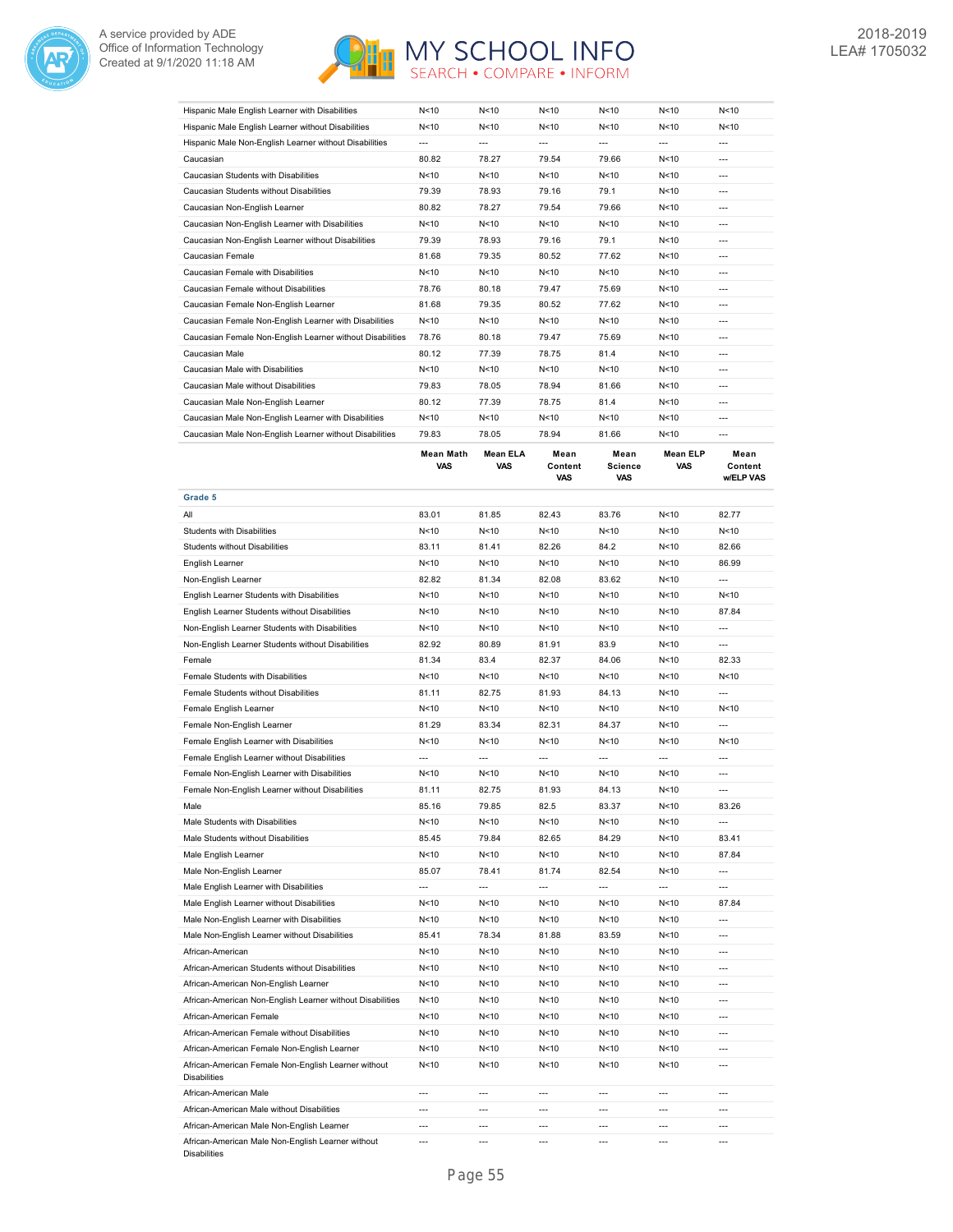



| Hispanic Male English Learner with Disabilities           | N < 10 | N < 10          | N < 10 | N < 10 | N < 10          | N < 10 |
|-----------------------------------------------------------|--------|-----------------|--------|--------|-----------------|--------|
| Hispanic Male English Learner without Disabilities        | N<10   | N<10            | N < 10 | N < 10 | N<10            | N < 10 |
| Hispanic Male Non-English Learner without Disabilities    | $---$  | $---$           | $---$  | ---    | $---$           | $---$  |
| Caucasian                                                 | 80.82  | 78.27           | 79.54  | 79.66  | N<10            | $---$  |
| Caucasian Students with Disabilities                      | N < 10 | N<10            | N<10   | N<10   | N<10            | $---$  |
| Caucasian Students without Disabilities                   | 79.39  | 78.93           | 79.16  | 79.1   | N<10            | $---$  |
| Caucasian Non-English Learner                             | 80.82  | 78.27           | 79.54  | 79.66  | N < 10          | $---$  |
| Caucasian Non-English Learner with Disabilities           | N<10   | N<10            | N < 10 | N<10   | N < 10          | $---$  |
| Caucasian Non-English Learner without Disabilities        | 79.39  | 78.93           | 79.16  | 79.1   | N < 10          | $---$  |
| Caucasian Female                                          | 81.68  | 79.35           | 80.52  | 77.62  | N < 10          | $---$  |
| Caucasian Female with Disabilities                        | N < 10 | N<10            | N < 10 | N<10   | N < 10          | $---$  |
| Caucasian Female without Disabilities                     | 78.76  | 80.18           | 79.47  | 75.69  | N < 10          | $---$  |
| Caucasian Female Non-English Learner                      | 81.68  | 79.35           | 80.52  | 77.62  | N<10            | $---$  |
| Caucasian Female Non-English Learner with Disabilities    | N < 10 | N <sub>10</sub> | N < 10 | N < 10 | N<10            | $---$  |
| Caucasian Female Non-English Learner without Disabilities | 78.76  | 80.18           | 79.47  | 75.69  | N<10            | $---$  |
| Caucasian Male                                            | 80.12  | 77.39           | 78.75  | 81.4   | N<10            | $---$  |
| Caucasian Male with Disabilities                          | N<10   | N<10            | N<10   | N<10   | N<10            | $---$  |
| Caucasian Male without Disabilities                       | 79.83  | 78.05           | 78.94  | 81.66  | N<10            | $---$  |
| Caucasian Male Non-English Learner                        | 80.12  | 77.39           | 78.75  | 81.4   | N < 10          | $---$  |
| Caucasian Male Non-English Learner with Disabilities      | N < 10 | N <sub>10</sub> | N < 10 | N<10   | N < 10          | $---$  |
| Caucasian Male Non-English Learner without Disabilities   | 79.83  | 78.05           | 78.94  | 81.66  | N <sub>10</sub> | $---$  |

|                                                                            | <b>Mean Math</b><br>VAS | <b>Mean ELA</b><br><b>VAS</b> | Mean<br>Content<br>VAS | Mean<br><b>Science</b><br>VAS | <b>Mean ELP</b><br>VAS | Mean<br>Content<br><b>w/ELP VAS</b> |
|----------------------------------------------------------------------------|-------------------------|-------------------------------|------------------------|-------------------------------|------------------------|-------------------------------------|
| Grade 5                                                                    |                         |                               |                        |                               |                        |                                     |
| All                                                                        | 83.01                   | 81.85                         | 82.43                  | 83.76                         | N<10                   | 82.77                               |
| Students with Disabilities                                                 | N<10                    | N<10                          | N<10                   | N<10                          | N<10                   | N<10                                |
| <b>Students without Disabilities</b>                                       | 83.11                   | 81.41                         | 82.26                  | 84.2                          | N<10                   | 82.66                               |
| English Learner                                                            | N<10                    | N < 10                        | N<10                   | N<10                          | N < 10                 | 86.99                               |
| Non-English Learner                                                        | 82.82                   | 81.34                         | 82.08                  | 83.62                         | N<10                   | $\overline{a}$                      |
| English Learner Students with Disabilities                                 | N <sub>10</sub>         | N <sub>10</sub>               | N <sub>10</sub>        | N <sub>10</sub>               | N <sub>10</sub>        | N <sub>10</sub>                     |
| English Learner Students without Disabilities                              | N<10                    | N<10                          | N<10                   | N<10                          | N<10                   | 87.84                               |
| Non-English Learner Students with Disabilities                             | N<10                    | N < 10                        | N<10                   | N<10                          | N<10                   | $\overline{a}$                      |
| Non-English Learner Students without Disabilities                          | 82.92                   | 80.89                         | 81.91                  | 83.9                          | N<10                   | $\overline{a}$                      |
| Female                                                                     | 81.34                   | 83.4                          | 82.37                  | 84.06                         | N <sub>10</sub>        | 82.33                               |
| Female Students with Disabilities                                          | N < 10                  | N < 10                        | N<10                   | N<10                          | N<10                   | N < 10                              |
| Female Students without Disabilities                                       | 81.11                   | 82.75                         | 81.93                  | 84.13                         | N<10                   | $\overline{a}$                      |
| Female English Learner                                                     | N <sub>10</sub>         | N <sub>10</sub>               | N <sub>10</sub>        | N <sub>10</sub>               | N <sub>10</sub>        | N <sub>10</sub>                     |
| Female Non-English Learner                                                 | 81.29                   | 83.34                         | 82.31                  | 84.37                         | N <sub>10</sub>        | $\overline{a}$                      |
| Female English Learner with Disabilities                                   | N<10                    | N < 10                        | N<10                   | N<10                          | N<10                   | N<10                                |
| Female English Learner without Disabilities                                | ---                     | $\overline{a}$                | $\overline{a}$         | ---                           | ---                    | $\overline{a}$                      |
| Female Non-English Learner with Disabilities                               | N<10                    | N<10                          | N<10                   | N<10                          | N<10                   | $\overline{a}$                      |
| Female Non-English Learner without Disabilities                            | 81.11                   | 82.75                         | 81.93                  | 84.13                         | N<10                   | ---                                 |
| Male                                                                       | 85.16                   | 79.85                         | 82.5                   | 83.37                         | N<10                   | 83.26                               |
| Male Students with Disabilities                                            | N <sub>10</sub>         | N<10                          | N<10                   | N < 10                        | N <sub>10</sub>        | $\overline{a}$                      |
| Male Students without Disabilities                                         | 85.45                   | 79.84                         | 82.65                  | 84.29                         | N <sub>10</sub>        | 83.41                               |
| Male English Learner                                                       | N<10                    | N<10                          | N<10                   | N<10                          | N<10                   | 87.84                               |
| Male Non-English Learner                                                   | 85.07                   | 78.41                         | 81.74                  | 82.54                         | N<10                   | ---                                 |
| Male English Learner with Disabilities                                     | $\overline{a}$          | $\overline{\phantom{a}}$      | $\overline{a}$         | ---                           | $\overline{a}$         | $\overline{a}$                      |
| Male English Learner without Disabilities                                  | N<10                    | N < 10                        | N < 10                 | N < 10                        | N<10                   | 87.84                               |
| Male Non-English Learner with Disabilities                                 | N<10                    | N <sub>10</sub>               | N <sub>10</sub>        | N<10                          | N<10                   | $\overline{a}$                      |
| Male Non-English Learner without Disabilities                              | 85.41                   | 78.34                         | 81.88                  | 83.59                         | N<10                   | ---                                 |
| African-American                                                           | N<10                    | N < 10                        | N <sub>10</sub>        | N<10                          | N <sub>10</sub>        | ---                                 |
| African-American Students without Disabilities                             | N<10                    | N < 10                        | N <sub>10</sub>        | N<10                          | N<10                   | $\overline{a}$                      |
| African-American Non-English Learner                                       | N<10                    | N<10                          | N<10                   | N<10                          | N<10                   | $\overline{a}$                      |
| African-American Non-English Learner without Disabilities                  | N <sub>10</sub>         | N <sub>10</sub>               | N <sub>10</sub>        | N <sub>10</sub>               | N <sub>10</sub>        | $\overline{a}$                      |
| African-American Female                                                    | N < 10                  | N < 10                        | N <sub>10</sub>        | N<10                          | N<10                   | ---                                 |
| African-American Female without Disabilities                               | N<10                    | N < 10                        | N <sub>10</sub>        | N<10                          | N<10                   | $\overline{a}$                      |
| African-American Female Non-English Learner                                | N<10                    | N<10                          | N<10                   | N<10                          | N <sub>10</sub>        | $\overline{a}$                      |
| African-American Female Non-English Learner without<br><b>Disabilities</b> | N <sub>10</sub>         | N <sub>10</sub>               | N <sub>10</sub>        | N <sub>10</sub>               | N <sub>10</sub>        | ---                                 |
| African-American Male                                                      | $\overline{a}$          | $\overline{a}$                | $\overline{a}$         | $\overline{a}$                | $\overline{a}$         | $\overline{a}$                      |
| African-American Male without Disabilities                                 | ---                     | $---$                         | $\overline{a}$         | ---                           | ---                    | ---                                 |
| African-American Male Non-English Learner                                  | $\overline{a}$          | ---                           | $---$                  | ---                           | ---                    | ---                                 |
| African-American Male Non-English Learner without<br><b>Disabilities</b>   | $\overline{a}$          | $\overline{a}$                | $\overline{a}$         | $\overline{a}$                | ---                    | $\overline{a}$                      |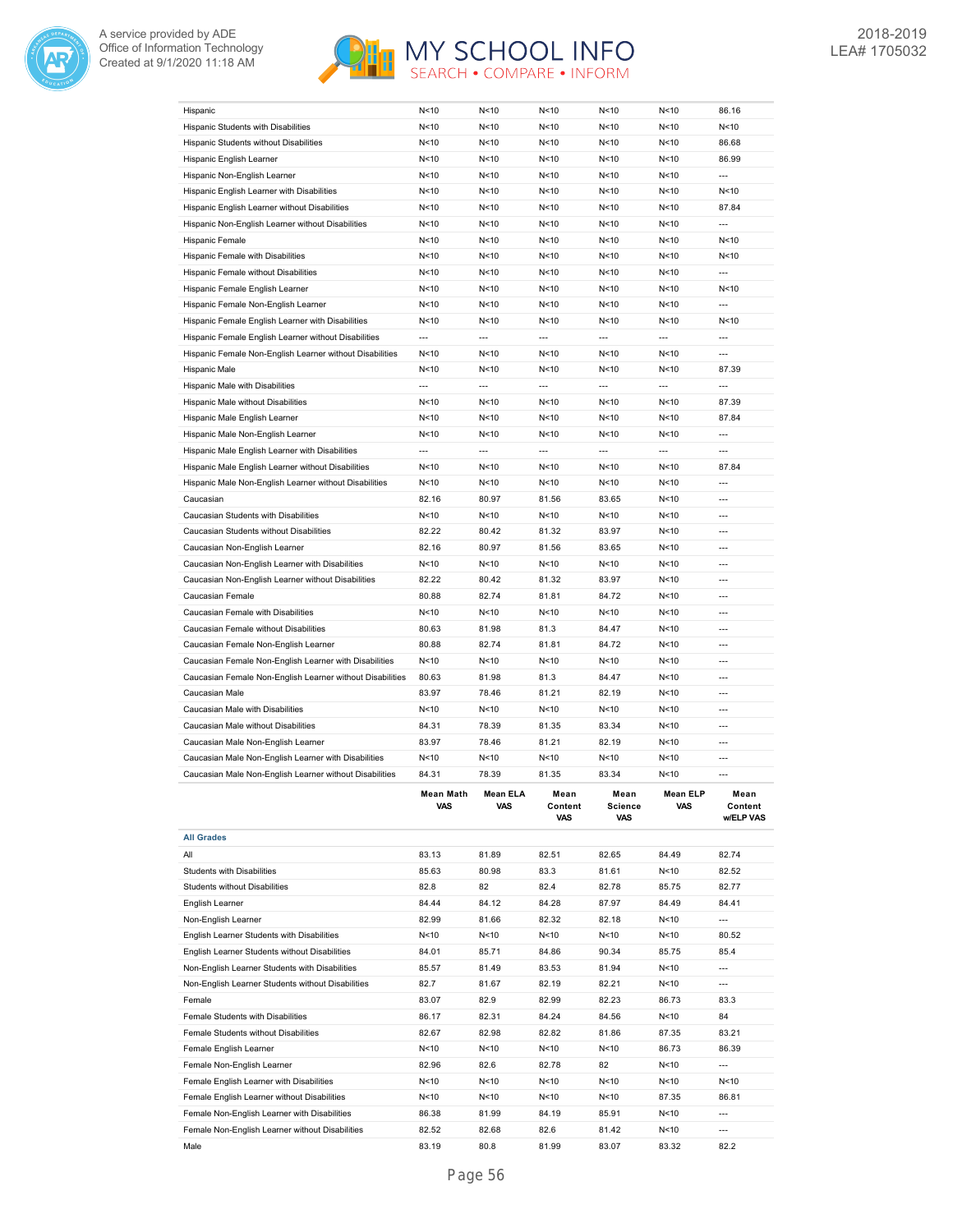



| Hispanic                                                  | N<10             | N<10            | N<10                   | N<10                          | N<10                    | 86.16                        |
|-----------------------------------------------------------|------------------|-----------------|------------------------|-------------------------------|-------------------------|------------------------------|
| Hispanic Students with Disabilities                       | N<10             | N<10            | N <sub>10</sub>        | N<10                          | N < 10                  | N < 10                       |
| Hispanic Students without Disabilities                    | N<10             | N<10            | N<10                   | N<10                          | N<10                    | 86.68                        |
| Hispanic English Learner                                  | N <sub>10</sub>  | N < 10          | N<10                   | N<10                          | N < 10                  | 86.99                        |
| Hispanic Non-English Learner                              | N<10             | N<10            | N <sub>10</sub>        | N <sub>10</sub>               | N <sub>10</sub>         | $\overline{a}$               |
| Hispanic English Learner with Disabilities                | N<10             | N<10            | N <sub>10</sub>        | N <sub>10</sub>               | N<10                    | N < 10                       |
| Hispanic English Learner without Disabilities             | N < 10           | N<10            | N<10                   | N<10                          | N<10                    | 87.84                        |
| Hispanic Non-English Learner without Disabilities         | N < 10           | N<10            | N<10                   | N<10                          | N<10                    | ---                          |
| Hispanic Female                                           | N < 10           | N<10            | N<10                   | N<10                          | N < 10                  | N < 10                       |
| Hispanic Female with Disabilities                         | N < 10           | N<10            | N<10                   | N<10                          | N<10                    | N < 10                       |
| Hispanic Female without Disabilities                      | N<10             | N<10            | N<10                   | N<10                          | N<10                    | $\overline{a}$               |
| Hispanic Female English Learner                           | N < 10           | N<10            | N<10                   | N<10                          | N < 10                  | N<10                         |
| Hispanic Female Non-English Learner                       | N < 10           | N<10            | N<10                   | N<10                          | N < 10                  | $\overline{a}$               |
| Hispanic Female English Learner with Disabilities         | N < 10           | N<10            | N<10                   | N<10                          | N<10                    | N < 10                       |
| Hispanic Female English Learner without Disabilities      | $\overline{a}$   | $\overline{a}$  | $\overline{a}$         | $\overline{a}$                | $\overline{a}$          | $\overline{a}$               |
| Hispanic Female Non-English Learner without Disabilities  | N<10             | N <sub>10</sub> | N<10                   | N <sub>10</sub>               | N < 10                  | ---                          |
| Hispanic Male                                             | N < 10           | N<10            | N<10                   | N<10                          | N < 10                  | 87.39                        |
| Hispanic Male with Disabilities                           | $\overline{a}$   | $\overline{a}$  | $\overline{a}$         | $\overline{a}$                | $\overline{a}$          | $\overline{a}$               |
| Hispanic Male without Disabilities                        | N < 10           | N<10            | N <sub>10</sub>        | N <sub>10</sub>               | N <sub>10</sub>         | 87.39                        |
| Hispanic Male English Learner                             | N<10             | N<10            | N <sub>10</sub>        | N <sub>10</sub>               | N<10                    | 87.84                        |
| Hispanic Male Non-English Learner                         | N<10             | N<10            | N <sub>10</sub>        | N<10                          | N<10                    | $\overline{a}$               |
| Hispanic Male English Learner with Disabilities           | $\overline{a}$   | $\overline{a}$  | $\overline{a}$         | $\overline{a}$                | $\overline{a}$          | $\overline{a}$               |
| Hispanic Male English Learner without Disabilities        | N < 10           | N<10            | N<10                   | N<10                          | N<10                    | 87.84                        |
| Hispanic Male Non-English Learner without Disabilities    | N < 10           | N<10            | N<10                   | N<10                          | N < 10                  | $\overline{a}$               |
| Caucasian                                                 | 82.16            | 80.97           | 81.56                  | 83.65                         | N<10                    | $\overline{a}$               |
| Caucasian Students with Disabilities                      | N < 10           | N<10            | N<10                   | N<10                          | N<10                    |                              |
| Caucasian Students without Disabilities                   | 82.22            | 80.42           | 81.32                  | 83.97                         | N<10                    | ---                          |
| Caucasian Non-English Learner                             | 82.16            | 80.97           | 81.56                  | 83.65                         | N < 10                  | $\overline{a}$               |
|                                                           |                  |                 |                        |                               |                         | $\overline{a}$               |
| Caucasian Non-English Learner with Disabilities           | N < 10<br>82.22  | N < 10<br>80.42 | N<10<br>81.32          | N<10<br>83.97                 | N<10<br>N<10            | $\overline{a}$               |
| Caucasian Non-English Learner without Disabilities        |                  | 82.74           |                        |                               |                         | ---                          |
| Caucasian Female                                          | 80.88<br>N<10    |                 | 81.81                  | 84.72                         | N<10                    | $---$                        |
| Caucasian Female with Disabilities                        |                  | N < 10          | N<10                   | N<10                          | N < 10                  |                              |
| Caucasian Female without Disabilities                     | 80.63            | 81.98           | 81.3                   | 84.47                         | N<10                    | $---$                        |
| Caucasian Female Non-English Learner                      | 80.88            | 82.74           | 81.81                  | 84.72                         | N<10<br>N <sub>10</sub> | $---$<br>$\overline{a}$      |
| Caucasian Female Non-English Learner with Disabilities    | N<10             | N<10            | N<10                   | N<10                          |                         |                              |
| Caucasian Female Non-English Learner without Disabilities | 80.63            | 81.98           | 81.3                   | 84.47                         | N<10                    | $\overline{a}$               |
| Caucasian Male                                            | 83.97            | 78.46           | 81.21                  | 82.19                         | N <sub>10</sub>         | $\overline{a}$               |
| Caucasian Male with Disabilities                          | N < 10           | N < 10          | N <sub>10</sub>        | N <sub>10</sub>               | N <sub>10</sub>         | $\overline{a}$               |
| Caucasian Male without Disabilities                       | 84.31            | 78.39           | 81.35                  | 83.34                         | N < 10                  |                              |
| Caucasian Male Non-English Learner                        | 83.97            | 78.46           | 81.21                  | 82.19                         | N<10                    | $\overline{a}$               |
| Caucasian Male Non-English Learner with Disabilities      | N<10             | N<10            | N<10                   | N<10                          | N<10                    |                              |
| Caucasian Male Non-English Learner without Disabilities   | 84.31            | 78.39           | 81.35                  | 83.34                         | N<10                    | ---                          |
|                                                           | Mean Math<br>VAS | Mean ELA<br>VAS | Mean<br>Content<br>VAS | Mean<br><b>Science</b><br>VAS | Mean ELP<br>VAS         | Mean<br>Content<br>w/ELP VAS |
| <b>All Grades</b>                                         |                  |                 |                        |                               |                         |                              |
| All                                                       | 83.13            | 81.89           | 82.51                  | 82.65                         | 84.49                   | 82.74                        |
| Students with Disabilities                                | 85.63            | 80.98           | 83.3                   | 81.61                         | N<10                    | 82.52                        |
|                                                           | 82.8             | 82              | 82.4                   | 82.78                         | 85.75                   | 82.77                        |
| <b>Students without Disabilities</b>                      |                  |                 |                        |                               |                         |                              |
| English Learner                                           | 84.44            | 84.12           | 84.28                  | 87.97                         | 84.49                   | 84.41                        |
| Non-English Learner                                       | 82.99            | 81.66           | 82.32                  | 82.18                         | N < 10                  | ---                          |
| English Learner Students with Disabilities                | N < 10           | N<10            | N < 10                 | N<10                          | N <sub>10</sub>         | 80.52                        |
| English Learner Students without Disabilities             | 84.01            | 85.71           | 84.86                  | 90.34                         | 85.75                   | 85.4                         |
| Non-English Learner Students with Disabilities            | 85.57            | 81.49           | 83.53                  | 81.94                         | N <sub>10</sub>         | ---                          |
| Non-English Learner Students without Disabilities         | 82.7             | 81.67           | 82.19                  | 82.21                         | N <sub>10</sub>         | ---                          |
| Female                                                    | 83.07            | 82.9            | 82.99                  | 82.23                         | 86.73                   | 83.3                         |
| Female Students with Disabilities                         | 86.17            | 82.31           | 84.24                  | 84.56                         | N <sub>10</sub>         | 84                           |
| Female Students without Disabilities                      | 82.67            | 82.98           | 82.82                  | 81.86                         | 87.35                   | 83.21                        |
| Female English Learner                                    | N<10             | N<10            | N<10                   | N <sub>10</sub>               | 86.73                   | 86.39                        |
| Female Non-English Learner                                | 82.96            | 82.6            | 82.78                  | 82                            | N <sub>10</sub>         | $\overline{a}$               |
| Female English Learner with Disabilities                  | N<10             | N<10            | N<10                   | N <sub>10</sub>               | N <sub>10</sub>         | N<10                         |
| Female English Learner without Disabilities               | N<10             | N < 10          | N<10                   | N<10                          | 87.35                   | 86.81                        |
| Female Non-English Learner with Disabilities              | 86.38            | 81.99           | 84.19                  | 85.91                         | N<10                    | $\overline{a}$               |
| Female Non-English Learner without Disabilities           | 82.52            | 82.68           | 82.6                   | 81.42                         | N < 10                  | ---                          |

Male 83.19 80.8 81.99 83.07 83.32 82.2